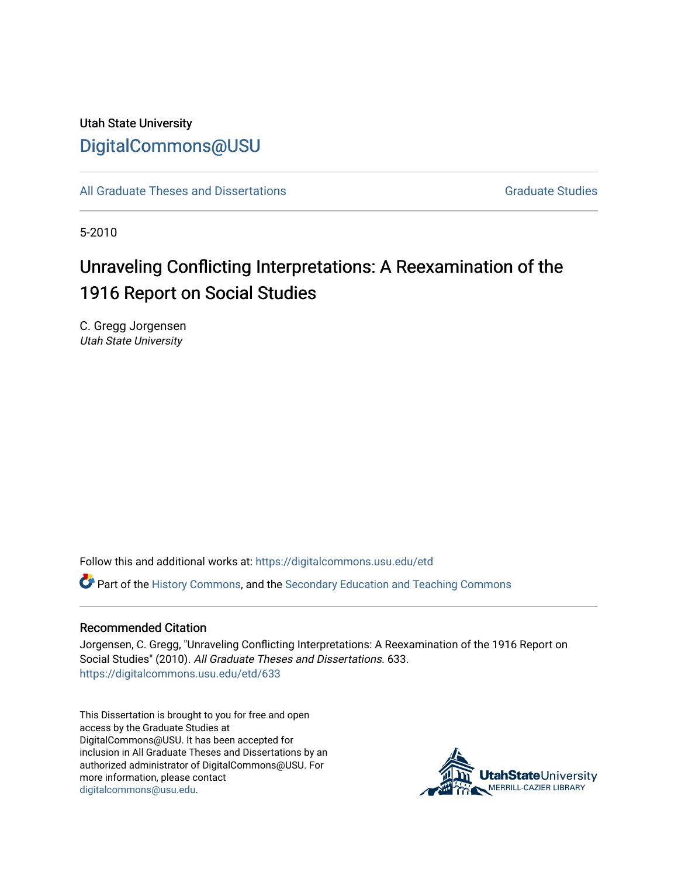# Utah State University [DigitalCommons@USU](https://digitalcommons.usu.edu/)

[All Graduate Theses and Dissertations](https://digitalcommons.usu.edu/etd) Contract Contract Contract Craduate Studies

5-2010

# Unraveling Conflicting Interpretations: A Reexamination of the 1916 Report on Social Studies

C. Gregg Jorgensen Utah State University

Follow this and additional works at: [https://digitalcommons.usu.edu/etd](https://digitalcommons.usu.edu/etd?utm_source=digitalcommons.usu.edu%2Fetd%2F633&utm_medium=PDF&utm_campaign=PDFCoverPages) 

Part of the [History Commons,](http://network.bepress.com/hgg/discipline/489?utm_source=digitalcommons.usu.edu%2Fetd%2F633&utm_medium=PDF&utm_campaign=PDFCoverPages) and the [Secondary Education and Teaching Commons](http://network.bepress.com/hgg/discipline/809?utm_source=digitalcommons.usu.edu%2Fetd%2F633&utm_medium=PDF&utm_campaign=PDFCoverPages)

#### Recommended Citation

Jorgensen, C. Gregg, "Unraveling Conflicting Interpretations: A Reexamination of the 1916 Report on Social Studies" (2010). All Graduate Theses and Dissertations. 633. [https://digitalcommons.usu.edu/etd/633](https://digitalcommons.usu.edu/etd/633?utm_source=digitalcommons.usu.edu%2Fetd%2F633&utm_medium=PDF&utm_campaign=PDFCoverPages) 

This Dissertation is brought to you for free and open access by the Graduate Studies at DigitalCommons@USU. It has been accepted for inclusion in All Graduate Theses and Dissertations by an authorized administrator of DigitalCommons@USU. For more information, please contact [digitalcommons@usu.edu.](mailto:digitalcommons@usu.edu)

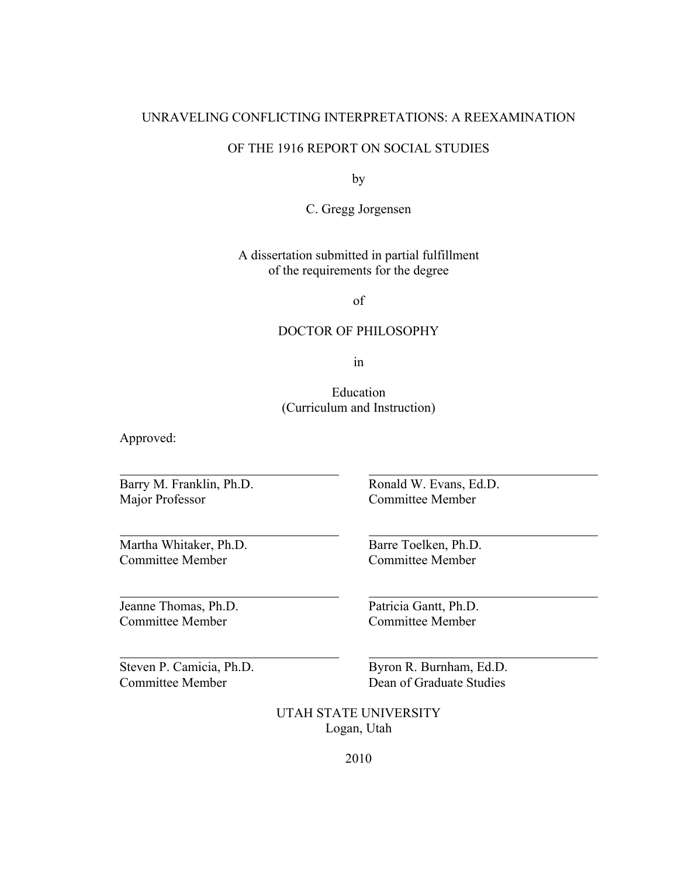## UNRAVELING CONFLICTING INTERPRETATIONS: A REEXAMINATION

## OF THE 1916 REPORT ON SOCIAL STUDIES

by

C. Gregg Jorgensen

A dissertation submitted in partial fulfillment of the requirements for the degree

of

## DOCTOR OF PHILOSOPHY

in

Education (Curriculum and Instruction)

Approved:

Barry M. Franklin, Ph.D. Ronald W. Evans, Ed.D. Major Professor Committee Member

Martha Whitaker, Ph.D. Barre Toelken, Ph.D. Committee Member Committee Member

Jeanne Thomas, Ph.D. Patricia Gantt, Ph.D.

Committee Member

Steven P. Camicia, Ph.D. Byron R. Burnham, Ed.D. Committee Member **Dean of Graduate Studies** 

> UTAH STATE UNIVERSITY Logan, Utah

> > 2010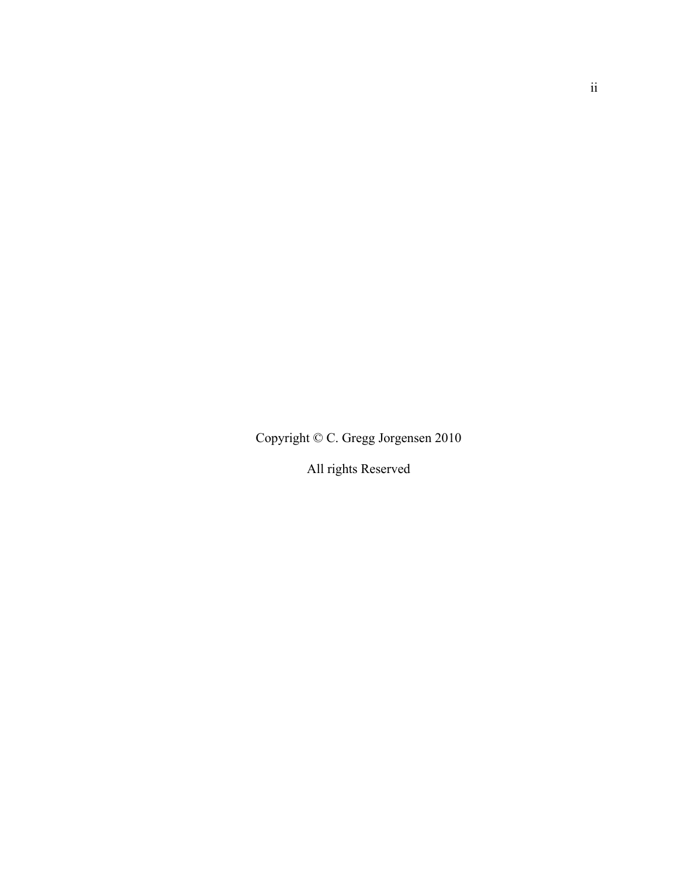Copyright © C. Gregg Jorgensen 2010

All rights Reserved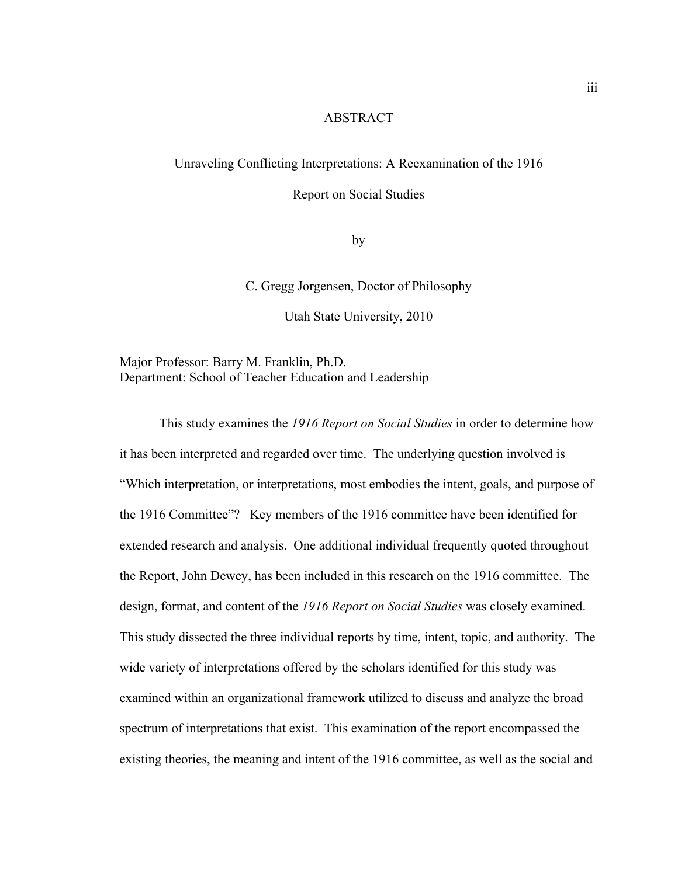## ABSTRACT

## Unraveling Conflicting Interpretations: A Reexamination of the 1916

Report on Social Studies

by

C. Gregg Jorgensen, Doctor of Philosophy

Utah State University, 2010

Major Professor: Barry M. Franklin, Ph.D. Department: School of Teacher Education and Leadership

 This study examines the *1916 Report on Social Studies* in order to determine how it has been interpreted and regarded over time. The underlying question involved is "Which interpretation, or interpretations, most embodies the intent, goals, and purpose of the 1916 Committee"? Key members of the 1916 committee have been identified for extended research and analysis. One additional individual frequently quoted throughout the Report, John Dewey, has been included in this research on the 1916 committee. The design, format, and content of the *1916 Report on Social Studies* was closely examined. This study dissected the three individual reports by time, intent, topic, and authority. The wide variety of interpretations offered by the scholars identified for this study was examined within an organizational framework utilized to discuss and analyze the broad spectrum of interpretations that exist. This examination of the report encompassed the existing theories, the meaning and intent of the 1916 committee, as well as the social and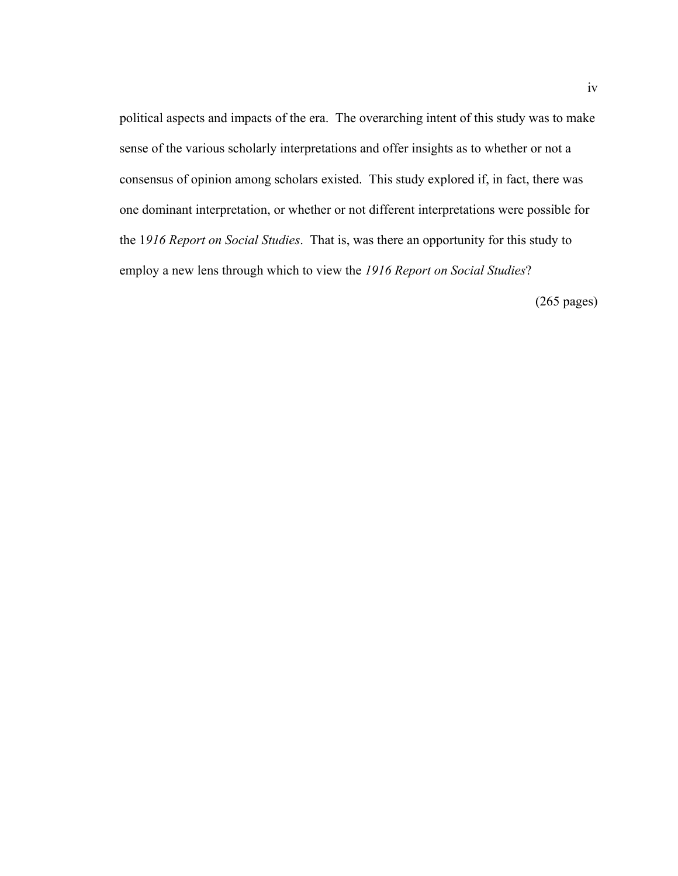political aspects and impacts of the era. The overarching intent of this study was to make sense of the various scholarly interpretations and offer insights as to whether or not a consensus of opinion among scholars existed. This study explored if, in fact, there was one dominant interpretation, or whether or not different interpretations were possible for the 1*916 Report on Social Studies*. That is, was there an opportunity for this study to employ a new lens through which to view the *1916 Report on Social Studies*?

(265 pages)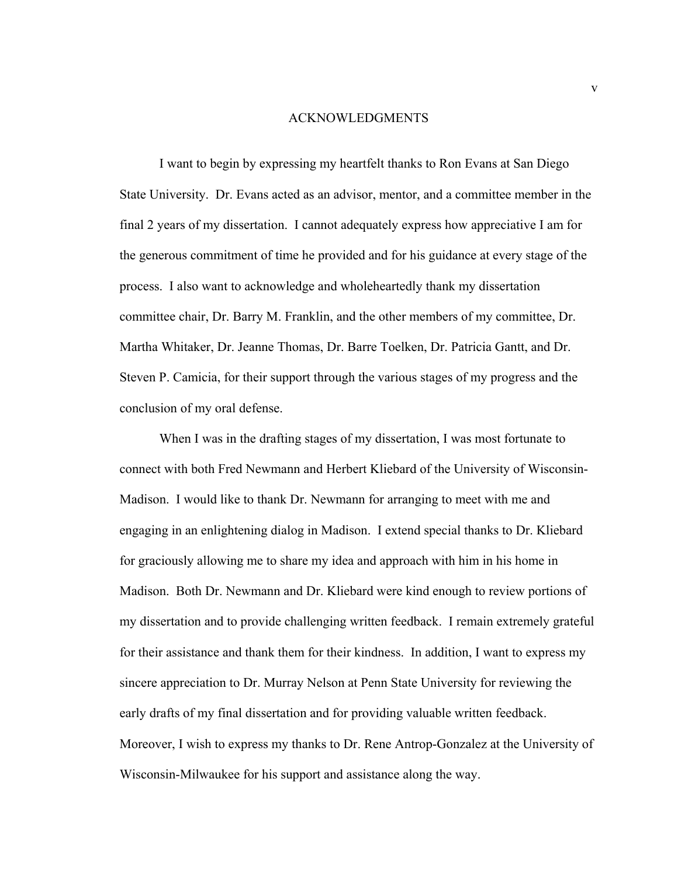#### ACKNOWLEDGMENTS

I want to begin by expressing my heartfelt thanks to Ron Evans at San Diego State University. Dr. Evans acted as an advisor, mentor, and a committee member in the final 2 years of my dissertation. I cannot adequately express how appreciative I am for the generous commitment of time he provided and for his guidance at every stage of the process. I also want to acknowledge and wholeheartedly thank my dissertation committee chair, Dr. Barry M. Franklin, and the other members of my committee, Dr. Martha Whitaker, Dr. Jeanne Thomas, Dr. Barre Toelken, Dr. Patricia Gantt, and Dr. Steven P. Camicia, for their support through the various stages of my progress and the conclusion of my oral defense.

 When I was in the drafting stages of my dissertation, I was most fortunate to connect with both Fred Newmann and Herbert Kliebard of the University of Wisconsin-Madison. I would like to thank Dr. Newmann for arranging to meet with me and engaging in an enlightening dialog in Madison. I extend special thanks to Dr. Kliebard for graciously allowing me to share my idea and approach with him in his home in Madison. Both Dr. Newmann and Dr. Kliebard were kind enough to review portions of my dissertation and to provide challenging written feedback. I remain extremely grateful for their assistance and thank them for their kindness. In addition, I want to express my sincere appreciation to Dr. Murray Nelson at Penn State University for reviewing the early drafts of my final dissertation and for providing valuable written feedback. Moreover, I wish to express my thanks to Dr. Rene Antrop-Gonzalez at the University of Wisconsin-Milwaukee for his support and assistance along the way.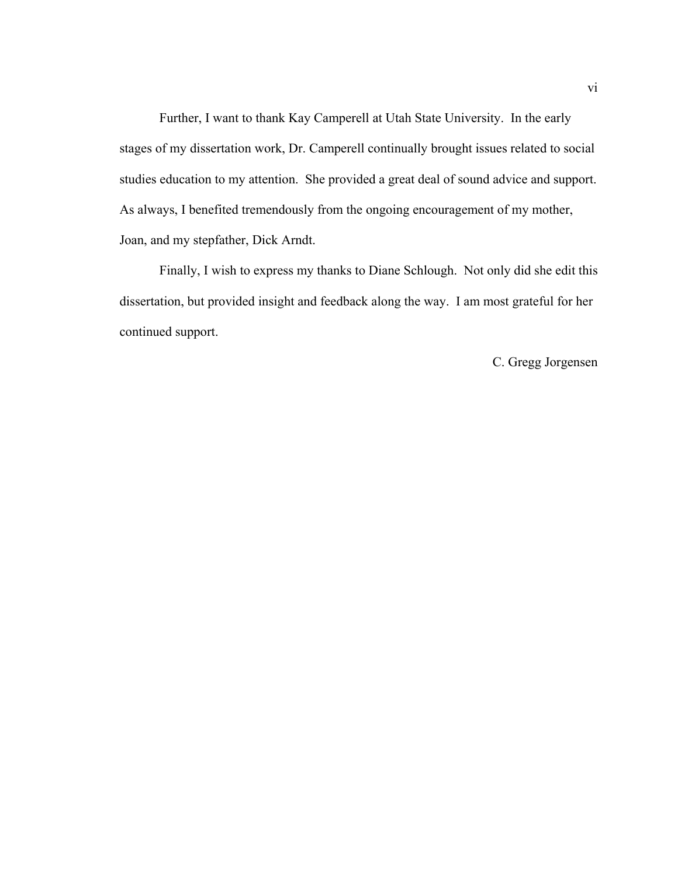Further, I want to thank Kay Camperell at Utah State University. In the early stages of my dissertation work, Dr. Camperell continually brought issues related to social studies education to my attention. She provided a great deal of sound advice and support. As always, I benefited tremendously from the ongoing encouragement of my mother, Joan, and my stepfather, Dick Arndt.

 Finally, I wish to express my thanks to Diane Schlough. Not only did she edit this dissertation, but provided insight and feedback along the way. I am most grateful for her continued support.

C. Gregg Jorgensen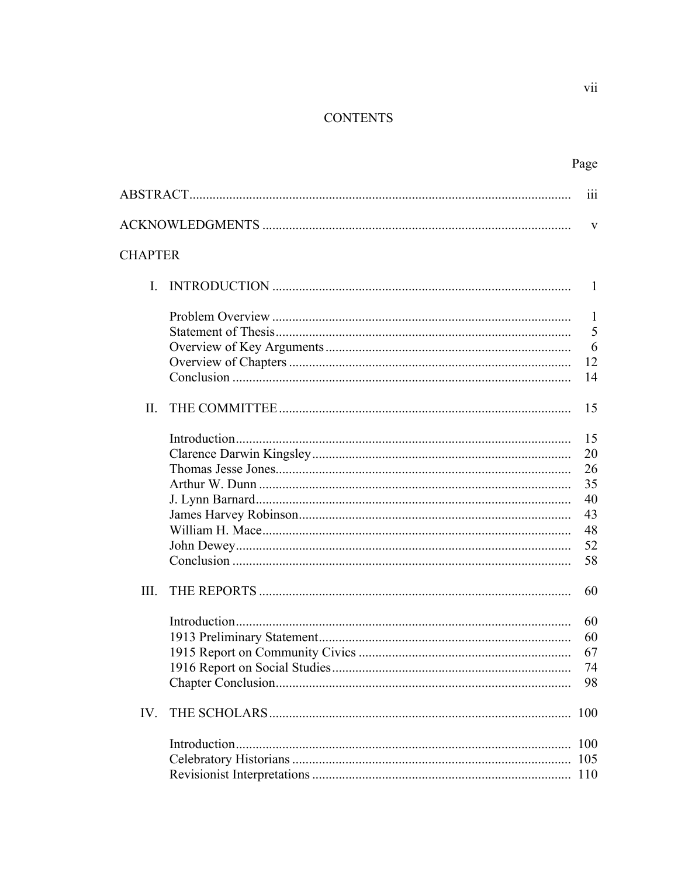## **CONTENTS**

|                | Page                    |
|----------------|-------------------------|
|                | $\overline{\text{iii}}$ |
|                | V                       |
| <b>CHAPTER</b> |                         |
| $\mathbf{I}$   | 1                       |
|                | $\mathbf{1}$<br>5       |
|                | 6<br>12                 |
|                | 14                      |
| $\Pi$ .        | 15                      |
|                | 15                      |
|                | 20                      |
|                | 26<br>35                |
|                | 40                      |
|                | 43                      |
|                | 48                      |
|                | 52                      |
|                | 58                      |
| III.           | 60                      |
|                | 60                      |
|                | 60                      |
|                | 67                      |
|                | 74                      |
|                | 98                      |
| IV.            | 100                     |
|                | 100                     |
|                | 105                     |
|                | 110                     |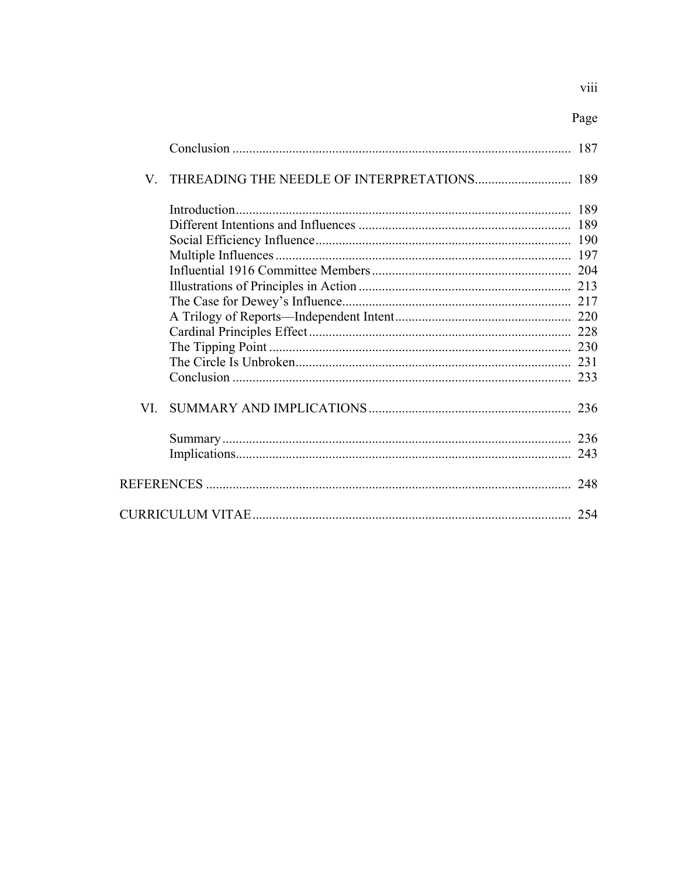viii

|--|

|     | 187 |
|-----|-----|
| V   | 189 |
|     | 189 |
|     |     |
|     |     |
|     |     |
|     |     |
|     |     |
|     |     |
|     |     |
|     |     |
|     |     |
|     |     |
|     |     |
| VI. | 236 |
|     | 236 |
|     |     |
|     | 248 |
|     | 254 |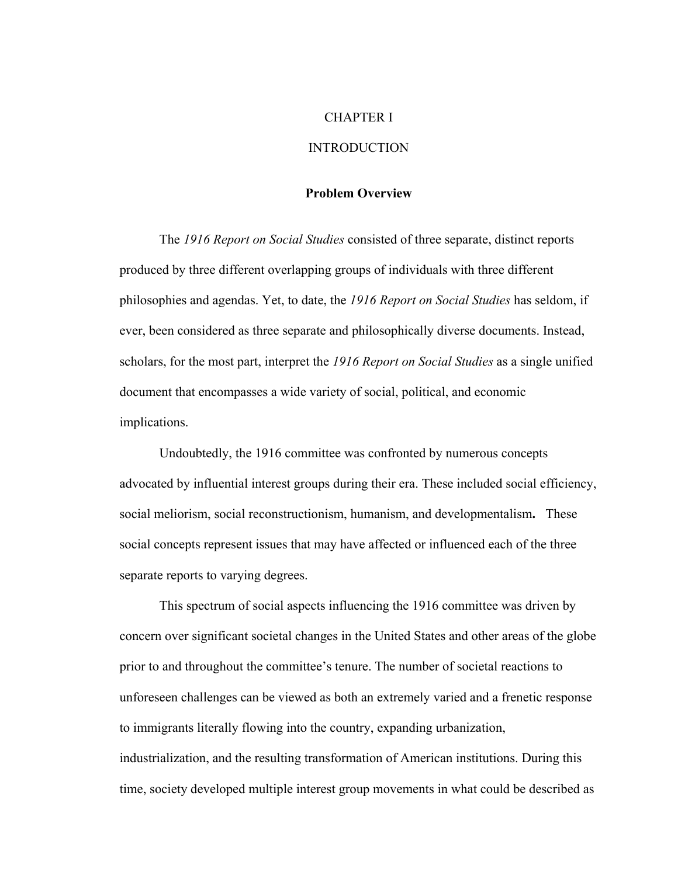#### CHAPTER I

## **INTRODUCTION**

#### **Problem Overview**

The *1916 Report on Social Studies* consisted of three separate, distinct reports produced by three different overlapping groups of individuals with three different philosophies and agendas. Yet, to date, the *1916 Report on Social Studies* has seldom, if ever, been considered as three separate and philosophically diverse documents. Instead, scholars, for the most part, interpret the *1916 Report on Social Studies* as a single unified document that encompasses a wide variety of social, political, and economic implications.

Undoubtedly, the 1916 committee was confronted by numerous concepts advocated by influential interest groups during their era. These included social efficiency, social meliorism, social reconstructionism, humanism, and developmentalism**.** These social concepts represent issues that may have affected or influenced each of the three separate reports to varying degrees.

This spectrum of social aspects influencing the 1916 committee was driven by concern over significant societal changes in the United States and other areas of the globe prior to and throughout the committee's tenure. The number of societal reactions to unforeseen challenges can be viewed as both an extremely varied and a frenetic response to immigrants literally flowing into the country, expanding urbanization, industrialization, and the resulting transformation of American institutions. During this time, society developed multiple interest group movements in what could be described as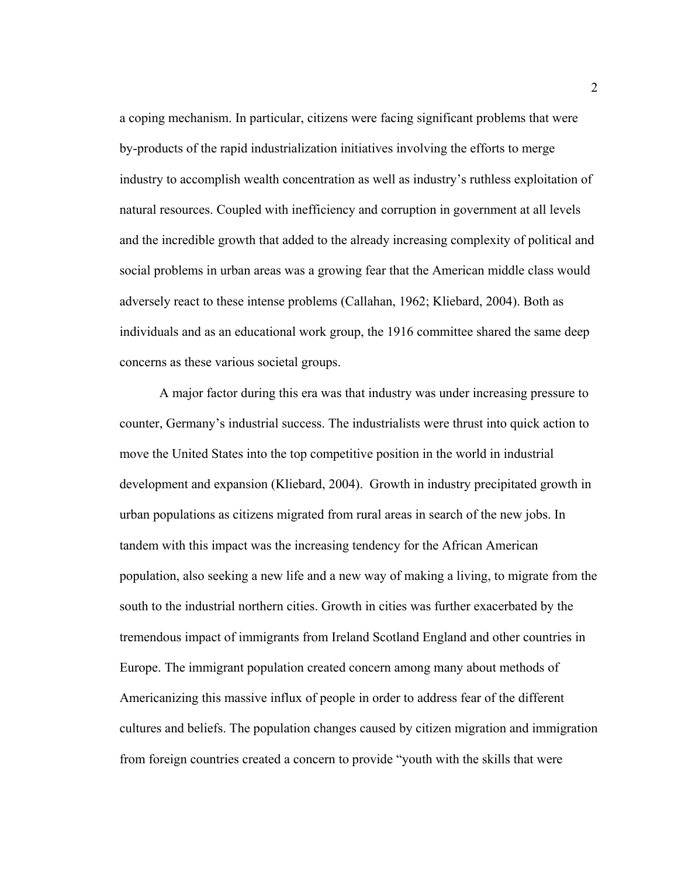a coping mechanism. In particular, citizens were facing significant problems that were by-products of the rapid industrialization initiatives involving the efforts to merge industry to accomplish wealth concentration as well as industry's ruthless exploitation of natural resources. Coupled with inefficiency and corruption in government at all levels and the incredible growth that added to the already increasing complexity of political and social problems in urban areas was a growing fear that the American middle class would adversely react to these intense problems (Callahan, 1962; Kliebard, 2004). Both as individuals and as an educational work group, the 1916 committee shared the same deep concerns as these various societal groups.

A major factor during this era was that industry was under increasing pressure to counter, Germany's industrial success. The industrialists were thrust into quick action to move the United States into the top competitive position in the world in industrial development and expansion (Kliebard, 2004).Growth in industry precipitated growth in urban populations as citizens migrated from rural areas in search of the new jobs. In tandem with this impact was the increasing tendency for the African American population, also seeking a new life and a new way of making a living, to migrate from the south to the industrial northern cities. Growth in cities was further exacerbated by the tremendous impact of immigrants from Ireland Scotland England and other countries in Europe. The immigrant population created concern among many about methods of Americanizing this massive influx of people in order to address fear of the different cultures and beliefs. The population changes caused by citizen migration and immigration from foreign countries created a concern to provide "youth with the skills that were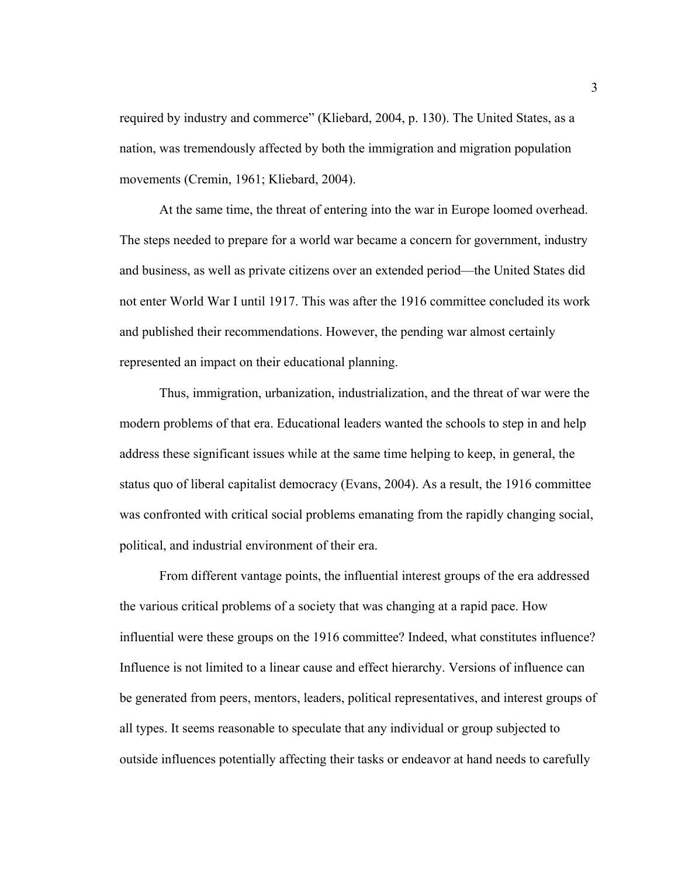required by industry and commerce" (Kliebard, 2004, p. 130). The United States, as a nation, was tremendously affected by both the immigration and migration population movements (Cremin, 1961; Kliebard, 2004).

At the same time, the threat of entering into the war in Europe loomed overhead. The steps needed to prepare for a world war became a concern for government, industry and business, as well as private citizens over an extended period—the United States did not enter World War I until 1917. This was after the 1916 committee concluded its work and published their recommendations. However, the pending war almost certainly represented an impact on their educational planning.

Thus, immigration, urbanization, industrialization, and the threat of war were the modern problems of that era. Educational leaders wanted the schools to step in and help address these significant issues while at the same time helping to keep, in general, the status quo of liberal capitalist democracy (Evans, 2004). As a result, the 1916 committee was confronted with critical social problems emanating from the rapidly changing social, political, and industrial environment of their era.

From different vantage points, the influential interest groups of the era addressed the various critical problems of a society that was changing at a rapid pace. How influential were these groups on the 1916 committee? Indeed, what constitutes influence? Influence is not limited to a linear cause and effect hierarchy. Versions of influence can be generated from peers, mentors, leaders, political representatives, and interest groups of all types. It seems reasonable to speculate that any individual or group subjected to outside influences potentially affecting their tasks or endeavor at hand needs to carefully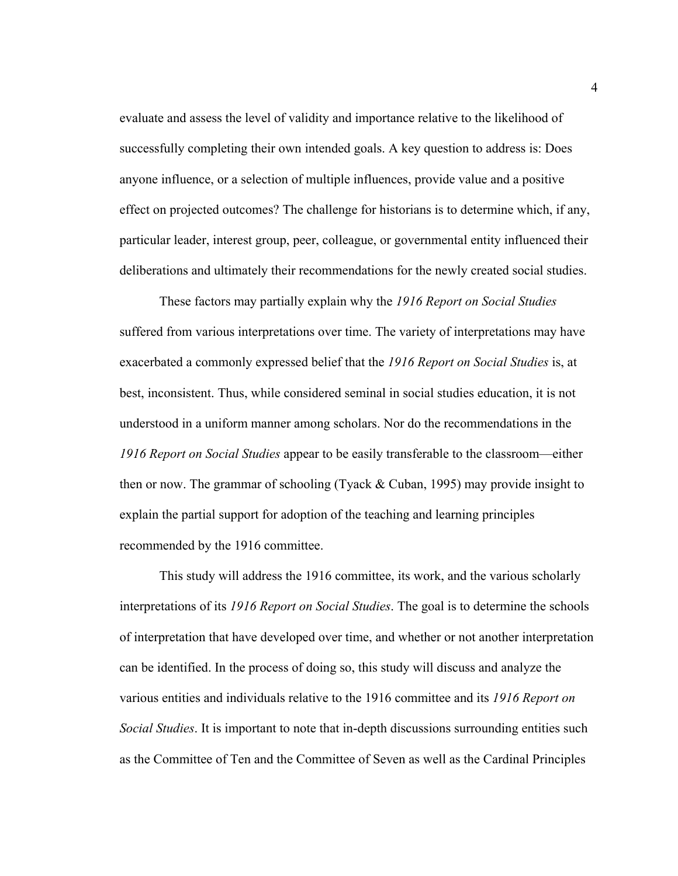evaluate and assess the level of validity and importance relative to the likelihood of successfully completing their own intended goals. A key question to address is: Does anyone influence, or a selection of multiple influences, provide value and a positive effect on projected outcomes? The challenge for historians is to determine which, if any, particular leader, interest group, peer, colleague, or governmental entity influenced their deliberations and ultimately their recommendations for the newly created social studies.

These factors may partially explain why the *1916 Report on Social Studies* suffered from various interpretations over time. The variety of interpretations may have exacerbated a commonly expressed belief that the *1916 Report on Social Studies* is, at best, inconsistent. Thus, while considered seminal in social studies education, it is not understood in a uniform manner among scholars. Nor do the recommendations in the *1916 Report on Social Studies* appear to be easily transferable to the classroom—either then or now. The grammar of schooling (Tyack  $&$  Cuban, 1995) may provide insight to explain the partial support for adoption of the teaching and learning principles recommended by the 1916 committee.

This study will address the 1916 committee, its work, and the various scholarly interpretations of its *1916 Report on Social Studies*. The goal is to determine the schools of interpretation that have developed over time, and whether or not another interpretation can be identified. In the process of doing so, this study will discuss and analyze the various entities and individuals relative to the 1916 committee and its *1916 Report on Social Studies*. It is important to note that in-depth discussions surrounding entities such as the Committee of Ten and the Committee of Seven as well as the Cardinal Principles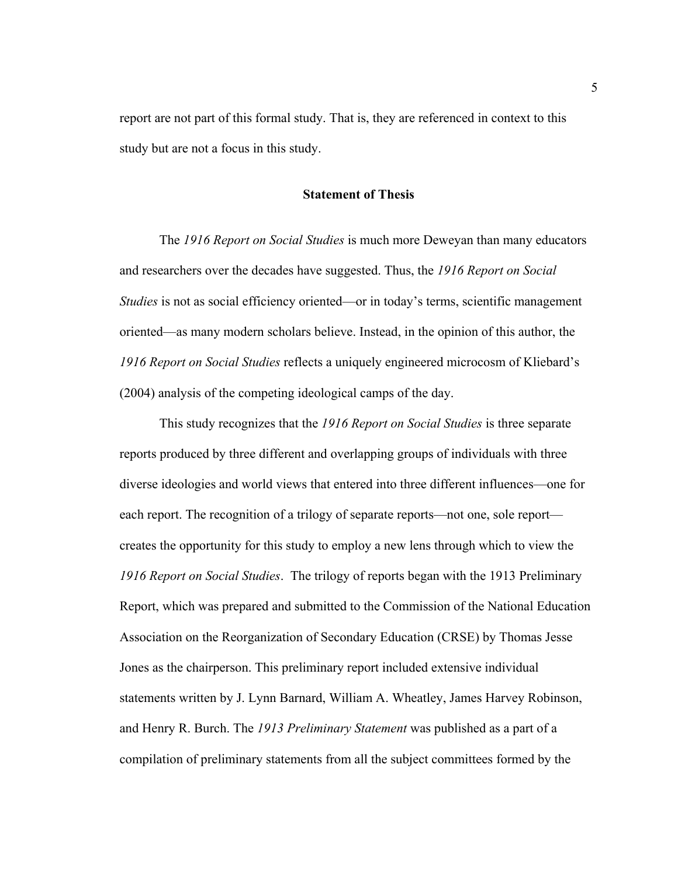report are not part of this formal study. That is, they are referenced in context to this study but are not a focus in this study.

## **Statement of Thesis**

The *1916 Report on Social Studies* is much more Deweyan than many educators and researchers over the decades have suggested. Thus, the *1916 Report on Social Studies* is not as social efficiency oriented—or in today's terms, scientific management oriented—as many modern scholars believe. Instead, in the opinion of this author, the *1916 Report on Social Studies* reflects a uniquely engineered microcosm of Kliebard's (2004) analysis of the competing ideological camps of the day.

This study recognizes that the *1916 Report on Social Studies* is three separate reports produced by three different and overlapping groups of individuals with three diverse ideologies and world views that entered into three different influences—one for each report. The recognition of a trilogy of separate reports—not one, sole report creates the opportunity for this study to employ a new lens through which to view the *1916 Report on Social Studies*.The trilogy of reports began with the 1913 Preliminary Report, which was prepared and submitted to the Commission of the National Education Association on the Reorganization of Secondary Education (CRSE) by Thomas Jesse Jones as the chairperson. This preliminary report included extensive individual statements written by J. Lynn Barnard, William A. Wheatley, James Harvey Robinson, and Henry R. Burch. The *1913 Preliminary Statement* was published as a part of a compilation of preliminary statements from all the subject committees formed by the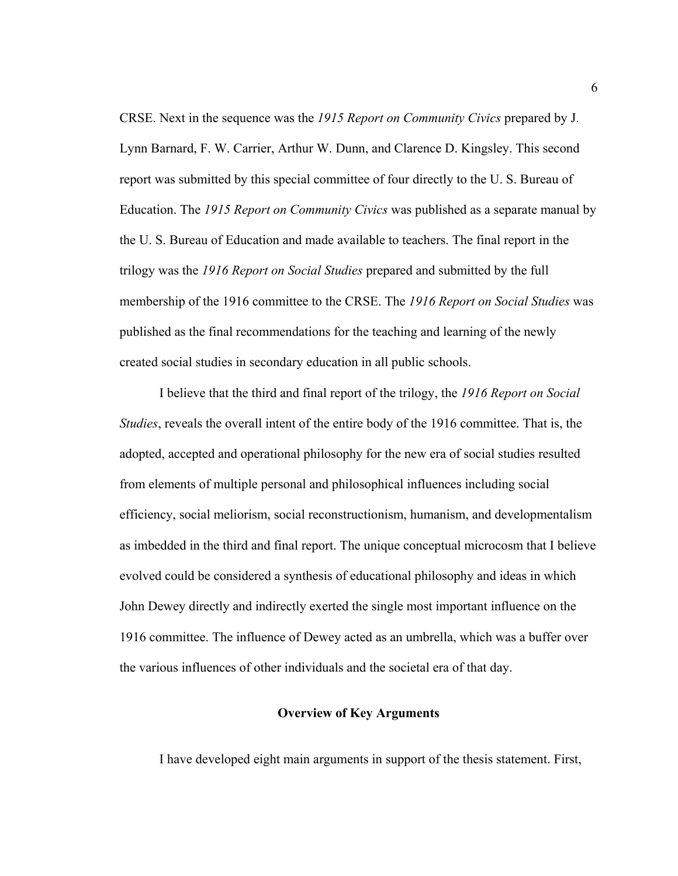CRSE. Next in the sequence was the *1915 Report on Community Civics* prepared by J. Lynn Barnard, F. W. Carrier, Arthur W. Dunn, and Clarence D. Kingsley. This second report was submitted by this special committee of four directly to the U. S. Bureau of Education. The *1915 Report on Community Civics* was published as a separate manual by the U. S. Bureau of Education and made available to teachers. The final report in the trilogy was the *1916 Report on Social Studies* prepared and submitted by the full membership of the 1916 committee to the CRSE. The *1916 Report on Social Studies* was published as the final recommendations for the teaching and learning of the newly created social studies in secondary education in all public schools.

I believe that the third and final report of the trilogy, the *1916 Report on Social Studies*, reveals the overall intent of the entire body of the 1916 committee. That is, the adopted, accepted and operational philosophy for the new era of social studies resulted from elements of multiple personal and philosophical influences including social efficiency, social meliorism, social reconstructionism, humanism, and developmentalism as imbedded in the third and final report. The unique conceptual microcosm that I believe evolved could be considered a synthesis of educational philosophy and ideas in which John Dewey directly and indirectly exerted the single most important influence on the 1916 committee. The influence of Dewey acted as an umbrella, which was a buffer over the various influences of other individuals and the societal era of that day.

#### **Overview of Key Arguments**

I have developed eight main arguments in support of the thesis statement. First,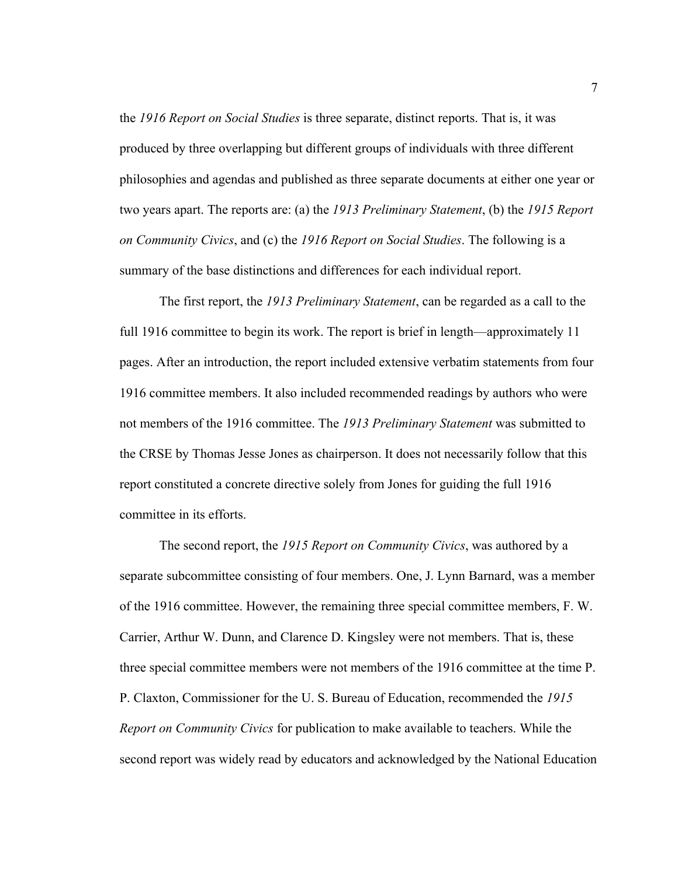the *1916 Report on Social Studies* is three separate, distinct reports. That is, it was produced by three overlapping but different groups of individuals with three different philosophies and agendas and published as three separate documents at either one year or two years apart. The reports are: (a) the *1913 Preliminary Statement*, (b) the *1915 Report on Community Civics*, and (c) the *1916 Report on Social Studies*. The following is a summary of the base distinctions and differences for each individual report.

The first report, the *1913 Preliminary Statement*, can be regarded as a call to the full 1916 committee to begin its work. The report is brief in length—approximately 11 pages. After an introduction, the report included extensive verbatim statements from four 1916 committee members. It also included recommended readings by authors who were not members of the 1916 committee. The *1913 Preliminary Statement* was submitted to the CRSE by Thomas Jesse Jones as chairperson. It does not necessarily follow that this report constituted a concrete directive solely from Jones for guiding the full 1916 committee in its efforts.

The second report, the *1915 Report on Community Civics*, was authored by a separate subcommittee consisting of four members. One, J. Lynn Barnard, was a member of the 1916 committee. However, the remaining three special committee members, F. W. Carrier, Arthur W. Dunn, and Clarence D. Kingsley were not members. That is, these three special committee members were not members of the 1916 committee at the time P. P. Claxton, Commissioner for the U. S. Bureau of Education, recommended the *1915 Report on Community Civics* for publication to make available to teachers. While the second report was widely read by educators and acknowledged by the National Education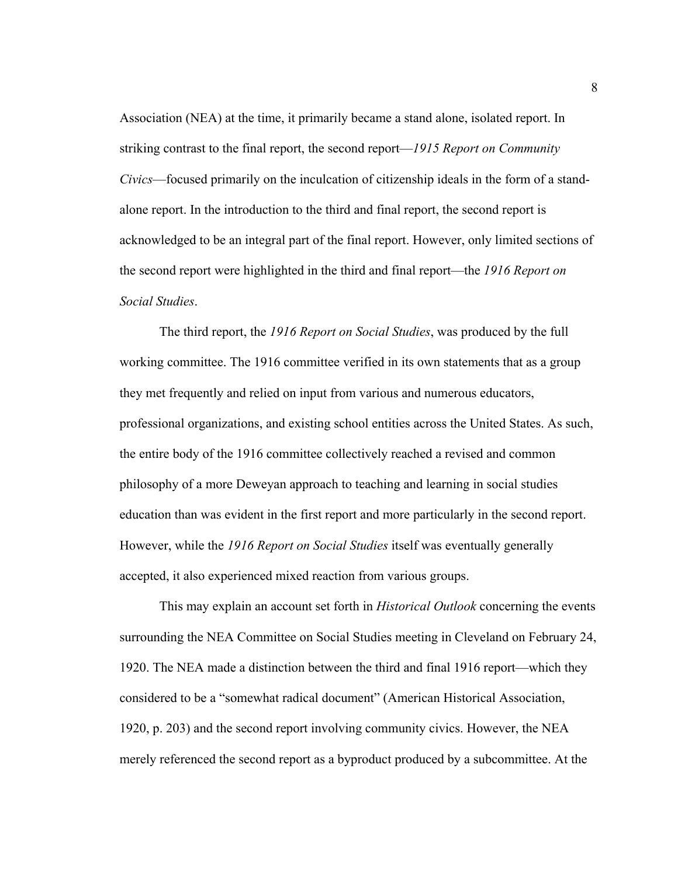Association (NEA) at the time, it primarily became a stand alone, isolated report. In striking contrast to the final report, the second report—*1915 Report on Community Civics*—focused primarily on the inculcation of citizenship ideals in the form of a standalone report. In the introduction to the third and final report, the second report is acknowledged to be an integral part of the final report. However, only limited sections of the second report were highlighted in the third and final report—the *1916 Report on Social Studies*.

The third report, the *1916 Report on Social Studies*, was produced by the full working committee. The 1916 committee verified in its own statements that as a group they met frequently and relied on input from various and numerous educators, professional organizations, and existing school entities across the United States. As such, the entire body of the 1916 committee collectively reached a revised and common philosophy of a more Deweyan approach to teaching and learning in social studies education than was evident in the first report and more particularly in the second report. However, while the *1916 Report on Social Studies* itself was eventually generally accepted, it also experienced mixed reaction from various groups.

This may explain an account set forth in *Historical Outlook* concerning the events surrounding the NEA Committee on Social Studies meeting in Cleveland on February 24, 1920. The NEA made a distinction between the third and final 1916 report—which they considered to be a "somewhat radical document" (American Historical Association, 1920, p. 203) and the second report involving community civics. However, the NEA merely referenced the second report as a byproduct produced by a subcommittee. At the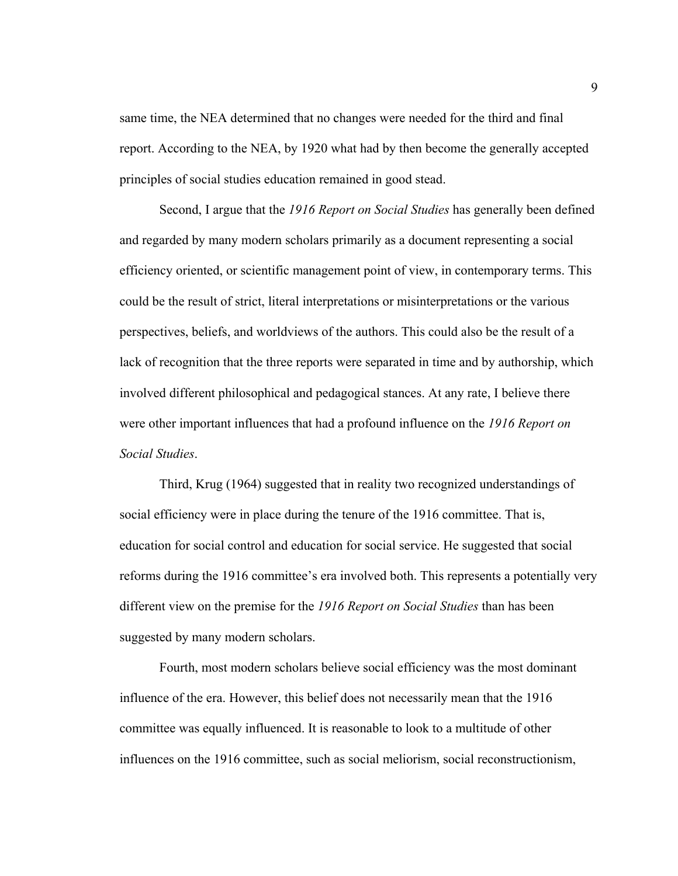same time, the NEA determined that no changes were needed for the third and final report. According to the NEA, by 1920 what had by then become the generally accepted principles of social studies education remained in good stead.

Second, I argue that the *1916 Report on Social Studies* has generally been defined and regarded by many modern scholars primarily as a document representing a social efficiency oriented, or scientific management point of view, in contemporary terms. This could be the result of strict, literal interpretations or misinterpretations or the various perspectives, beliefs, and worldviews of the authors. This could also be the result of a lack of recognition that the three reports were separated in time and by authorship, which involved different philosophical and pedagogical stances. At any rate, I believe there were other important influences that had a profound influence on the *1916 Report on Social Studies*.

Third, Krug (1964) suggested that in reality two recognized understandings of social efficiency were in place during the tenure of the 1916 committee. That is, education for social control and education for social service. He suggested that social reforms during the 1916 committee's era involved both. This represents a potentially very different view on the premise for the *1916 Report on Social Studies* than has been suggested by many modern scholars.

Fourth, most modern scholars believe social efficiency was the most dominant influence of the era. However, this belief does not necessarily mean that the 1916 committee was equally influenced. It is reasonable to look to a multitude of other influences on the 1916 committee, such as social meliorism, social reconstructionism,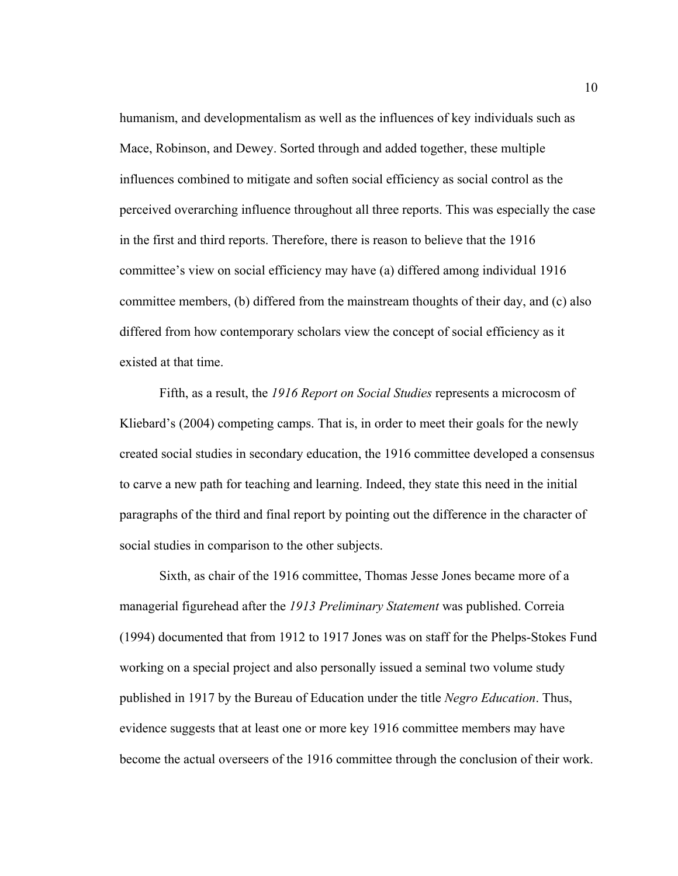humanism, and developmentalism as well as the influences of key individuals such as Mace, Robinson, and Dewey. Sorted through and added together, these multiple influences combined to mitigate and soften social efficiency as social control as the perceived overarching influence throughout all three reports. This was especially the case in the first and third reports. Therefore, there is reason to believe that the 1916 committee's view on social efficiency may have (a) differed among individual 1916 committee members, (b) differed from the mainstream thoughts of their day, and (c) also differed from how contemporary scholars view the concept of social efficiency as it existed at that time.

Fifth, as a result, the *1916 Report on Social Studies* represents a microcosm of Kliebard's (2004) competing camps. That is, in order to meet their goals for the newly created social studies in secondary education, the 1916 committee developed a consensus to carve a new path for teaching and learning. Indeed, they state this need in the initial paragraphs of the third and final report by pointing out the difference in the character of social studies in comparison to the other subjects.

Sixth, as chair of the 1916 committee, Thomas Jesse Jones became more of a managerial figurehead after the *1913 Preliminary Statement* was published. Correia (1994) documented that from 1912 to 1917 Jones was on staff for the Phelps-Stokes Fund working on a special project and also personally issued a seminal two volume study published in 1917 by the Bureau of Education under the title *Negro Education*. Thus, evidence suggests that at least one or more key 1916 committee members may have become the actual overseers of the 1916 committee through the conclusion of their work.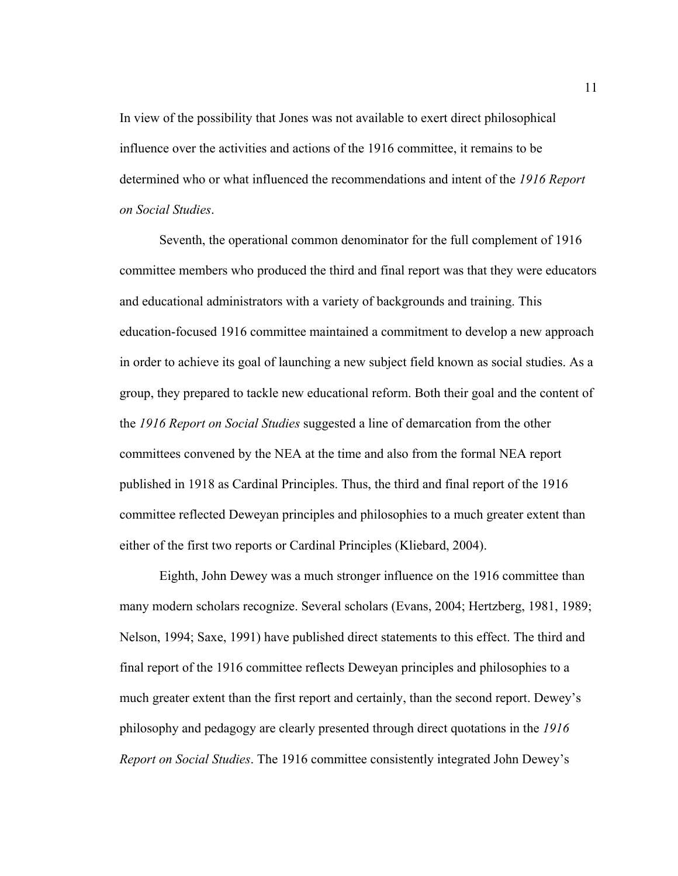In view of the possibility that Jones was not available to exert direct philosophical influence over the activities and actions of the 1916 committee, it remains to be determined who or what influenced the recommendations and intent of the *1916 Report on Social Studies*.

Seventh, the operational common denominator for the full complement of 1916 committee members who produced the third and final report was that they were educators and educational administrators with a variety of backgrounds and training. This education-focused 1916 committee maintained a commitment to develop a new approach in order to achieve its goal of launching a new subject field known as social studies. As a group, they prepared to tackle new educational reform. Both their goal and the content of the *1916 Report on Social Studies* suggested a line of demarcation from the other committees convened by the NEA at the time and also from the formal NEA report published in 1918 as Cardinal Principles. Thus, the third and final report of the 1916 committee reflected Deweyan principles and philosophies to a much greater extent than either of the first two reports or Cardinal Principles (Kliebard, 2004).

Eighth, John Dewey was a much stronger influence on the 1916 committee than many modern scholars recognize. Several scholars (Evans, 2004; Hertzberg, 1981, 1989; Nelson, 1994; Saxe, 1991) have published direct statements to this effect. The third and final report of the 1916 committee reflects Deweyan principles and philosophies to a much greater extent than the first report and certainly, than the second report. Dewey's philosophy and pedagogy are clearly presented through direct quotations in the *1916 Report on Social Studies*. The 1916 committee consistently integrated John Dewey's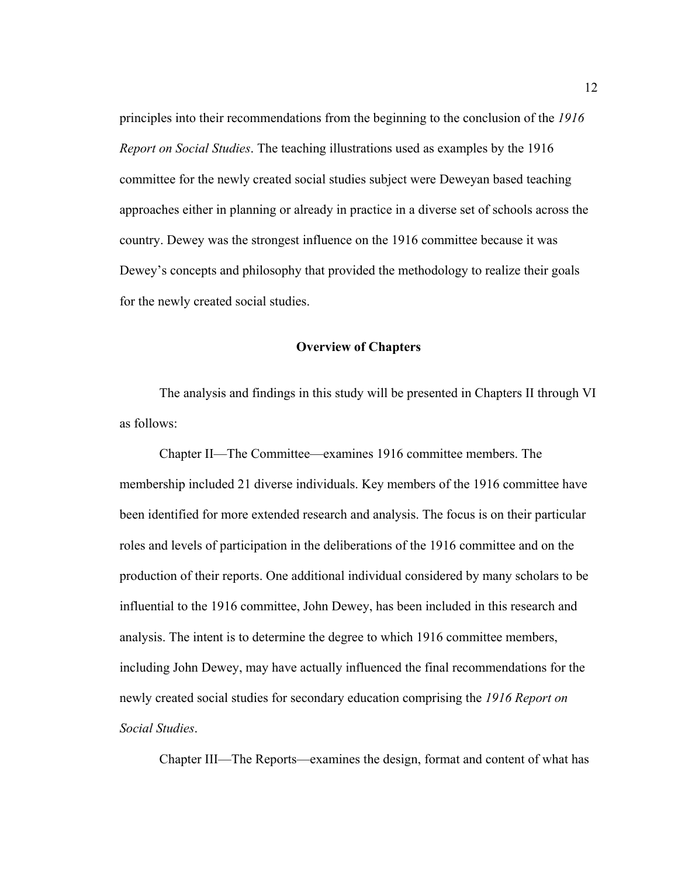principles into their recommendations from the beginning to the conclusion of the *1916 Report on Social Studies*. The teaching illustrations used as examples by the 1916 committee for the newly created social studies subject were Deweyan based teaching approaches either in planning or already in practice in a diverse set of schools across the country. Dewey was the strongest influence on the 1916 committee because it was Dewey's concepts and philosophy that provided the methodology to realize their goals for the newly created social studies.

#### **Overview of Chapters**

 The analysis and findings in this study will be presented in Chapters II through VI as follows:

 Chapter II—The Committee—examines 1916 committee members. The membership included 21 diverse individuals. Key members of the 1916 committee have been identified for more extended research and analysis. The focus is on their particular roles and levels of participation in the deliberations of the 1916 committee and on the production of their reports. One additional individual considered by many scholars to be influential to the 1916 committee, John Dewey, has been included in this research and analysis. The intent is to determine the degree to which 1916 committee members, including John Dewey, may have actually influenced the final recommendations for the newly created social studies for secondary education comprising the *1916 Report on Social Studies*.

Chapter III—The Reports—examines the design, format and content of what has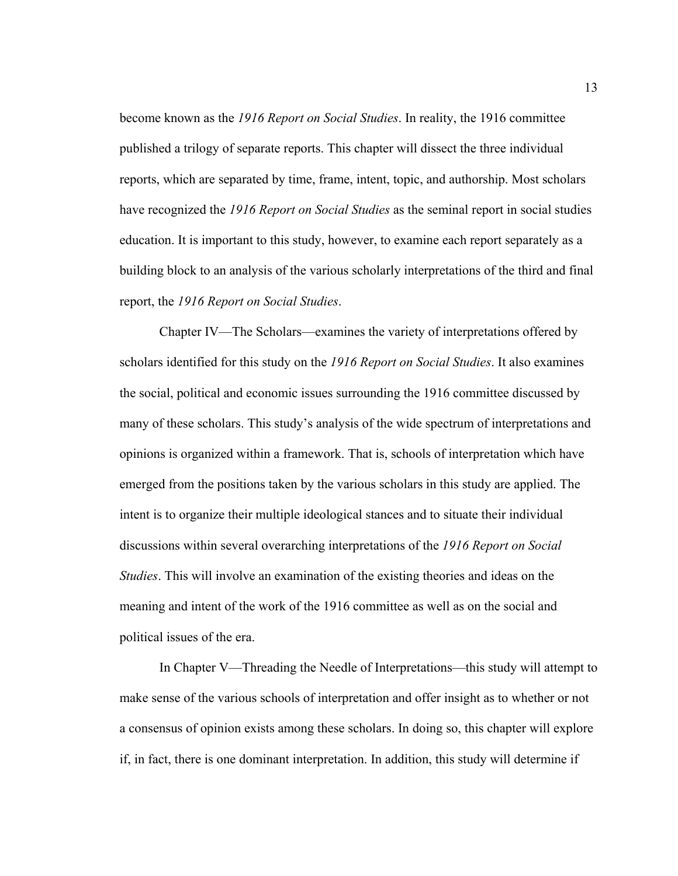become known as the *1916 Report on Social Studies*. In reality, the 1916 committee published a trilogy of separate reports. This chapter will dissect the three individual reports, which are separated by time, frame, intent, topic, and authorship. Most scholars have recognized the *1916 Report on Social Studies* as the seminal report in social studies education. It is important to this study, however, to examine each report separately as a building block to an analysis of the various scholarly interpretations of the third and final report, the *1916 Report on Social Studies*.

 Chapter IV—The Scholars—examines the variety of interpretations offered by scholars identified for this study on the *1916 Report on Social Studies*. It also examines the social, political and economic issues surrounding the 1916 committee discussed by many of these scholars. This study's analysis of the wide spectrum of interpretations and opinions is organized within a framework. That is, schools of interpretation which have emerged from the positions taken by the various scholars in this study are applied. The intent is to organize their multiple ideological stances and to situate their individual discussions within several overarching interpretations of the *1916 Report on Social Studies*. This will involve an examination of the existing theories and ideas on the meaning and intent of the work of the 1916 committee as well as on the social and political issues of the era.

 In Chapter V—Threading the Needle of Interpretations—this study will attempt to make sense of the various schools of interpretation and offer insight as to whether or not a consensus of opinion exists among these scholars. In doing so, this chapter will explore if, in fact, there is one dominant interpretation. In addition, this study will determine if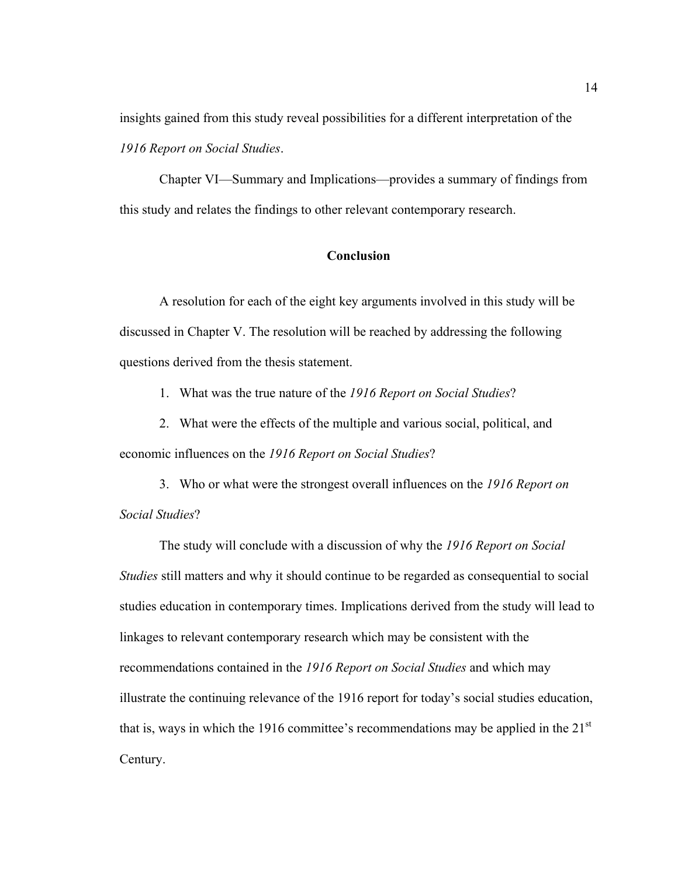insights gained from this study reveal possibilities for a different interpretation of the *1916 Report on Social Studies*.

 Chapter VI—Summary and Implications—provides a summary of findings from this study and relates the findings to other relevant contemporary research.

## **Conclusion**

 A resolution for each of the eight key arguments involved in this study will be discussed in Chapter V. The resolution will be reached by addressing the following questions derived from the thesis statement.

1. What was the true nature of the *1916 Report on Social Studies*?

- 2. What were the effects of the multiple and various social, political, and economic influences on the *1916 Report on Social Studies*?
- 3. Who or what were the strongest overall influences on the *1916 Report on Social Studies*?

The study will conclude with a discussion of why the *1916 Report on Social Studies* still matters and why it should continue to be regarded as consequential to social studies education in contemporary times. Implications derived from the study will lead to linkages to relevant contemporary research which may be consistent with the recommendations contained in the *1916 Report on Social Studies* and which may illustrate the continuing relevance of the 1916 report for today's social studies education, that is, ways in which the 1916 committee's recommendations may be applied in the  $21<sup>st</sup>$ Century.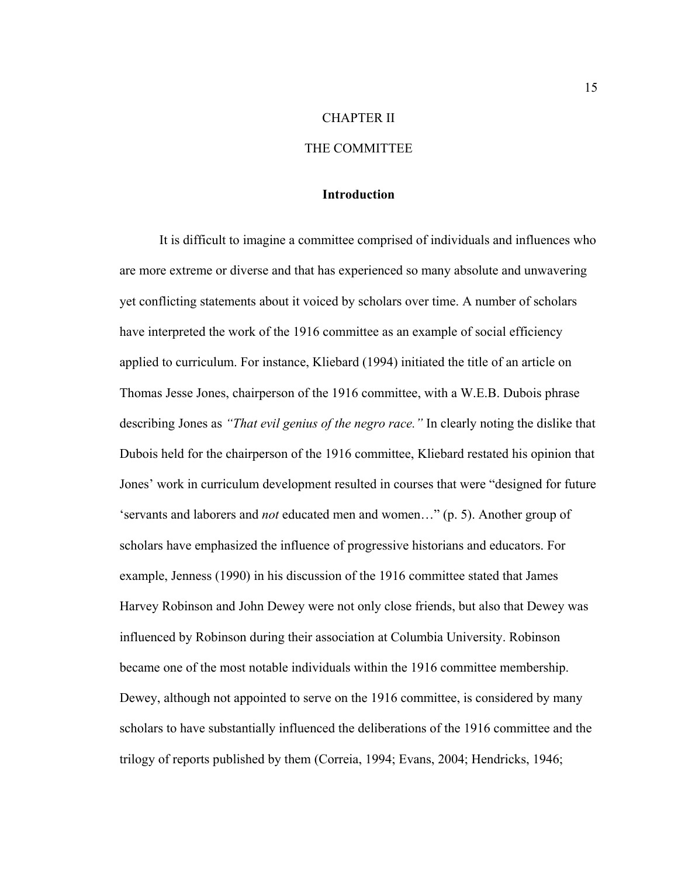#### CHAPTER II

## THE COMMITTEE

## **Introduction**

 It is difficult to imagine a committee comprised of individuals and influences who are more extreme or diverse and that has experienced so many absolute and unwavering yet conflicting statements about it voiced by scholars over time. A number of scholars have interpreted the work of the 1916 committee as an example of social efficiency applied to curriculum. For instance, Kliebard (1994) initiated the title of an article on Thomas Jesse Jones, chairperson of the 1916 committee, with a W.E.B. Dubois phrase describing Jones as *"That evil genius of the negro race."* In clearly noting the dislike that Dubois held for the chairperson of the 1916 committee, Kliebard restated his opinion that Jones' work in curriculum development resulted in courses that were "designed for future 'servants and laborers and *not* educated men and women…" (p. 5). Another group of scholars have emphasized the influence of progressive historians and educators. For example, Jenness (1990) in his discussion of the 1916 committee stated that James Harvey Robinson and John Dewey were not only close friends, but also that Dewey was influenced by Robinson during their association at Columbia University. Robinson became one of the most notable individuals within the 1916 committee membership. Dewey, although not appointed to serve on the 1916 committee, is considered by many scholars to have substantially influenced the deliberations of the 1916 committee and the trilogy of reports published by them (Correia, 1994; Evans, 2004; Hendricks, 1946;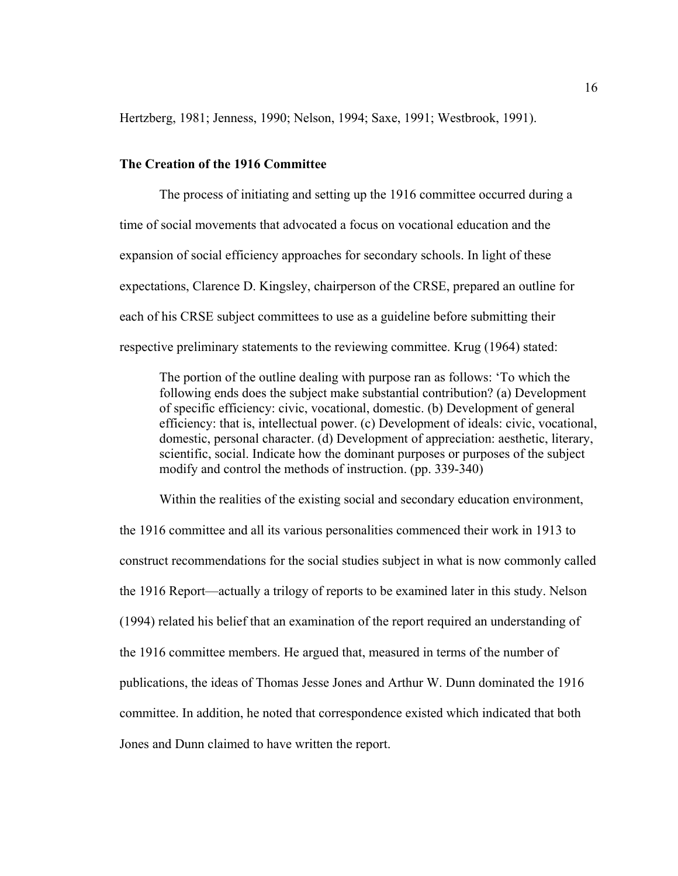Hertzberg, 1981; Jenness, 1990; Nelson, 1994; Saxe, 1991; Westbrook, 1991).

## **The Creation of the 1916 Committee**

The process of initiating and setting up the 1916 committee occurred during a time of social movements that advocated a focus on vocational education and the expansion of social efficiency approaches for secondary schools. In light of these expectations, Clarence D. Kingsley, chairperson of the CRSE, prepared an outline for each of his CRSE subject committees to use as a guideline before submitting their respective preliminary statements to the reviewing committee. Krug (1964) stated:

The portion of the outline dealing with purpose ran as follows: 'To which the following ends does the subject make substantial contribution? (a) Development of specific efficiency: civic, vocational, domestic. (b) Development of general efficiency: that is, intellectual power. (c) Development of ideals: civic, vocational, domestic, personal character. (d) Development of appreciation: aesthetic, literary, scientific, social. Indicate how the dominant purposes or purposes of the subject modify and control the methods of instruction. (pp. 339-340)

Within the realities of the existing social and secondary education environment,

the 1916 committee and all its various personalities commenced their work in 1913 to construct recommendations for the social studies subject in what is now commonly called the 1916 Report—actually a trilogy of reports to be examined later in this study. Nelson (1994) related his belief that an examination of the report required an understanding of the 1916 committee members. He argued that, measured in terms of the number of publications, the ideas of Thomas Jesse Jones and Arthur W. Dunn dominated the 1916 committee. In addition, he noted that correspondence existed which indicated that both Jones and Dunn claimed to have written the report.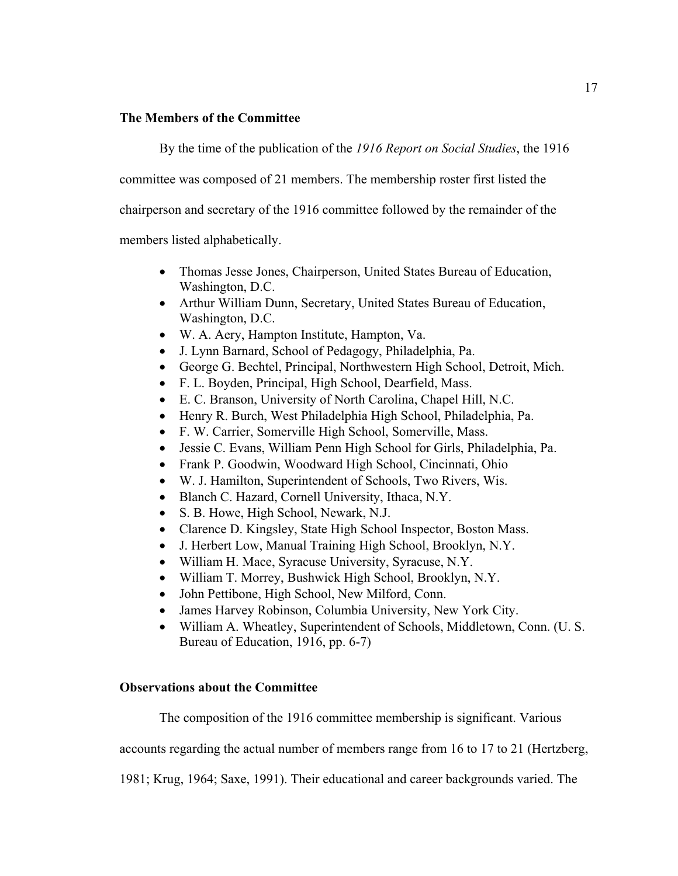## **The Members of the Committee**

By the time of the publication of the *1916 Report on Social Studies*, the 1916

committee was composed of 21 members. The membership roster first listed the

chairperson and secretary of the 1916 committee followed by the remainder of the

members listed alphabetically.

- Thomas Jesse Jones, Chairperson, United States Bureau of Education, Washington, D.C.
- Arthur William Dunn, Secretary, United States Bureau of Education, Washington, D.C.
- W. A. Aery, Hampton Institute, Hampton, Va.
- J. Lynn Barnard, School of Pedagogy, Philadelphia, Pa.
- George G. Bechtel, Principal, Northwestern High School, Detroit, Mich.
- F. L. Boyden, Principal, High School, Dearfield, Mass.
- E. C. Branson, University of North Carolina, Chapel Hill, N.C.
- Henry R. Burch, West Philadelphia High School, Philadelphia, Pa.
- F. W. Carrier, Somerville High School, Somerville, Mass.
- Jessie C. Evans, William Penn High School for Girls, Philadelphia, Pa.
- Frank P. Goodwin, Woodward High School, Cincinnati, Ohio
- W. J. Hamilton, Superintendent of Schools, Two Rivers, Wis.
- Blanch C. Hazard, Cornell University, Ithaca, N.Y.
- S. B. Howe, High School, Newark, N.J.
- Clarence D. Kingsley, State High School Inspector, Boston Mass.
- J. Herbert Low, Manual Training High School, Brooklyn, N.Y.
- William H. Mace, Syracuse University, Syracuse, N.Y.
- William T. Morrey, Bushwick High School, Brooklyn, N.Y.
- John Pettibone, High School, New Milford, Conn.
- James Harvey Robinson, Columbia University, New York City.
- William A. Wheatley, Superintendent of Schools, Middletown, Conn. (U. S. Bureau of Education, 1916, pp. 6-7)

## **Observations about the Committee**

The composition of the 1916 committee membership is significant. Various

accounts regarding the actual number of members range from 16 to 17 to 21 (Hertzberg,

1981; Krug, 1964; Saxe, 1991). Their educational and career backgrounds varied. The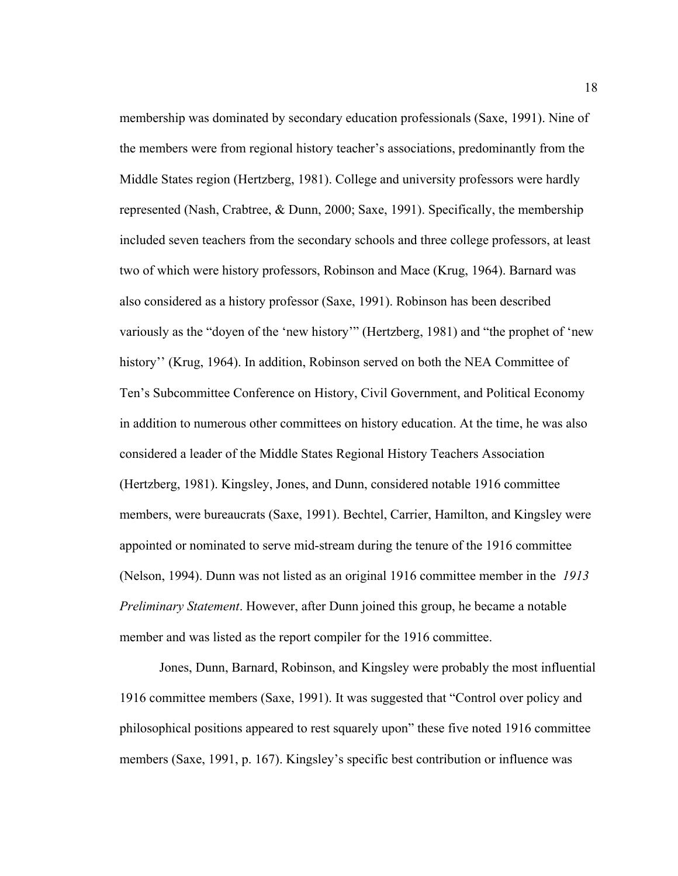membership was dominated by secondary education professionals (Saxe, 1991). Nine of the members were from regional history teacher's associations, predominantly from the Middle States region (Hertzberg, 1981). College and university professors were hardly represented (Nash, Crabtree, & Dunn, 2000; Saxe, 1991). Specifically, the membership included seven teachers from the secondary schools and three college professors, at least two of which were history professors, Robinson and Mace (Krug, 1964). Barnard was also considered as a history professor (Saxe, 1991). Robinson has been described variously as the "doyen of the 'new history'" (Hertzberg, 1981) and "the prophet of 'new history" (Krug, 1964). In addition, Robinson served on both the NEA Committee of Ten's Subcommittee Conference on History, Civil Government, and Political Economy in addition to numerous other committees on history education. At the time, he was also considered a leader of the Middle States Regional History Teachers Association (Hertzberg, 1981). Kingsley, Jones, and Dunn, considered notable 1916 committee members, were bureaucrats (Saxe, 1991). Bechtel, Carrier, Hamilton, and Kingsley were appointed or nominated to serve mid-stream during the tenure of the 1916 committee (Nelson, 1994). Dunn was not listed as an original 1916 committee member in the *1913 Preliminary Statement*. However, after Dunn joined this group, he became a notable member and was listed as the report compiler for the 1916 committee.

Jones, Dunn, Barnard, Robinson, and Kingsley were probably the most influential 1916 committee members (Saxe, 1991). It was suggested that "Control over policy and philosophical positions appeared to rest squarely upon" these five noted 1916 committee members (Saxe, 1991, p. 167). Kingsley's specific best contribution or influence was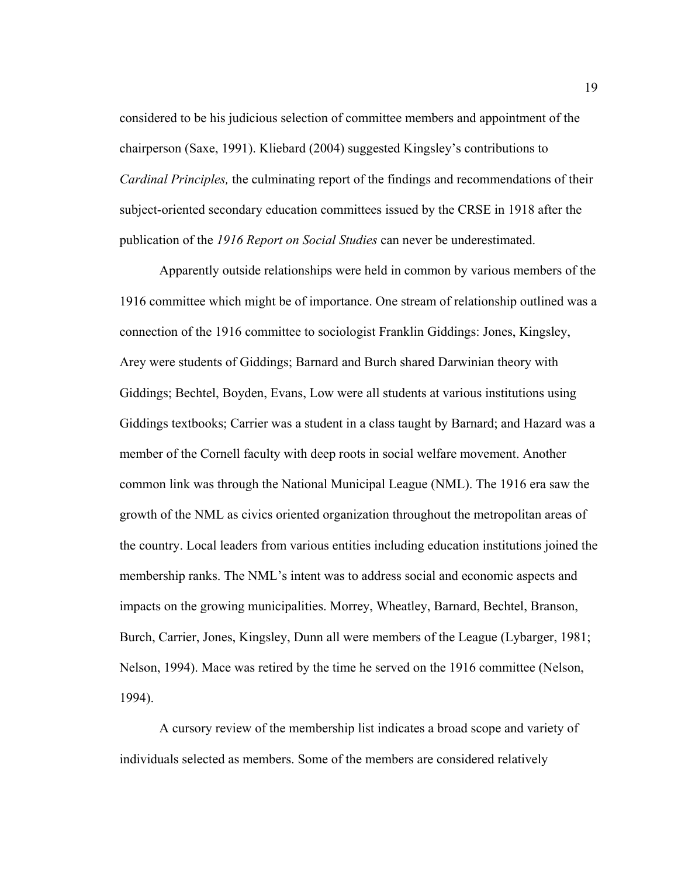considered to be his judicious selection of committee members and appointment of the chairperson (Saxe, 1991). Kliebard (2004) suggested Kingsley's contributions to *Cardinal Principles,* the culminating report of the findings and recommendations of their subject-oriented secondary education committees issued by the CRSE in 1918 after the publication of the *1916 Report on Social Studies* can never be underestimated.

Apparently outside relationships were held in common by various members of the 1916 committee which might be of importance. One stream of relationship outlined was a connection of the 1916 committee to sociologist Franklin Giddings: Jones, Kingsley, Arey were students of Giddings; Barnard and Burch shared Darwinian theory with Giddings; Bechtel, Boyden, Evans, Low were all students at various institutions using Giddings textbooks; Carrier was a student in a class taught by Barnard; and Hazard was a member of the Cornell faculty with deep roots in social welfare movement. Another common link was through the National Municipal League (NML). The 1916 era saw the growth of the NML as civics oriented organization throughout the metropolitan areas of the country. Local leaders from various entities including education institutions joined the membership ranks. The NML's intent was to address social and economic aspects and impacts on the growing municipalities. Morrey, Wheatley, Barnard, Bechtel, Branson, Burch, Carrier, Jones, Kingsley, Dunn all were members of the League (Lybarger, 1981; Nelson, 1994). Mace was retired by the time he served on the 1916 committee (Nelson, 1994).

 A cursory review of the membership list indicates a broad scope and variety of individuals selected as members. Some of the members are considered relatively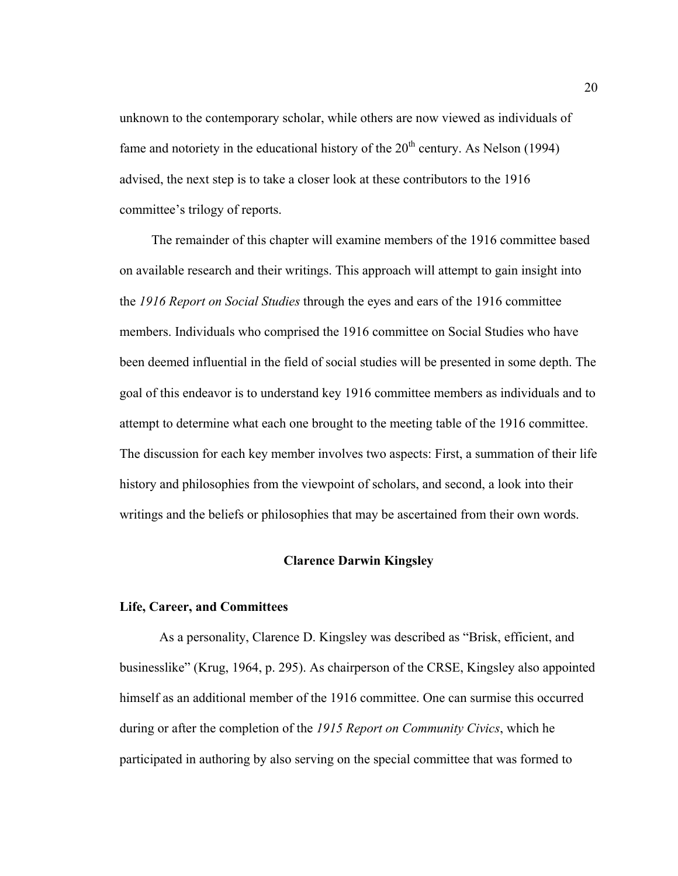unknown to the contemporary scholar, while others are now viewed as individuals of fame and notoriety in the educational history of the  $20<sup>th</sup>$  century. As Nelson (1994) advised, the next step is to take a closer look at these contributors to the 1916 committee's trilogy of reports.

The remainder of this chapter will examine members of the 1916 committee based on available research and their writings. This approach will attempt to gain insight into the *1916 Report on Social Studies* through the eyes and ears of the 1916 committee members. Individuals who comprised the 1916 committee on Social Studies who have been deemed influential in the field of social studies will be presented in some depth. The goal of this endeavor is to understand key 1916 committee members as individuals and to attempt to determine what each one brought to the meeting table of the 1916 committee. The discussion for each key member involves two aspects: First, a summation of their life history and philosophies from the viewpoint of scholars, and second, a look into their writings and the beliefs or philosophies that may be ascertained from their own words.

#### **Clarence Darwin Kingsley**

#### **Life, Career, and Committees**

As a personality, Clarence D. Kingsley was described as "Brisk, efficient, and businesslike" (Krug, 1964, p. 295). As chairperson of the CRSE, Kingsley also appointed himself as an additional member of the 1916 committee. One can surmise this occurred during or after the completion of the *1915 Report on Community Civics*, which he participated in authoring by also serving on the special committee that was formed to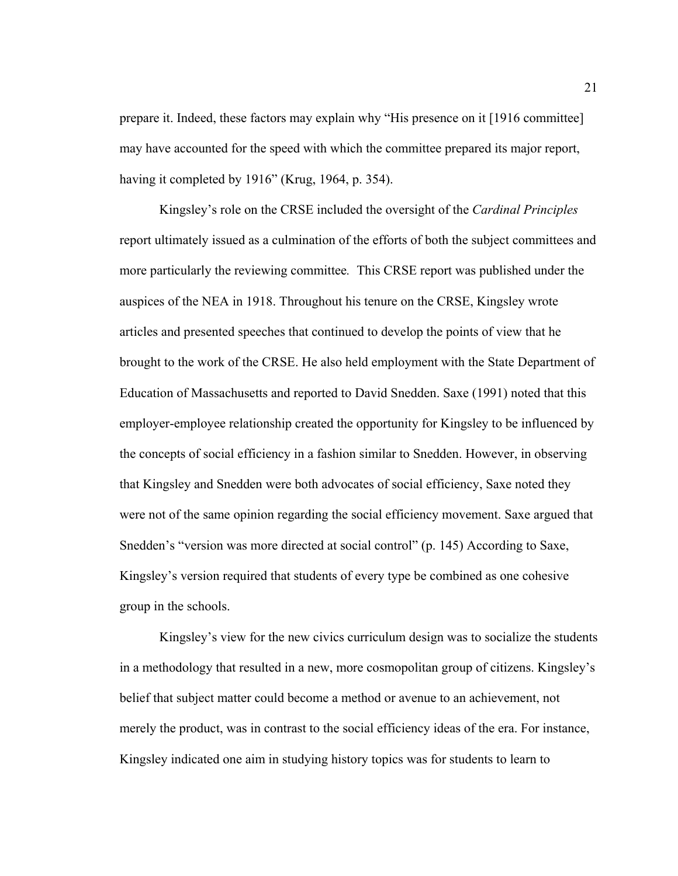prepare it. Indeed, these factors may explain why "His presence on it [1916 committee] may have accounted for the speed with which the committee prepared its major report, having it completed by 1916" (Krug, 1964, p. 354).

Kingsley's role on the CRSE included the oversight of the *Cardinal Principles* report ultimately issued as a culmination of the efforts of both the subject committees and more particularly the reviewing committee*.* This CRSE report was published under the auspices of the NEA in 1918. Throughout his tenure on the CRSE, Kingsley wrote articles and presented speeches that continued to develop the points of view that he brought to the work of the CRSE. He also held employment with the State Department of Education of Massachusetts and reported to David Snedden. Saxe (1991) noted that this employer-employee relationship created the opportunity for Kingsley to be influenced by the concepts of social efficiency in a fashion similar to Snedden. However, in observing that Kingsley and Snedden were both advocates of social efficiency, Saxe noted they were not of the same opinion regarding the social efficiency movement. Saxe argued that Snedden's "version was more directed at social control" (p. 145) According to Saxe, Kingsley's version required that students of every type be combined as one cohesive group in the schools.

Kingsley's view for the new civics curriculum design was to socialize the students in a methodology that resulted in a new, more cosmopolitan group of citizens. Kingsley's belief that subject matter could become a method or avenue to an achievement, not merely the product, was in contrast to the social efficiency ideas of the era. For instance, Kingsley indicated one aim in studying history topics was for students to learn to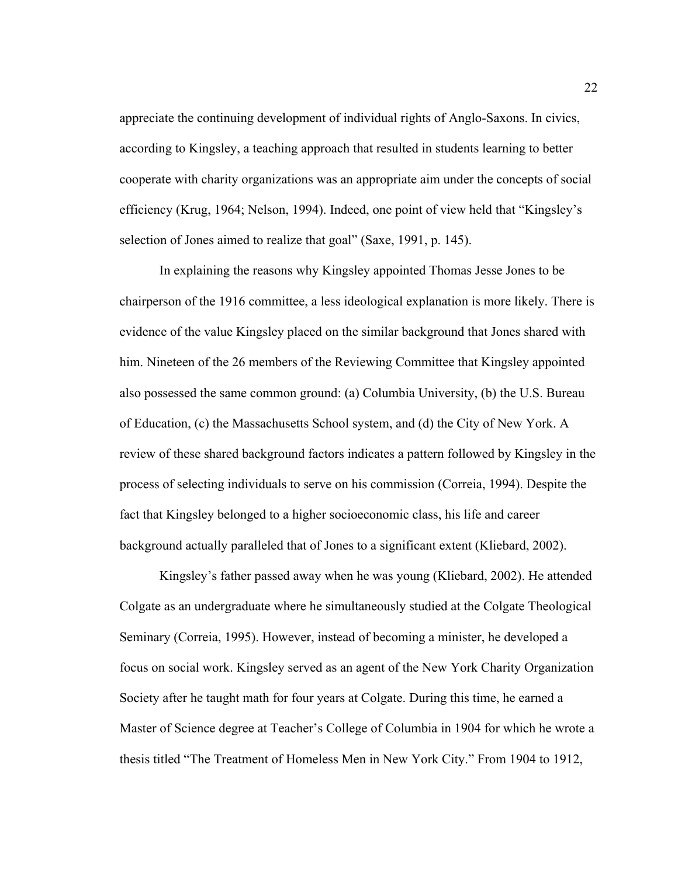appreciate the continuing development of individual rights of Anglo-Saxons. In civics, according to Kingsley, a teaching approach that resulted in students learning to better cooperate with charity organizations was an appropriate aim under the concepts of social efficiency (Krug, 1964; Nelson, 1994). Indeed, one point of view held that "Kingsley's selection of Jones aimed to realize that goal" (Saxe, 1991, p. 145).

In explaining the reasons why Kingsley appointed Thomas Jesse Jones to be chairperson of the 1916 committee, a less ideological explanation is more likely. There is evidence of the value Kingsley placed on the similar background that Jones shared with him. Nineteen of the 26 members of the Reviewing Committee that Kingsley appointed also possessed the same common ground: (a) Columbia University, (b) the U.S. Bureau of Education, (c) the Massachusetts School system, and (d) the City of New York. A review of these shared background factors indicates a pattern followed by Kingsley in the process of selecting individuals to serve on his commission (Correia, 1994). Despite the fact that Kingsley belonged to a higher socioeconomic class, his life and career background actually paralleled that of Jones to a significant extent (Kliebard, 2002).

Kingsley's father passed away when he was young (Kliebard, 2002). He attended Colgate as an undergraduate where he simultaneously studied at the Colgate Theological Seminary (Correia, 1995). However, instead of becoming a minister, he developed a focus on social work. Kingsley served as an agent of the New York Charity Organization Society after he taught math for four years at Colgate. During this time, he earned a Master of Science degree at Teacher's College of Columbia in 1904 for which he wrote a thesis titled "The Treatment of Homeless Men in New York City." From 1904 to 1912,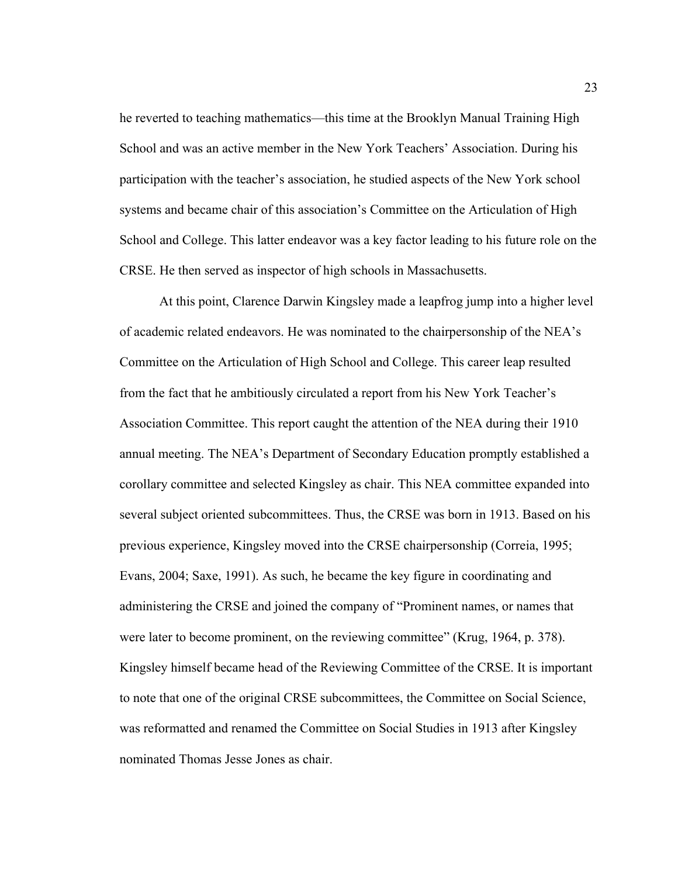he reverted to teaching mathematics—this time at the Brooklyn Manual Training High School and was an active member in the New York Teachers' Association. During his participation with the teacher's association, he studied aspects of the New York school systems and became chair of this association's Committee on the Articulation of High School and College. This latter endeavor was a key factor leading to his future role on the CRSE. He then served as inspector of high schools in Massachusetts.

At this point, Clarence Darwin Kingsley made a leapfrog jump into a higher level of academic related endeavors. He was nominated to the chairpersonship of the NEA's Committee on the Articulation of High School and College. This career leap resulted from the fact that he ambitiously circulated a report from his New York Teacher's Association Committee. This report caught the attention of the NEA during their 1910 annual meeting. The NEA's Department of Secondary Education promptly established a corollary committee and selected Kingsley as chair. This NEA committee expanded into several subject oriented subcommittees. Thus, the CRSE was born in 1913. Based on his previous experience, Kingsley moved into the CRSE chairpersonship (Correia, 1995; Evans, 2004; Saxe, 1991). As such, he became the key figure in coordinating and administering the CRSE and joined the company of "Prominent names, or names that were later to become prominent, on the reviewing committee" (Krug, 1964, p. 378). Kingsley himself became head of the Reviewing Committee of the CRSE. It is important to note that one of the original CRSE subcommittees, the Committee on Social Science, was reformatted and renamed the Committee on Social Studies in 1913 after Kingsley nominated Thomas Jesse Jones as chair.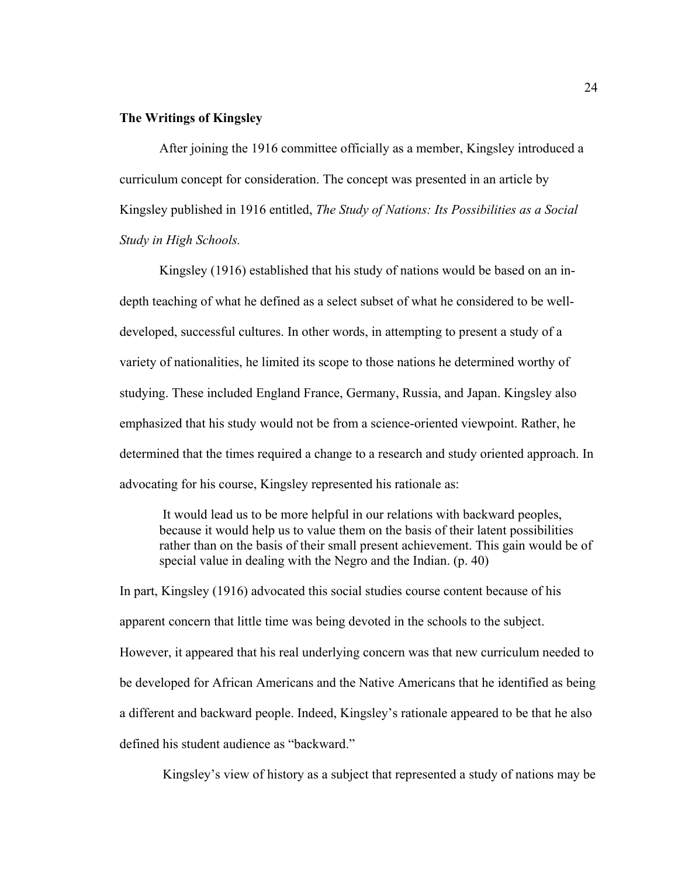## **The Writings of Kingsley**

 After joining the 1916 committee officially as a member, Kingsley introduced a curriculum concept for consideration. The concept was presented in an article by Kingsley published in 1916 entitled, *The Study of Nations: Its Possibilities as a Social Study in High Schools.* 

Kingsley (1916) established that his study of nations would be based on an indepth teaching of what he defined as a select subset of what he considered to be welldeveloped, successful cultures. In other words, in attempting to present a study of a variety of nationalities, he limited its scope to those nations he determined worthy of studying. These included England France, Germany, Russia, and Japan. Kingsley also emphasized that his study would not be from a science-oriented viewpoint. Rather, he determined that the times required a change to a research and study oriented approach. In advocating for his course, Kingsley represented his rationale as:

 It would lead us to be more helpful in our relations with backward peoples, because it would help us to value them on the basis of their latent possibilities rather than on the basis of their small present achievement. This gain would be of special value in dealing with the Negro and the Indian. (p. 40)

In part, Kingsley (1916) advocated this social studies course content because of his apparent concern that little time was being devoted in the schools to the subject. However, it appeared that his real underlying concern was that new curriculum needed to be developed for African Americans and the Native Americans that he identified as being a different and backward people. Indeed, Kingsley's rationale appeared to be that he also defined his student audience as "backward."

Kingsley's view of history as a subject that represented a study of nations may be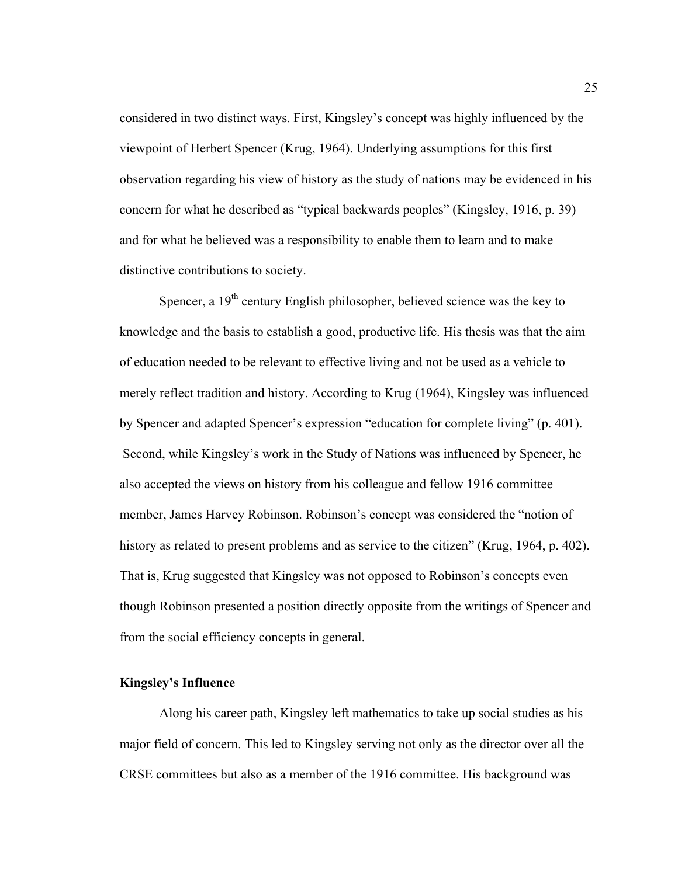considered in two distinct ways. First, Kingsley's concept was highly influenced by the viewpoint of Herbert Spencer (Krug, 1964). Underlying assumptions for this first observation regarding his view of history as the study of nations may be evidenced in his concern for what he described as "typical backwards peoples" (Kingsley, 1916, p. 39) and for what he believed was a responsibility to enable them to learn and to make distinctive contributions to society.

Spencer, a  $19<sup>th</sup>$  century English philosopher, believed science was the key to knowledge and the basis to establish a good, productive life. His thesis was that the aim of education needed to be relevant to effective living and not be used as a vehicle to merely reflect tradition and history. According to Krug (1964), Kingsley was influenced by Spencer and adapted Spencer's expression "education for complete living" (p. 401). Second, while Kingsley's work in the Study of Nations was influenced by Spencer, he also accepted the views on history from his colleague and fellow 1916 committee member, James Harvey Robinson. Robinson's concept was considered the "notion of history as related to present problems and as service to the citizen" (Krug, 1964, p. 402). That is, Krug suggested that Kingsley was not opposed to Robinson's concepts even though Robinson presented a position directly opposite from the writings of Spencer and from the social efficiency concepts in general.

#### **Kingsley's Influence**

Along his career path, Kingsley left mathematics to take up social studies as his major field of concern. This led to Kingsley serving not only as the director over all the CRSE committees but also as a member of the 1916 committee. His background was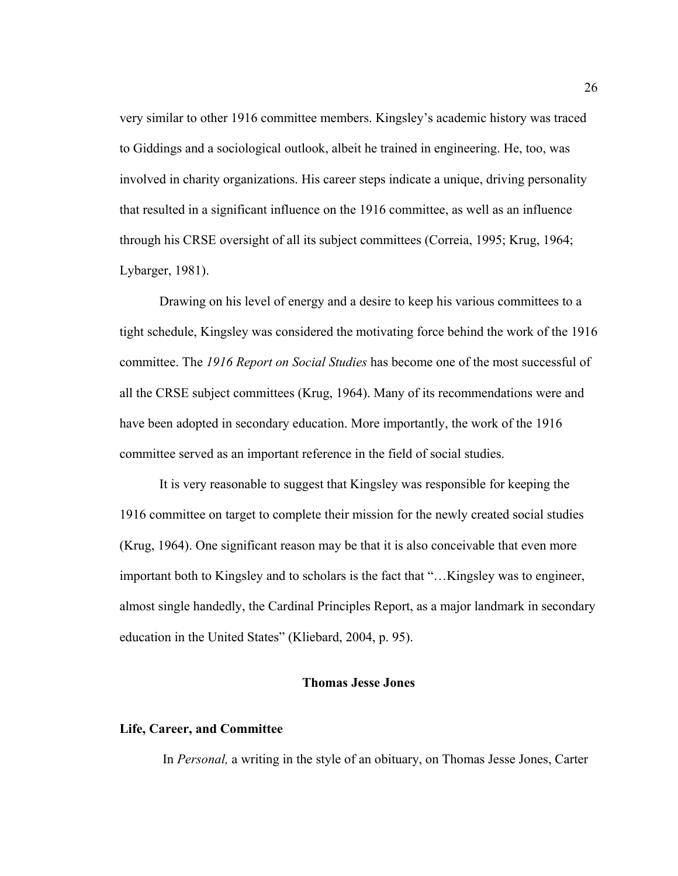very similar to other 1916 committee members. Kingsley's academic history was traced to Giddings and a sociological outlook, albeit he trained in engineering. He, too, was involved in charity organizations. His career steps indicate a unique, driving personality that resulted in a significant influence on the 1916 committee, as well as an influence through his CRSE oversight of all its subject committees (Correia, 1995; Krug, 1964; Lybarger, 1981).

Drawing on his level of energy and a desire to keep his various committees to a tight schedule, Kingsley was considered the motivating force behind the work of the 1916 committee. The *1916 Report on Social Studies* has become one of the most successful of all the CRSE subject committees (Krug, 1964). Many of its recommendations were and have been adopted in secondary education. More importantly, the work of the 1916 committee served as an important reference in the field of social studies.

It is very reasonable to suggest that Kingsley was responsible for keeping the 1916 committee on target to complete their mission for the newly created social studies (Krug, 1964). One significant reason may be that it is also conceivable that even more important both to Kingsley and to scholars is the fact that "…Kingsley was to engineer, almost single handedly, the Cardinal Principles Report, as a major landmark in secondary education in the United States" (Kliebard, 2004, p. 95).

## **Thomas Jesse Jones**

#### **Life, Career, and Committee**

In *Personal,* a writing in the style of an obituary, on Thomas Jesse Jones, Carter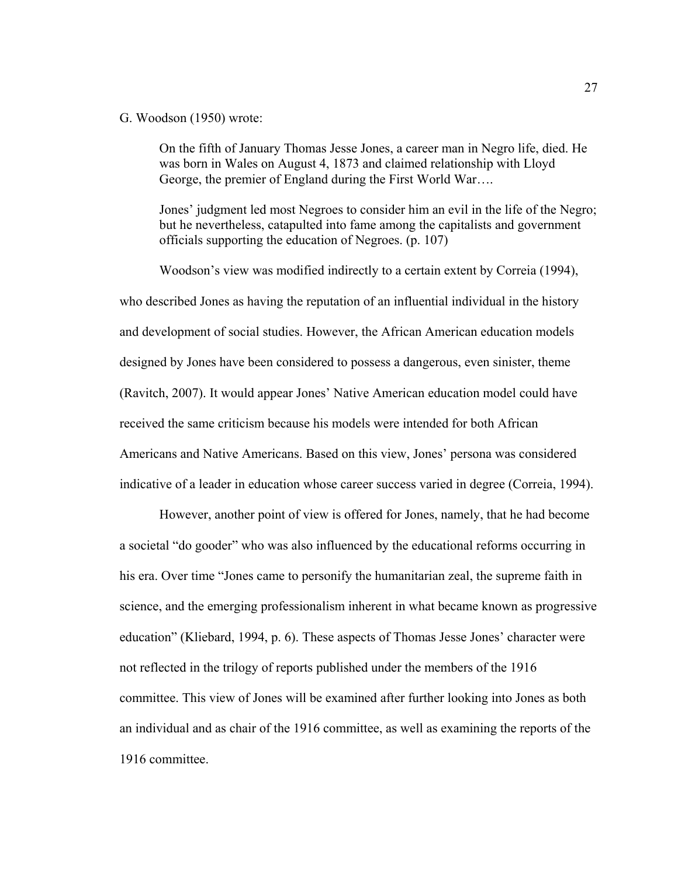#### G. Woodson (1950) wrote:

On the fifth of January Thomas Jesse Jones, a career man in Negro life, died. He was born in Wales on August 4, 1873 and claimed relationship with Lloyd George, the premier of England during the First World War….

Jones' judgment led most Negroes to consider him an evil in the life of the Negro; but he nevertheless, catapulted into fame among the capitalists and government officials supporting the education of Negroes. (p. 107)

Woodson's view was modified indirectly to a certain extent by Correia (1994), who described Jones as having the reputation of an influential individual in the history and development of social studies. However, the African American education models designed by Jones have been considered to possess a dangerous, even sinister, theme (Ravitch, 2007). It would appear Jones' Native American education model could have received the same criticism because his models were intended for both African Americans and Native Americans. Based on this view, Jones' persona was considered indicative of a leader in education whose career success varied in degree (Correia, 1994).

However, another point of view is offered for Jones, namely, that he had become a societal "do gooder" who was also influenced by the educational reforms occurring in his era. Over time "Jones came to personify the humanitarian zeal, the supreme faith in science, and the emerging professionalism inherent in what became known as progressive education" (Kliebard, 1994, p. 6). These aspects of Thomas Jesse Jones' character were not reflected in the trilogy of reports published under the members of the 1916 committee. This view of Jones will be examined after further looking into Jones as both an individual and as chair of the 1916 committee, as well as examining the reports of the 1916 committee.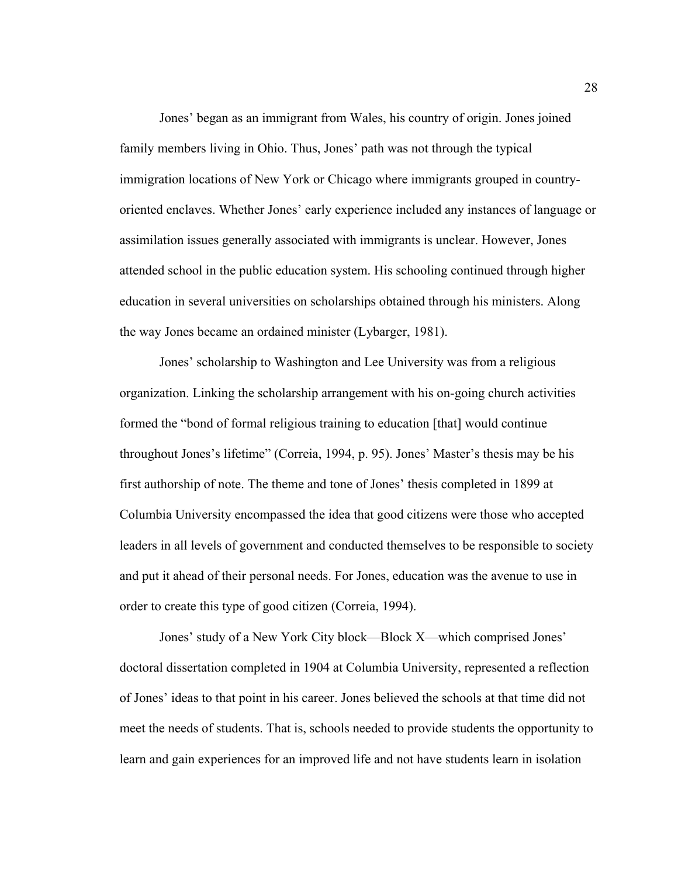Jones' began as an immigrant from Wales, his country of origin. Jones joined family members living in Ohio. Thus, Jones' path was not through the typical immigration locations of New York or Chicago where immigrants grouped in countryoriented enclaves. Whether Jones' early experience included any instances of language or assimilation issues generally associated with immigrants is unclear. However, Jones attended school in the public education system. His schooling continued through higher education in several universities on scholarships obtained through his ministers. Along the way Jones became an ordained minister (Lybarger, 1981).

Jones' scholarship to Washington and Lee University was from a religious organization. Linking the scholarship arrangement with his on-going church activities formed the "bond of formal religious training to education [that] would continue throughout Jones's lifetime" (Correia, 1994, p. 95). Jones' Master's thesis may be his first authorship of note. The theme and tone of Jones' thesis completed in 1899 at Columbia University encompassed the idea that good citizens were those who accepted leaders in all levels of government and conducted themselves to be responsible to society and put it ahead of their personal needs. For Jones, education was the avenue to use in order to create this type of good citizen (Correia, 1994).

Jones' study of a New York City block—Block X—which comprised Jones' doctoral dissertation completed in 1904 at Columbia University, represented a reflection of Jones' ideas to that point in his career. Jones believed the schools at that time did not meet the needs of students. That is, schools needed to provide students the opportunity to learn and gain experiences for an improved life and not have students learn in isolation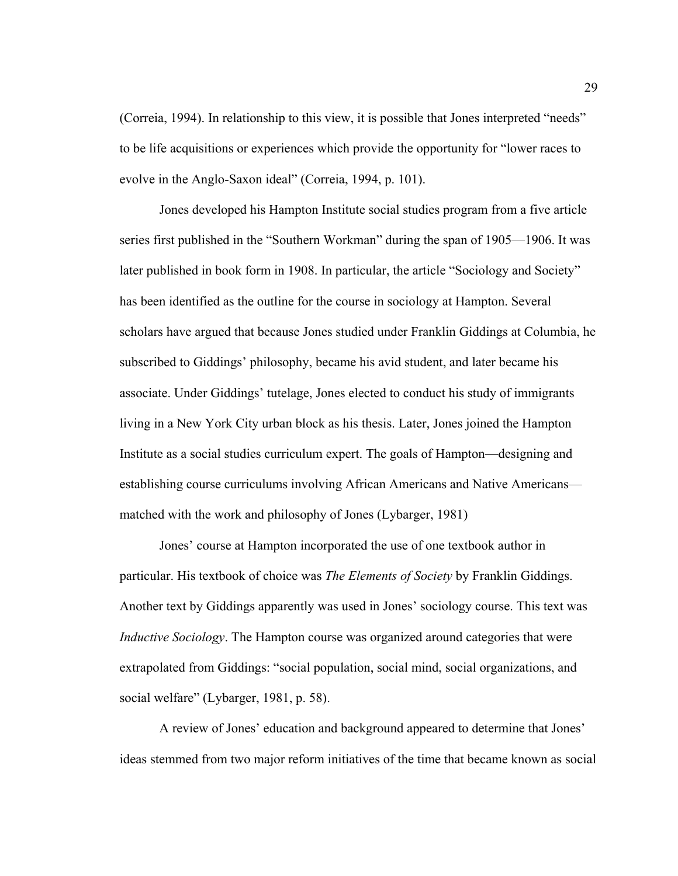(Correia, 1994). In relationship to this view, it is possible that Jones interpreted "needs" to be life acquisitions or experiences which provide the opportunity for "lower races to evolve in the Anglo-Saxon ideal" (Correia, 1994, p. 101).

Jones developed his Hampton Institute social studies program from a five article series first published in the "Southern Workman" during the span of 1905—1906. It was later published in book form in 1908. In particular, the article "Sociology and Society" has been identified as the outline for the course in sociology at Hampton. Several scholars have argued that because Jones studied under Franklin Giddings at Columbia, he subscribed to Giddings' philosophy, became his avid student, and later became his associate. Under Giddings' tutelage, Jones elected to conduct his study of immigrants living in a New York City urban block as his thesis. Later, Jones joined the Hampton Institute as a social studies curriculum expert. The goals of Hampton—designing and establishing course curriculums involving African Americans and Native Americans matched with the work and philosophy of Jones (Lybarger, 1981)

Jones' course at Hampton incorporated the use of one textbook author in particular. His textbook of choice was *The Elements of Society* by Franklin Giddings. Another text by Giddings apparently was used in Jones' sociology course. This text was *Inductive Sociology*. The Hampton course was organized around categories that were extrapolated from Giddings: "social population, social mind, social organizations, and social welfare" (Lybarger, 1981, p. 58).

A review of Jones' education and background appeared to determine that Jones' ideas stemmed from two major reform initiatives of the time that became known as social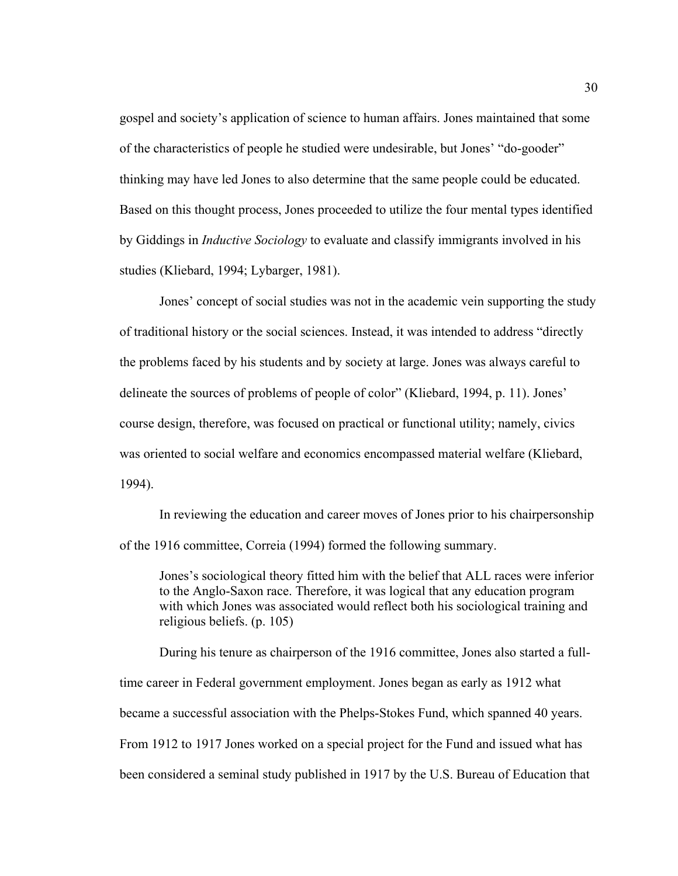gospel and society's application of science to human affairs. Jones maintained that some of the characteristics of people he studied were undesirable, but Jones' "do-gooder" thinking may have led Jones to also determine that the same people could be educated. Based on this thought process, Jones proceeded to utilize the four mental types identified by Giddings in *Inductive Sociology* to evaluate and classify immigrants involved in his studies (Kliebard, 1994; Lybarger, 1981).

Jones' concept of social studies was not in the academic vein supporting the study of traditional history or the social sciences. Instead, it was intended to address "directly the problems faced by his students and by society at large. Jones was always careful to delineate the sources of problems of people of color" (Kliebard, 1994, p. 11). Jones' course design, therefore, was focused on practical or functional utility; namely, civics was oriented to social welfare and economics encompassed material welfare (Kliebard, 1994).

In reviewing the education and career moves of Jones prior to his chairpersonship of the 1916 committee, Correia (1994) formed the following summary.

Jones's sociological theory fitted him with the belief that ALL races were inferior to the Anglo-Saxon race. Therefore, it was logical that any education program with which Jones was associated would reflect both his sociological training and religious beliefs. (p. 105)

During his tenure as chairperson of the 1916 committee, Jones also started a fulltime career in Federal government employment. Jones began as early as 1912 what became a successful association with the Phelps-Stokes Fund, which spanned 40 years. From 1912 to 1917 Jones worked on a special project for the Fund and issued what has been considered a seminal study published in 1917 by the U.S. Bureau of Education that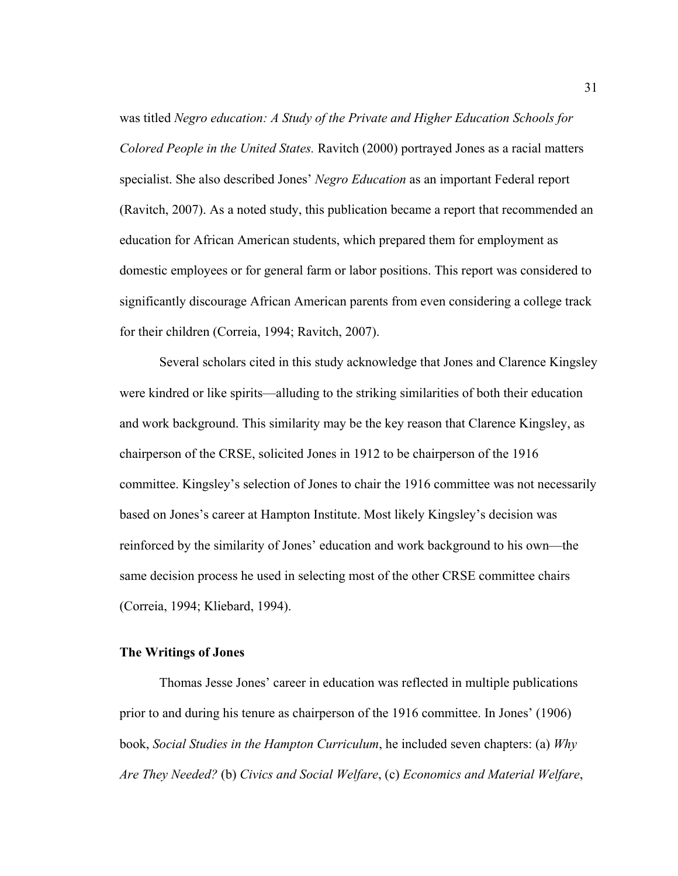was titled *Negro education: A Study of the Private and Higher Education Schools for Colored People in the United States.* Ravitch (2000) portrayed Jones as a racial matters specialist. She also described Jones' *Negro Education* as an important Federal report (Ravitch, 2007). As a noted study, this publication became a report that recommended an education for African American students, which prepared them for employment as domestic employees or for general farm or labor positions. This report was considered to significantly discourage African American parents from even considering a college track for their children (Correia, 1994; Ravitch, 2007).

Several scholars cited in this study acknowledge that Jones and Clarence Kingsley were kindred or like spirits—alluding to the striking similarities of both their education and work background. This similarity may be the key reason that Clarence Kingsley, as chairperson of the CRSE, solicited Jones in 1912 to be chairperson of the 1916 committee. Kingsley's selection of Jones to chair the 1916 committee was not necessarily based on Jones's career at Hampton Institute. Most likely Kingsley's decision was reinforced by the similarity of Jones' education and work background to his own—the same decision process he used in selecting most of the other CRSE committee chairs (Correia, 1994; Kliebard, 1994).

### **The Writings of Jones**

Thomas Jesse Jones' career in education was reflected in multiple publications prior to and during his tenure as chairperson of the 1916 committee. In Jones' (1906) book, *Social Studies in the Hampton Curriculum*, he included seven chapters: (a) *Why Are They Needed?* (b) *Civics and Social Welfare*, (c) *Economics and Material Welfare*,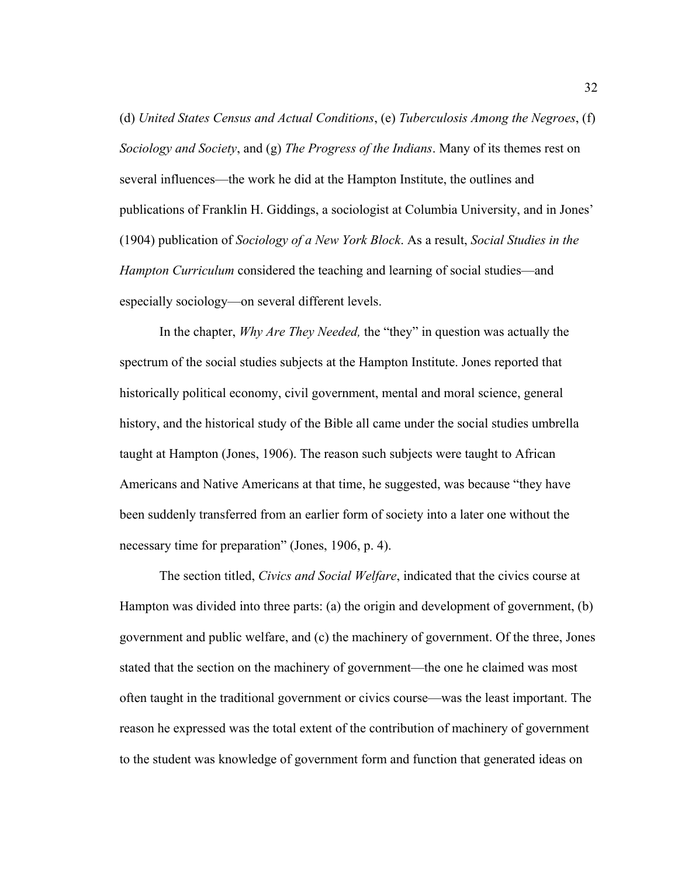(d) *United States Census and Actual Conditions*, (e) *Tuberculosis Among the Negroes*, (f) *Sociology and Society*, and (g) *The Progress of the Indians*. Many of its themes rest on several influences—the work he did at the Hampton Institute, the outlines and publications of Franklin H. Giddings, a sociologist at Columbia University, and in Jones' (1904) publication of *Sociology of a New York Block*. As a result, *Social Studies in the Hampton Curriculum* considered the teaching and learning of social studies—and especially sociology—on several different levels.

In the chapter, *Why Are They Needed,* the "they" in question was actually the spectrum of the social studies subjects at the Hampton Institute. Jones reported that historically political economy, civil government, mental and moral science, general history, and the historical study of the Bible all came under the social studies umbrella taught at Hampton (Jones, 1906). The reason such subjects were taught to African Americans and Native Americans at that time, he suggested, was because "they have been suddenly transferred from an earlier form of society into a later one without the necessary time for preparation" (Jones, 1906, p. 4).

The section titled, *Civics and Social Welfare*, indicated that the civics course at Hampton was divided into three parts: (a) the origin and development of government, (b) government and public welfare, and (c) the machinery of government. Of the three, Jones stated that the section on the machinery of government—the one he claimed was most often taught in the traditional government or civics course—was the least important. The reason he expressed was the total extent of the contribution of machinery of government to the student was knowledge of government form and function that generated ideas on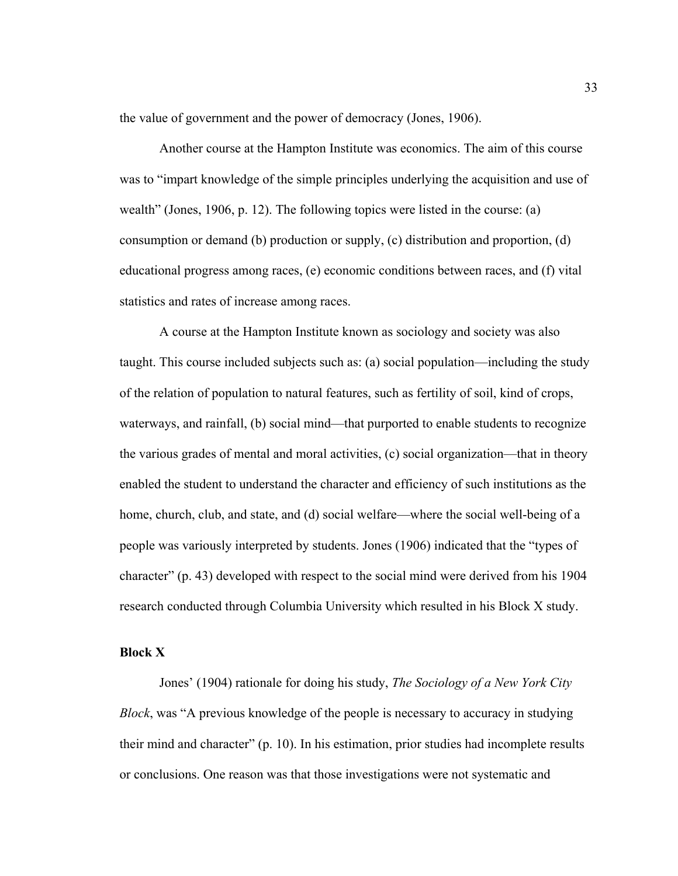the value of government and the power of democracy (Jones, 1906).

 Another course at the Hampton Institute was economics. The aim of this course was to "impart knowledge of the simple principles underlying the acquisition and use of wealth" (Jones, 1906, p. 12). The following topics were listed in the course: (a) consumption or demand (b) production or supply, (c) distribution and proportion, (d) educational progress among races, (e) economic conditions between races, and (f) vital statistics and rates of increase among races.

A course at the Hampton Institute known as sociology and society was also taught. This course included subjects such as: (a) social population—including the study of the relation of population to natural features, such as fertility of soil, kind of crops, waterways, and rainfall, (b) social mind—that purported to enable students to recognize the various grades of mental and moral activities, (c) social organization—that in theory enabled the student to understand the character and efficiency of such institutions as the home, church, club, and state, and (d) social welfare—where the social well-being of a people was variously interpreted by students. Jones (1906) indicated that the "types of character" (p. 43) developed with respect to the social mind were derived from his 1904 research conducted through Columbia University which resulted in his Block X study.

## **Block X**

 Jones' (1904) rationale for doing his study, *The Sociology of a New York City Block*, was "A previous knowledge of the people is necessary to accuracy in studying their mind and character" (p. 10). In his estimation, prior studies had incomplete results or conclusions. One reason was that those investigations were not systematic and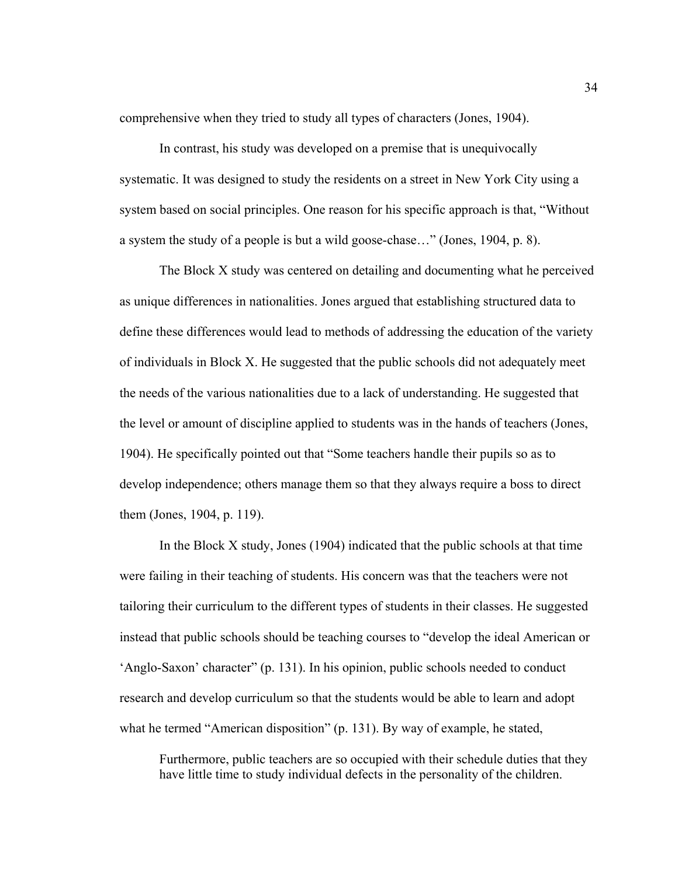comprehensive when they tried to study all types of characters (Jones, 1904).

In contrast, his study was developed on a premise that is unequivocally systematic. It was designed to study the residents on a street in New York City using a system based on social principles. One reason for his specific approach is that, "Without a system the study of a people is but a wild goose-chase…" (Jones, 1904, p. 8).

The Block X study was centered on detailing and documenting what he perceived as unique differences in nationalities. Jones argued that establishing structured data to define these differences would lead to methods of addressing the education of the variety of individuals in Block X. He suggested that the public schools did not adequately meet the needs of the various nationalities due to a lack of understanding. He suggested that the level or amount of discipline applied to students was in the hands of teachers (Jones, 1904). He specifically pointed out that "Some teachers handle their pupils so as to develop independence; others manage them so that they always require a boss to direct them (Jones, 1904, p. 119).

In the Block  $X$  study, Jones (1904) indicated that the public schools at that time were failing in their teaching of students. His concern was that the teachers were not tailoring their curriculum to the different types of students in their classes. He suggested instead that public schools should be teaching courses to "develop the ideal American or 'Anglo-Saxon' character" (p. 131). In his opinion, public schools needed to conduct research and develop curriculum so that the students would be able to learn and adopt what he termed "American disposition" (p. 131). By way of example, he stated,

Furthermore, public teachers are so occupied with their schedule duties that they have little time to study individual defects in the personality of the children.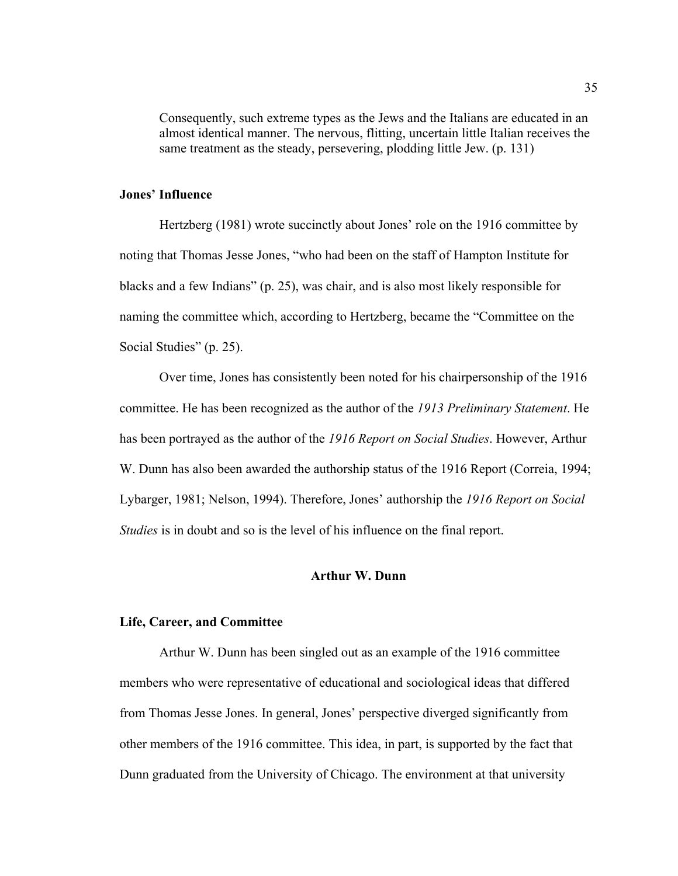Consequently, such extreme types as the Jews and the Italians are educated in an almost identical manner. The nervous, flitting, uncertain little Italian receives the same treatment as the steady, persevering, plodding little Jew. (p. 131)

# **Jones' Influence**

Hertzberg (1981) wrote succinctly about Jones' role on the 1916 committee by noting that Thomas Jesse Jones, "who had been on the staff of Hampton Institute for blacks and a few Indians" (p. 25), was chair, and is also most likely responsible for naming the committee which, according to Hertzberg, became the "Committee on the Social Studies" (p. 25).

Over time, Jones has consistently been noted for his chairpersonship of the 1916 committee. He has been recognized as the author of the *1913 Preliminary Statement*. He has been portrayed as the author of the *1916 Report on Social Studies*. However, Arthur W. Dunn has also been awarded the authorship status of the 1916 Report (Correia, 1994; Lybarger, 1981; Nelson, 1994). Therefore, Jones' authorship the *1916 Report on Social Studies* is in doubt and so is the level of his influence on the final report.

#### **Arthur W. Dunn**

#### **Life, Career, and Committee**

Arthur W. Dunn has been singled out as an example of the 1916 committee members who were representative of educational and sociological ideas that differed from Thomas Jesse Jones. In general, Jones' perspective diverged significantly from other members of the 1916 committee. This idea, in part, is supported by the fact that Dunn graduated from the University of Chicago. The environment at that university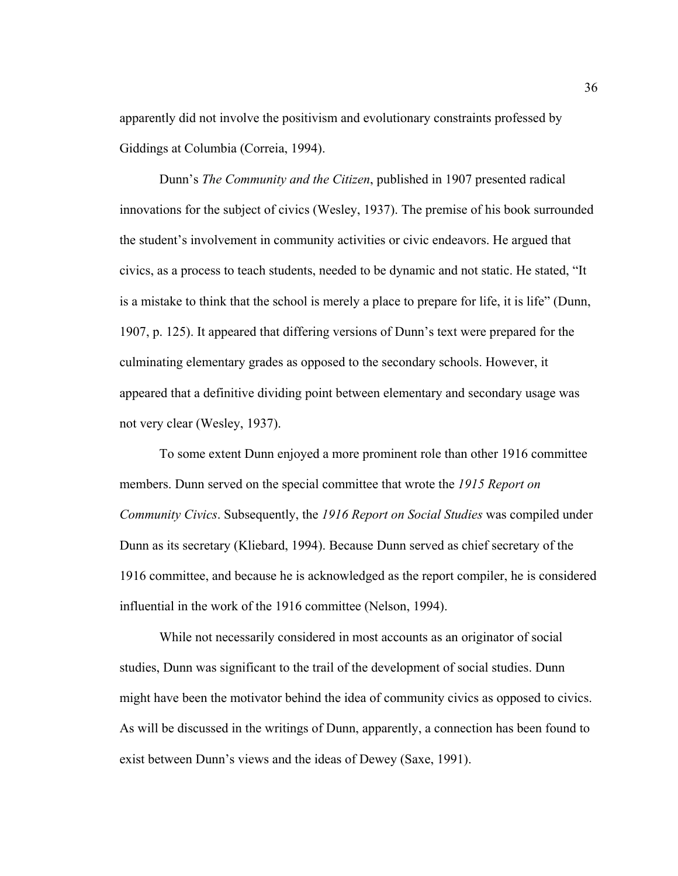apparently did not involve the positivism and evolutionary constraints professed by Giddings at Columbia (Correia, 1994).

Dunn's *The Community and the Citizen*, published in 1907 presented radical innovations for the subject of civics (Wesley, 1937). The premise of his book surrounded the student's involvement in community activities or civic endeavors. He argued that civics, as a process to teach students, needed to be dynamic and not static. He stated, "It is a mistake to think that the school is merely a place to prepare for life, it is life" (Dunn, 1907, p. 125). It appeared that differing versions of Dunn's text were prepared for the culminating elementary grades as opposed to the secondary schools. However, it appeared that a definitive dividing point between elementary and secondary usage was not very clear (Wesley, 1937).

 To some extent Dunn enjoyed a more prominent role than other 1916 committee members. Dunn served on the special committee that wrote the *1915 Report on Community Civics*. Subsequently, the *1916 Report on Social Studies* was compiled under Dunn as its secretary (Kliebard, 1994). Because Dunn served as chief secretary of the 1916 committee, and because he is acknowledged as the report compiler, he is considered influential in the work of the 1916 committee (Nelson, 1994).

 While not necessarily considered in most accounts as an originator of social studies, Dunn was significant to the trail of the development of social studies. Dunn might have been the motivator behind the idea of community civics as opposed to civics. As will be discussed in the writings of Dunn, apparently, a connection has been found to exist between Dunn's views and the ideas of Dewey (Saxe, 1991).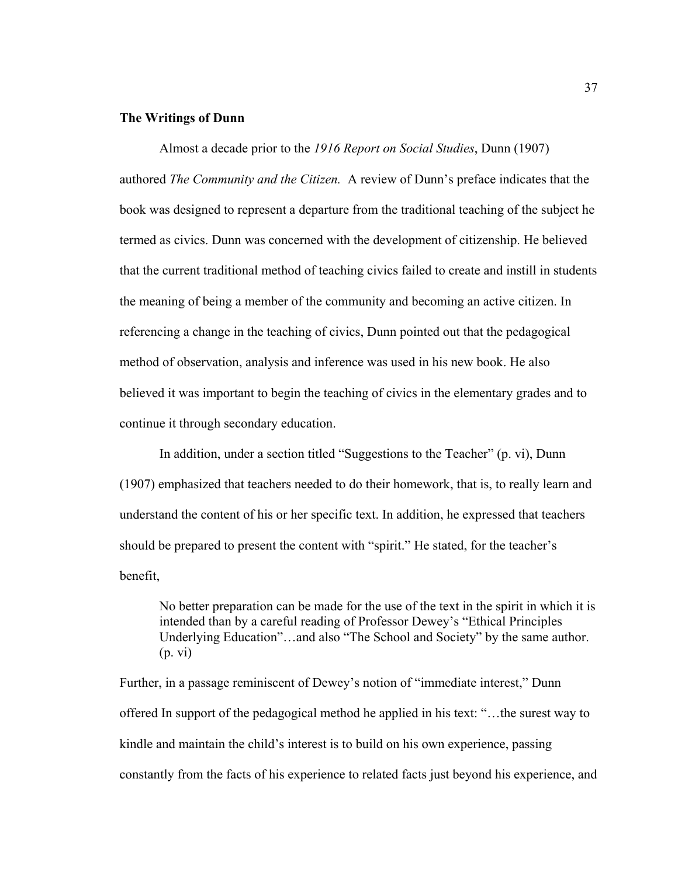### **The Writings of Dunn**

Almost a decade prior to the *1916 Report on Social Studies*, Dunn (1907) authored *The Community and the Citizen.* A review of Dunn's preface indicates that the book was designed to represent a departure from the traditional teaching of the subject he termed as civics. Dunn was concerned with the development of citizenship. He believed that the current traditional method of teaching civics failed to create and instill in students the meaning of being a member of the community and becoming an active citizen. In referencing a change in the teaching of civics, Dunn pointed out that the pedagogical method of observation, analysis and inference was used in his new book. He also believed it was important to begin the teaching of civics in the elementary grades and to continue it through secondary education.

In addition, under a section titled "Suggestions to the Teacher" (p. vi), Dunn (1907) emphasized that teachers needed to do their homework, that is, to really learn and understand the content of his or her specific text. In addition, he expressed that teachers should be prepared to present the content with "spirit." He stated, for the teacher's benefit,

No better preparation can be made for the use of the text in the spirit in which it is intended than by a careful reading of Professor Dewey's "Ethical Principles Underlying Education"…and also "The School and Society" by the same author. (p. vi)

Further, in a passage reminiscent of Dewey's notion of "immediate interest," Dunn offered In support of the pedagogical method he applied in his text: "…the surest way to kindle and maintain the child's interest is to build on his own experience, passing constantly from the facts of his experience to related facts just beyond his experience, and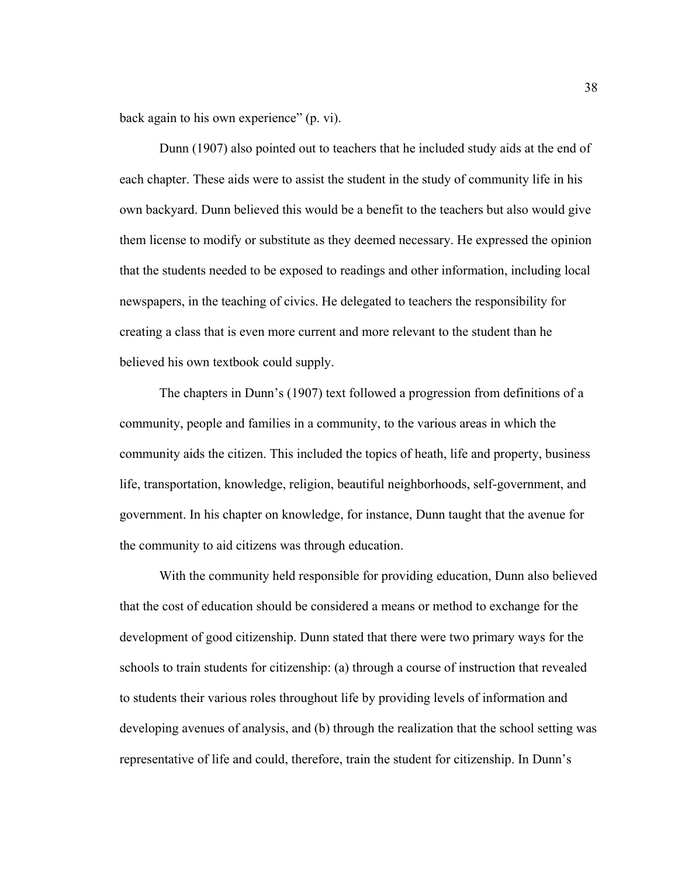back again to his own experience" (p. vi).

Dunn (1907) also pointed out to teachers that he included study aids at the end of each chapter. These aids were to assist the student in the study of community life in his own backyard. Dunn believed this would be a benefit to the teachers but also would give them license to modify or substitute as they deemed necessary. He expressed the opinion that the students needed to be exposed to readings and other information, including local newspapers, in the teaching of civics. He delegated to teachers the responsibility for creating a class that is even more current and more relevant to the student than he believed his own textbook could supply.

The chapters in Dunn's (1907) text followed a progression from definitions of a community, people and families in a community, to the various areas in which the community aids the citizen. This included the topics of heath, life and property, business life, transportation, knowledge, religion, beautiful neighborhoods, self-government, and government. In his chapter on knowledge, for instance, Dunn taught that the avenue for the community to aid citizens was through education.

With the community held responsible for providing education, Dunn also believed that the cost of education should be considered a means or method to exchange for the development of good citizenship. Dunn stated that there were two primary ways for the schools to train students for citizenship: (a) through a course of instruction that revealed to students their various roles throughout life by providing levels of information and developing avenues of analysis, and (b) through the realization that the school setting was representative of life and could, therefore, train the student for citizenship. In Dunn's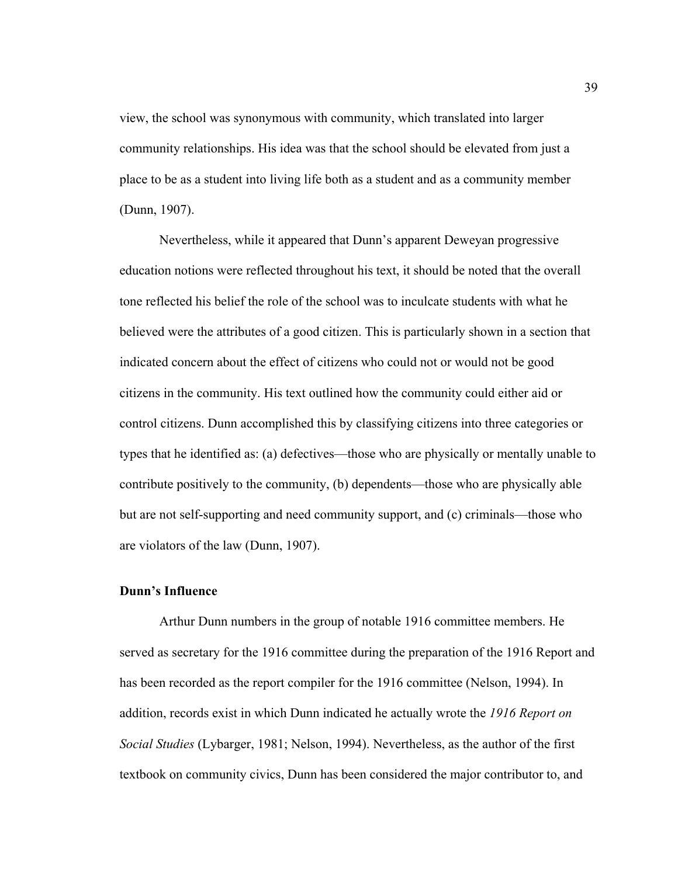view, the school was synonymous with community, which translated into larger community relationships. His idea was that the school should be elevated from just a place to be as a student into living life both as a student and as a community member (Dunn, 1907).

Nevertheless, while it appeared that Dunn's apparent Deweyan progressive education notions were reflected throughout his text, it should be noted that the overall tone reflected his belief the role of the school was to inculcate students with what he believed were the attributes of a good citizen. This is particularly shown in a section that indicated concern about the effect of citizens who could not or would not be good citizens in the community. His text outlined how the community could either aid or control citizens. Dunn accomplished this by classifying citizens into three categories or types that he identified as: (a) defectives—those who are physically or mentally unable to contribute positively to the community, (b) dependents—those who are physically able but are not self-supporting and need community support, and (c) criminals—those who are violators of the law (Dunn, 1907).

## **Dunn's Influence**

 Arthur Dunn numbers in the group of notable 1916 committee members. He served as secretary for the 1916 committee during the preparation of the 1916 Report and has been recorded as the report compiler for the 1916 committee (Nelson, 1994). In addition, records exist in which Dunn indicated he actually wrote the *1916 Report on Social Studies* (Lybarger, 1981; Nelson, 1994). Nevertheless, as the author of the first textbook on community civics, Dunn has been considered the major contributor to, and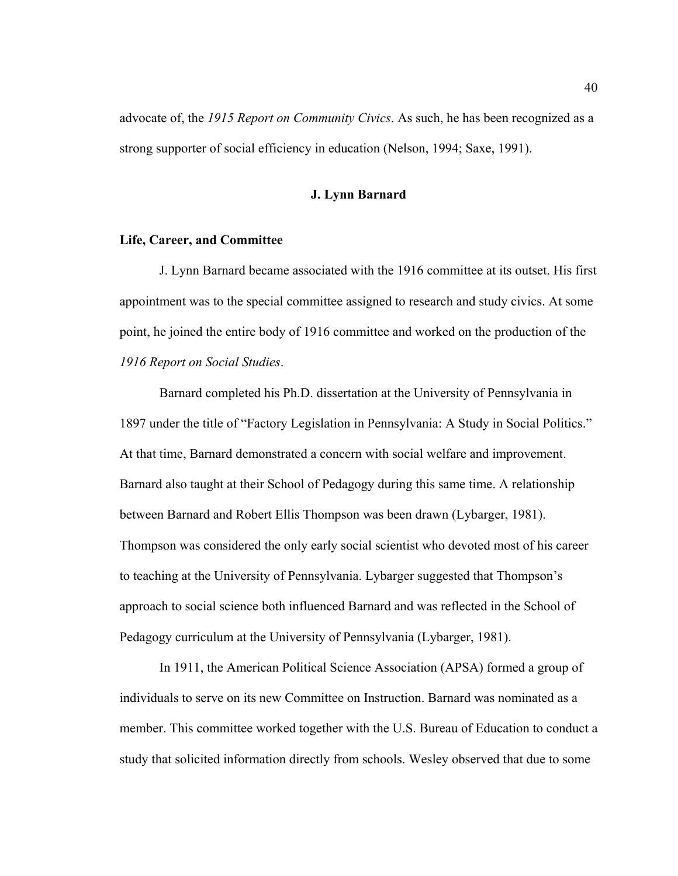advocate of, the *1915 Report on Community Civics*. As such, he has been recognized as a strong supporter of social efficiency in education (Nelson, 1994; Saxe, 1991).

### **J. Lynn Barnard**

### **Life, Career, and Committee**

 J. Lynn Barnard became associated with the 1916 committee at its outset. His first appointment was to the special committee assigned to research and study civics. At some point, he joined the entire body of 1916 committee and worked on the production of the *1916 Report on Social Studies*.

Barnard completed his Ph.D. dissertation at the University of Pennsylvania in 1897 under the title of "Factory Legislation in Pennsylvania: A Study in Social Politics." At that time, Barnard demonstrated a concern with social welfare and improvement. Barnard also taught at their School of Pedagogy during this same time. A relationship between Barnard and Robert Ellis Thompson was been drawn (Lybarger, 1981). Thompson was considered the only early social scientist who devoted most of his career to teaching at the University of Pennsylvania. Lybarger suggested that Thompson's approach to social science both influenced Barnard and was reflected in the School of Pedagogy curriculum at the University of Pennsylvania (Lybarger, 1981).

 In 1911, the American Political Science Association (APSA) formed a group of individuals to serve on its new Committee on Instruction. Barnard was nominated as a member. This committee worked together with the U.S. Bureau of Education to conduct a study that solicited information directly from schools. Wesley observed that due to some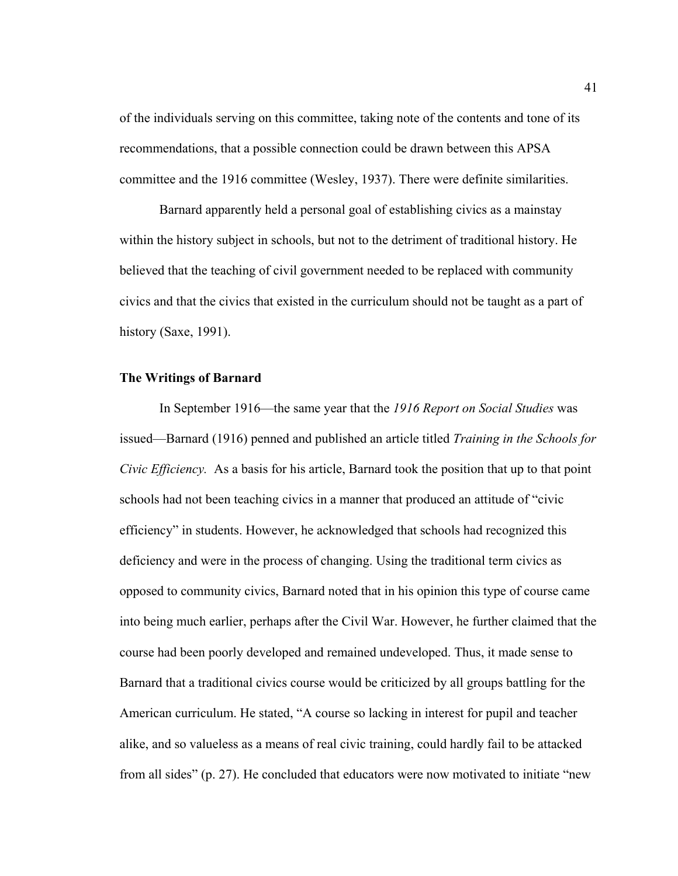of the individuals serving on this committee, taking note of the contents and tone of its recommendations, that a possible connection could be drawn between this APSA committee and the 1916 committee (Wesley, 1937). There were definite similarities.

Barnard apparently held a personal goal of establishing civics as a mainstay within the history subject in schools, but not to the detriment of traditional history. He believed that the teaching of civil government needed to be replaced with community civics and that the civics that existed in the curriculum should not be taught as a part of history (Saxe, 1991).

### **The Writings of Barnard**

In September 1916—the same year that the *1916 Report on Social Studies* was issued—Barnard (1916) penned and published an article titled *Training in the Schools for Civic Efficiency.* As a basis for his article, Barnard took the position that up to that point schools had not been teaching civics in a manner that produced an attitude of "civic efficiency" in students. However, he acknowledged that schools had recognized this deficiency and were in the process of changing. Using the traditional term civics as opposed to community civics, Barnard noted that in his opinion this type of course came into being much earlier, perhaps after the Civil War. However, he further claimed that the course had been poorly developed and remained undeveloped. Thus, it made sense to Barnard that a traditional civics course would be criticized by all groups battling for the American curriculum. He stated, "A course so lacking in interest for pupil and teacher alike, and so valueless as a means of real civic training, could hardly fail to be attacked from all sides" (p. 27). He concluded that educators were now motivated to initiate "new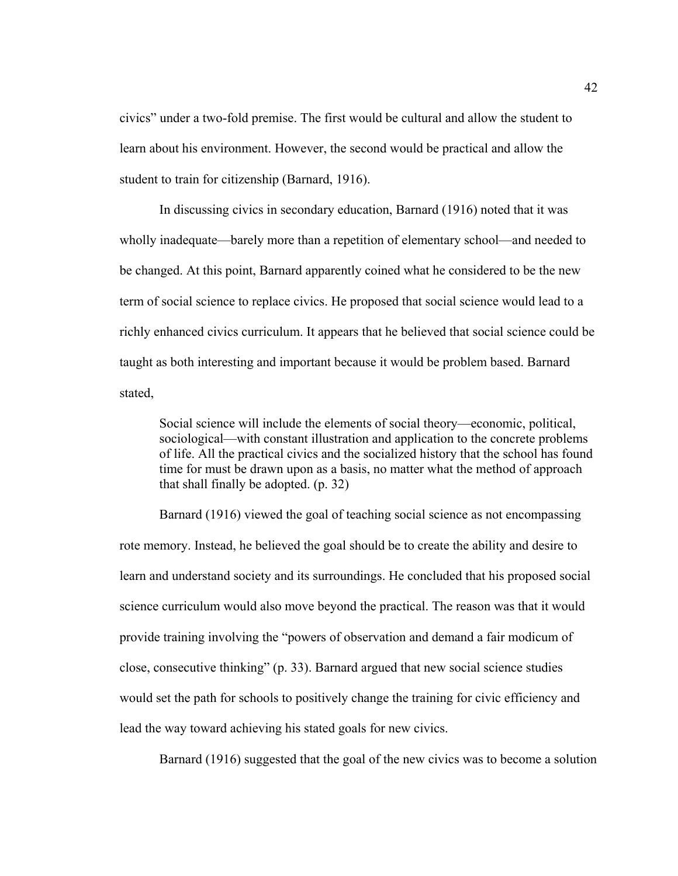civics" under a two-fold premise. The first would be cultural and allow the student to learn about his environment. However, the second would be practical and allow the student to train for citizenship (Barnard, 1916).

In discussing civics in secondary education, Barnard (1916) noted that it was wholly inadequate—barely more than a repetition of elementary school—and needed to be changed. At this point, Barnard apparently coined what he considered to be the new term of social science to replace civics. He proposed that social science would lead to a richly enhanced civics curriculum. It appears that he believed that social science could be taught as both interesting and important because it would be problem based. Barnard stated,

Social science will include the elements of social theory—economic, political, sociological—with constant illustration and application to the concrete problems of life. All the practical civics and the socialized history that the school has found time for must be drawn upon as a basis, no matter what the method of approach that shall finally be adopted. (p. 32)

Barnard (1916) viewed the goal of teaching social science as not encompassing rote memory. Instead, he believed the goal should be to create the ability and desire to learn and understand society and its surroundings. He concluded that his proposed social science curriculum would also move beyond the practical. The reason was that it would provide training involving the "powers of observation and demand a fair modicum of close, consecutive thinking" (p. 33). Barnard argued that new social science studies would set the path for schools to positively change the training for civic efficiency and lead the way toward achieving his stated goals for new civics.

Barnard (1916) suggested that the goal of the new civics was to become a solution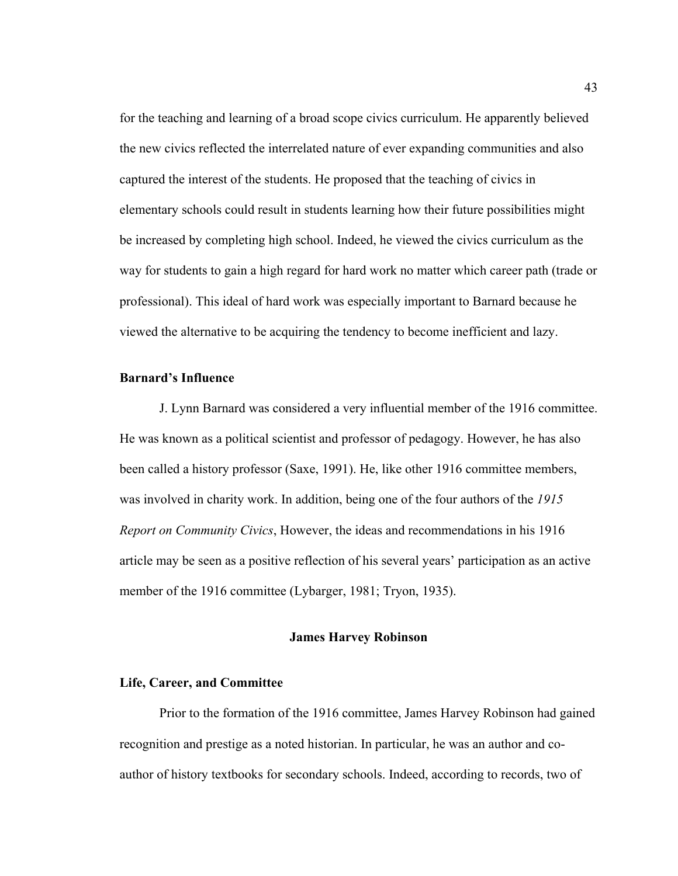for the teaching and learning of a broad scope civics curriculum. He apparently believed the new civics reflected the interrelated nature of ever expanding communities and also captured the interest of the students. He proposed that the teaching of civics in elementary schools could result in students learning how their future possibilities might be increased by completing high school. Indeed, he viewed the civics curriculum as the way for students to gain a high regard for hard work no matter which career path (trade or professional). This ideal of hard work was especially important to Barnard because he viewed the alternative to be acquiring the tendency to become inefficient and lazy.

# **Barnard's Influence**

 J. Lynn Barnard was considered a very influential member of the 1916 committee. He was known as a political scientist and professor of pedagogy. However, he has also been called a history professor (Saxe, 1991). He, like other 1916 committee members, was involved in charity work. In addition, being one of the four authors of the *1915 Report on Community Civics*, However, the ideas and recommendations in his 1916 article may be seen as a positive reflection of his several years' participation as an active member of the 1916 committee (Lybarger, 1981; Tryon, 1935).

### **James Harvey Robinson**

### **Life, Career, and Committee**

Prior to the formation of the 1916 committee, James Harvey Robinson had gained recognition and prestige as a noted historian. In particular, he was an author and coauthor of history textbooks for secondary schools. Indeed, according to records, two of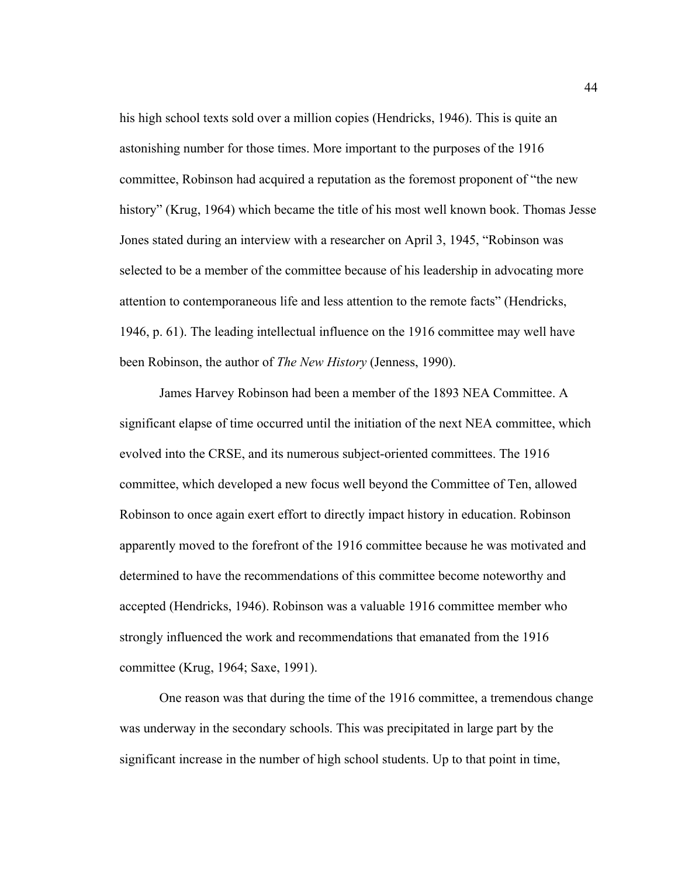his high school texts sold over a million copies (Hendricks, 1946). This is quite an astonishing number for those times. More important to the purposes of the 1916 committee, Robinson had acquired a reputation as the foremost proponent of "the new history" (Krug, 1964) which became the title of his most well known book. Thomas Jesse Jones stated during an interview with a researcher on April 3, 1945, "Robinson was selected to be a member of the committee because of his leadership in advocating more attention to contemporaneous life and less attention to the remote facts" (Hendricks, 1946, p. 61). The leading intellectual influence on the 1916 committee may well have been Robinson, the author of *The New History* (Jenness, 1990).

James Harvey Robinson had been a member of the 1893 NEA Committee. A significant elapse of time occurred until the initiation of the next NEA committee, which evolved into the CRSE, and its numerous subject-oriented committees. The 1916 committee, which developed a new focus well beyond the Committee of Ten, allowed Robinson to once again exert effort to directly impact history in education. Robinson apparently moved to the forefront of the 1916 committee because he was motivated and determined to have the recommendations of this committee become noteworthy and accepted (Hendricks, 1946). Robinson was a valuable 1916 committee member who strongly influenced the work and recommendations that emanated from the 1916 committee (Krug, 1964; Saxe, 1991).

One reason was that during the time of the 1916 committee, a tremendous change was underway in the secondary schools. This was precipitated in large part by the significant increase in the number of high school students. Up to that point in time,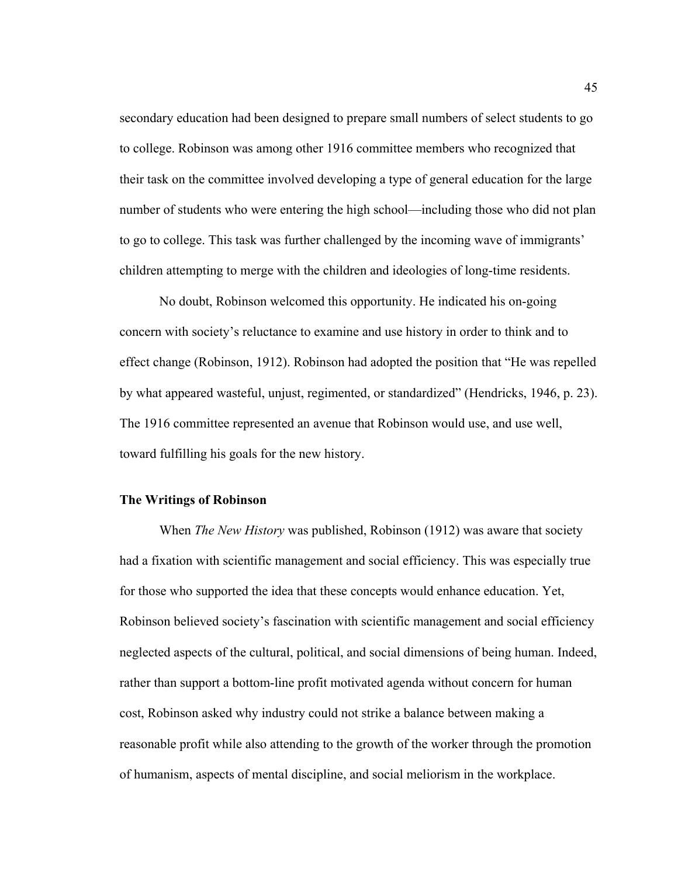secondary education had been designed to prepare small numbers of select students to go to college. Robinson was among other 1916 committee members who recognized that their task on the committee involved developing a type of general education for the large number of students who were entering the high school—including those who did not plan to go to college. This task was further challenged by the incoming wave of immigrants' children attempting to merge with the children and ideologies of long-time residents.

No doubt, Robinson welcomed this opportunity. He indicated his on-going concern with society's reluctance to examine and use history in order to think and to effect change (Robinson, 1912). Robinson had adopted the position that "He was repelled by what appeared wasteful, unjust, regimented, or standardized" (Hendricks, 1946, p. 23). The 1916 committee represented an avenue that Robinson would use, and use well, toward fulfilling his goals for the new history.

### **The Writings of Robinson**

When *The New History* was published, Robinson (1912) was aware that society had a fixation with scientific management and social efficiency. This was especially true for those who supported the idea that these concepts would enhance education. Yet, Robinson believed society's fascination with scientific management and social efficiency neglected aspects of the cultural, political, and social dimensions of being human. Indeed, rather than support a bottom-line profit motivated agenda without concern for human cost, Robinson asked why industry could not strike a balance between making a reasonable profit while also attending to the growth of the worker through the promotion of humanism, aspects of mental discipline, and social meliorism in the workplace.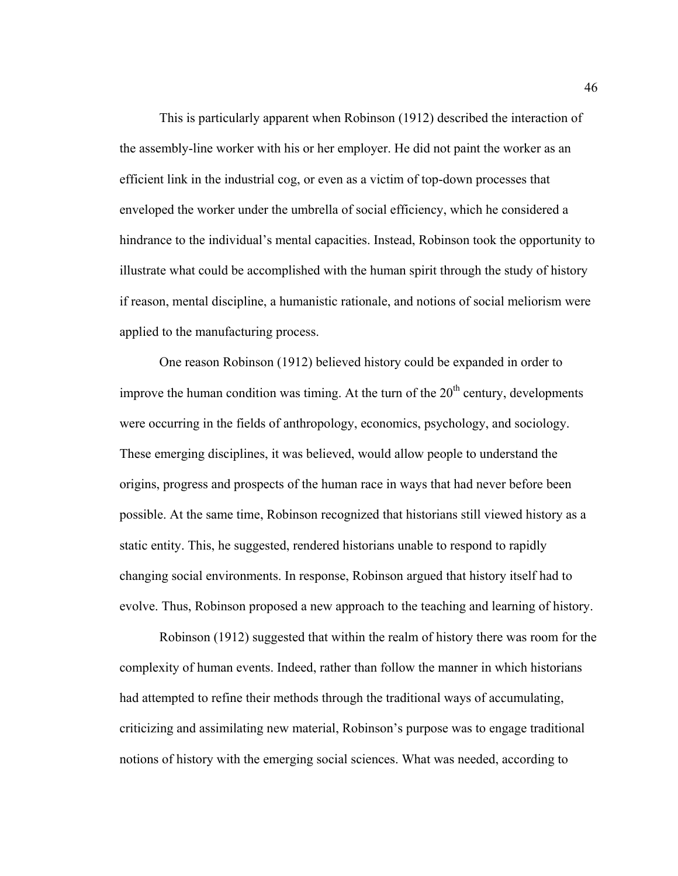This is particularly apparent when Robinson (1912) described the interaction of the assembly-line worker with his or her employer. He did not paint the worker as an efficient link in the industrial cog, or even as a victim of top-down processes that enveloped the worker under the umbrella of social efficiency, which he considered a hindrance to the individual's mental capacities. Instead, Robinson took the opportunity to illustrate what could be accomplished with the human spirit through the study of history if reason, mental discipline, a humanistic rationale, and notions of social meliorism were applied to the manufacturing process.

One reason Robinson (1912) believed history could be expanded in order to improve the human condition was timing. At the turn of the  $20<sup>th</sup>$  century, developments were occurring in the fields of anthropology, economics, psychology, and sociology. These emerging disciplines, it was believed, would allow people to understand the origins, progress and prospects of the human race in ways that had never before been possible. At the same time, Robinson recognized that historians still viewed history as a static entity. This, he suggested, rendered historians unable to respond to rapidly changing social environments. In response, Robinson argued that history itself had to evolve. Thus, Robinson proposed a new approach to the teaching and learning of history.

Robinson (1912) suggested that within the realm of history there was room for the complexity of human events. Indeed, rather than follow the manner in which historians had attempted to refine their methods through the traditional ways of accumulating, criticizing and assimilating new material, Robinson's purpose was to engage traditional notions of history with the emerging social sciences. What was needed, according to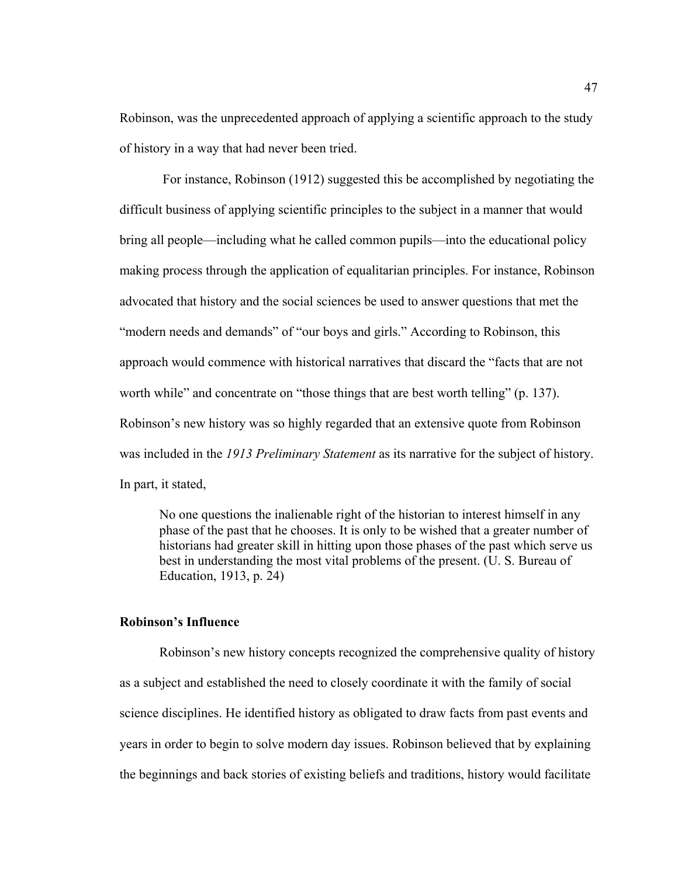Robinson, was the unprecedented approach of applying a scientific approach to the study of history in a way that had never been tried.

 For instance, Robinson (1912) suggested this be accomplished by negotiating the difficult business of applying scientific principles to the subject in a manner that would bring all people—including what he called common pupils—into the educational policy making process through the application of equalitarian principles. For instance, Robinson advocated that history and the social sciences be used to answer questions that met the "modern needs and demands" of "our boys and girls." According to Robinson, this approach would commence with historical narratives that discard the "facts that are not worth while" and concentrate on "those things that are best worth telling" (p. 137). Robinson's new history was so highly regarded that an extensive quote from Robinson was included in the *1913 Preliminary Statement* as its narrative for the subject of history. In part, it stated,

No one questions the inalienable right of the historian to interest himself in any phase of the past that he chooses. It is only to be wished that a greater number of historians had greater skill in hitting upon those phases of the past which serve us best in understanding the most vital problems of the present. (U. S. Bureau of Education, 1913, p. 24)

### **Robinson's Influence**

Robinson's new history concepts recognized the comprehensive quality of history as a subject and established the need to closely coordinate it with the family of social science disciplines. He identified history as obligated to draw facts from past events and years in order to begin to solve modern day issues. Robinson believed that by explaining the beginnings and back stories of existing beliefs and traditions, history would facilitate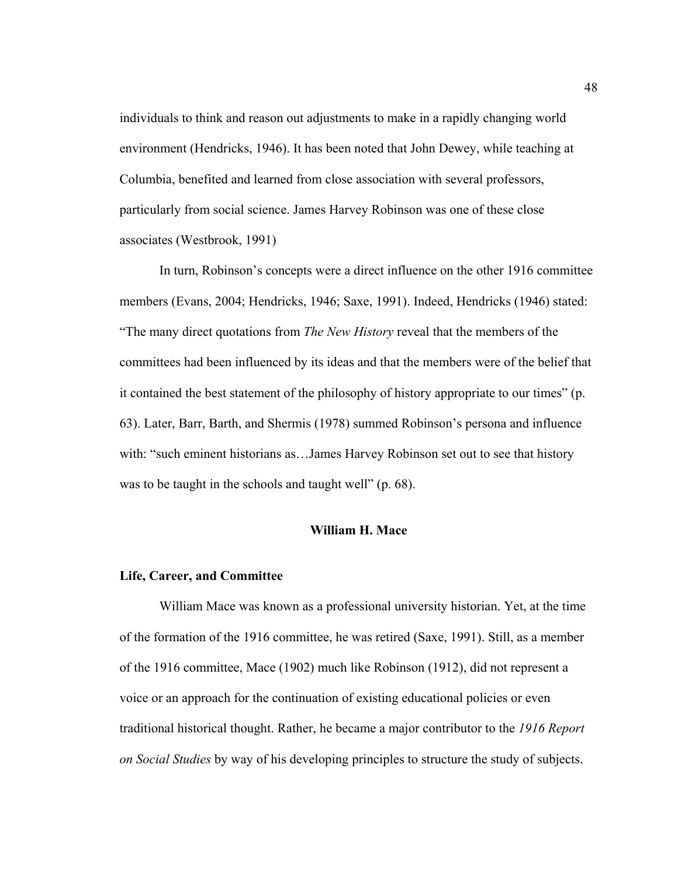individuals to think and reason out adjustments to make in a rapidly changing world environment (Hendricks, 1946). It has been noted that John Dewey, while teaching at Columbia, benefited and learned from close association with several professors, particularly from social science. James Harvey Robinson was one of these close associates (Westbrook, 1991)

In turn, Robinson's concepts were a direct influence on the other 1916 committee members (Evans, 2004; Hendricks, 1946; Saxe, 1991). Indeed, Hendricks (1946) stated: "The many direct quotations from *The New History* reveal that the members of the committees had been influenced by its ideas and that the members were of the belief that it contained the best statement of the philosophy of history appropriate to our times" (p. 63). Later, Barr, Barth, and Shermis (1978) summed Robinson's persona and influence with: "such eminent historians as...James Harvey Robinson set out to see that history was to be taught in the schools and taught well" (p. 68).

## **William H. Mace**

#### **Life, Career, and Committee**

 William Mace was known as a professional university historian. Yet, at the time of the formation of the 1916 committee, he was retired (Saxe, 1991). Still, as a member of the 1916 committee, Mace (1902) much like Robinson (1912), did not represent a voice or an approach for the continuation of existing educational policies or even traditional historical thought. Rather, he became a major contributor to the *1916 Report on Social Studies* by way of his developing principles to structure the study of subjects.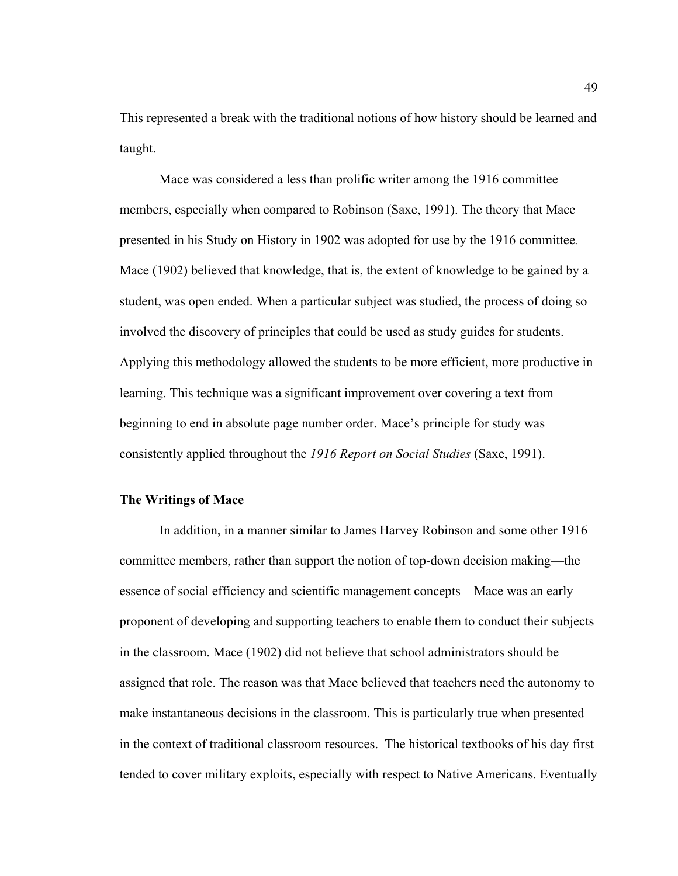This represented a break with the traditional notions of how history should be learned and taught.

Mace was considered a less than prolific writer among the 1916 committee members, especially when compared to Robinson (Saxe, 1991). The theory that Mace presented in his Study on History in 1902 was adopted for use by the 1916 committee*.*  Mace (1902) believed that knowledge, that is, the extent of knowledge to be gained by a student, was open ended. When a particular subject was studied, the process of doing so involved the discovery of principles that could be used as study guides for students. Applying this methodology allowed the students to be more efficient, more productive in learning. This technique was a significant improvement over covering a text from beginning to end in absolute page number order. Mace's principle for study was consistently applied throughout the *1916 Report on Social Studies* (Saxe, 1991).

### **The Writings of Mace**

In addition, in a manner similar to James Harvey Robinson and some other 1916 committee members, rather than support the notion of top-down decision making—the essence of social efficiency and scientific management concepts—Mace was an early proponent of developing and supporting teachers to enable them to conduct their subjects in the classroom. Mace (1902) did not believe that school administrators should be assigned that role. The reason was that Mace believed that teachers need the autonomy to make instantaneous decisions in the classroom. This is particularly true when presented in the context of traditional classroom resources.The historical textbooks of his day first tended to cover military exploits, especially with respect to Native Americans. Eventually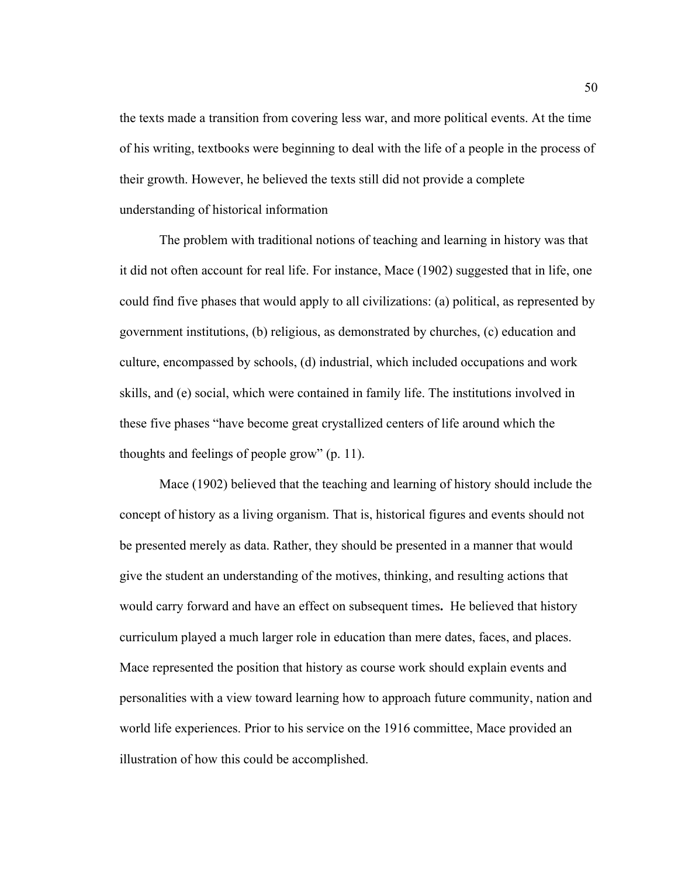the texts made a transition from covering less war, and more political events. At the time of his writing, textbooks were beginning to deal with the life of a people in the process of their growth. However, he believed the texts still did not provide a complete understanding of historical information

The problem with traditional notions of teaching and learning in history was that it did not often account for real life. For instance, Mace (1902) suggested that in life, one could find five phases that would apply to all civilizations: (a) political, as represented by government institutions, (b) religious, as demonstrated by churches, (c) education and culture, encompassed by schools, (d) industrial, which included occupations and work skills, and (e) social, which were contained in family life. The institutions involved in these five phases "have become great crystallized centers of life around which the thoughts and feelings of people grow" (p. 11).

Mace (1902) believed that the teaching and learning of history should include the concept of history as a living organism. That is, historical figures and events should not be presented merely as data. Rather, they should be presented in a manner that would give the student an understanding of the motives, thinking, and resulting actions that would carry forward and have an effect on subsequent times**.** He believed that history curriculum played a much larger role in education than mere dates, faces, and places. Mace represented the position that history as course work should explain events and personalities with a view toward learning how to approach future community, nation and world life experiences. Prior to his service on the 1916 committee, Mace provided an illustration of how this could be accomplished.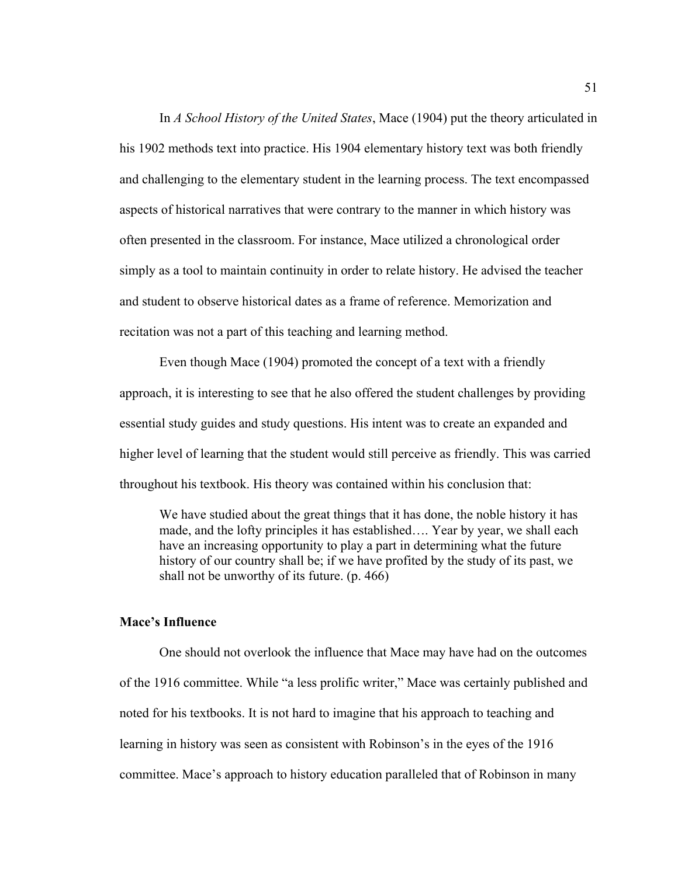In *A School History of the United States*, Mace (1904) put the theory articulated in his 1902 methods text into practice. His 1904 elementary history text was both friendly and challenging to the elementary student in the learning process. The text encompassed aspects of historical narratives that were contrary to the manner in which history was often presented in the classroom. For instance, Mace utilized a chronological order simply as a tool to maintain continuity in order to relate history. He advised the teacher and student to observe historical dates as a frame of reference. Memorization and recitation was not a part of this teaching and learning method.

Even though Mace (1904) promoted the concept of a text with a friendly approach, it is interesting to see that he also offered the student challenges by providing essential study guides and study questions. His intent was to create an expanded and higher level of learning that the student would still perceive as friendly. This was carried throughout his textbook. His theory was contained within his conclusion that:

We have studied about the great things that it has done, the noble history it has made, and the lofty principles it has established…. Year by year, we shall each have an increasing opportunity to play a part in determining what the future history of our country shall be; if we have profited by the study of its past, we shall not be unworthy of its future. (p. 466)

### **Mace's Influence**

 One should not overlook the influence that Mace may have had on the outcomes of the 1916 committee. While "a less prolific writer," Mace was certainly published and noted for his textbooks. It is not hard to imagine that his approach to teaching and learning in history was seen as consistent with Robinson's in the eyes of the 1916 committee. Mace's approach to history education paralleled that of Robinson in many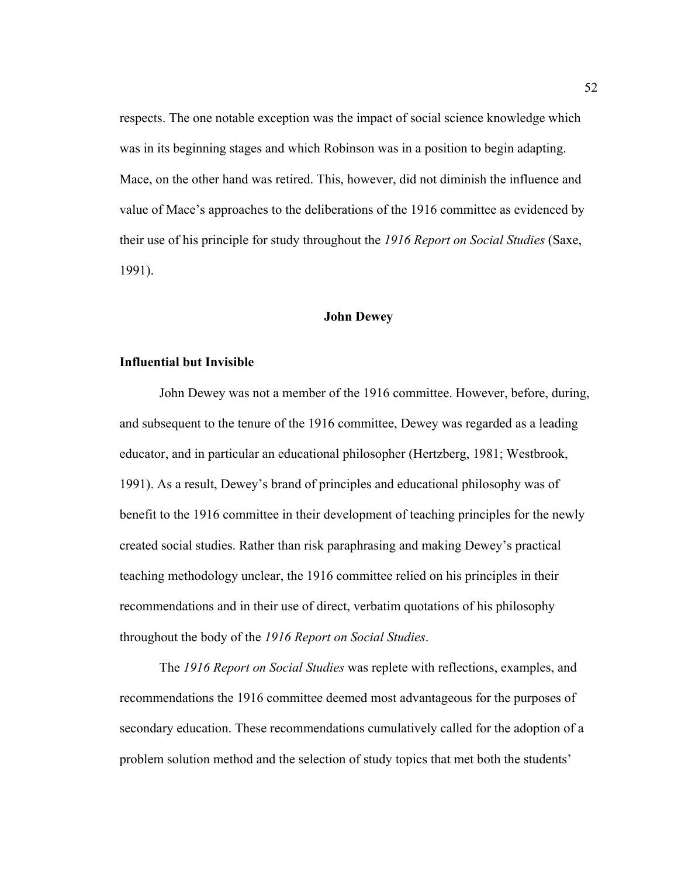respects. The one notable exception was the impact of social science knowledge which was in its beginning stages and which Robinson was in a position to begin adapting. Mace, on the other hand was retired. This, however, did not diminish the influence and value of Mace's approaches to the deliberations of the 1916 committee as evidenced by their use of his principle for study throughout the *1916 Report on Social Studies* (Saxe, 1991).

### **John Dewey**

#### **Influential but Invisible**

John Dewey was not a member of the 1916 committee. However, before, during, and subsequent to the tenure of the 1916 committee, Dewey was regarded as a leading educator, and in particular an educational philosopher (Hertzberg, 1981; Westbrook, 1991). As a result, Dewey's brand of principles and educational philosophy was of benefit to the 1916 committee in their development of teaching principles for the newly created social studies. Rather than risk paraphrasing and making Dewey's practical teaching methodology unclear, the 1916 committee relied on his principles in their recommendations and in their use of direct, verbatim quotations of his philosophy throughout the body of the *1916 Report on Social Studies*.

The *1916 Report on Social Studies* was replete with reflections, examples, and recommendations the 1916 committee deemed most advantageous for the purposes of secondary education. These recommendations cumulatively called for the adoption of a problem solution method and the selection of study topics that met both the students'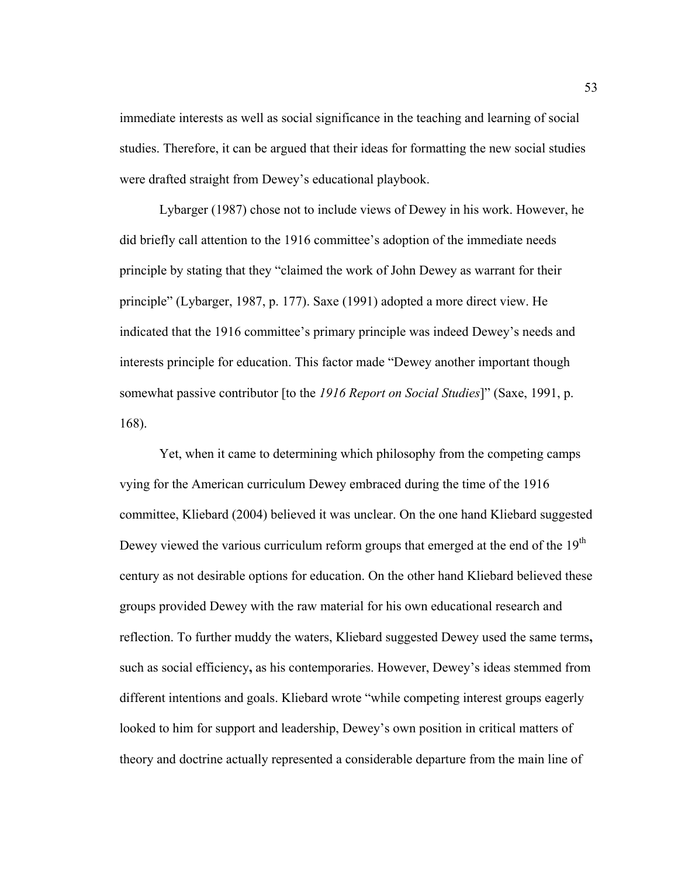immediate interests as well as social significance in the teaching and learning of social studies. Therefore, it can be argued that their ideas for formatting the new social studies were drafted straight from Dewey's educational playbook.

 Lybarger (1987) chose not to include views of Dewey in his work. However, he did briefly call attention to the 1916 committee's adoption of the immediate needs principle by stating that they "claimed the work of John Dewey as warrant for their principle" (Lybarger, 1987, p. 177). Saxe (1991) adopted a more direct view. He indicated that the 1916 committee's primary principle was indeed Dewey's needs and interests principle for education. This factor made "Dewey another important though somewhat passive contributor [to the *1916 Report on Social Studies*]" (Saxe, 1991, p. 168).

Yet, when it came to determining which philosophy from the competing camps vying for the American curriculum Dewey embraced during the time of the 1916 committee, Kliebard (2004) believed it was unclear. On the one hand Kliebard suggested Dewey viewed the various curriculum reform groups that emerged at the end of the  $19<sup>th</sup>$ century as not desirable options for education. On the other hand Kliebard believed these groups provided Dewey with the raw material for his own educational research and reflection. To further muddy the waters, Kliebard suggested Dewey used the same terms**,**  such as social efficiency**,** as his contemporaries. However, Dewey's ideas stemmed from different intentions and goals. Kliebard wrote "while competing interest groups eagerly looked to him for support and leadership, Dewey's own position in critical matters of theory and doctrine actually represented a considerable departure from the main line of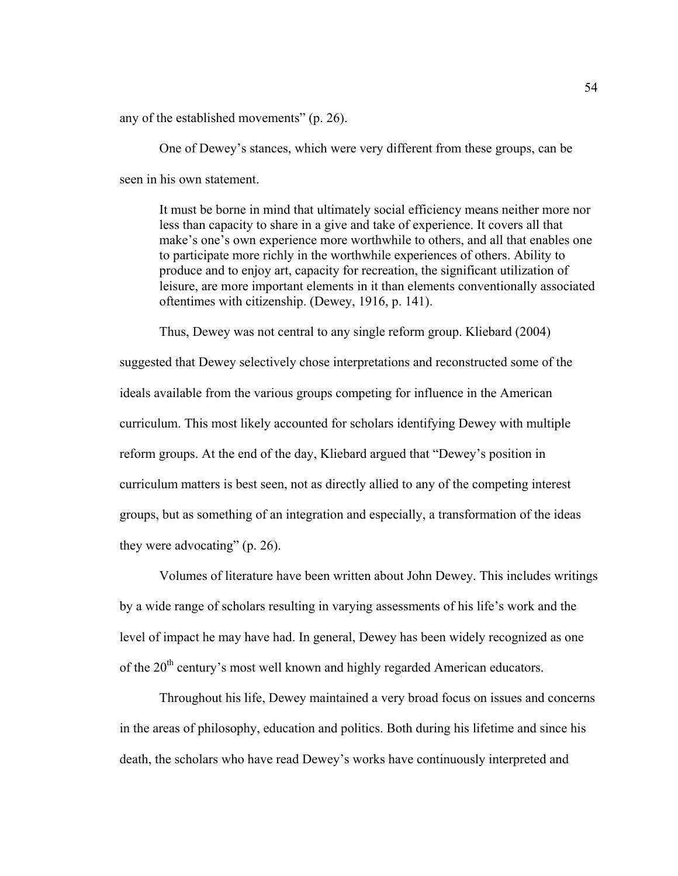any of the established movements" (p. 26).

 One of Dewey's stances, which were very different from these groups, can be seen in his own statement.

It must be borne in mind that ultimately social efficiency means neither more nor less than capacity to share in a give and take of experience. It covers all that make's one's own experience more worthwhile to others, and all that enables one to participate more richly in the worthwhile experiences of others. Ability to produce and to enjoy art, capacity for recreation, the significant utilization of leisure, are more important elements in it than elements conventionally associated oftentimes with citizenship. (Dewey, 1916, p. 141).

Thus, Dewey was not central to any single reform group. Kliebard (2004) suggested that Dewey selectively chose interpretations and reconstructed some of the ideals available from the various groups competing for influence in the American curriculum. This most likely accounted for scholars identifying Dewey with multiple reform groups. At the end of the day, Kliebard argued that "Dewey's position in curriculum matters is best seen, not as directly allied to any of the competing interest groups, but as something of an integration and especially, a transformation of the ideas they were advocating" (p. 26).

 Volumes of literature have been written about John Dewey. This includes writings by a wide range of scholars resulting in varying assessments of his life's work and the level of impact he may have had. In general, Dewey has been widely recognized as one of the 20<sup>th</sup> century's most well known and highly regarded American educators.

 Throughout his life, Dewey maintained a very broad focus on issues and concerns in the areas of philosophy, education and politics. Both during his lifetime and since his death, the scholars who have read Dewey's works have continuously interpreted and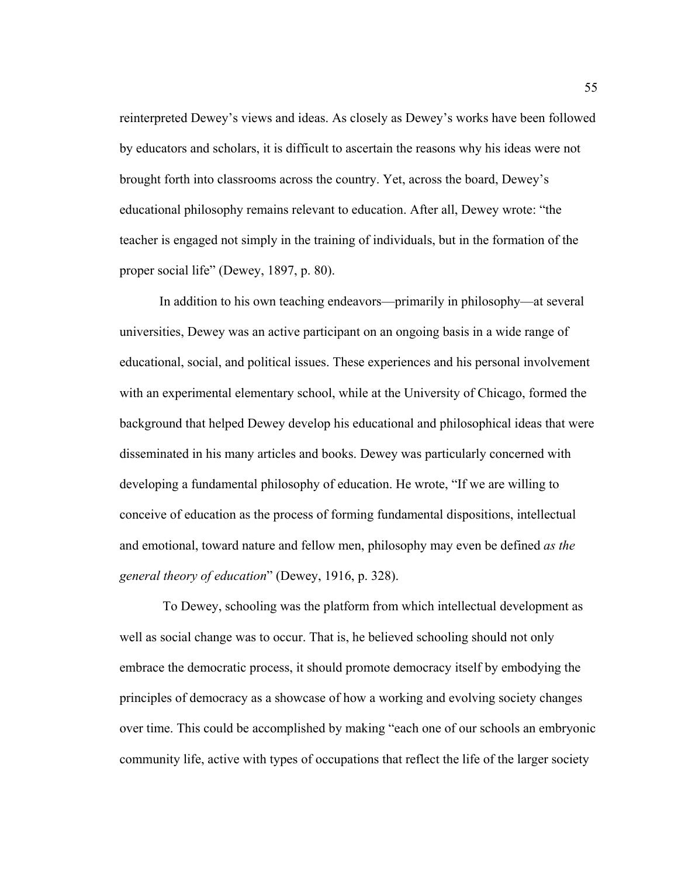reinterpreted Dewey's views and ideas. As closely as Dewey's works have been followed by educators and scholars, it is difficult to ascertain the reasons why his ideas were not brought forth into classrooms across the country. Yet, across the board, Dewey's educational philosophy remains relevant to education. After all, Dewey wrote: "the teacher is engaged not simply in the training of individuals, but in the formation of the proper social life" (Dewey, 1897, p. 80).

 In addition to his own teaching endeavors—primarily in philosophy—at several universities, Dewey was an active participant on an ongoing basis in a wide range of educational, social, and political issues. These experiences and his personal involvement with an experimental elementary school, while at the University of Chicago, formed the background that helped Dewey develop his educational and philosophical ideas that were disseminated in his many articles and books. Dewey was particularly concerned with developing a fundamental philosophy of education. He wrote, "If we are willing to conceive of education as the process of forming fundamental dispositions, intellectual and emotional, toward nature and fellow men, philosophy may even be defined *as the general theory of education*" (Dewey, 1916, p. 328).

 To Dewey, schooling was the platform from which intellectual development as well as social change was to occur. That is, he believed schooling should not only embrace the democratic process, it should promote democracy itself by embodying the principles of democracy as a showcase of how a working and evolving society changes over time. This could be accomplished by making "each one of our schools an embryonic community life, active with types of occupations that reflect the life of the larger society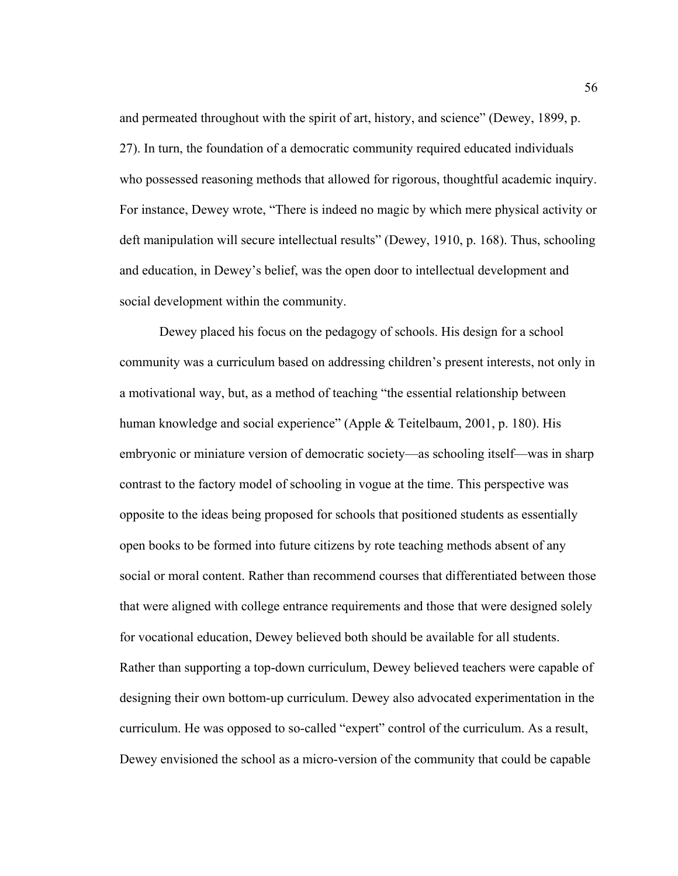and permeated throughout with the spirit of art, history, and science" (Dewey, 1899, p. 27). In turn, the foundation of a democratic community required educated individuals who possessed reasoning methods that allowed for rigorous, thoughtful academic inquiry. For instance, Dewey wrote, "There is indeed no magic by which mere physical activity or deft manipulation will secure intellectual results" (Dewey, 1910, p. 168). Thus, schooling and education, in Dewey's belief, was the open door to intellectual development and social development within the community.

 Dewey placed his focus on the pedagogy of schools. His design for a school community was a curriculum based on addressing children's present interests, not only in a motivational way, but, as a method of teaching "the essential relationship between human knowledge and social experience" (Apple & Teitelbaum, 2001, p. 180). His embryonic or miniature version of democratic society—as schooling itself—was in sharp contrast to the factory model of schooling in vogue at the time. This perspective was opposite to the ideas being proposed for schools that positioned students as essentially open books to be formed into future citizens by rote teaching methods absent of any social or moral content. Rather than recommend courses that differentiated between those that were aligned with college entrance requirements and those that were designed solely for vocational education, Dewey believed both should be available for all students. Rather than supporting a top-down curriculum, Dewey believed teachers were capable of designing their own bottom-up curriculum. Dewey also advocated experimentation in the curriculum. He was opposed to so-called "expert" control of the curriculum. As a result, Dewey envisioned the school as a micro-version of the community that could be capable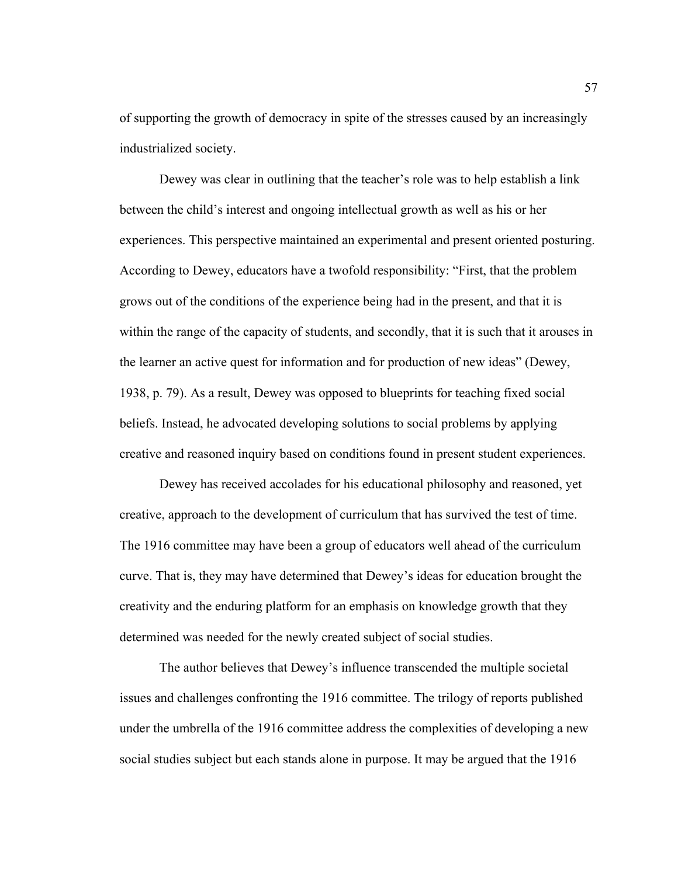of supporting the growth of democracy in spite of the stresses caused by an increasingly industrialized society.

 Dewey was clear in outlining that the teacher's role was to help establish a link between the child's interest and ongoing intellectual growth as well as his or her experiences. This perspective maintained an experimental and present oriented posturing. According to Dewey, educators have a twofold responsibility: "First, that the problem grows out of the conditions of the experience being had in the present, and that it is within the range of the capacity of students, and secondly, that it is such that it arouses in the learner an active quest for information and for production of new ideas" (Dewey, 1938, p. 79). As a result, Dewey was opposed to blueprints for teaching fixed social beliefs. Instead, he advocated developing solutions to social problems by applying creative and reasoned inquiry based on conditions found in present student experiences.

 Dewey has received accolades for his educational philosophy and reasoned, yet creative, approach to the development of curriculum that has survived the test of time. The 1916 committee may have been a group of educators well ahead of the curriculum curve. That is, they may have determined that Dewey's ideas for education brought the creativity and the enduring platform for an emphasis on knowledge growth that they determined was needed for the newly created subject of social studies.

 The author believes that Dewey's influence transcended the multiple societal issues and challenges confronting the 1916 committee. The trilogy of reports published under the umbrella of the 1916 committee address the complexities of developing a new social studies subject but each stands alone in purpose. It may be argued that the 1916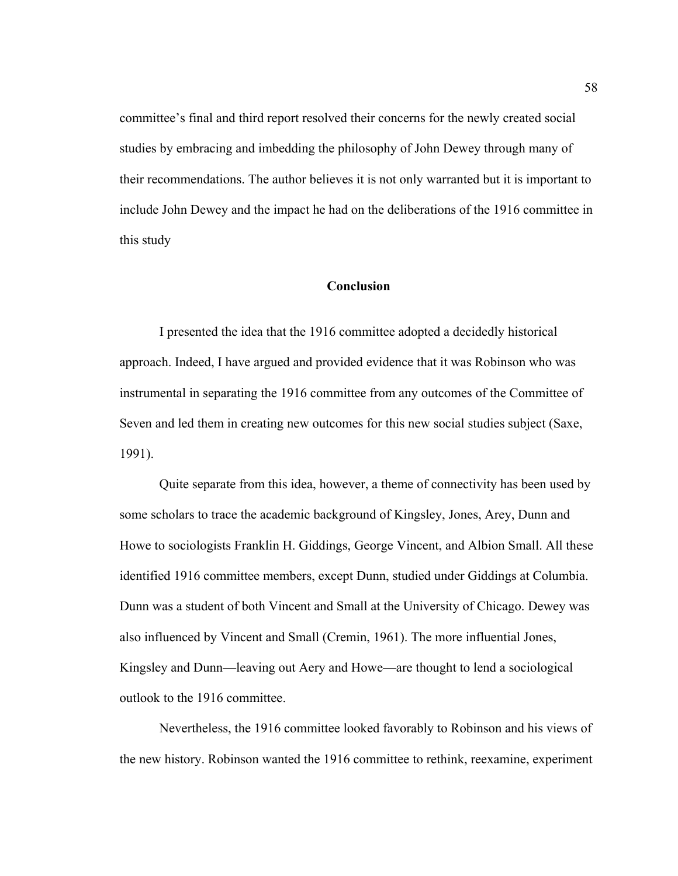committee's final and third report resolved their concerns for the newly created social studies by embracing and imbedding the philosophy of John Dewey through many of their recommendations. The author believes it is not only warranted but it is important to include John Dewey and the impact he had on the deliberations of the 1916 committee in this study

### **Conclusion**

 I presented the idea that the 1916 committee adopted a decidedly historical approach. Indeed, I have argued and provided evidence that it was Robinson who was instrumental in separating the 1916 committee from any outcomes of the Committee of Seven and led them in creating new outcomes for this new social studies subject (Saxe, 1991).

Quite separate from this idea, however, a theme of connectivity has been used by some scholars to trace the academic background of Kingsley, Jones, Arey, Dunn and Howe to sociologists Franklin H. Giddings, George Vincent, and Albion Small. All these identified 1916 committee members, except Dunn, studied under Giddings at Columbia. Dunn was a student of both Vincent and Small at the University of Chicago. Dewey was also influenced by Vincent and Small (Cremin, 1961). The more influential Jones, Kingsley and Dunn—leaving out Aery and Howe—are thought to lend a sociological outlook to the 1916 committee.

Nevertheless, the 1916 committee looked favorably to Robinson and his views of the new history. Robinson wanted the 1916 committee to rethink, reexamine, experiment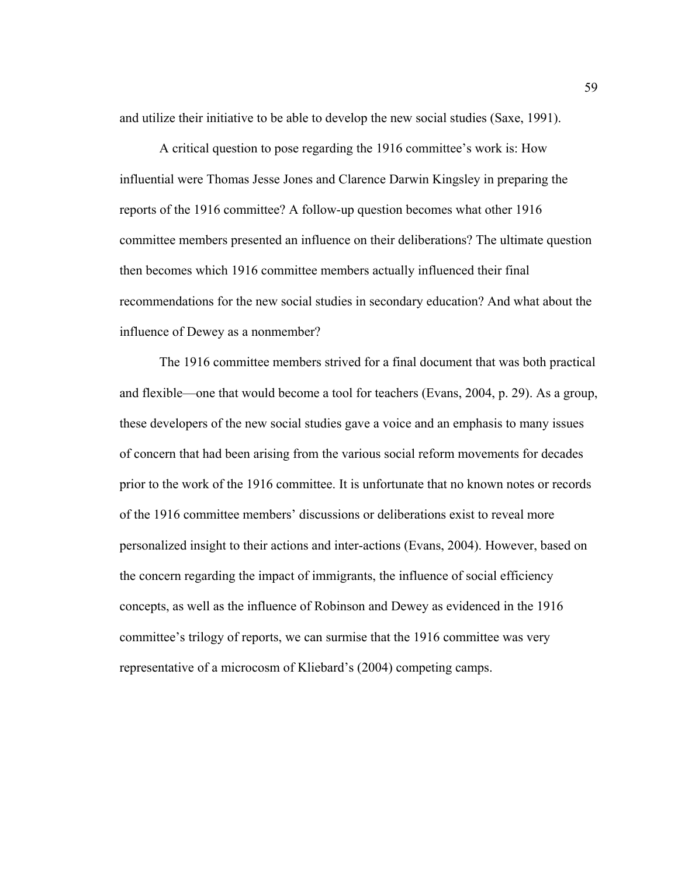and utilize their initiative to be able to develop the new social studies (Saxe, 1991).

 A critical question to pose regarding the 1916 committee's work is: How influential were Thomas Jesse Jones and Clarence Darwin Kingsley in preparing the reports of the 1916 committee? A follow-up question becomes what other 1916 committee members presented an influence on their deliberations? The ultimate question then becomes which 1916 committee members actually influenced their final recommendations for the new social studies in secondary education? And what about the influence of Dewey as a nonmember?

 The 1916 committee members strived for a final document that was both practical and flexible—one that would become a tool for teachers (Evans, 2004, p. 29). As a group, these developers of the new social studies gave a voice and an emphasis to many issues of concern that had been arising from the various social reform movements for decades prior to the work of the 1916 committee. It is unfortunate that no known notes or records of the 1916 committee members' discussions or deliberations exist to reveal more personalized insight to their actions and inter-actions (Evans, 2004). However, based on the concern regarding the impact of immigrants, the influence of social efficiency concepts, as well as the influence of Robinson and Dewey as evidenced in the 1916 committee's trilogy of reports, we can surmise that the 1916 committee was very representative of a microcosm of Kliebard's (2004) competing camps.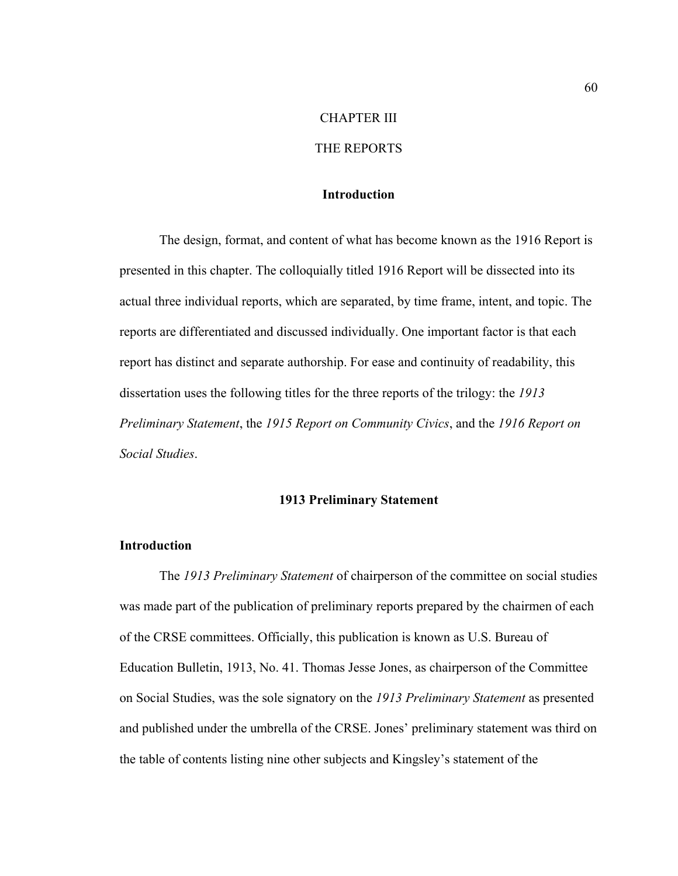## CHAPTER III

# THE REPORTS

# **Introduction**

 The design, format, and content of what has become known as the 1916 Report is presented in this chapter. The colloquially titled 1916 Report will be dissected into its actual three individual reports, which are separated, by time frame, intent, and topic. The reports are differentiated and discussed individually. One important factor is that each report has distinct and separate authorship. For ease and continuity of readability, this dissertation uses the following titles for the three reports of the trilogy: the *1913 Preliminary Statement*, the *1915 Report on Community Civics*, and the *1916 Report on Social Studies*.

### **1913 Preliminary Statement**

### **Introduction**

The *1913 Preliminary Statement* of chairperson of the committee on social studies was made part of the publication of preliminary reports prepared by the chairmen of each of the CRSE committees. Officially, this publication is known as U.S. Bureau of Education Bulletin, 1913, No. 41. Thomas Jesse Jones, as chairperson of the Committee on Social Studies, was the sole signatory on the *1913 Preliminary Statement* as presented and published under the umbrella of the CRSE. Jones' preliminary statement was third on the table of contents listing nine other subjects and Kingsley's statement of the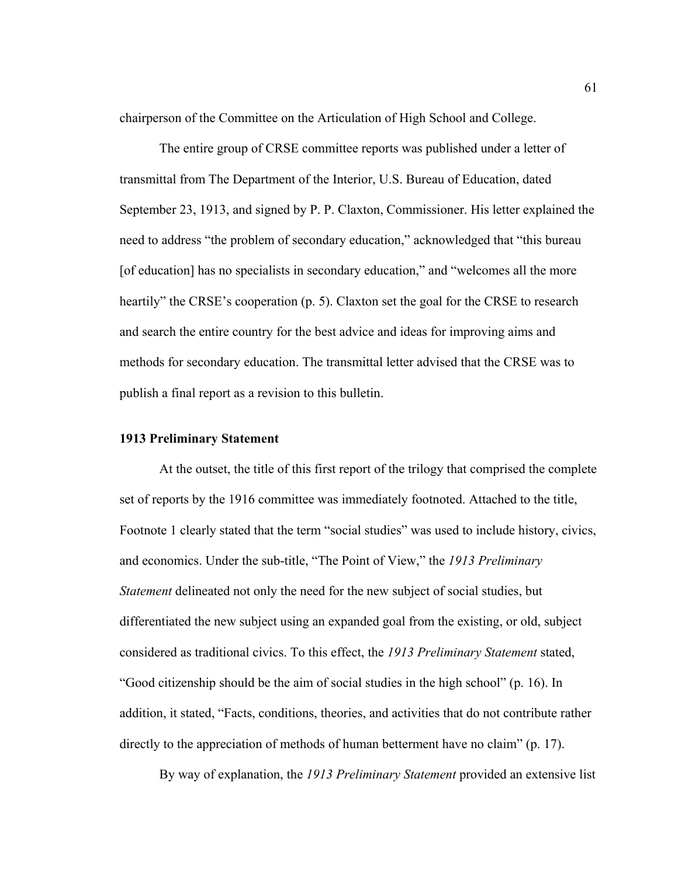chairperson of the Committee on the Articulation of High School and College.

 The entire group of CRSE committee reports was published under a letter of transmittal from The Department of the Interior, U.S. Bureau of Education, dated September 23, 1913, and signed by P. P. Claxton, Commissioner. His letter explained the need to address "the problem of secondary education," acknowledged that "this bureau [of education] has no specialists in secondary education," and "welcomes all the more heartily" the CRSE's cooperation (p. 5). Claxton set the goal for the CRSE to research and search the entire country for the best advice and ideas for improving aims and methods for secondary education. The transmittal letter advised that the CRSE was to publish a final report as a revision to this bulletin.

### **1913 Preliminary Statement**

 At the outset, the title of this first report of the trilogy that comprised the complete set of reports by the 1916 committee was immediately footnoted. Attached to the title, Footnote 1 clearly stated that the term "social studies" was used to include history, civics, and economics. Under the sub-title, "The Point of View," the *1913 Preliminary Statement* delineated not only the need for the new subject of social studies, but differentiated the new subject using an expanded goal from the existing, or old, subject considered as traditional civics. To this effect, the *1913 Preliminary Statement* stated, "Good citizenship should be the aim of social studies in the high school" (p. 16). In addition, it stated, "Facts, conditions, theories, and activities that do not contribute rather directly to the appreciation of methods of human betterment have no claim" (p. 17).

By way of explanation, the *1913 Preliminary Statement* provided an extensive list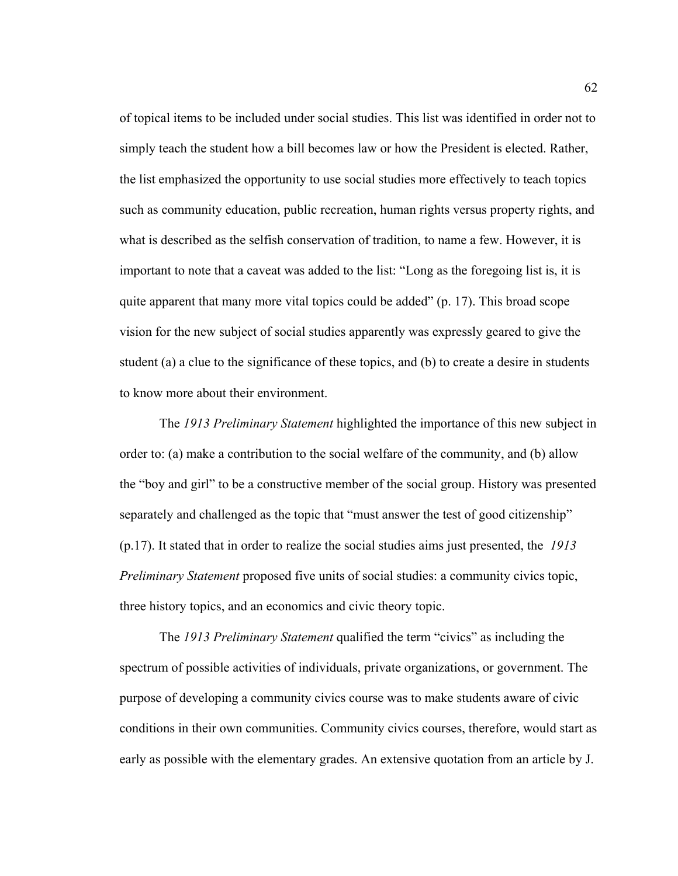of topical items to be included under social studies. This list was identified in order not to simply teach the student how a bill becomes law or how the President is elected. Rather, the list emphasized the opportunity to use social studies more effectively to teach topics such as community education, public recreation, human rights versus property rights, and what is described as the selfish conservation of tradition, to name a few. However, it is important to note that a caveat was added to the list: "Long as the foregoing list is, it is quite apparent that many more vital topics could be added" (p. 17). This broad scope vision for the new subject of social studies apparently was expressly geared to give the student (a) a clue to the significance of these topics, and (b) to create a desire in students to know more about their environment.

The *1913 Preliminary Statement* highlighted the importance of this new subject in order to: (a) make a contribution to the social welfare of the community, and (b) allow the "boy and girl" to be a constructive member of the social group. History was presented separately and challenged as the topic that "must answer the test of good citizenship" (p.17). It stated that in order to realize the social studies aims just presented, the *1913 Preliminary Statement* proposed five units of social studies: a community civics topic, three history topics, and an economics and civic theory topic.

The *1913 Preliminary Statement* qualified the term "civics" as including the spectrum of possible activities of individuals, private organizations, or government. The purpose of developing a community civics course was to make students aware of civic conditions in their own communities. Community civics courses, therefore, would start as early as possible with the elementary grades. An extensive quotation from an article by J.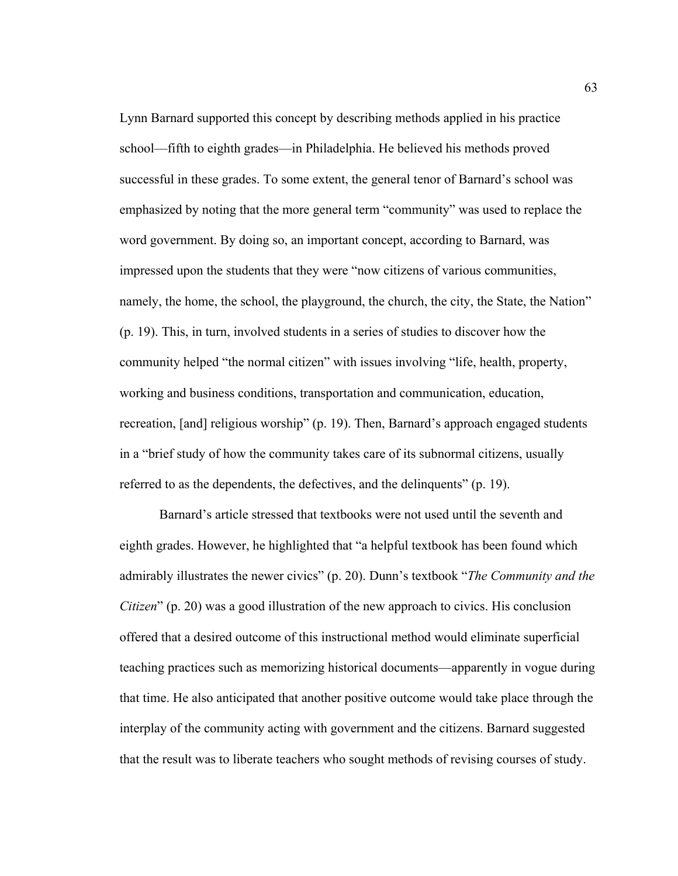Lynn Barnard supported this concept by describing methods applied in his practice school—fifth to eighth grades—in Philadelphia. He believed his methods proved successful in these grades. To some extent, the general tenor of Barnard's school was emphasized by noting that the more general term "community" was used to replace the word government. By doing so, an important concept, according to Barnard, was impressed upon the students that they were "now citizens of various communities, namely, the home, the school, the playground, the church, the city, the State, the Nation" (p. 19). This, in turn, involved students in a series of studies to discover how the community helped "the normal citizen" with issues involving "life, health, property, working and business conditions, transportation and communication, education, recreation, [and] religious worship" (p. 19). Then, Barnard's approach engaged students in a "brief study of how the community takes care of its subnormal citizens, usually referred to as the dependents, the defectives, and the delinquents" (p. 19).

 Barnard's article stressed that textbooks were not used until the seventh and eighth grades. However, he highlighted that "a helpful textbook has been found which admirably illustrates the newer civics" (p. 20). Dunn's textbook "*The Community and the Citizen*" (p. 20) was a good illustration of the new approach to civics. His conclusion offered that a desired outcome of this instructional method would eliminate superficial teaching practices such as memorizing historical documents—apparently in vogue during that time. He also anticipated that another positive outcome would take place through the interplay of the community acting with government and the citizens. Barnard suggested that the result was to liberate teachers who sought methods of revising courses of study.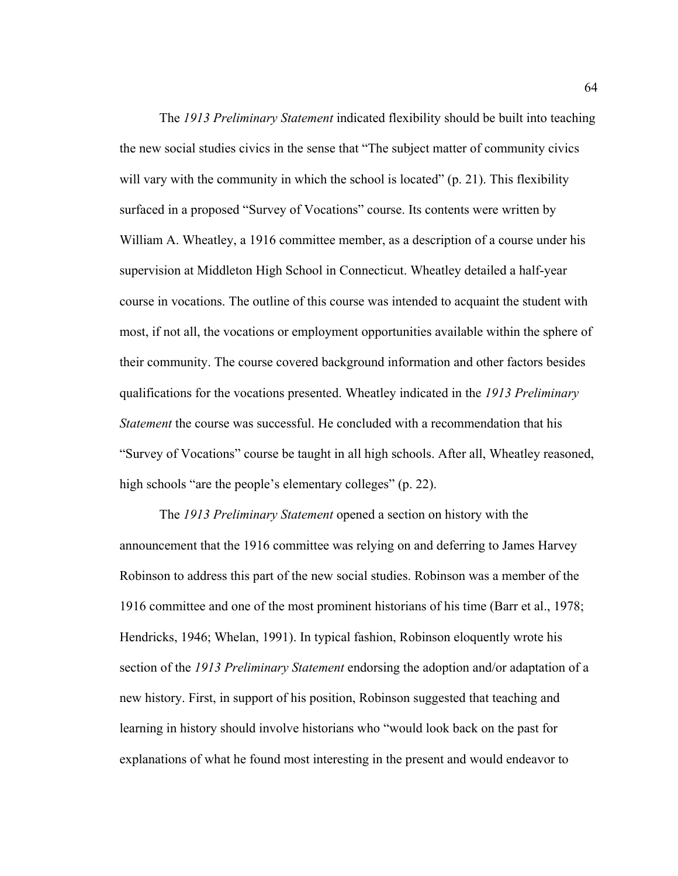The *1913 Preliminary Statement* indicated flexibility should be built into teaching the new social studies civics in the sense that "The subject matter of community civics will vary with the community in which the school is located" (p. 21). This flexibility surfaced in a proposed "Survey of Vocations" course. Its contents were written by William A. Wheatley, a 1916 committee member, as a description of a course under his supervision at Middleton High School in Connecticut. Wheatley detailed a half-year course in vocations. The outline of this course was intended to acquaint the student with most, if not all, the vocations or employment opportunities available within the sphere of their community. The course covered background information and other factors besides qualifications for the vocations presented. Wheatley indicated in the *1913 Preliminary Statement* the course was successful. He concluded with a recommendation that his "Survey of Vocations" course be taught in all high schools. After all, Wheatley reasoned, high schools "are the people's elementary colleges" (p. 22).

 The *1913 Preliminary Statement* opened a section on history with the announcement that the 1916 committee was relying on and deferring to James Harvey Robinson to address this part of the new social studies. Robinson was a member of the 1916 committee and one of the most prominent historians of his time (Barr et al., 1978; Hendricks, 1946; Whelan, 1991). In typical fashion, Robinson eloquently wrote his section of the *1913 Preliminary Statement* endorsing the adoption and/or adaptation of a new history. First, in support of his position, Robinson suggested that teaching and learning in history should involve historians who "would look back on the past for explanations of what he found most interesting in the present and would endeavor to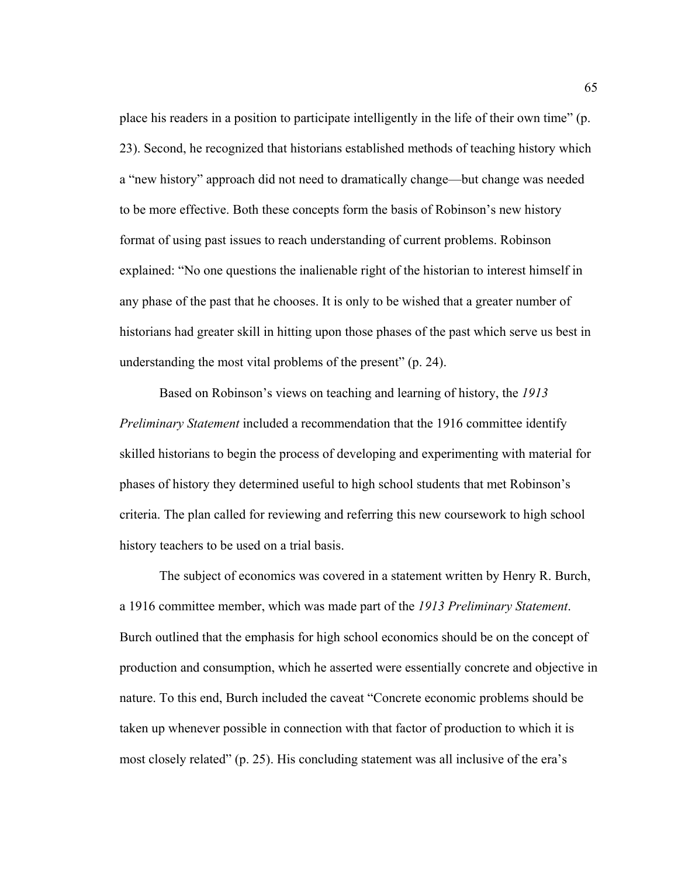place his readers in a position to participate intelligently in the life of their own time" (p. 23). Second, he recognized that historians established methods of teaching history which a "new history" approach did not need to dramatically change—but change was needed to be more effective. Both these concepts form the basis of Robinson's new history format of using past issues to reach understanding of current problems. Robinson explained: "No one questions the inalienable right of the historian to interest himself in any phase of the past that he chooses. It is only to be wished that a greater number of historians had greater skill in hitting upon those phases of the past which serve us best in understanding the most vital problems of the present" (p. 24).

 Based on Robinson's views on teaching and learning of history, the *1913 Preliminary Statement* included a recommendation that the 1916 committee identify skilled historians to begin the process of developing and experimenting with material for phases of history they determined useful to high school students that met Robinson's criteria. The plan called for reviewing and referring this new coursework to high school history teachers to be used on a trial basis.

The subject of economics was covered in a statement written by Henry R. Burch, a 1916 committee member, which was made part of the *1913 Preliminary Statement*. Burch outlined that the emphasis for high school economics should be on the concept of production and consumption, which he asserted were essentially concrete and objective in nature. To this end, Burch included the caveat "Concrete economic problems should be taken up whenever possible in connection with that factor of production to which it is most closely related" (p. 25). His concluding statement was all inclusive of the era's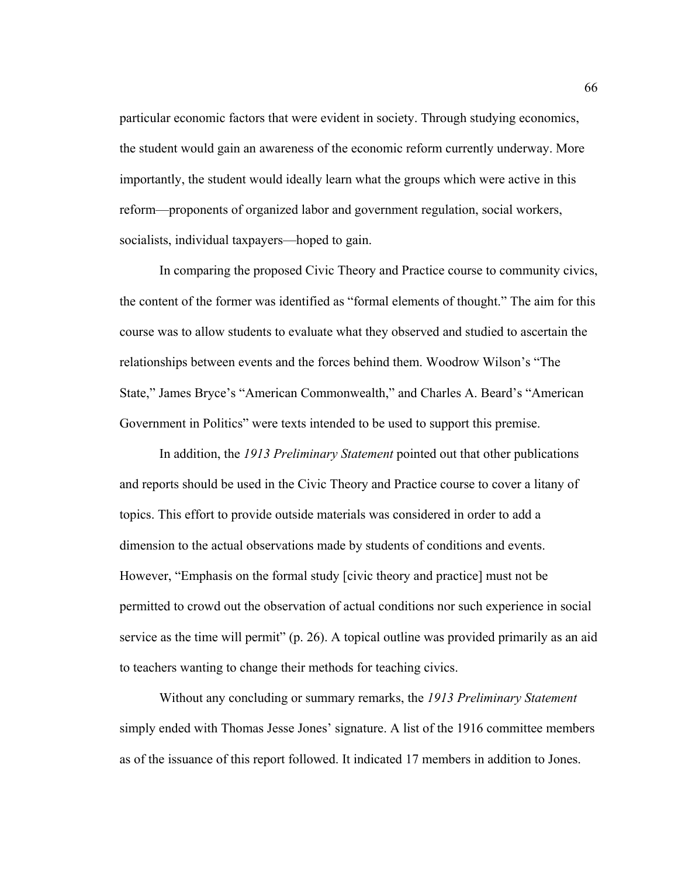particular economic factors that were evident in society. Through studying economics, the student would gain an awareness of the economic reform currently underway. More importantly, the student would ideally learn what the groups which were active in this reform—proponents of organized labor and government regulation, social workers, socialists, individual taxpayers—hoped to gain.

 In comparing the proposed Civic Theory and Practice course to community civics, the content of the former was identified as "formal elements of thought." The aim for this course was to allow students to evaluate what they observed and studied to ascertain the relationships between events and the forces behind them. Woodrow Wilson's "The State," James Bryce's "American Commonwealth," and Charles A. Beard's "American Government in Politics" were texts intended to be used to support this premise.

 In addition, the *1913 Preliminary Statement* pointed out that other publications and reports should be used in the Civic Theory and Practice course to cover a litany of topics. This effort to provide outside materials was considered in order to add a dimension to the actual observations made by students of conditions and events. However, "Emphasis on the formal study [civic theory and practice] must not be permitted to crowd out the observation of actual conditions nor such experience in social service as the time will permit" (p. 26). A topical outline was provided primarily as an aid to teachers wanting to change their methods for teaching civics.

 Without any concluding or summary remarks, the *1913 Preliminary Statement* simply ended with Thomas Jesse Jones' signature. A list of the 1916 committee members as of the issuance of this report followed. It indicated 17 members in addition to Jones.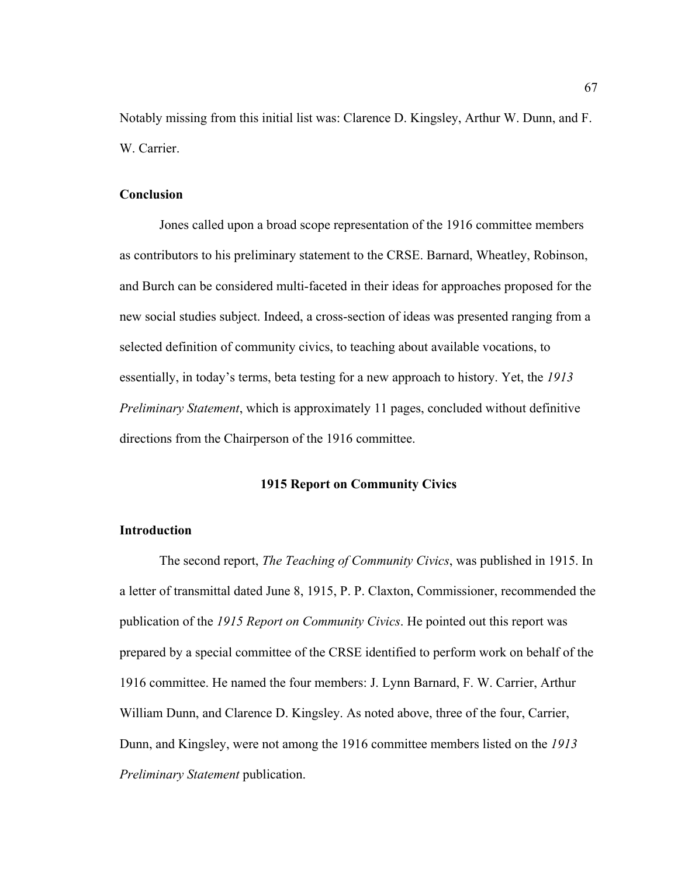Notably missing from this initial list was: Clarence D. Kingsley, Arthur W. Dunn, and F. W. Carrier.

### **Conclusion**

 Jones called upon a broad scope representation of the 1916 committee members as contributors to his preliminary statement to the CRSE. Barnard, Wheatley, Robinson, and Burch can be considered multi-faceted in their ideas for approaches proposed for the new social studies subject. Indeed, a cross-section of ideas was presented ranging from a selected definition of community civics, to teaching about available vocations, to essentially, in today's terms, beta testing for a new approach to history. Yet, the *1913 Preliminary Statement*, which is approximately 11 pages, concluded without definitive directions from the Chairperson of the 1916 committee.

#### **1915 Report on Community Civics**

### **Introduction**

The second report, *The Teaching of Community Civics*, was published in 1915. In a letter of transmittal dated June 8, 1915, P. P. Claxton, Commissioner, recommended the publication of the *1915 Report on Community Civics*. He pointed out this report was prepared by a special committee of the CRSE identified to perform work on behalf of the 1916 committee. He named the four members: J. Lynn Barnard, F. W. Carrier, Arthur William Dunn, and Clarence D. Kingsley. As noted above, three of the four, Carrier, Dunn, and Kingsley, were not among the 1916 committee members listed on the *1913 Preliminary Statement* publication.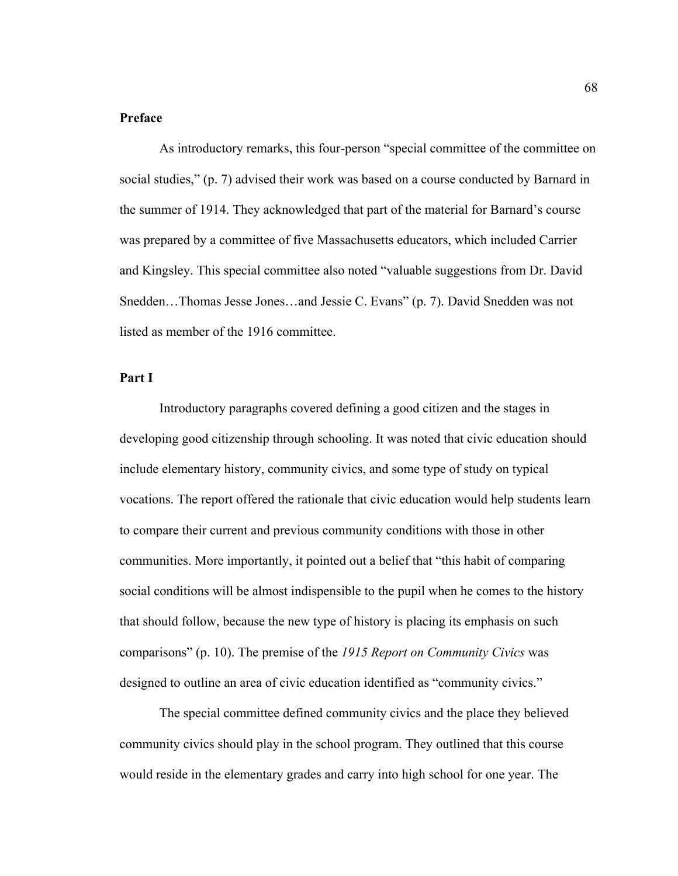# **Preface**

 As introductory remarks, this four-person "special committee of the committee on social studies," (p. 7) advised their work was based on a course conducted by Barnard in the summer of 1914. They acknowledged that part of the material for Barnard's course was prepared by a committee of five Massachusetts educators, which included Carrier and Kingsley. This special committee also noted "valuable suggestions from Dr. David Snedden…Thomas Jesse Jones…and Jessie C. Evans" (p. 7). David Snedden was not listed as member of the 1916 committee.

### **Part I**

Introductory paragraphs covered defining a good citizen and the stages in developing good citizenship through schooling. It was noted that civic education should include elementary history, community civics, and some type of study on typical vocations. The report offered the rationale that civic education would help students learn to compare their current and previous community conditions with those in other communities. More importantly, it pointed out a belief that "this habit of comparing social conditions will be almost indispensible to the pupil when he comes to the history that should follow, because the new type of history is placing its emphasis on such comparisons" (p. 10). The premise of the *1915 Report on Community Civics* was designed to outline an area of civic education identified as "community civics."

 The special committee defined community civics and the place they believed community civics should play in the school program. They outlined that this course would reside in the elementary grades and carry into high school for one year. The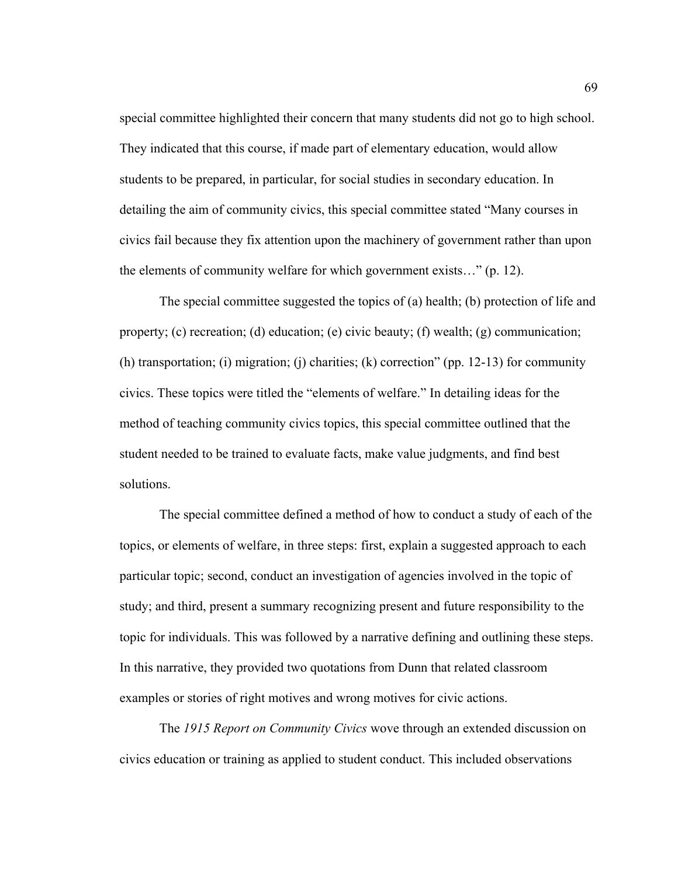special committee highlighted their concern that many students did not go to high school. They indicated that this course, if made part of elementary education, would allow students to be prepared, in particular, for social studies in secondary education. In detailing the aim of community civics, this special committee stated "Many courses in civics fail because they fix attention upon the machinery of government rather than upon the elements of community welfare for which government exists…" (p. 12).

 The special committee suggested the topics of (a) health; (b) protection of life and property; (c) recreation; (d) education; (e) civic beauty; (f) wealth; (g) communication; (h) transportation; (i) migration; (j) charities; (k) correction" (pp. 12-13) for community civics. These topics were titled the "elements of welfare." In detailing ideas for the method of teaching community civics topics, this special committee outlined that the student needed to be trained to evaluate facts, make value judgments, and find best solutions.

 The special committee defined a method of how to conduct a study of each of the topics, or elements of welfare, in three steps: first, explain a suggested approach to each particular topic; second, conduct an investigation of agencies involved in the topic of study; and third, present a summary recognizing present and future responsibility to the topic for individuals. This was followed by a narrative defining and outlining these steps. In this narrative, they provided two quotations from Dunn that related classroom examples or stories of right motives and wrong motives for civic actions.

 The *1915 Report on Community Civics* wove through an extended discussion on civics education or training as applied to student conduct. This included observations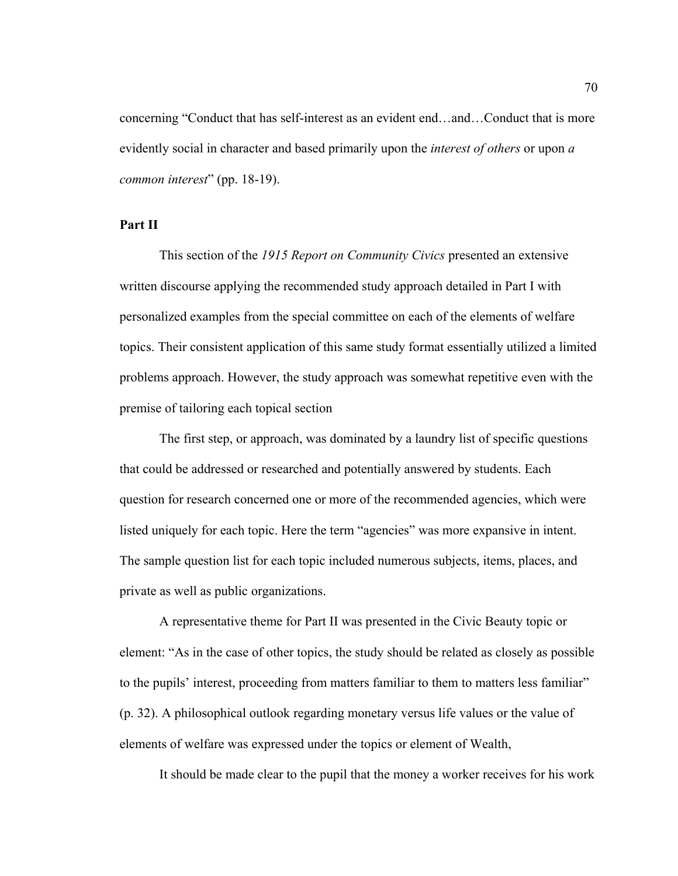concerning "Conduct that has self-interest as an evident end…and…Conduct that is more evidently social in character and based primarily upon the *interest of others* or upon *a common interest*" (pp. 18-19).

#### **Part II**

 This section of the *1915 Report on Community Civics* presented an extensive written discourse applying the recommended study approach detailed in Part I with personalized examples from the special committee on each of the elements of welfare topics. Their consistent application of this same study format essentially utilized a limited problems approach. However, the study approach was somewhat repetitive even with the premise of tailoring each topical section

 The first step, or approach, was dominated by a laundry list of specific questions that could be addressed or researched and potentially answered by students. Each question for research concerned one or more of the recommended agencies, which were listed uniquely for each topic. Here the term "agencies" was more expansive in intent. The sample question list for each topic included numerous subjects, items, places, and private as well as public organizations.

A representative theme for Part II was presented in the Civic Beauty topic or element: "As in the case of other topics, the study should be related as closely as possible to the pupils' interest, proceeding from matters familiar to them to matters less familiar" (p. 32). A philosophical outlook regarding monetary versus life values or the value of elements of welfare was expressed under the topics or element of Wealth,

It should be made clear to the pupil that the money a worker receives for his work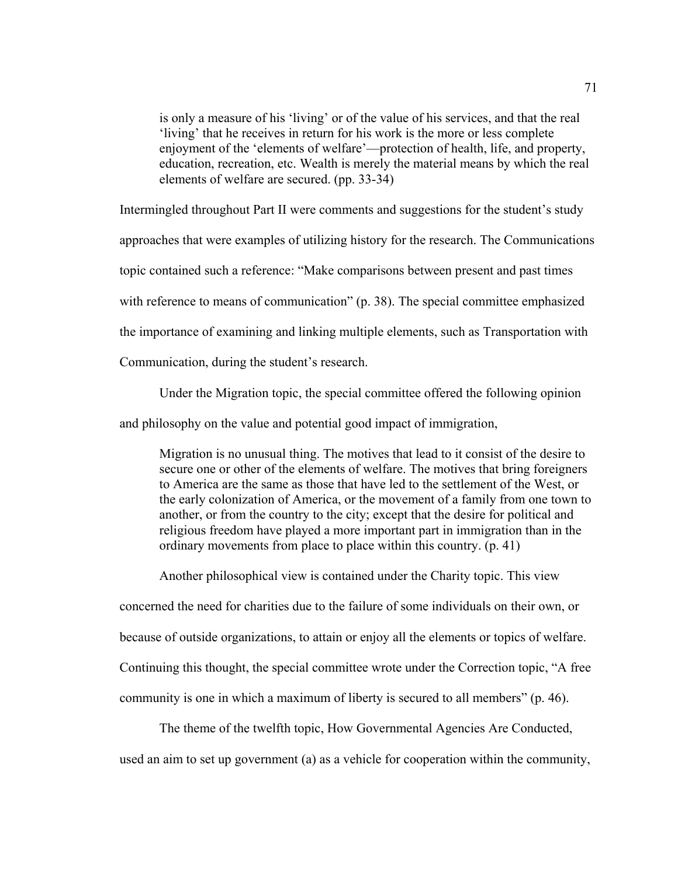is only a measure of his 'living' or of the value of his services, and that the real 'living' that he receives in return for his work is the more or less complete enjoyment of the 'elements of welfare'—protection of health, life, and property, education, recreation, etc. Wealth is merely the material means by which the real elements of welfare are secured. (pp. 33-34)

Intermingled throughout Part II were comments and suggestions for the student's study

approaches that were examples of utilizing history for the research. The Communications

topic contained such a reference: "Make comparisons between present and past times

with reference to means of communication" (p. 38). The special committee emphasized

the importance of examining and linking multiple elements, such as Transportation with

Communication, during the student's research.

Under the Migration topic, the special committee offered the following opinion

and philosophy on the value and potential good impact of immigration,

Migration is no unusual thing. The motives that lead to it consist of the desire to secure one or other of the elements of welfare. The motives that bring foreigners to America are the same as those that have led to the settlement of the West, or the early colonization of America, or the movement of a family from one town to another, or from the country to the city; except that the desire for political and religious freedom have played a more important part in immigration than in the ordinary movements from place to place within this country. (p. 41)

Another philosophical view is contained under the Charity topic. This view

concerned the need for charities due to the failure of some individuals on their own, or

because of outside organizations, to attain or enjoy all the elements or topics of welfare.

Continuing this thought, the special committee wrote under the Correction topic, "A free

community is one in which a maximum of liberty is secured to all members" (p. 46).

 The theme of the twelfth topic, How Governmental Agencies Are Conducted, used an aim to set up government (a) as a vehicle for cooperation within the community,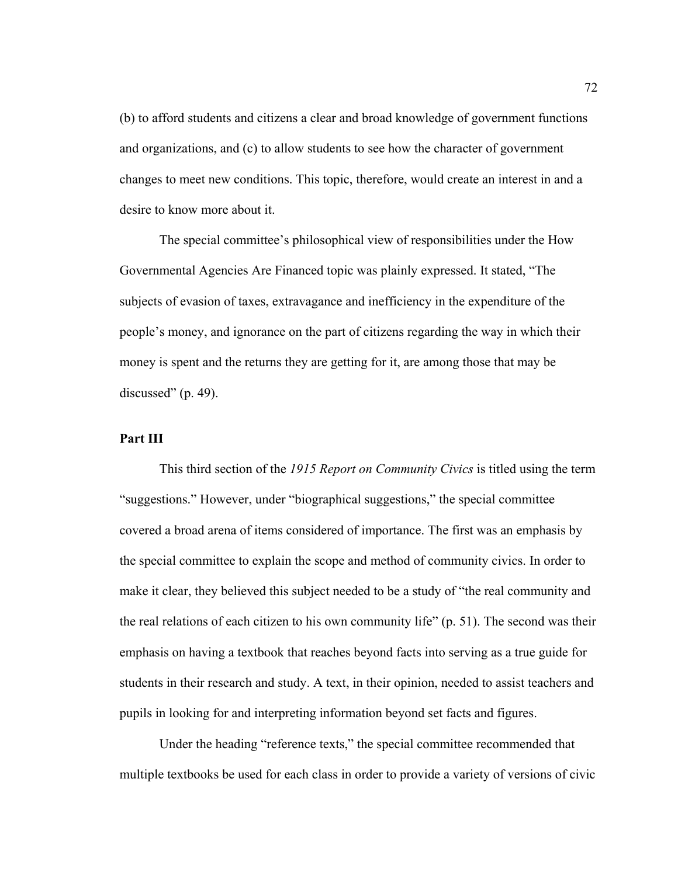(b) to afford students and citizens a clear and broad knowledge of government functions and organizations, and (c) to allow students to see how the character of government changes to meet new conditions. This topic, therefore, would create an interest in and a desire to know more about it.

 The special committee's philosophical view of responsibilities under the How Governmental Agencies Are Financed topic was plainly expressed. It stated, "The subjects of evasion of taxes, extravagance and inefficiency in the expenditure of the people's money, and ignorance on the part of citizens regarding the way in which their money is spent and the returns they are getting for it, are among those that may be discussed"  $(p. 49)$ .

### **Part III**

 This third section of the *1915 Report on Community Civics* is titled using the term "suggestions." However, under "biographical suggestions," the special committee covered a broad arena of items considered of importance. The first was an emphasis by the special committee to explain the scope and method of community civics. In order to make it clear, they believed this subject needed to be a study of "the real community and the real relations of each citizen to his own community life" (p. 51). The second was their emphasis on having a textbook that reaches beyond facts into serving as a true guide for students in their research and study. A text, in their opinion, needed to assist teachers and pupils in looking for and interpreting information beyond set facts and figures.

Under the heading "reference texts," the special committee recommended that multiple textbooks be used for each class in order to provide a variety of versions of civic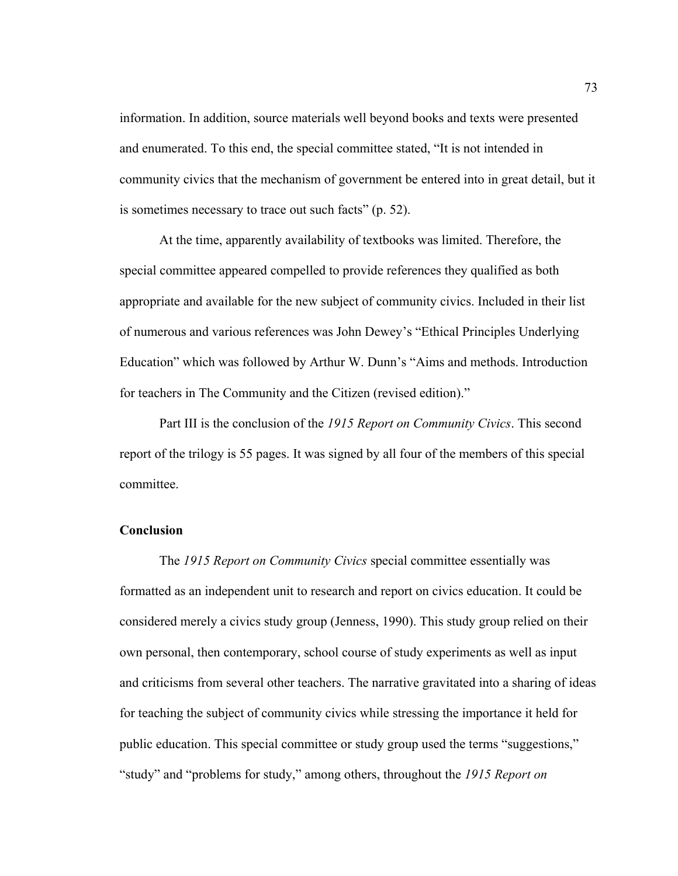information. In addition, source materials well beyond books and texts were presented and enumerated. To this end, the special committee stated, "It is not intended in community civics that the mechanism of government be entered into in great detail, but it is sometimes necessary to trace out such facts" (p. 52).

 At the time, apparently availability of textbooks was limited. Therefore, the special committee appeared compelled to provide references they qualified as both appropriate and available for the new subject of community civics. Included in their list of numerous and various references was John Dewey's "Ethical Principles Underlying Education" which was followed by Arthur W. Dunn's "Aims and methods. Introduction for teachers in The Community and the Citizen (revised edition)."

 Part III is the conclusion of the *1915 Report on Community Civics*. This second report of the trilogy is 55 pages. It was signed by all four of the members of this special committee.

#### **Conclusion**

 The *1915 Report on Community Civics* special committee essentially was formatted as an independent unit to research and report on civics education. It could be considered merely a civics study group (Jenness, 1990). This study group relied on their own personal, then contemporary, school course of study experiments as well as input and criticisms from several other teachers. The narrative gravitated into a sharing of ideas for teaching the subject of community civics while stressing the importance it held for public education. This special committee or study group used the terms "suggestions," "study" and "problems for study," among others, throughout the *1915 Report on*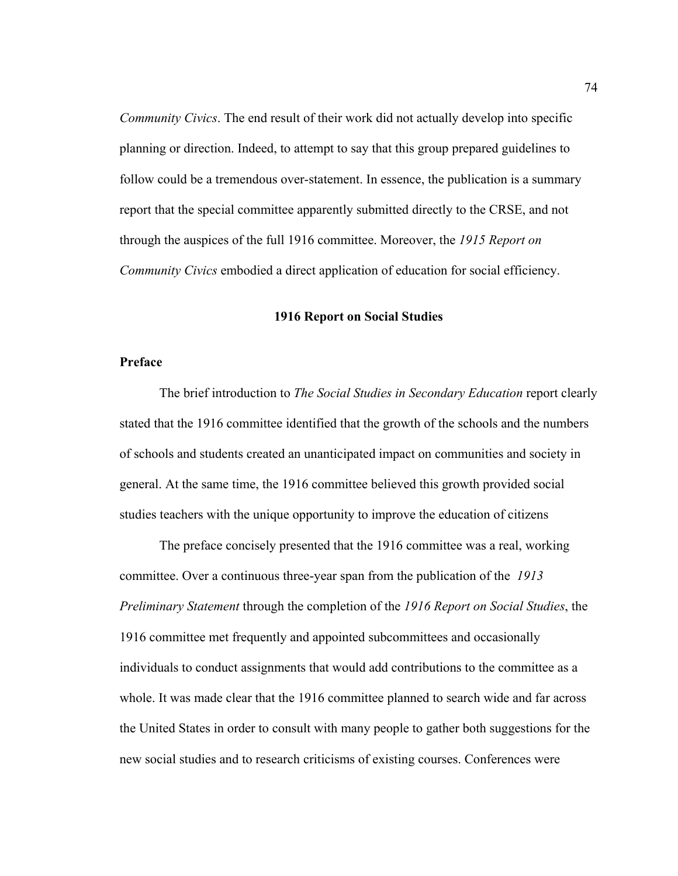*Community Civics*. The end result of their work did not actually develop into specific planning or direction. Indeed, to attempt to say that this group prepared guidelines to follow could be a tremendous over-statement. In essence, the publication is a summary report that the special committee apparently submitted directly to the CRSE, and not through the auspices of the full 1916 committee. Moreover, the *1915 Report on Community Civics* embodied a direct application of education for social efficiency.

#### **1916 Report on Social Studies**

#### **Preface**

The brief introduction to *The Social Studies in Secondary Education* report clearly stated that the 1916 committee identified that the growth of the schools and the numbers of schools and students created an unanticipated impact on communities and society in general. At the same time, the 1916 committee believed this growth provided social studies teachers with the unique opportunity to improve the education of citizens

The preface concisely presented that the 1916 committee was a real, working committee. Over a continuous three-year span from the publication of the *1913 Preliminary Statement* through the completion of the *1916 Report on Social Studies*, the 1916 committee met frequently and appointed subcommittees and occasionally individuals to conduct assignments that would add contributions to the committee as a whole. It was made clear that the 1916 committee planned to search wide and far across the United States in order to consult with many people to gather both suggestions for the new social studies and to research criticisms of existing courses. Conferences were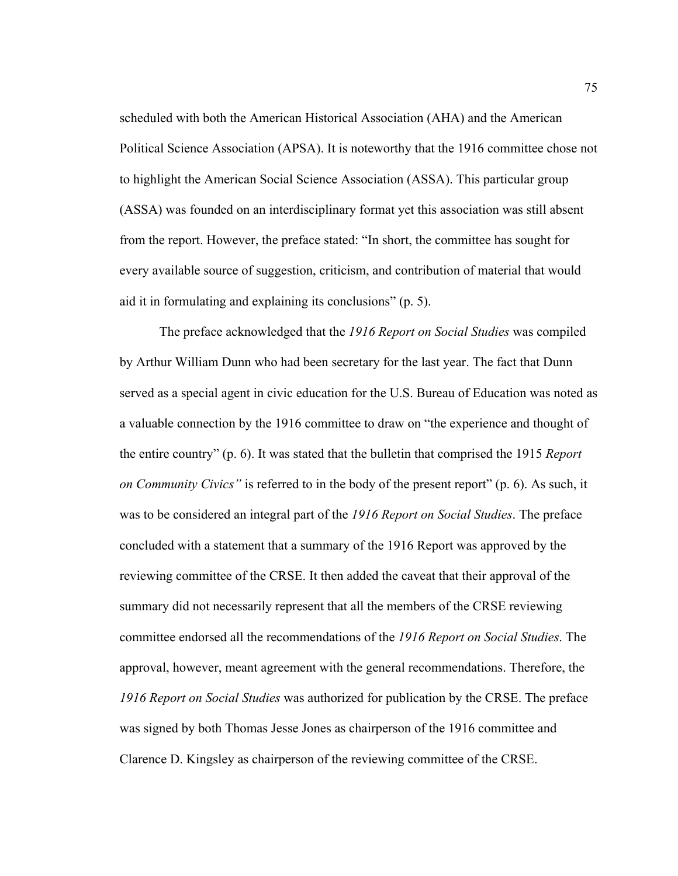scheduled with both the American Historical Association (AHA) and the American Political Science Association (APSA). It is noteworthy that the 1916 committee chose not to highlight the American Social Science Association (ASSA). This particular group (ASSA) was founded on an interdisciplinary format yet this association was still absent from the report. However, the preface stated: "In short, the committee has sought for every available source of suggestion, criticism, and contribution of material that would aid it in formulating and explaining its conclusions" (p. 5).

The preface acknowledged that the *1916 Report on Social Studies* was compiled by Arthur William Dunn who had been secretary for the last year. The fact that Dunn served as a special agent in civic education for the U.S. Bureau of Education was noted as a valuable connection by the 1916 committee to draw on "the experience and thought of the entire country" (p. 6). It was stated that the bulletin that comprised the 1915 *Report on Community Civics"* is referred to in the body of the present report" (p. 6). As such, it was to be considered an integral part of the *1916 Report on Social Studies*. The preface concluded with a statement that a summary of the 1916 Report was approved by the reviewing committee of the CRSE. It then added the caveat that their approval of the summary did not necessarily represent that all the members of the CRSE reviewing committee endorsed all the recommendations of the *1916 Report on Social Studies*. The approval, however, meant agreement with the general recommendations. Therefore, the *1916 Report on Social Studies* was authorized for publication by the CRSE. The preface was signed by both Thomas Jesse Jones as chairperson of the 1916 committee and Clarence D. Kingsley as chairperson of the reviewing committee of the CRSE.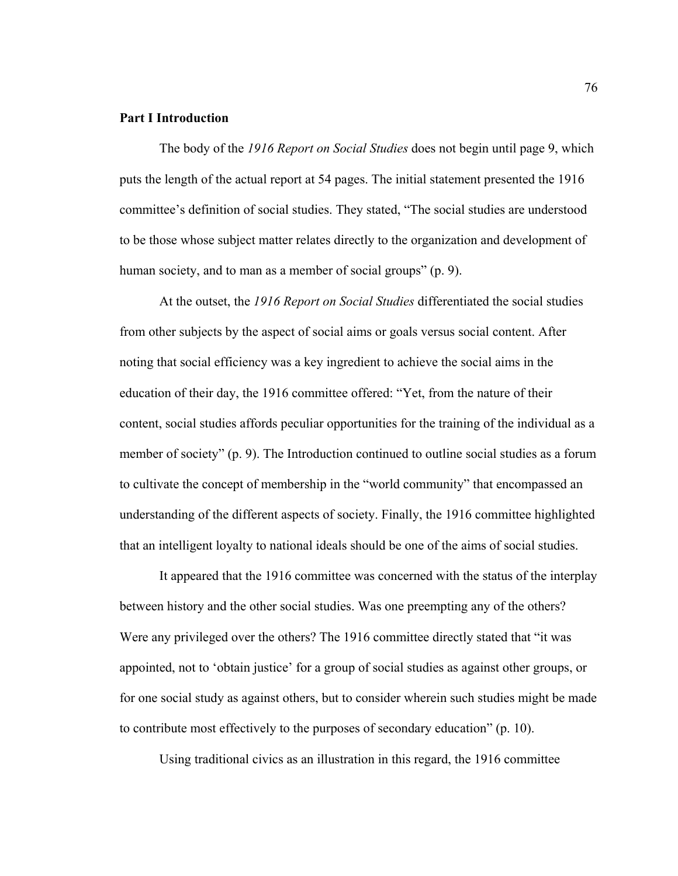#### **Part I Introduction**

The body of the *1916 Report on Social Studies* does not begin until page 9, which puts the length of the actual report at 54 pages. The initial statement presented the 1916 committee's definition of social studies. They stated, "The social studies are understood to be those whose subject matter relates directly to the organization and development of human society, and to man as a member of social groups" (p. 9).

At the outset, the *1916 Report on Social Studies* differentiated the social studies from other subjects by the aspect of social aims or goals versus social content. After noting that social efficiency was a key ingredient to achieve the social aims in the education of their day, the 1916 committee offered: "Yet, from the nature of their content, social studies affords peculiar opportunities for the training of the individual as a member of society" (p. 9). The Introduction continued to outline social studies as a forum to cultivate the concept of membership in the "world community" that encompassed an understanding of the different aspects of society. Finally, the 1916 committee highlighted that an intelligent loyalty to national ideals should be one of the aims of social studies.

It appeared that the 1916 committee was concerned with the status of the interplay between history and the other social studies. Was one preempting any of the others? Were any privileged over the others? The 1916 committee directly stated that "it was appointed, not to 'obtain justice' for a group of social studies as against other groups, or for one social study as against others, but to consider wherein such studies might be made to contribute most effectively to the purposes of secondary education" (p. 10).

Using traditional civics as an illustration in this regard, the 1916 committee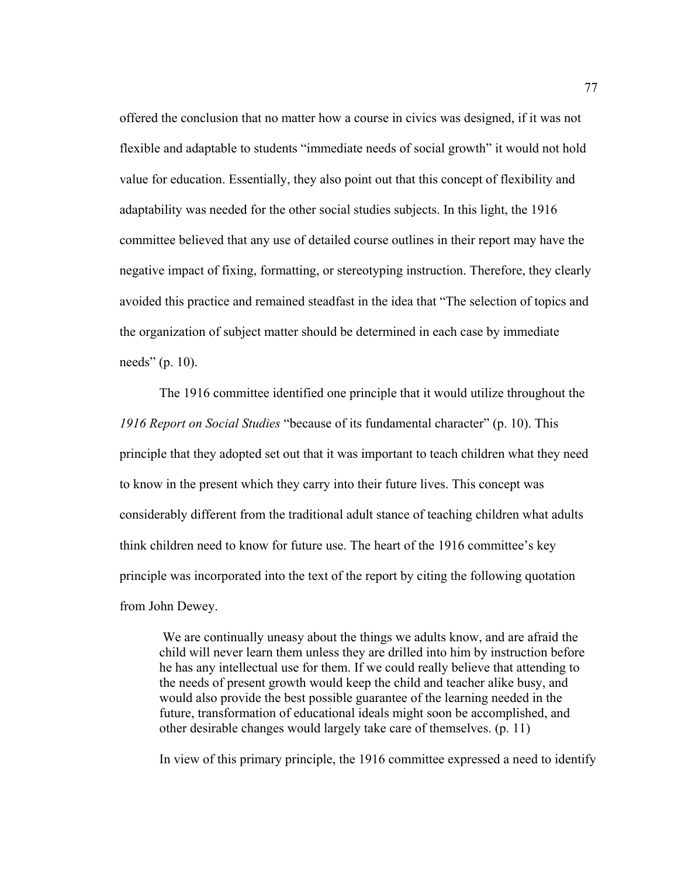offered the conclusion that no matter how a course in civics was designed, if it was not flexible and adaptable to students "immediate needs of social growth" it would not hold value for education. Essentially, they also point out that this concept of flexibility and adaptability was needed for the other social studies subjects. In this light, the 1916 committee believed that any use of detailed course outlines in their report may have the negative impact of fixing, formatting, or stereotyping instruction. Therefore, they clearly avoided this practice and remained steadfast in the idea that "The selection of topics and the organization of subject matter should be determined in each case by immediate needs" (p. 10).

The 1916 committee identified one principle that it would utilize throughout the *1916 Report on Social Studies* "because of its fundamental character" (p. 10). This principle that they adopted set out that it was important to teach children what they need to know in the present which they carry into their future lives. This concept was considerably different from the traditional adult stance of teaching children what adults think children need to know for future use. The heart of the 1916 committee's key principle was incorporated into the text of the report by citing the following quotation from John Dewey.

 We are continually uneasy about the things we adults know, and are afraid the child will never learn them unless they are drilled into him by instruction before he has any intellectual use for them. If we could really believe that attending to the needs of present growth would keep the child and teacher alike busy, and would also provide the best possible guarantee of the learning needed in the future, transformation of educational ideals might soon be accomplished, and other desirable changes would largely take care of themselves. (p. 11)

In view of this primary principle, the 1916 committee expressed a need to identify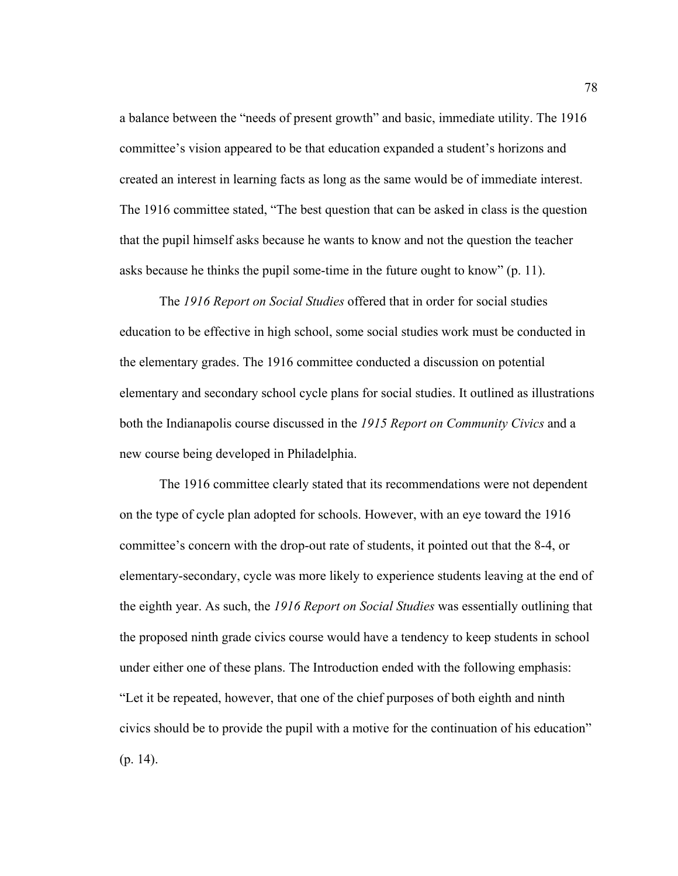a balance between the "needs of present growth" and basic, immediate utility. The 1916 committee's vision appeared to be that education expanded a student's horizons and created an interest in learning facts as long as the same would be of immediate interest. The 1916 committee stated, "The best question that can be asked in class is the question that the pupil himself asks because he wants to know and not the question the teacher asks because he thinks the pupil some-time in the future ought to know" (p. 11).

The *1916 Report on Social Studies* offered that in order for social studies education to be effective in high school, some social studies work must be conducted in the elementary grades. The 1916 committee conducted a discussion on potential elementary and secondary school cycle plans for social studies. It outlined as illustrations both the Indianapolis course discussed in the *1915 Report on Community Civics* and a new course being developed in Philadelphia.

 The 1916 committee clearly stated that its recommendations were not dependent on the type of cycle plan adopted for schools. However, with an eye toward the 1916 committee's concern with the drop-out rate of students, it pointed out that the 8-4, or elementary-secondary, cycle was more likely to experience students leaving at the end of the eighth year. As such, the *1916 Report on Social Studies* was essentially outlining that the proposed ninth grade civics course would have a tendency to keep students in school under either one of these plans. The Introduction ended with the following emphasis: "Let it be repeated, however, that one of the chief purposes of both eighth and ninth civics should be to provide the pupil with a motive for the continuation of his education" (p. 14).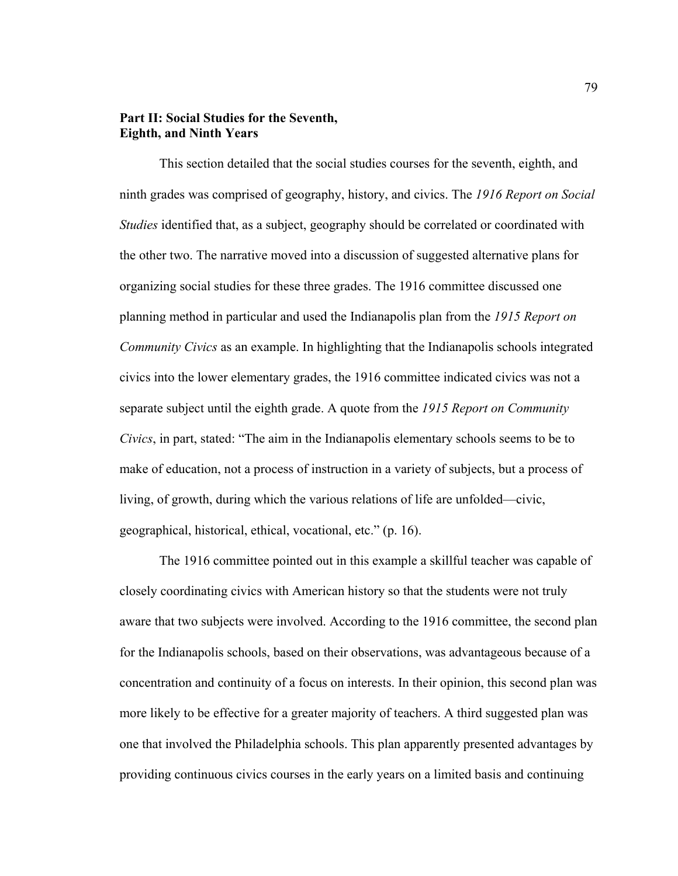## **Part II: Social Studies for the Seventh, Eighth, and Ninth Years**

This section detailed that the social studies courses for the seventh, eighth, and ninth grades was comprised of geography, history, and civics. The *1916 Report on Social Studies* identified that, as a subject, geography should be correlated or coordinated with the other two. The narrative moved into a discussion of suggested alternative plans for organizing social studies for these three grades. The 1916 committee discussed one planning method in particular and used the Indianapolis plan from the *1915 Report on Community Civics* as an example. In highlighting that the Indianapolis schools integrated civics into the lower elementary grades, the 1916 committee indicated civics was not a separate subject until the eighth grade. A quote from the *1915 Report on Community Civics*, in part, stated: "The aim in the Indianapolis elementary schools seems to be to make of education, not a process of instruction in a variety of subjects, but a process of living, of growth, during which the various relations of life are unfolded—civic, geographical, historical, ethical, vocational, etc." (p. 16).

The 1916 committee pointed out in this example a skillful teacher was capable of closely coordinating civics with American history so that the students were not truly aware that two subjects were involved. According to the 1916 committee, the second plan for the Indianapolis schools, based on their observations, was advantageous because of a concentration and continuity of a focus on interests. In their opinion, this second plan was more likely to be effective for a greater majority of teachers. A third suggested plan was one that involved the Philadelphia schools. This plan apparently presented advantages by providing continuous civics courses in the early years on a limited basis and continuing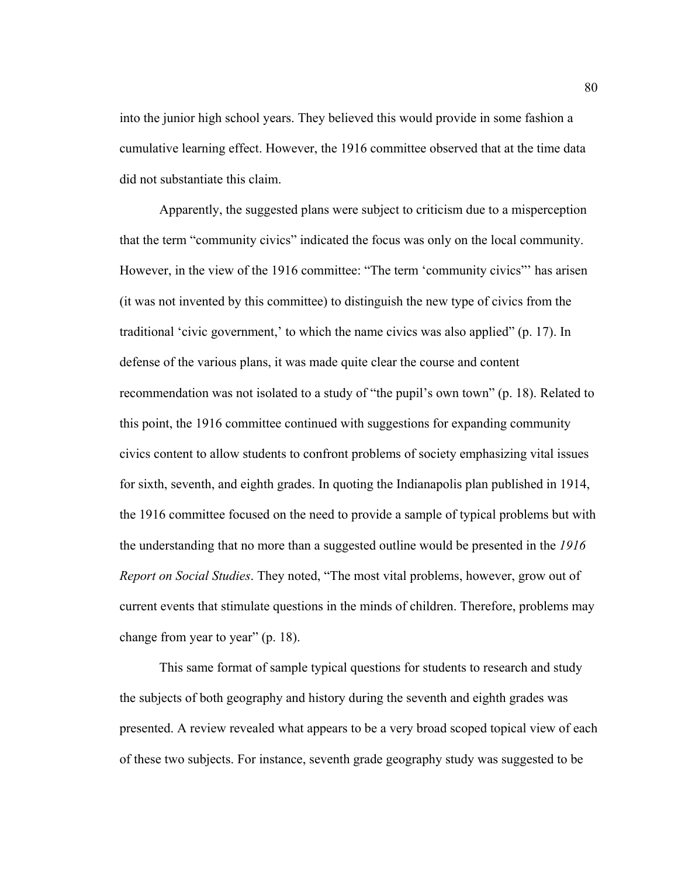into the junior high school years. They believed this would provide in some fashion a cumulative learning effect. However, the 1916 committee observed that at the time data did not substantiate this claim.

Apparently, the suggested plans were subject to criticism due to a misperception that the term "community civics" indicated the focus was only on the local community. However, in the view of the 1916 committee: "The term 'community civics"' has arisen (it was not invented by this committee) to distinguish the new type of civics from the traditional 'civic government,' to which the name civics was also applied" (p. 17). In defense of the various plans, it was made quite clear the course and content recommendation was not isolated to a study of "the pupil's own town" (p. 18). Related to this point, the 1916 committee continued with suggestions for expanding community civics content to allow students to confront problems of society emphasizing vital issues for sixth, seventh, and eighth grades. In quoting the Indianapolis plan published in 1914, the 1916 committee focused on the need to provide a sample of typical problems but with the understanding that no more than a suggested outline would be presented in the *1916 Report on Social Studies*. They noted, "The most vital problems, however, grow out of current events that stimulate questions in the minds of children. Therefore, problems may change from year to year" (p. 18).

This same format of sample typical questions for students to research and study the subjects of both geography and history during the seventh and eighth grades was presented. A review revealed what appears to be a very broad scoped topical view of each of these two subjects. For instance, seventh grade geography study was suggested to be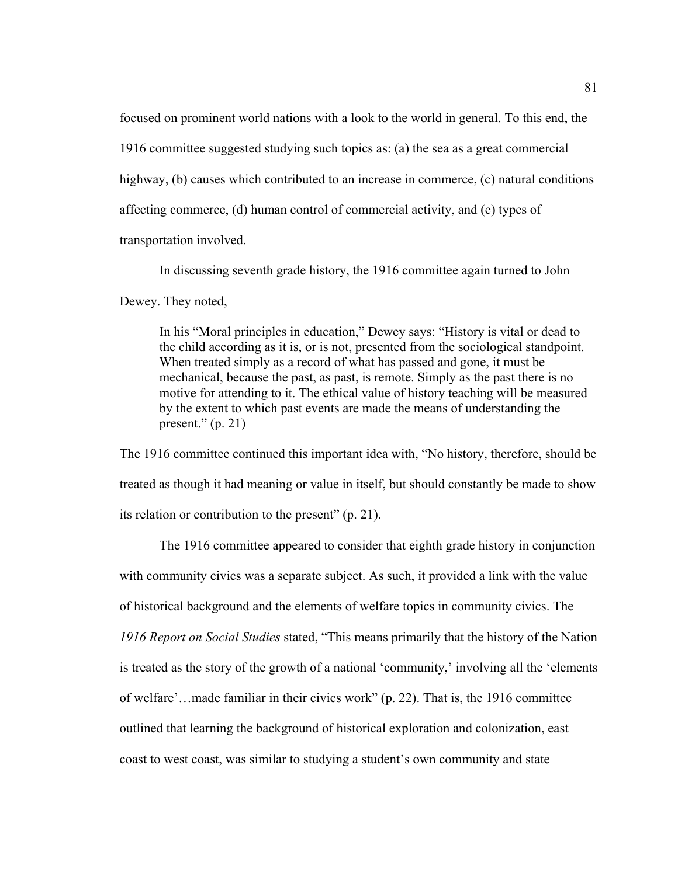focused on prominent world nations with a look to the world in general. To this end, the 1916 committee suggested studying such topics as: (a) the sea as a great commercial highway, (b) causes which contributed to an increase in commerce, (c) natural conditions affecting commerce, (d) human control of commercial activity, and (e) types of transportation involved.

In discussing seventh grade history, the 1916 committee again turned to John

Dewey. They noted,

In his "Moral principles in education," Dewey says: "History is vital or dead to the child according as it is, or is not, presented from the sociological standpoint. When treated simply as a record of what has passed and gone, it must be mechanical, because the past, as past, is remote. Simply as the past there is no motive for attending to it. The ethical value of history teaching will be measured by the extent to which past events are made the means of understanding the present."  $(p. 21)$ 

The 1916 committee continued this important idea with, "No history, therefore, should be treated as though it had meaning or value in itself, but should constantly be made to show its relation or contribution to the present" (p. 21).

The 1916 committee appeared to consider that eighth grade history in conjunction with community civics was a separate subject. As such, it provided a link with the value of historical background and the elements of welfare topics in community civics. The *1916 Report on Social Studies* stated, "This means primarily that the history of the Nation is treated as the story of the growth of a national 'community,' involving all the 'elements of welfare'…made familiar in their civics work" (p. 22). That is, the 1916 committee outlined that learning the background of historical exploration and colonization, east coast to west coast, was similar to studying a student's own community and state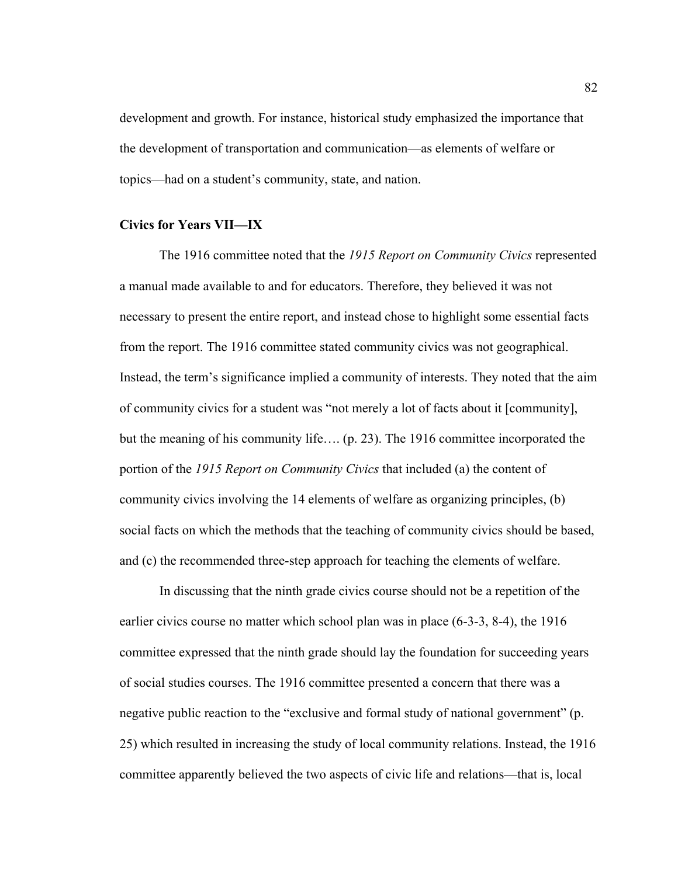development and growth. For instance, historical study emphasized the importance that the development of transportation and communication—as elements of welfare or topics—had on a student's community, state, and nation.

### **Civics for Years VII—IX**

The 1916 committee noted that the *1915 Report on Community Civics* represented a manual made available to and for educators. Therefore, they believed it was not necessary to present the entire report, and instead chose to highlight some essential facts from the report. The 1916 committee stated community civics was not geographical. Instead, the term's significance implied a community of interests. They noted that the aim of community civics for a student was "not merely a lot of facts about it [community], but the meaning of his community life…. (p. 23). The 1916 committee incorporated the portion of the *1915 Report on Community Civics* that included (a) the content of community civics involving the 14 elements of welfare as organizing principles, (b) social facts on which the methods that the teaching of community civics should be based, and (c) the recommended three-step approach for teaching the elements of welfare.

In discussing that the ninth grade civics course should not be a repetition of the earlier civics course no matter which school plan was in place (6-3-3, 8-4), the 1916 committee expressed that the ninth grade should lay the foundation for succeeding years of social studies courses. The 1916 committee presented a concern that there was a negative public reaction to the "exclusive and formal study of national government" (p. 25) which resulted in increasing the study of local community relations. Instead, the 1916 committee apparently believed the two aspects of civic life and relations—that is, local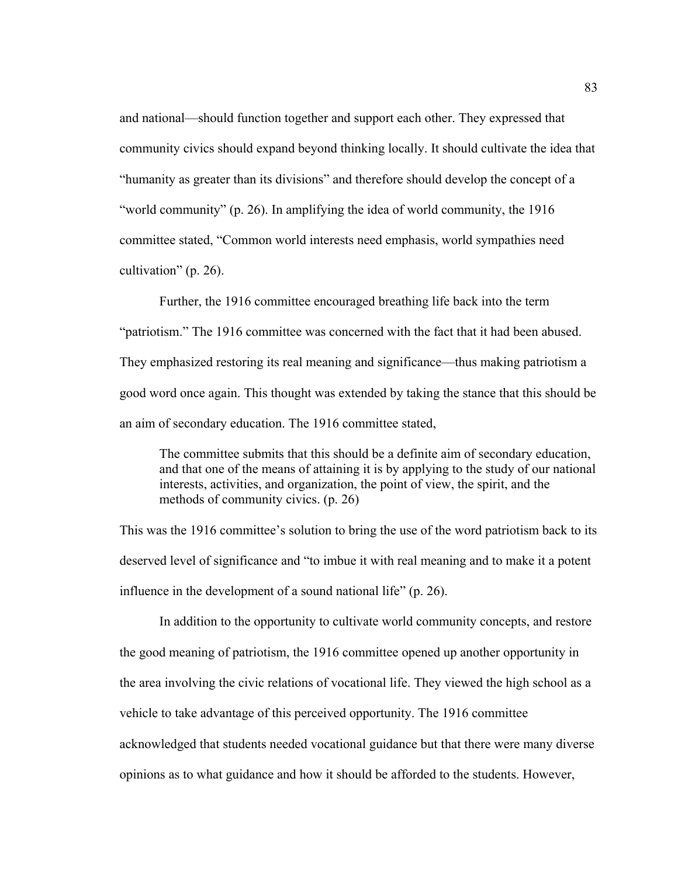and national—should function together and support each other. They expressed that community civics should expand beyond thinking locally. It should cultivate the idea that "humanity as greater than its divisions" and therefore should develop the concept of a "world community" (p. 26). In amplifying the idea of world community, the 1916 committee stated, "Common world interests need emphasis, world sympathies need cultivation" (p. 26).

 Further, the 1916 committee encouraged breathing life back into the term "patriotism." The 1916 committee was concerned with the fact that it had been abused. They emphasized restoring its real meaning and significance—thus making patriotism a good word once again. This thought was extended by taking the stance that this should be an aim of secondary education. The 1916 committee stated,

The committee submits that this should be a definite aim of secondary education, and that one of the means of attaining it is by applying to the study of our national interests, activities, and organization, the point of view, the spirit, and the methods of community civics. (p. 26)

This was the 1916 committee's solution to bring the use of the word patriotism back to its deserved level of significance and "to imbue it with real meaning and to make it a potent influence in the development of a sound national life" (p. 26).

In addition to the opportunity to cultivate world community concepts, and restore the good meaning of patriotism, the 1916 committee opened up another opportunity in the area involving the civic relations of vocational life. They viewed the high school as a vehicle to take advantage of this perceived opportunity. The 1916 committee acknowledged that students needed vocational guidance but that there were many diverse opinions as to what guidance and how it should be afforded to the students. However,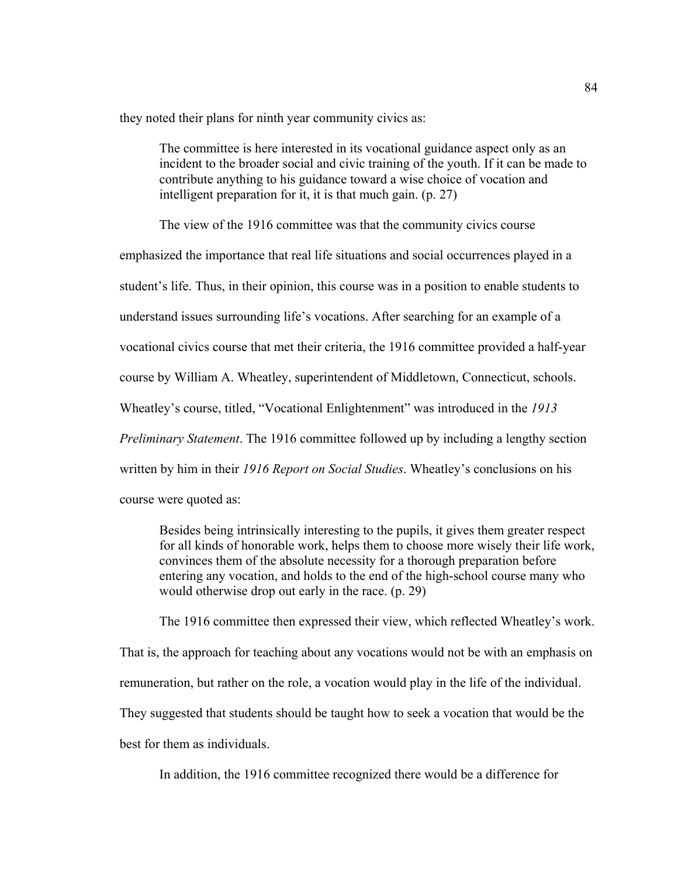they noted their plans for ninth year community civics as:

The committee is here interested in its vocational guidance aspect only as an incident to the broader social and civic training of the youth. If it can be made to contribute anything to his guidance toward a wise choice of vocation and intelligent preparation for it, it is that much gain. (p. 27)

The view of the 1916 committee was that the community civics course

emphasized the importance that real life situations and social occurrences played in a student's life. Thus, in their opinion, this course was in a position to enable students to understand issues surrounding life's vocations. After searching for an example of a vocational civics course that met their criteria, the 1916 committee provided a half-year course by William A. Wheatley, superintendent of Middletown, Connecticut, schools. Wheatley's course, titled, "Vocational Enlightenment" was introduced in the *1913 Preliminary Statement*. The 1916 committee followed up by including a lengthy section written by him in their *1916 Report on Social Studies*. Wheatley's conclusions on his course were quoted as:

Besides being intrinsically interesting to the pupils, it gives them greater respect for all kinds of honorable work, helps them to choose more wisely their life work, convinces them of the absolute necessity for a thorough preparation before entering any vocation, and holds to the end of the high-school course many who would otherwise drop out early in the race. (p. 29)

The 1916 committee then expressed their view, which reflected Wheatley's work.

That is, the approach for teaching about any vocations would not be with an emphasis on

remuneration, but rather on the role, a vocation would play in the life of the individual.

They suggested that students should be taught how to seek a vocation that would be the

best for them as individuals.

In addition, the 1916 committee recognized there would be a difference for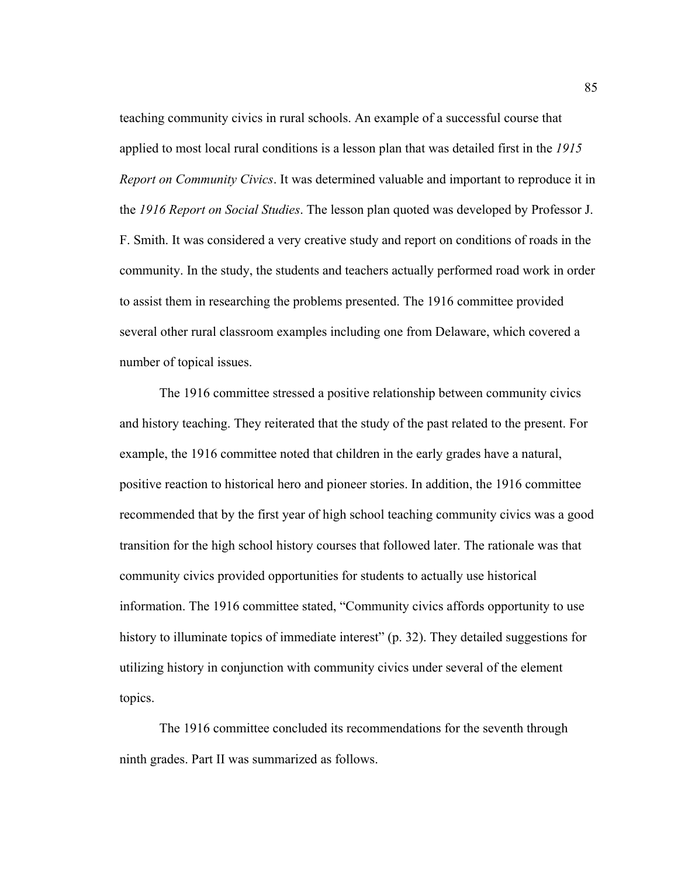teaching community civics in rural schools. An example of a successful course that applied to most local rural conditions is a lesson plan that was detailed first in the *1915 Report on Community Civics*. It was determined valuable and important to reproduce it in the *1916 Report on Social Studies*. The lesson plan quoted was developed by Professor J. F. Smith. It was considered a very creative study and report on conditions of roads in the community. In the study, the students and teachers actually performed road work in order to assist them in researching the problems presented. The 1916 committee provided several other rural classroom examples including one from Delaware, which covered a number of topical issues.

 The 1916 committee stressed a positive relationship between community civics and history teaching. They reiterated that the study of the past related to the present. For example, the 1916 committee noted that children in the early grades have a natural, positive reaction to historical hero and pioneer stories. In addition, the 1916 committee recommended that by the first year of high school teaching community civics was a good transition for the high school history courses that followed later. The rationale was that community civics provided opportunities for students to actually use historical information. The 1916 committee stated, "Community civics affords opportunity to use history to illuminate topics of immediate interest" (p. 32). They detailed suggestions for utilizing history in conjunction with community civics under several of the element topics.

 The 1916 committee concluded its recommendations for the seventh through ninth grades. Part II was summarized as follows.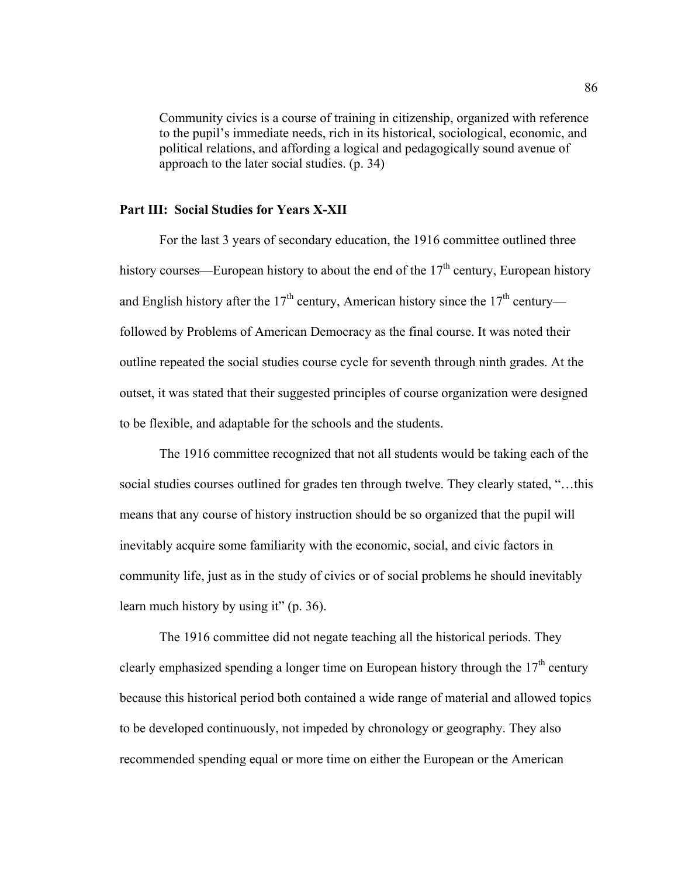Community civics is a course of training in citizenship, organized with reference to the pupil's immediate needs, rich in its historical, sociological, economic, and political relations, and affording a logical and pedagogically sound avenue of approach to the later social studies. (p. 34)

### **Part III: Social Studies for Years X-XII**

For the last 3 years of secondary education, the 1916 committee outlined three history courses—European history to about the end of the  $17<sup>th</sup>$  century, European history and English history after the  $17<sup>th</sup>$  century, American history since the  $17<sup>th</sup>$  century followed by Problems of American Democracy as the final course. It was noted their outline repeated the social studies course cycle for seventh through ninth grades. At the outset, it was stated that their suggested principles of course organization were designed to be flexible, and adaptable for the schools and the students.

The 1916 committee recognized that not all students would be taking each of the social studies courses outlined for grades ten through twelve. They clearly stated, "…this means that any course of history instruction should be so organized that the pupil will inevitably acquire some familiarity with the economic, social, and civic factors in community life, just as in the study of civics or of social problems he should inevitably learn much history by using it" (p. 36).

The 1916 committee did not negate teaching all the historical periods. They clearly emphasized spending a longer time on European history through the  $17<sup>th</sup>$  century because this historical period both contained a wide range of material and allowed topics to be developed continuously, not impeded by chronology or geography. They also recommended spending equal or more time on either the European or the American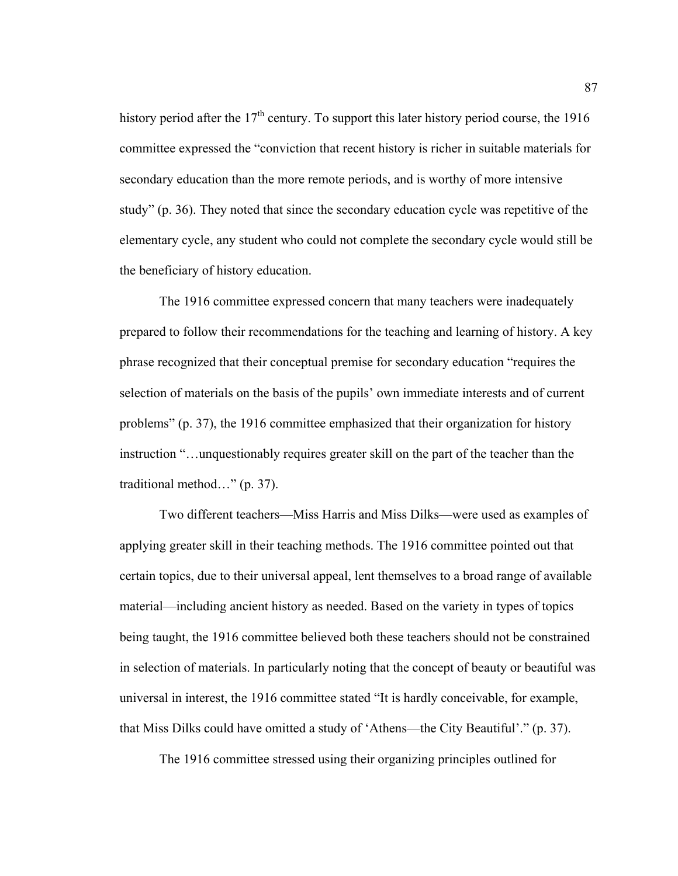history period after the  $17<sup>th</sup>$  century. To support this later history period course, the 1916 committee expressed the "conviction that recent history is richer in suitable materials for secondary education than the more remote periods, and is worthy of more intensive study" (p. 36). They noted that since the secondary education cycle was repetitive of the elementary cycle, any student who could not complete the secondary cycle would still be the beneficiary of history education.

The 1916 committee expressed concern that many teachers were inadequately prepared to follow their recommendations for the teaching and learning of history. A key phrase recognized that their conceptual premise for secondary education "requires the selection of materials on the basis of the pupils' own immediate interests and of current problems" (p. 37), the 1916 committee emphasized that their organization for history instruction "…unquestionably requires greater skill on the part of the teacher than the traditional method…" (p. 37).

Two different teachers—Miss Harris and Miss Dilks—were used as examples of applying greater skill in their teaching methods. The 1916 committee pointed out that certain topics, due to their universal appeal, lent themselves to a broad range of available material—including ancient history as needed. Based on the variety in types of topics being taught, the 1916 committee believed both these teachers should not be constrained in selection of materials. In particularly noting that the concept of beauty or beautiful was universal in interest, the 1916 committee stated "It is hardly conceivable, for example, that Miss Dilks could have omitted a study of 'Athens—the City Beautiful'." (p. 37).

The 1916 committee stressed using their organizing principles outlined for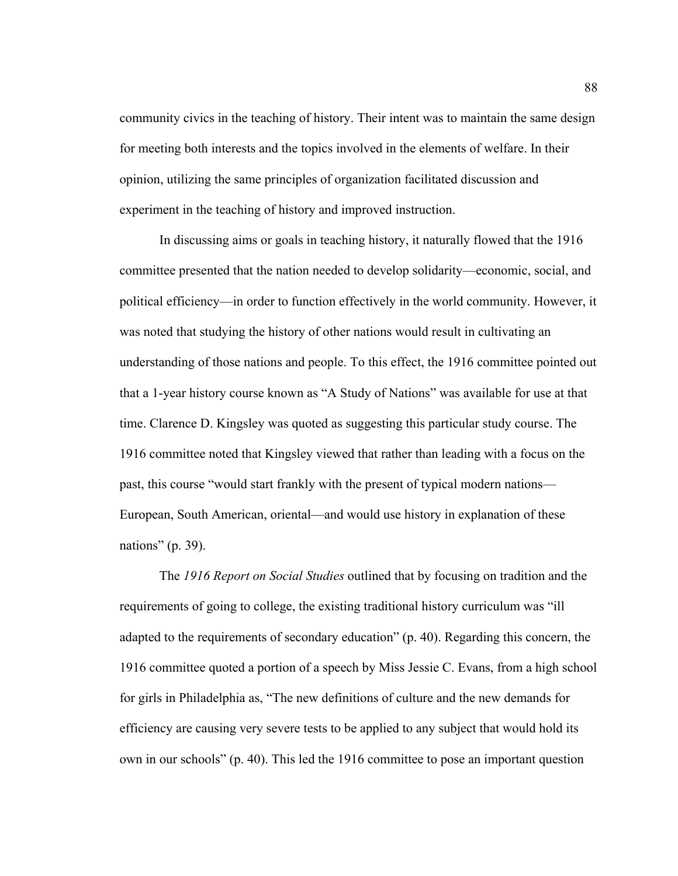community civics in the teaching of history. Their intent was to maintain the same design for meeting both interests and the topics involved in the elements of welfare. In their opinion, utilizing the same principles of organization facilitated discussion and experiment in the teaching of history and improved instruction.

In discussing aims or goals in teaching history, it naturally flowed that the 1916 committee presented that the nation needed to develop solidarity—economic, social, and political efficiency—in order to function effectively in the world community. However, it was noted that studying the history of other nations would result in cultivating an understanding of those nations and people. To this effect, the 1916 committee pointed out that a 1-year history course known as "A Study of Nations" was available for use at that time. Clarence D. Kingsley was quoted as suggesting this particular study course. The 1916 committee noted that Kingsley viewed that rather than leading with a focus on the past, this course "would start frankly with the present of typical modern nations— European, South American, oriental—and would use history in explanation of these nations" (p. 39).

The *1916 Report on Social Studies* outlined that by focusing on tradition and the requirements of going to college, the existing traditional history curriculum was "ill adapted to the requirements of secondary education" (p. 40). Regarding this concern, the 1916 committee quoted a portion of a speech by Miss Jessie C. Evans, from a high school for girls in Philadelphia as, "The new definitions of culture and the new demands for efficiency are causing very severe tests to be applied to any subject that would hold its own in our schools" (p. 40). This led the 1916 committee to pose an important question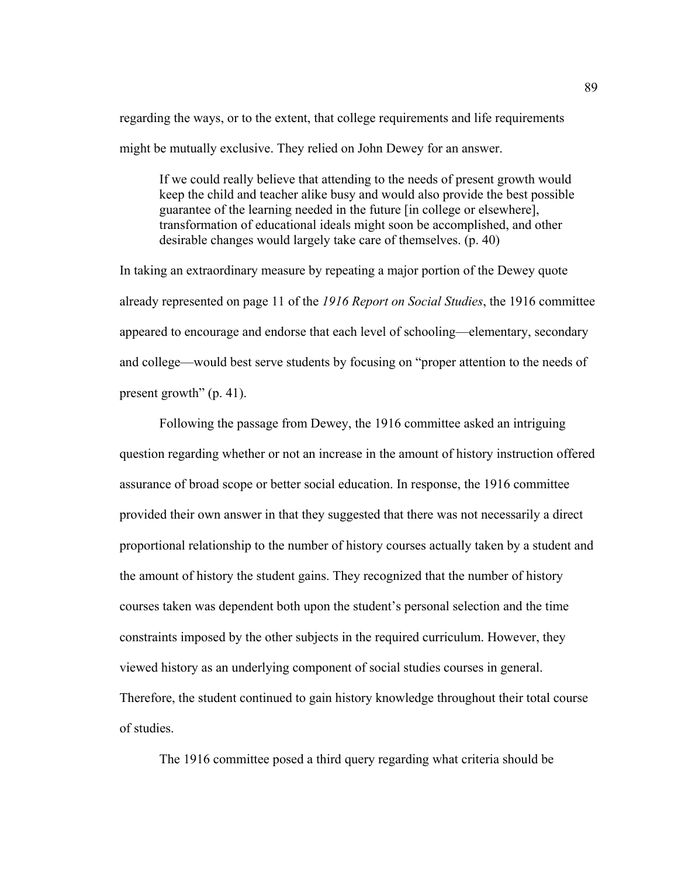regarding the ways, or to the extent, that college requirements and life requirements might be mutually exclusive. They relied on John Dewey for an answer.

If we could really believe that attending to the needs of present growth would keep the child and teacher alike busy and would also provide the best possible guarantee of the learning needed in the future [in college or elsewhere], transformation of educational ideals might soon be accomplished, and other desirable changes would largely take care of themselves. (p. 40)

In taking an extraordinary measure by repeating a major portion of the Dewey quote already represented on page 11 of the *1916 Report on Social Studies*, the 1916 committee appeared to encourage and endorse that each level of schooling—elementary, secondary and college—would best serve students by focusing on "proper attention to the needs of present growth" (p. 41).

Following the passage from Dewey, the 1916 committee asked an intriguing question regarding whether or not an increase in the amount of history instruction offered assurance of broad scope or better social education. In response, the 1916 committee provided their own answer in that they suggested that there was not necessarily a direct proportional relationship to the number of history courses actually taken by a student and the amount of history the student gains. They recognized that the number of history courses taken was dependent both upon the student's personal selection and the time constraints imposed by the other subjects in the required curriculum. However, they viewed history as an underlying component of social studies courses in general. Therefore, the student continued to gain history knowledge throughout their total course of studies.

The 1916 committee posed a third query regarding what criteria should be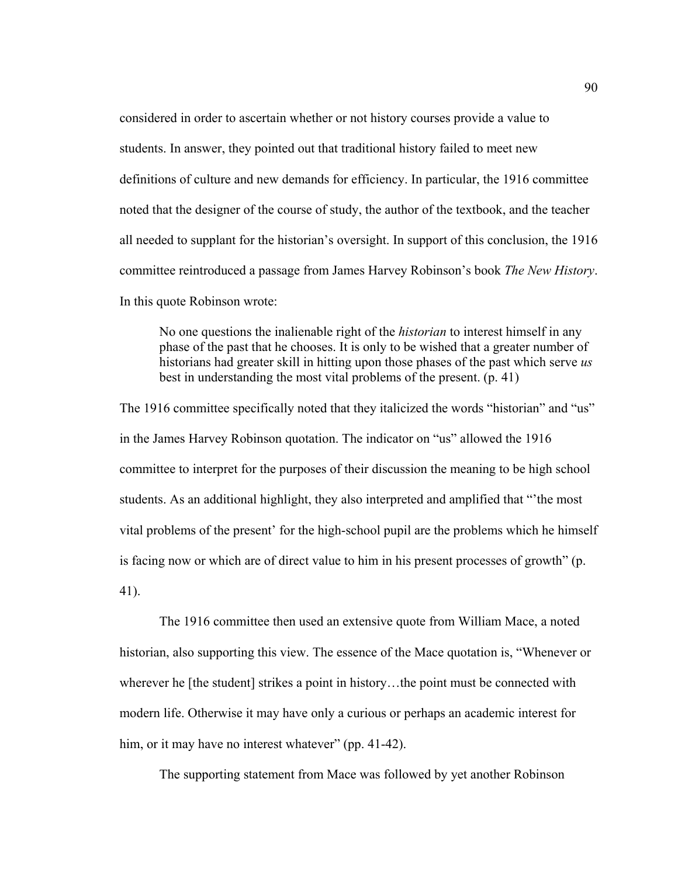considered in order to ascertain whether or not history courses provide a value to students. In answer, they pointed out that traditional history failed to meet new definitions of culture and new demands for efficiency. In particular, the 1916 committee noted that the designer of the course of study, the author of the textbook, and the teacher all needed to supplant for the historian's oversight. In support of this conclusion, the 1916 committee reintroduced a passage from James Harvey Robinson's book *The New History*. In this quote Robinson wrote:

No one questions the inalienable right of the *historian* to interest himself in any phase of the past that he chooses. It is only to be wished that a greater number of historians had greater skill in hitting upon those phases of the past which serve *us* best in understanding the most vital problems of the present. (p. 41)

The 1916 committee specifically noted that they italicized the words "historian" and "us" in the James Harvey Robinson quotation. The indicator on "us" allowed the 1916 committee to interpret for the purposes of their discussion the meaning to be high school students. As an additional highlight, they also interpreted and amplified that "'the most vital problems of the present' for the high-school pupil are the problems which he himself is facing now or which are of direct value to him in his present processes of growth" (p. 41).

The 1916 committee then used an extensive quote from William Mace, a noted historian, also supporting this view. The essence of the Mace quotation is, "Whenever or wherever he [the student] strikes a point in history…the point must be connected with modern life. Otherwise it may have only a curious or perhaps an academic interest for him, or it may have no interest whatever" (pp. 41-42).

The supporting statement from Mace was followed by yet another Robinson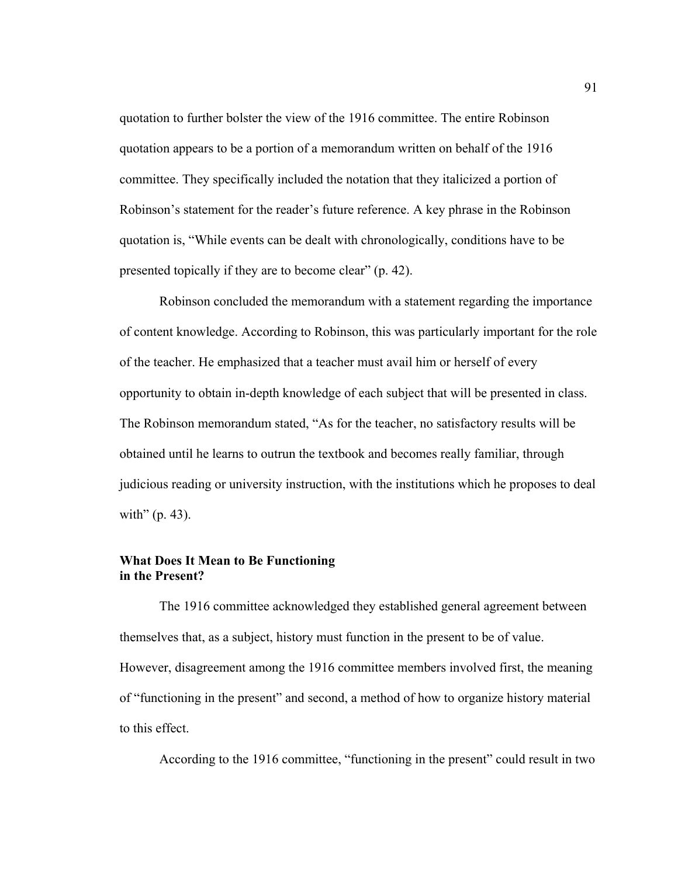quotation to further bolster the view of the 1916 committee. The entire Robinson quotation appears to be a portion of a memorandum written on behalf of the 1916 committee. They specifically included the notation that they italicized a portion of Robinson's statement for the reader's future reference. A key phrase in the Robinson quotation is, "While events can be dealt with chronologically, conditions have to be presented topically if they are to become clear" (p. 42).

 Robinson concluded the memorandum with a statement regarding the importance of content knowledge. According to Robinson, this was particularly important for the role of the teacher. He emphasized that a teacher must avail him or herself of every opportunity to obtain in-depth knowledge of each subject that will be presented in class. The Robinson memorandum stated, "As for the teacher, no satisfactory results will be obtained until he learns to outrun the textbook and becomes really familiar, through judicious reading or university instruction, with the institutions which he proposes to deal with"  $(p. 43)$ .

### **What Does It Mean to Be Functioning in the Present?**

The 1916 committee acknowledged they established general agreement between themselves that, as a subject, history must function in the present to be of value. However, disagreement among the 1916 committee members involved first, the meaning of "functioning in the present" and second, a method of how to organize history material to this effect.

According to the 1916 committee, "functioning in the present" could result in two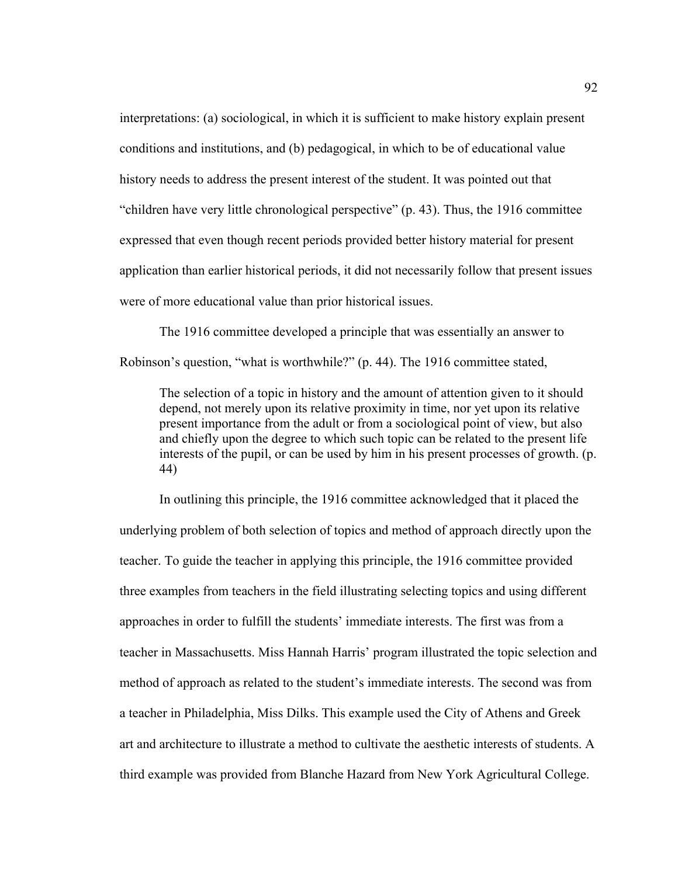interpretations: (a) sociological, in which it is sufficient to make history explain present conditions and institutions, and (b) pedagogical, in which to be of educational value history needs to address the present interest of the student. It was pointed out that "children have very little chronological perspective" (p. 43). Thus, the 1916 committee expressed that even though recent periods provided better history material for present application than earlier historical periods, it did not necessarily follow that present issues were of more educational value than prior historical issues.

The 1916 committee developed a principle that was essentially an answer to Robinson's question, "what is worthwhile?" (p. 44). The 1916 committee stated,

The selection of a topic in history and the amount of attention given to it should depend, not merely upon its relative proximity in time, nor yet upon its relative present importance from the adult or from a sociological point of view, but also and chiefly upon the degree to which such topic can be related to the present life interests of the pupil, or can be used by him in his present processes of growth. (p. 44)

In outlining this principle, the 1916 committee acknowledged that it placed the underlying problem of both selection of topics and method of approach directly upon the teacher. To guide the teacher in applying this principle, the 1916 committee provided three examples from teachers in the field illustrating selecting topics and using different approaches in order to fulfill the students' immediate interests. The first was from a teacher in Massachusetts. Miss Hannah Harris' program illustrated the topic selection and method of approach as related to the student's immediate interests. The second was from a teacher in Philadelphia, Miss Dilks. This example used the City of Athens and Greek art and architecture to illustrate a method to cultivate the aesthetic interests of students. A third example was provided from Blanche Hazard from New York Agricultural College.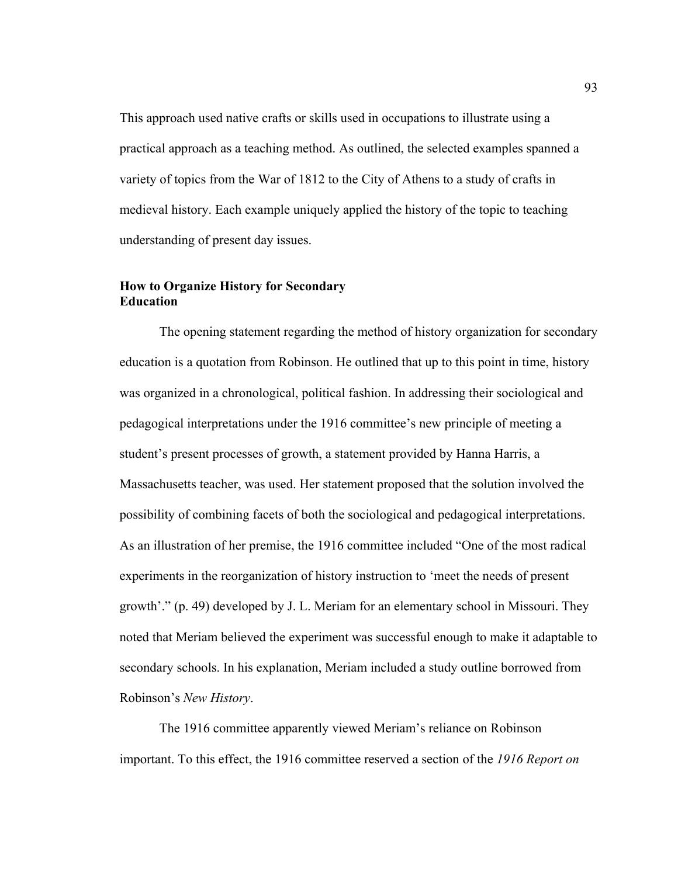This approach used native crafts or skills used in occupations to illustrate using a practical approach as a teaching method. As outlined, the selected examples spanned a variety of topics from the War of 1812 to the City of Athens to a study of crafts in medieval history. Each example uniquely applied the history of the topic to teaching understanding of present day issues.

# **How to Organize History for Secondary Education**

The opening statement regarding the method of history organization for secondary education is a quotation from Robinson. He outlined that up to this point in time, history was organized in a chronological, political fashion. In addressing their sociological and pedagogical interpretations under the 1916 committee's new principle of meeting a student's present processes of growth, a statement provided by Hanna Harris, a Massachusetts teacher, was used. Her statement proposed that the solution involved the possibility of combining facets of both the sociological and pedagogical interpretations. As an illustration of her premise, the 1916 committee included "One of the most radical experiments in the reorganization of history instruction to 'meet the needs of present growth'." (p. 49) developed by J. L. Meriam for an elementary school in Missouri. They noted that Meriam believed the experiment was successful enough to make it adaptable to secondary schools. In his explanation, Meriam included a study outline borrowed from Robinson's *New History*.

The 1916 committee apparently viewed Meriam's reliance on Robinson important. To this effect, the 1916 committee reserved a section of the *1916 Report on*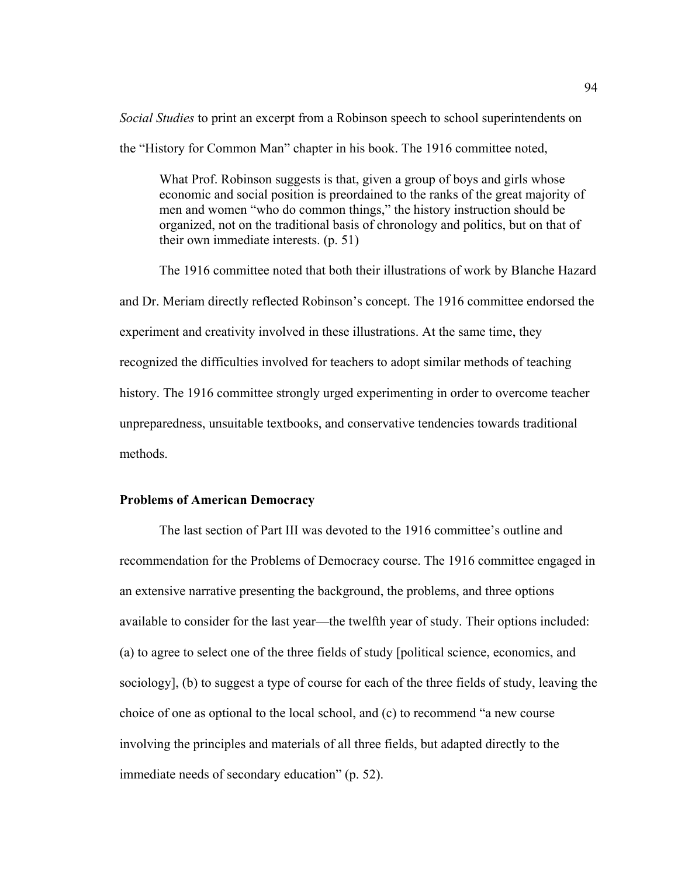*Social Studies* to print an excerpt from a Robinson speech to school superintendents on the "History for Common Man" chapter in his book. The 1916 committee noted,

What Prof. Robinson suggests is that, given a group of boys and girls whose economic and social position is preordained to the ranks of the great majority of men and women "who do common things," the history instruction should be organized, not on the traditional basis of chronology and politics, but on that of their own immediate interests. (p. 51)

The 1916 committee noted that both their illustrations of work by Blanche Hazard and Dr. Meriam directly reflected Robinson's concept. The 1916 committee endorsed the experiment and creativity involved in these illustrations. At the same time, they recognized the difficulties involved for teachers to adopt similar methods of teaching history. The 1916 committee strongly urged experimenting in order to overcome teacher unpreparedness, unsuitable textbooks, and conservative tendencies towards traditional methods.

#### **Problems of American Democracy**

The last section of Part III was devoted to the 1916 committee's outline and recommendation for the Problems of Democracy course. The 1916 committee engaged in an extensive narrative presenting the background, the problems, and three options available to consider for the last year—the twelfth year of study. Their options included: (a) to agree to select one of the three fields of study [political science, economics, and sociology], (b) to suggest a type of course for each of the three fields of study, leaving the choice of one as optional to the local school, and (c) to recommend "a new course involving the principles and materials of all three fields, but adapted directly to the immediate needs of secondary education" (p. 52).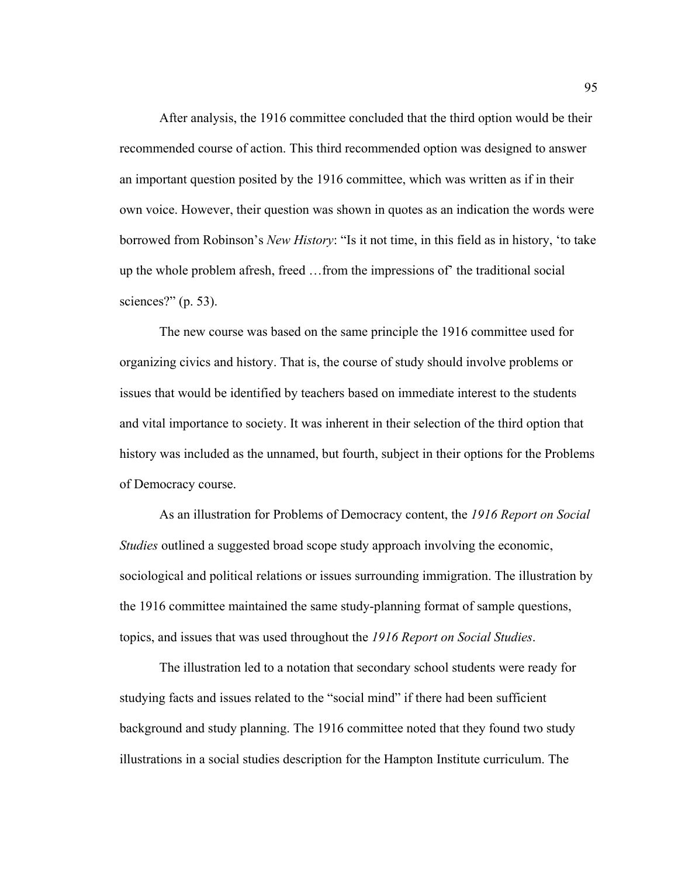After analysis, the 1916 committee concluded that the third option would be their recommended course of action. This third recommended option was designed to answer an important question posited by the 1916 committee, which was written as if in their own voice. However, their question was shown in quotes as an indication the words were borrowed from Robinson's *New History*: "Is it not time, in this field as in history, 'to take up the whole problem afresh, freed …from the impressions of' the traditional social sciences?"  $(p. 53)$ .

The new course was based on the same principle the 1916 committee used for organizing civics and history. That is, the course of study should involve problems or issues that would be identified by teachers based on immediate interest to the students and vital importance to society. It was inherent in their selection of the third option that history was included as the unnamed, but fourth, subject in their options for the Problems of Democracy course.

As an illustration for Problems of Democracy content, the *1916 Report on Social Studies* outlined a suggested broad scope study approach involving the economic, sociological and political relations or issues surrounding immigration. The illustration by the 1916 committee maintained the same study-planning format of sample questions, topics, and issues that was used throughout the *1916 Report on Social Studies*.

The illustration led to a notation that secondary school students were ready for studying facts and issues related to the "social mind" if there had been sufficient background and study planning. The 1916 committee noted that they found two study illustrations in a social studies description for the Hampton Institute curriculum. The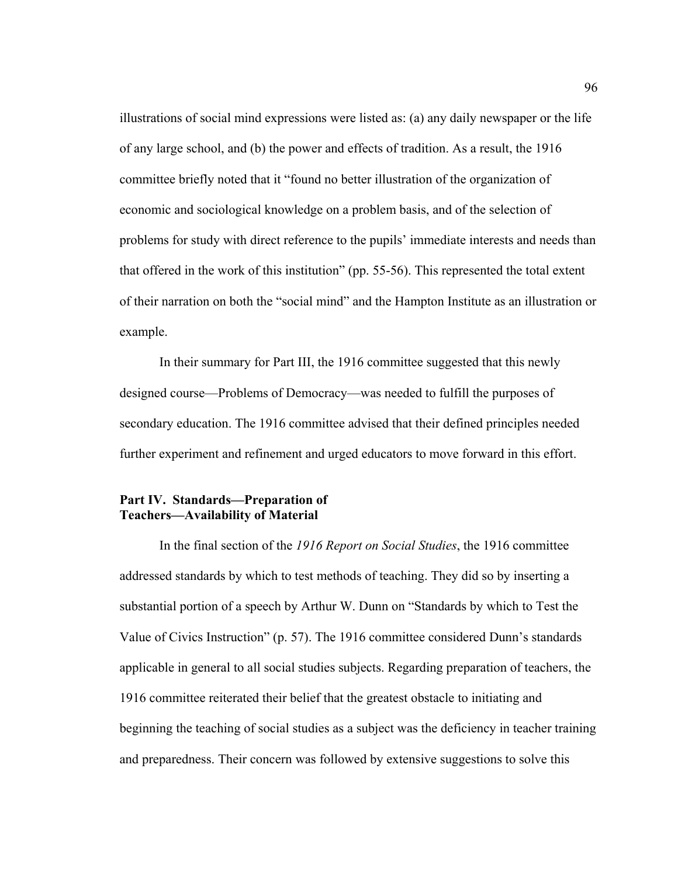illustrations of social mind expressions were listed as: (a) any daily newspaper or the life of any large school, and (b) the power and effects of tradition. As a result, the 1916 committee briefly noted that it "found no better illustration of the organization of economic and sociological knowledge on a problem basis, and of the selection of problems for study with direct reference to the pupils' immediate interests and needs than that offered in the work of this institution" (pp. 55-56). This represented the total extent of their narration on both the "social mind" and the Hampton Institute as an illustration or example.

 In their summary for Part III, the 1916 committee suggested that this newly designed course—Problems of Democracy—was needed to fulfill the purposes of secondary education. The 1916 committee advised that their defined principles needed further experiment and refinement and urged educators to move forward in this effort.

### **Part IV. Standards—Preparation of Teachers—Availability of Material**

In the final section of the *1916 Report on Social Studies*, the 1916 committee addressed standards by which to test methods of teaching. They did so by inserting a substantial portion of a speech by Arthur W. Dunn on "Standards by which to Test the Value of Civics Instruction" (p. 57). The 1916 committee considered Dunn's standards applicable in general to all social studies subjects. Regarding preparation of teachers, the 1916 committee reiterated their belief that the greatest obstacle to initiating and beginning the teaching of social studies as a subject was the deficiency in teacher training and preparedness. Their concern was followed by extensive suggestions to solve this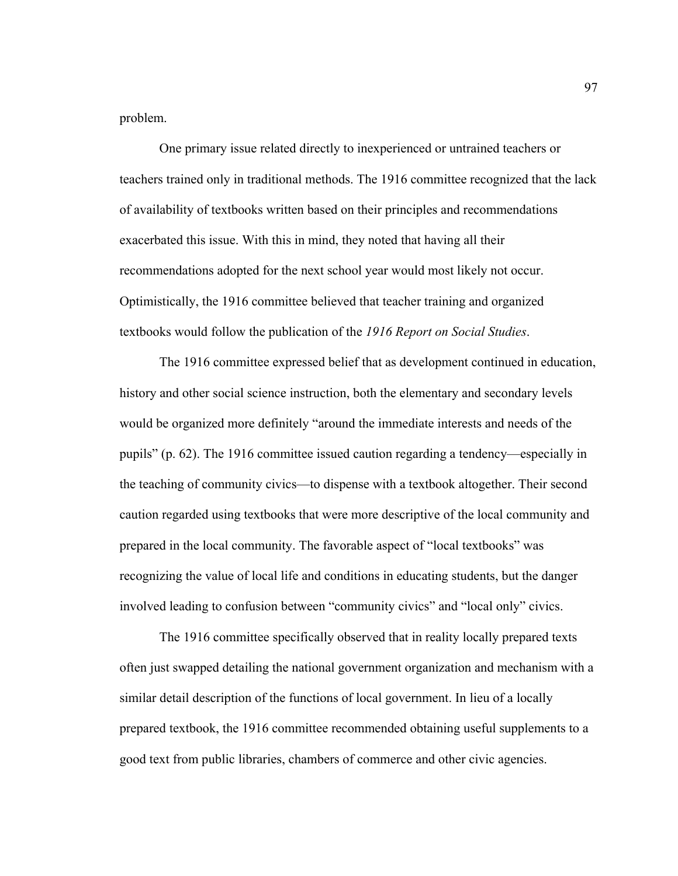problem.

One primary issue related directly to inexperienced or untrained teachers or teachers trained only in traditional methods. The 1916 committee recognized that the lack of availability of textbooks written based on their principles and recommendations exacerbated this issue. With this in mind, they noted that having all their recommendations adopted for the next school year would most likely not occur. Optimistically, the 1916 committee believed that teacher training and organized textbooks would follow the publication of the *1916 Report on Social Studies*.

The 1916 committee expressed belief that as development continued in education, history and other social science instruction, both the elementary and secondary levels would be organized more definitely "around the immediate interests and needs of the pupils" (p. 62). The 1916 committee issued caution regarding a tendency—especially in the teaching of community civics—to dispense with a textbook altogether. Their second caution regarded using textbooks that were more descriptive of the local community and prepared in the local community. The favorable aspect of "local textbooks" was recognizing the value of local life and conditions in educating students, but the danger involved leading to confusion between "community civics" and "local only" civics.

The 1916 committee specifically observed that in reality locally prepared texts often just swapped detailing the national government organization and mechanism with a similar detail description of the functions of local government. In lieu of a locally prepared textbook, the 1916 committee recommended obtaining useful supplements to a good text from public libraries, chambers of commerce and other civic agencies.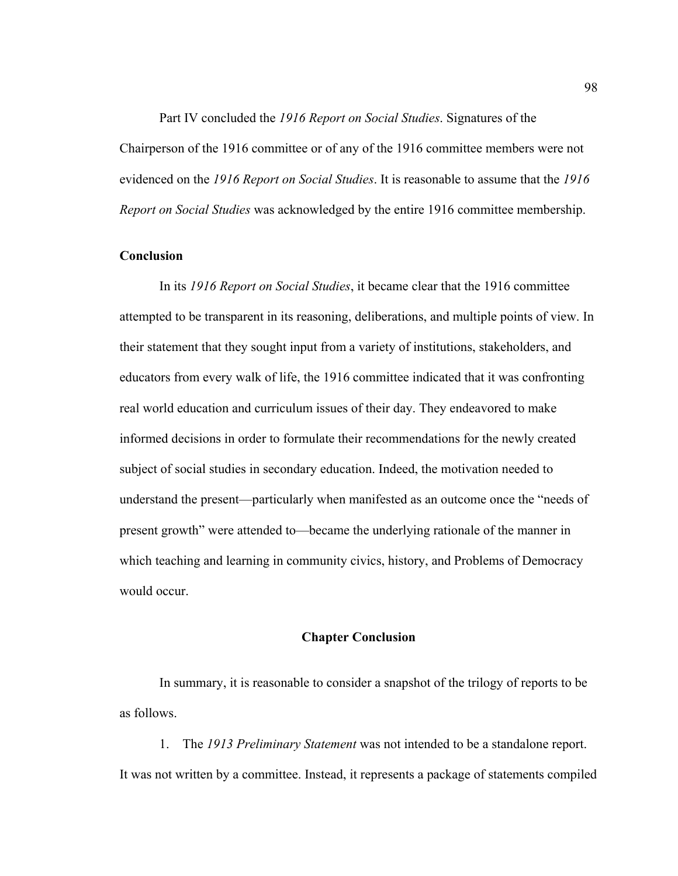Part IV concluded the *1916 Report on Social Studies*. Signatures of the Chairperson of the 1916 committee or of any of the 1916 committee members were not evidenced on the *1916 Report on Social Studies*. It is reasonable to assume that the *1916 Report on Social Studies* was acknowledged by the entire 1916 committee membership.

## **Conclusion**

 In its *1916 Report on Social Studies*, it became clear that the 1916 committee attempted to be transparent in its reasoning, deliberations, and multiple points of view. In their statement that they sought input from a variety of institutions, stakeholders, and educators from every walk of life, the 1916 committee indicated that it was confronting real world education and curriculum issues of their day. They endeavored to make informed decisions in order to formulate their recommendations for the newly created subject of social studies in secondary education. Indeed, the motivation needed to understand the present—particularly when manifested as an outcome once the "needs of present growth" were attended to—became the underlying rationale of the manner in which teaching and learning in community civics, history, and Problems of Democracy would occur.

#### **Chapter Conclusion**

 In summary, it is reasonable to consider a snapshot of the trilogy of reports to be as follows.

1. The *1913 Preliminary Statement* was not intended to be a standalone report. It was not written by a committee. Instead, it represents a package of statements compiled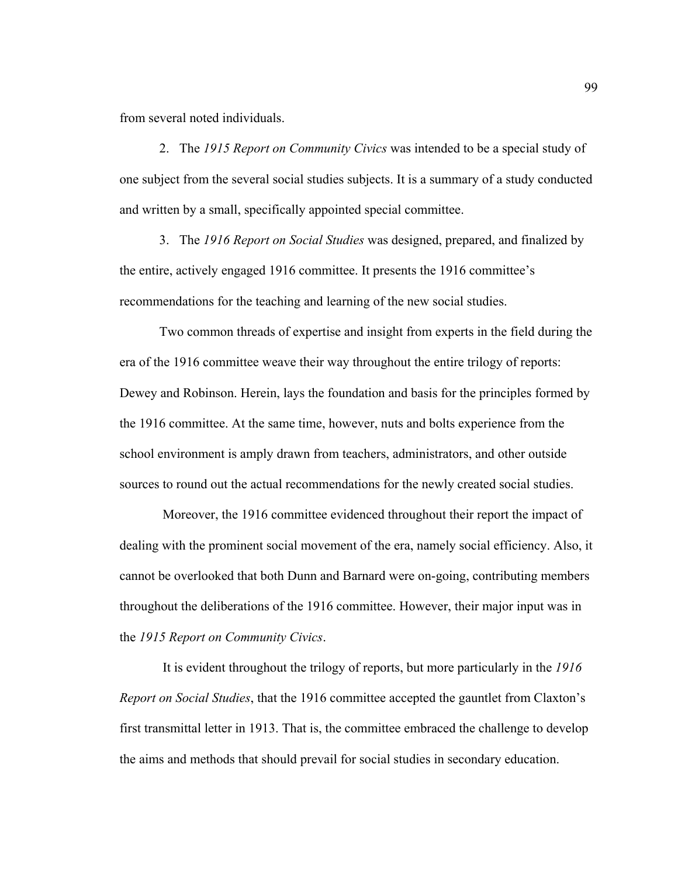from several noted individuals.

2. The *1915 Report on Community Civics* was intended to be a special study of one subject from the several social studies subjects. It is a summary of a study conducted and written by a small, specifically appointed special committee.

3. The *1916 Report on Social Studies* was designed, prepared, and finalized by the entire, actively engaged 1916 committee. It presents the 1916 committee's recommendations for the teaching and learning of the new social studies.

Two common threads of expertise and insight from experts in the field during the era of the 1916 committee weave their way throughout the entire trilogy of reports: Dewey and Robinson. Herein, lays the foundation and basis for the principles formed by the 1916 committee. At the same time, however, nuts and bolts experience from the school environment is amply drawn from teachers, administrators, and other outside sources to round out the actual recommendations for the newly created social studies.

 Moreover, the 1916 committee evidenced throughout their report the impact of dealing with the prominent social movement of the era, namely social efficiency. Also, it cannot be overlooked that both Dunn and Barnard were on-going, contributing members throughout the deliberations of the 1916 committee. However, their major input was in the *1915 Report on Community Civics*.

 It is evident throughout the trilogy of reports, but more particularly in the *1916 Report on Social Studies*, that the 1916 committee accepted the gauntlet from Claxton's first transmittal letter in 1913. That is, the committee embraced the challenge to develop the aims and methods that should prevail for social studies in secondary education.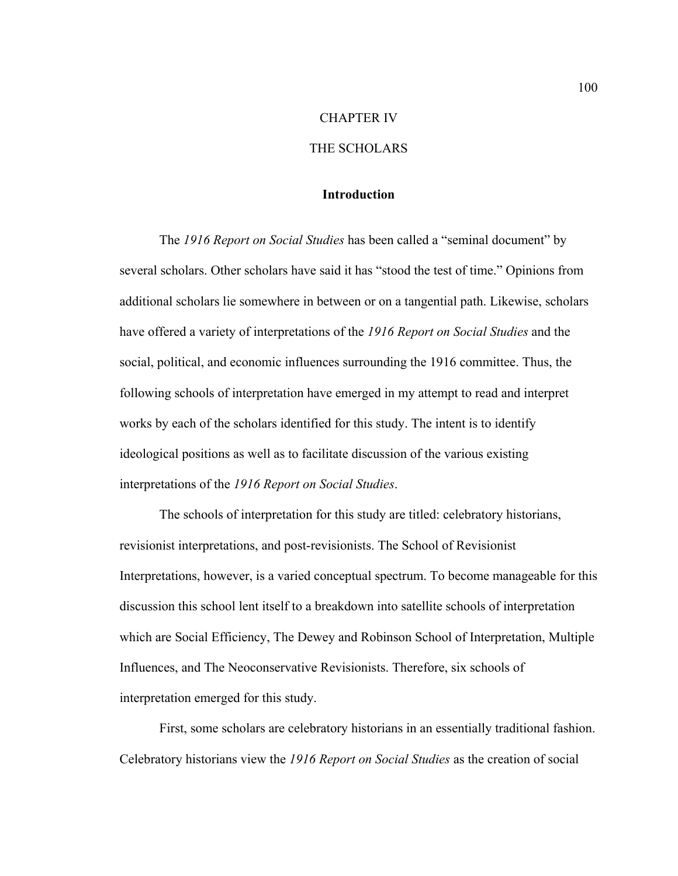#### CHAPTER IV

# THE SCHOLARS

## **Introduction**

The *1916 Report on Social Studies* has been called a "seminal document" by several scholars. Other scholars have said it has "stood the test of time." Opinions from additional scholars lie somewhere in between or on a tangential path. Likewise, scholars have offered a variety of interpretations of the *1916 Report on Social Studies* and the social, political, and economic influences surrounding the 1916 committee. Thus, the following schools of interpretation have emerged in my attempt to read and interpret works by each of the scholars identified for this study. The intent is to identify ideological positions as well as to facilitate discussion of the various existing interpretations of the *1916 Report on Social Studies*.

 The schools of interpretation for this study are titled: celebratory historians, revisionist interpretations, and post-revisionists. The School of Revisionist Interpretations, however, is a varied conceptual spectrum. To become manageable for this discussion this school lent itself to a breakdown into satellite schools of interpretation which are Social Efficiency, The Dewey and Robinson School of Interpretation, Multiple Influences, and The Neoconservative Revisionists. Therefore, six schools of interpretation emerged for this study.

First, some scholars are celebratory historians in an essentially traditional fashion. Celebratory historians view the *1916 Report on Social Studies* as the creation of social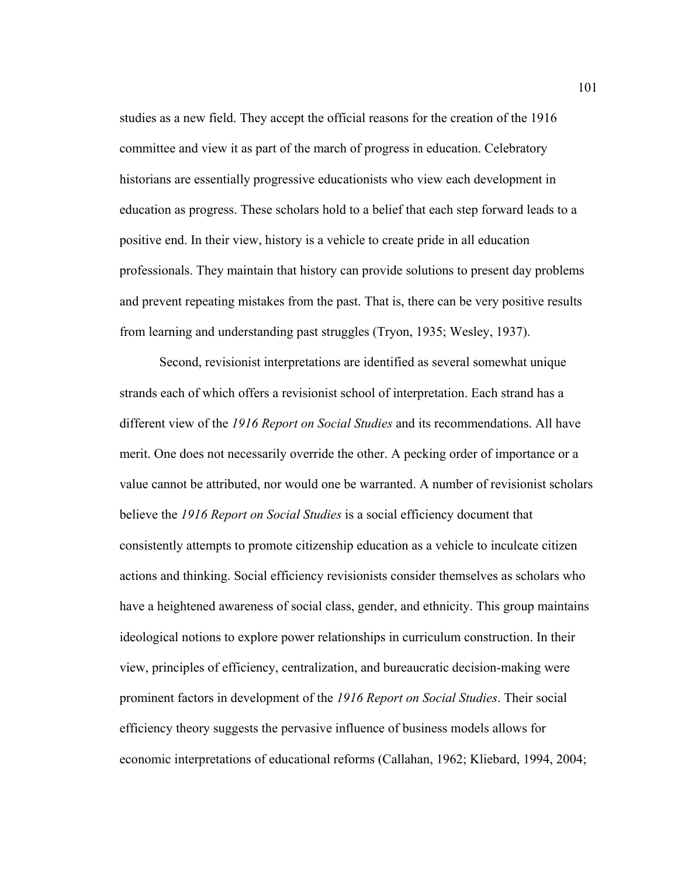studies as a new field. They accept the official reasons for the creation of the 1916 committee and view it as part of the march of progress in education. Celebratory historians are essentially progressive educationists who view each development in education as progress. These scholars hold to a belief that each step forward leads to a positive end. In their view, history is a vehicle to create pride in all education professionals. They maintain that history can provide solutions to present day problems and prevent repeating mistakes from the past. That is, there can be very positive results from learning and understanding past struggles (Tryon, 1935; Wesley, 1937).

 Second, revisionist interpretations are identified as several somewhat unique strands each of which offers a revisionist school of interpretation. Each strand has a different view of the *1916 Report on Social Studies* and its recommendations. All have merit. One does not necessarily override the other. A pecking order of importance or a value cannot be attributed, nor would one be warranted. A number of revisionist scholars believe the *1916 Report on Social Studies* is a social efficiency document that consistently attempts to promote citizenship education as a vehicle to inculcate citizen actions and thinking. Social efficiency revisionists consider themselves as scholars who have a heightened awareness of social class, gender, and ethnicity. This group maintains ideological notions to explore power relationships in curriculum construction. In their view, principles of efficiency, centralization, and bureaucratic decision-making were prominent factors in development of the *1916 Report on Social Studies*. Their social efficiency theory suggests the pervasive influence of business models allows for economic interpretations of educational reforms (Callahan, 1962; Kliebard, 1994, 2004;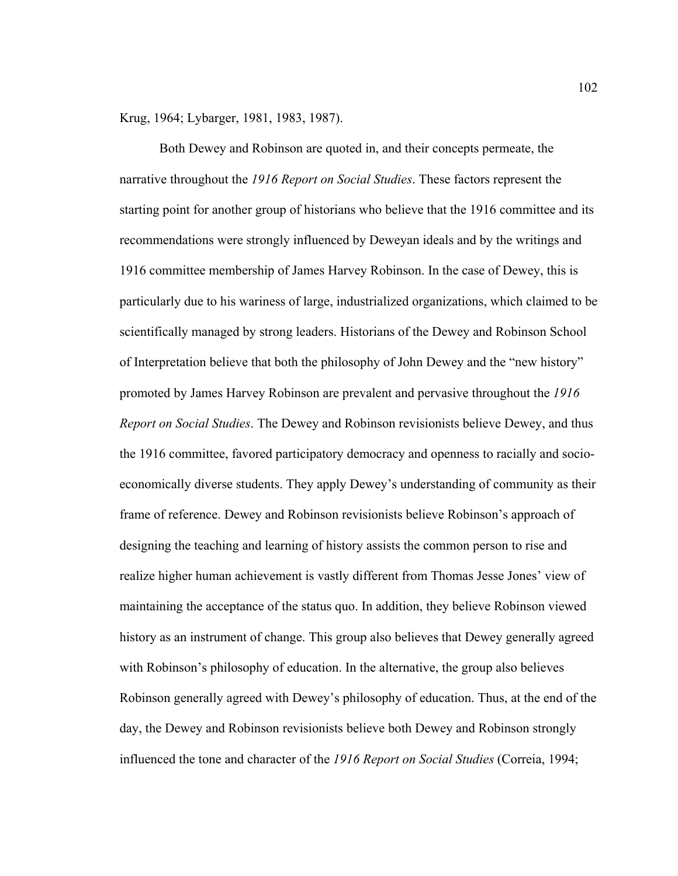Krug, 1964; Lybarger, 1981, 1983, 1987).

Both Dewey and Robinson are quoted in, and their concepts permeate, the narrative throughout the *1916 Report on Social Studies*. These factors represent the starting point for another group of historians who believe that the 1916 committee and its recommendations were strongly influenced by Deweyan ideals and by the writings and 1916 committee membership of James Harvey Robinson. In the case of Dewey, this is particularly due to his wariness of large, industrialized organizations, which claimed to be scientifically managed by strong leaders. Historians of the Dewey and Robinson School of Interpretation believe that both the philosophy of John Dewey and the "new history" promoted by James Harvey Robinson are prevalent and pervasive throughout the *1916 Report on Social Studies*. The Dewey and Robinson revisionists believe Dewey, and thus the 1916 committee, favored participatory democracy and openness to racially and socioeconomically diverse students. They apply Dewey's understanding of community as their frame of reference. Dewey and Robinson revisionists believe Robinson's approach of designing the teaching and learning of history assists the common person to rise and realize higher human achievement is vastly different from Thomas Jesse Jones' view of maintaining the acceptance of the status quo. In addition, they believe Robinson viewed history as an instrument of change. This group also believes that Dewey generally agreed with Robinson's philosophy of education. In the alternative, the group also believes Robinson generally agreed with Dewey's philosophy of education. Thus, at the end of the day, the Dewey and Robinson revisionists believe both Dewey and Robinson strongly influenced the tone and character of the *1916 Report on Social Studies* (Correia, 1994;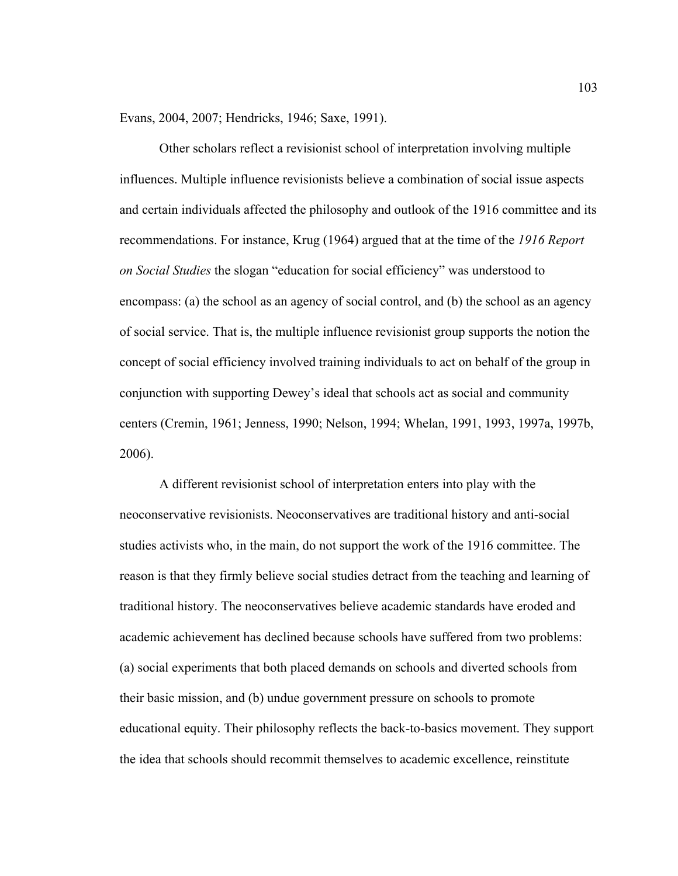Evans, 2004, 2007; Hendricks, 1946; Saxe, 1991).

Other scholars reflect a revisionist school of interpretation involving multiple influences. Multiple influence revisionists believe a combination of social issue aspects and certain individuals affected the philosophy and outlook of the 1916 committee and its recommendations. For instance, Krug (1964) argued that at the time of the *1916 Report on Social Studies* the slogan "education for social efficiency" was understood to encompass: (a) the school as an agency of social control, and (b) the school as an agency of social service. That is, the multiple influence revisionist group supports the notion the concept of social efficiency involved training individuals to act on behalf of the group in conjunction with supporting Dewey's ideal that schools act as social and community centers (Cremin, 1961; Jenness, 1990; Nelson, 1994; Whelan, 1991, 1993, 1997a, 1997b, 2006).

A different revisionist school of interpretation enters into play with the neoconservative revisionists. Neoconservatives are traditional history and anti-social studies activists who, in the main, do not support the work of the 1916 committee. The reason is that they firmly believe social studies detract from the teaching and learning of traditional history. The neoconservatives believe academic standards have eroded and academic achievement has declined because schools have suffered from two problems: (a) social experiments that both placed demands on schools and diverted schools from their basic mission, and (b) undue government pressure on schools to promote educational equity. Their philosophy reflects the back-to-basics movement. They support the idea that schools should recommit themselves to academic excellence, reinstitute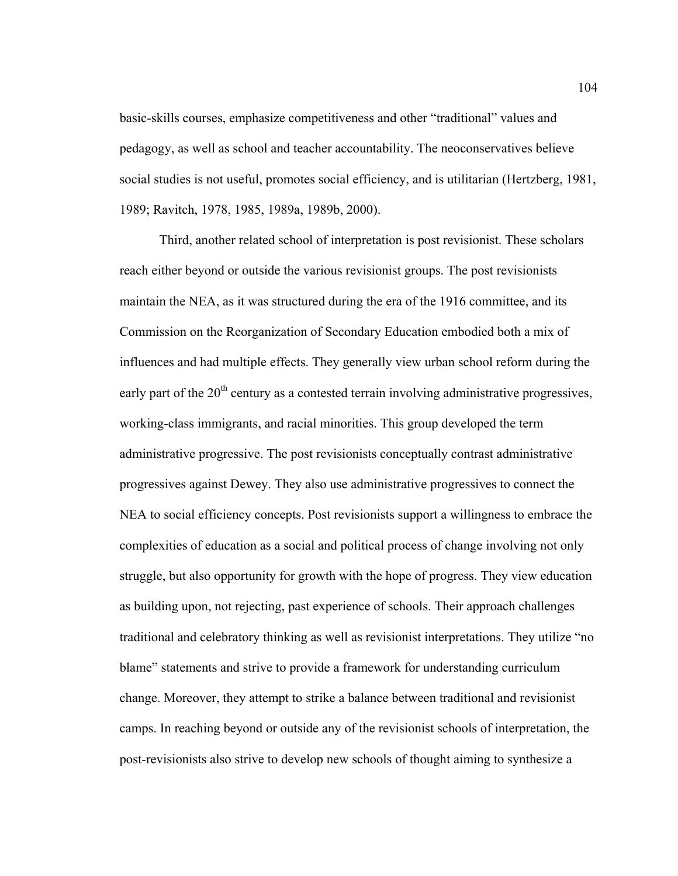basic-skills courses, emphasize competitiveness and other "traditional" values and pedagogy, as well as school and teacher accountability. The neoconservatives believe social studies is not useful, promotes social efficiency, and is utilitarian (Hertzberg, 1981, 1989; Ravitch, 1978, 1985, 1989a, 1989b, 2000).

Third, another related school of interpretation is post revisionist. These scholars reach either beyond or outside the various revisionist groups. The post revisionists maintain the NEA, as it was structured during the era of the 1916 committee, and its Commission on the Reorganization of Secondary Education embodied both a mix of influences and had multiple effects. They generally view urban school reform during the early part of the  $20<sup>th</sup>$  century as a contested terrain involving administrative progressives, working-class immigrants, and racial minorities. This group developed the term administrative progressive. The post revisionists conceptually contrast administrative progressives against Dewey. They also use administrative progressives to connect the NEA to social efficiency concepts. Post revisionists support a willingness to embrace the complexities of education as a social and political process of change involving not only struggle, but also opportunity for growth with the hope of progress. They view education as building upon, not rejecting, past experience of schools. Their approach challenges traditional and celebratory thinking as well as revisionist interpretations. They utilize "no blame" statements and strive to provide a framework for understanding curriculum change. Moreover, they attempt to strike a balance between traditional and revisionist camps. In reaching beyond or outside any of the revisionist schools of interpretation, the post-revisionists also strive to develop new schools of thought aiming to synthesize a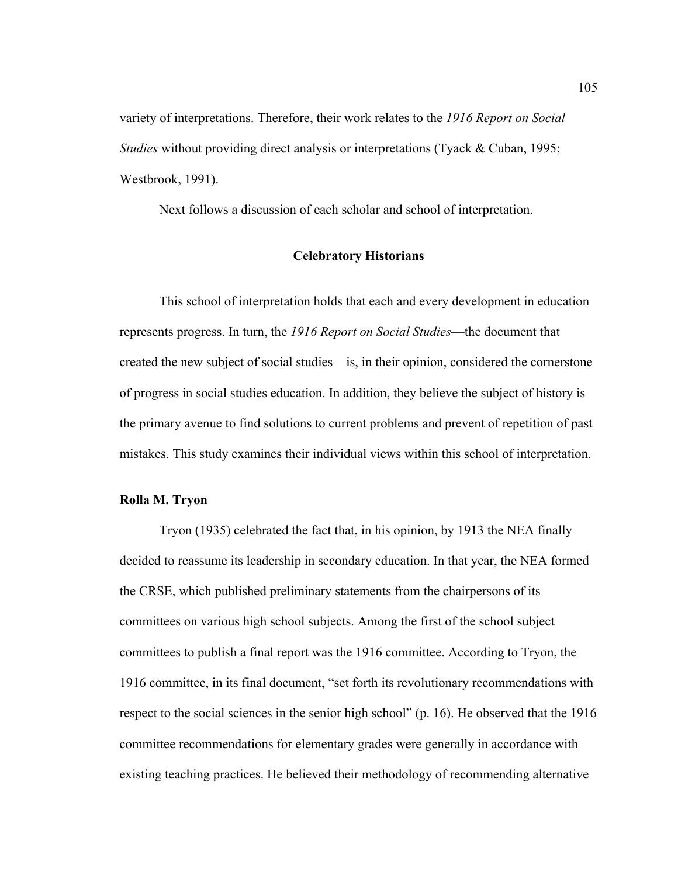variety of interpretations. Therefore, their work relates to the *1916 Report on Social Studies* without providing direct analysis or interpretations (Tyack & Cuban, 1995; Westbrook, 1991).

Next follows a discussion of each scholar and school of interpretation.

## **Celebratory Historians**

 This school of interpretation holds that each and every development in education represents progress. In turn, the *1916 Report on Social Studies*—the document that created the new subject of social studies—is, in their opinion, considered the cornerstone of progress in social studies education. In addition, they believe the subject of history is the primary avenue to find solutions to current problems and prevent of repetition of past mistakes. This study examines their individual views within this school of interpretation.

#### **Rolla M. Tryon**

 Tryon (1935) celebrated the fact that, in his opinion, by 1913 the NEA finally decided to reassume its leadership in secondary education. In that year, the NEA formed the CRSE, which published preliminary statements from the chairpersons of its committees on various high school subjects. Among the first of the school subject committees to publish a final report was the 1916 committee. According to Tryon, the 1916 committee, in its final document, "set forth its revolutionary recommendations with respect to the social sciences in the senior high school" (p. 16). He observed that the 1916 committee recommendations for elementary grades were generally in accordance with existing teaching practices. He believed their methodology of recommending alternative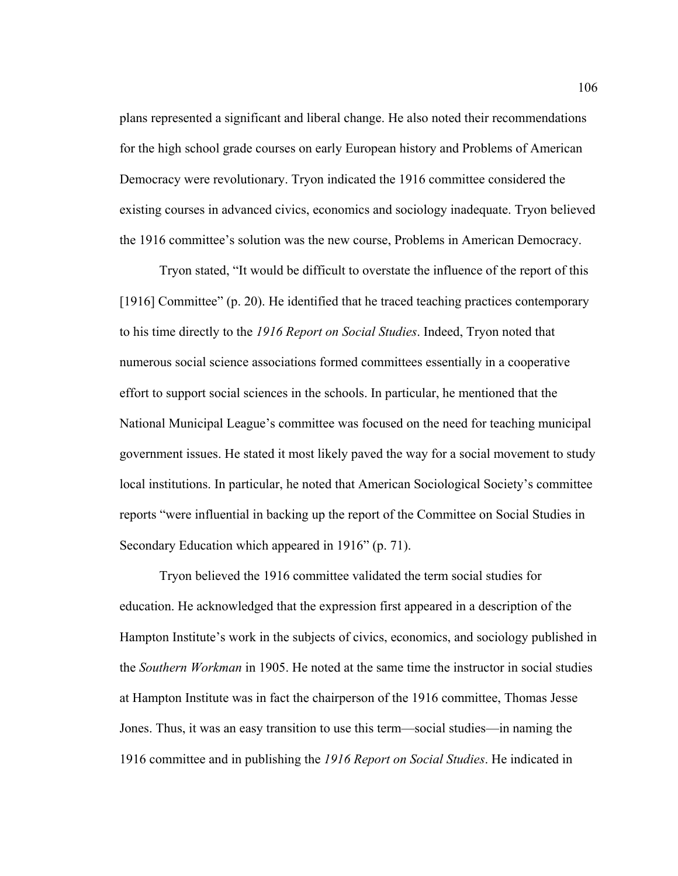plans represented a significant and liberal change. He also noted their recommendations for the high school grade courses on early European history and Problems of American Democracy were revolutionary. Tryon indicated the 1916 committee considered the existing courses in advanced civics, economics and sociology inadequate. Tryon believed the 1916 committee's solution was the new course, Problems in American Democracy.

 Tryon stated, "It would be difficult to overstate the influence of the report of this [1916] Committee" (p. 20). He identified that he traced teaching practices contemporary to his time directly to the *1916 Report on Social Studies*. Indeed, Tryon noted that numerous social science associations formed committees essentially in a cooperative effort to support social sciences in the schools. In particular, he mentioned that the National Municipal League's committee was focused on the need for teaching municipal government issues. He stated it most likely paved the way for a social movement to study local institutions. In particular, he noted that American Sociological Society's committee reports "were influential in backing up the report of the Committee on Social Studies in Secondary Education which appeared in 1916" (p. 71).

 Tryon believed the 1916 committee validated the term social studies for education. He acknowledged that the expression first appeared in a description of the Hampton Institute's work in the subjects of civics, economics, and sociology published in the *Southern Workman* in 1905. He noted at the same time the instructor in social studies at Hampton Institute was in fact the chairperson of the 1916 committee, Thomas Jesse Jones. Thus, it was an easy transition to use this term—social studies—in naming the 1916 committee and in publishing the *1916 Report on Social Studies*. He indicated in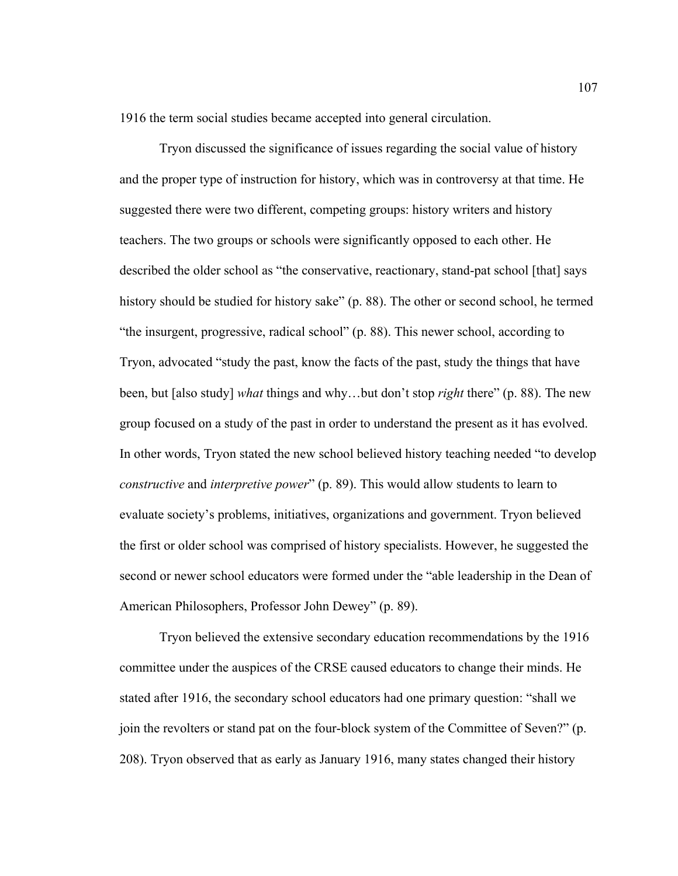1916 the term social studies became accepted into general circulation.

 Tryon discussed the significance of issues regarding the social value of history and the proper type of instruction for history, which was in controversy at that time. He suggested there were two different, competing groups: history writers and history teachers. The two groups or schools were significantly opposed to each other. He described the older school as "the conservative, reactionary, stand-pat school [that] says history should be studied for history sake" (p. 88). The other or second school, he termed "the insurgent, progressive, radical school" (p. 88). This newer school, according to Tryon, advocated "study the past, know the facts of the past, study the things that have been, but [also study] *what* things and why…but don't stop *right* there" (p. 88). The new group focused on a study of the past in order to understand the present as it has evolved. In other words, Tryon stated the new school believed history teaching needed "to develop *constructive* and *interpretive power*" (p. 89). This would allow students to learn to evaluate society's problems, initiatives, organizations and government. Tryon believed the first or older school was comprised of history specialists. However, he suggested the second or newer school educators were formed under the "able leadership in the Dean of American Philosophers, Professor John Dewey" (p. 89).

Tryon believed the extensive secondary education recommendations by the 1916 committee under the auspices of the CRSE caused educators to change their minds. He stated after 1916, the secondary school educators had one primary question: "shall we join the revolters or stand pat on the four-block system of the Committee of Seven?" (p. 208). Tryon observed that as early as January 1916, many states changed their history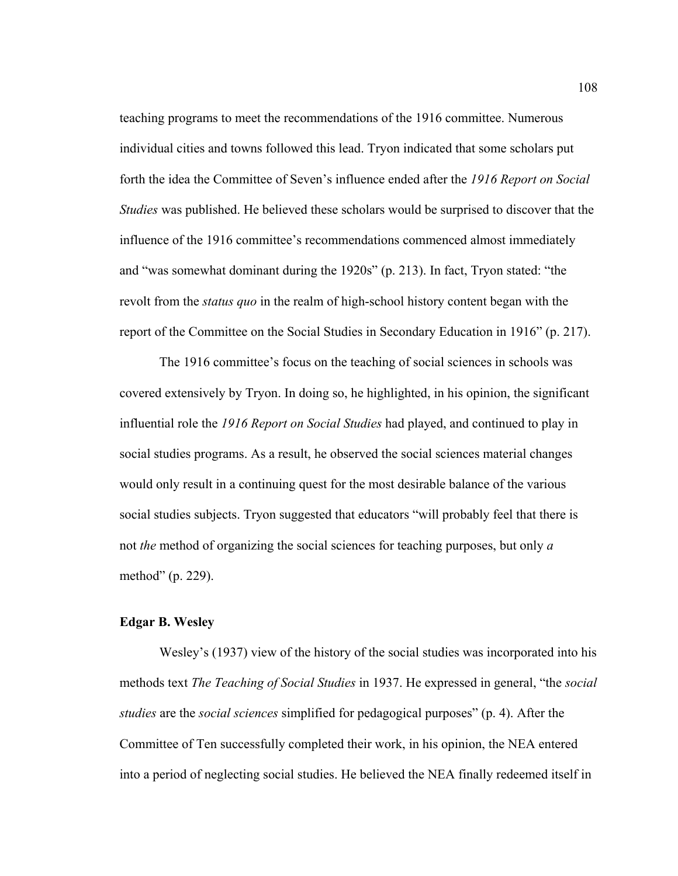teaching programs to meet the recommendations of the 1916 committee. Numerous individual cities and towns followed this lead. Tryon indicated that some scholars put forth the idea the Committee of Seven's influence ended after the *1916 Report on Social Studies* was published. He believed these scholars would be surprised to discover that the influence of the 1916 committee's recommendations commenced almost immediately and "was somewhat dominant during the 1920s" (p. 213). In fact, Tryon stated: "the revolt from the *status quo* in the realm of high-school history content began with the report of the Committee on the Social Studies in Secondary Education in 1916" (p. 217).

The 1916 committee's focus on the teaching of social sciences in schools was covered extensively by Tryon. In doing so, he highlighted, in his opinion, the significant influential role the *1916 Report on Social Studies* had played, and continued to play in social studies programs. As a result, he observed the social sciences material changes would only result in a continuing quest for the most desirable balance of the various social studies subjects. Tryon suggested that educators "will probably feel that there is not *the* method of organizing the social sciences for teaching purposes, but only *a*  method" (p. 229).

### **Edgar B. Wesley**

Wesley's (1937) view of the history of the social studies was incorporated into his methods text *The Teaching of Social Studies* in 1937. He expressed in general, "the *social studies* are the *social sciences* simplified for pedagogical purposes" (p. 4). After the Committee of Ten successfully completed their work, in his opinion, the NEA entered into a period of neglecting social studies. He believed the NEA finally redeemed itself in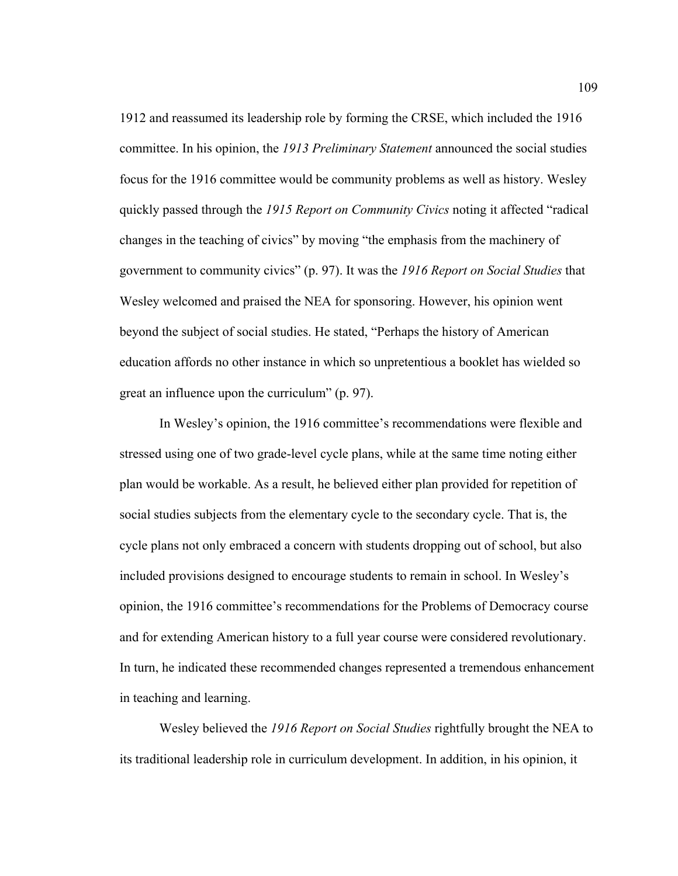1912 and reassumed its leadership role by forming the CRSE, which included the 1916 committee. In his opinion, the *1913 Preliminary Statement* announced the social studies focus for the 1916 committee would be community problems as well as history. Wesley quickly passed through the *1915 Report on Community Civics* noting it affected "radical changes in the teaching of civics" by moving "the emphasis from the machinery of government to community civics" (p. 97). It was the *1916 Report on Social Studies* that Wesley welcomed and praised the NEA for sponsoring. However, his opinion went beyond the subject of social studies. He stated, "Perhaps the history of American education affords no other instance in which so unpretentious a booklet has wielded so great an influence upon the curriculum" (p. 97).

In Wesley's opinion, the 1916 committee's recommendations were flexible and stressed using one of two grade-level cycle plans, while at the same time noting either plan would be workable. As a result, he believed either plan provided for repetition of social studies subjects from the elementary cycle to the secondary cycle. That is, the cycle plans not only embraced a concern with students dropping out of school, but also included provisions designed to encourage students to remain in school. In Wesley's opinion, the 1916 committee's recommendations for the Problems of Democracy course and for extending American history to a full year course were considered revolutionary. In turn, he indicated these recommended changes represented a tremendous enhancement in teaching and learning.

Wesley believed the *1916 Report on Social Studies* rightfully brought the NEA to its traditional leadership role in curriculum development. In addition, in his opinion, it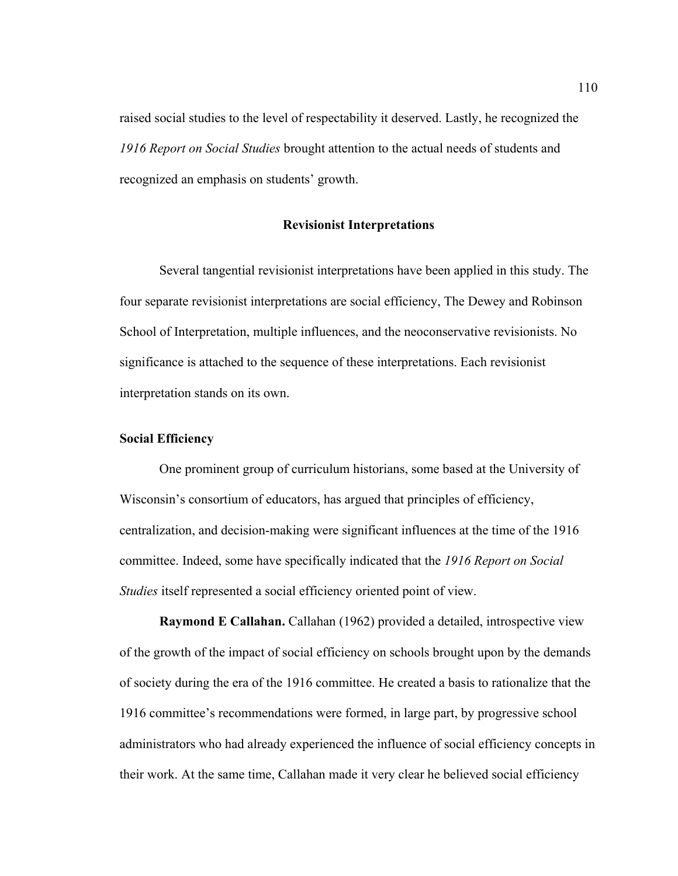raised social studies to the level of respectability it deserved. Lastly, he recognized the *1916 Report on Social Studies* brought attention to the actual needs of students and recognized an emphasis on students' growth.

## **Revisionist Interpretations**

 Several tangential revisionist interpretations have been applied in this study. The four separate revisionist interpretations are social efficiency, The Dewey and Robinson School of Interpretation, multiple influences, and the neoconservative revisionists. No significance is attached to the sequence of these interpretations. Each revisionist interpretation stands on its own.

## **Social Efficiency**

 One prominent group of curriculum historians, some based at the University of Wisconsin's consortium of educators, has argued that principles of efficiency, centralization, and decision-making were significant influences at the time of the 1916 committee. Indeed, some have specifically indicated that the *1916 Report on Social Studies* itself represented a social efficiency oriented point of view.

**Raymond E Callahan.** Callahan (1962) provided a detailed, introspective view of the growth of the impact of social efficiency on schools brought upon by the demands of society during the era of the 1916 committee. He created a basis to rationalize that the 1916 committee's recommendations were formed, in large part, by progressive school administrators who had already experienced the influence of social efficiency concepts in their work. At the same time, Callahan made it very clear he believed social efficiency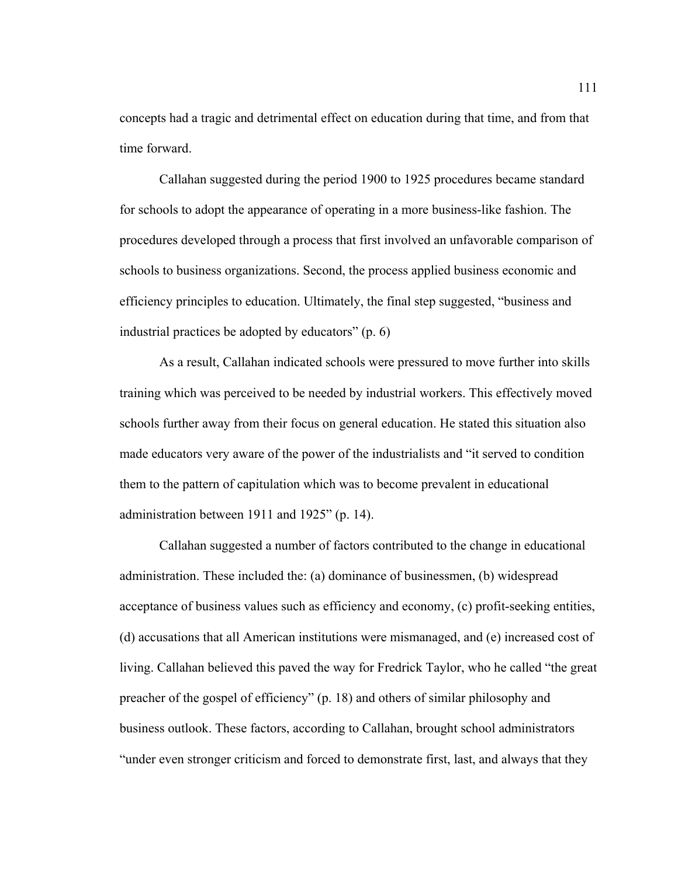concepts had a tragic and detrimental effect on education during that time, and from that time forward.

Callahan suggested during the period 1900 to 1925 procedures became standard for schools to adopt the appearance of operating in a more business-like fashion. The procedures developed through a process that first involved an unfavorable comparison of schools to business organizations. Second, the process applied business economic and efficiency principles to education. Ultimately, the final step suggested, "business and industrial practices be adopted by educators" (p. 6)

As a result, Callahan indicated schools were pressured to move further into skills training which was perceived to be needed by industrial workers. This effectively moved schools further away from their focus on general education. He stated this situation also made educators very aware of the power of the industrialists and "it served to condition them to the pattern of capitulation which was to become prevalent in educational administration between 1911 and 1925" (p. 14).

Callahan suggested a number of factors contributed to the change in educational administration. These included the: (a) dominance of businessmen, (b) widespread acceptance of business values such as efficiency and economy, (c) profit-seeking entities, (d) accusations that all American institutions were mismanaged, and (e) increased cost of living. Callahan believed this paved the way for Fredrick Taylor, who he called "the great preacher of the gospel of efficiency" (p. 18) and others of similar philosophy and business outlook. These factors, according to Callahan, brought school administrators "under even stronger criticism and forced to demonstrate first, last, and always that they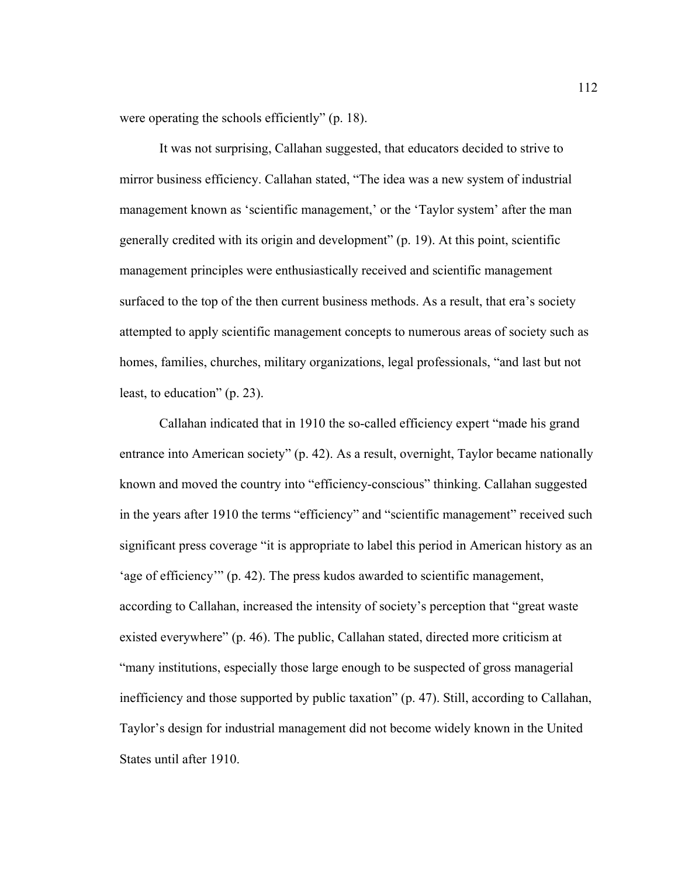were operating the schools efficiently" (p. 18).

 It was not surprising, Callahan suggested, that educators decided to strive to mirror business efficiency. Callahan stated, "The idea was a new system of industrial management known as 'scientific management,' or the 'Taylor system' after the man generally credited with its origin and development" (p. 19). At this point, scientific management principles were enthusiastically received and scientific management surfaced to the top of the then current business methods. As a result, that era's society attempted to apply scientific management concepts to numerous areas of society such as homes, families, churches, military organizations, legal professionals, "and last but not least, to education" (p. 23).

Callahan indicated that in 1910 the so-called efficiency expert "made his grand entrance into American society" (p. 42). As a result, overnight, Taylor became nationally known and moved the country into "efficiency-conscious" thinking. Callahan suggested in the years after 1910 the terms "efficiency" and "scientific management" received such significant press coverage "it is appropriate to label this period in American history as an 'age of efficiency'" (p. 42). The press kudos awarded to scientific management, according to Callahan, increased the intensity of society's perception that "great waste existed everywhere" (p. 46). The public, Callahan stated, directed more criticism at "many institutions, especially those large enough to be suspected of gross managerial inefficiency and those supported by public taxation" (p. 47). Still, according to Callahan, Taylor's design for industrial management did not become widely known in the United States until after 1910.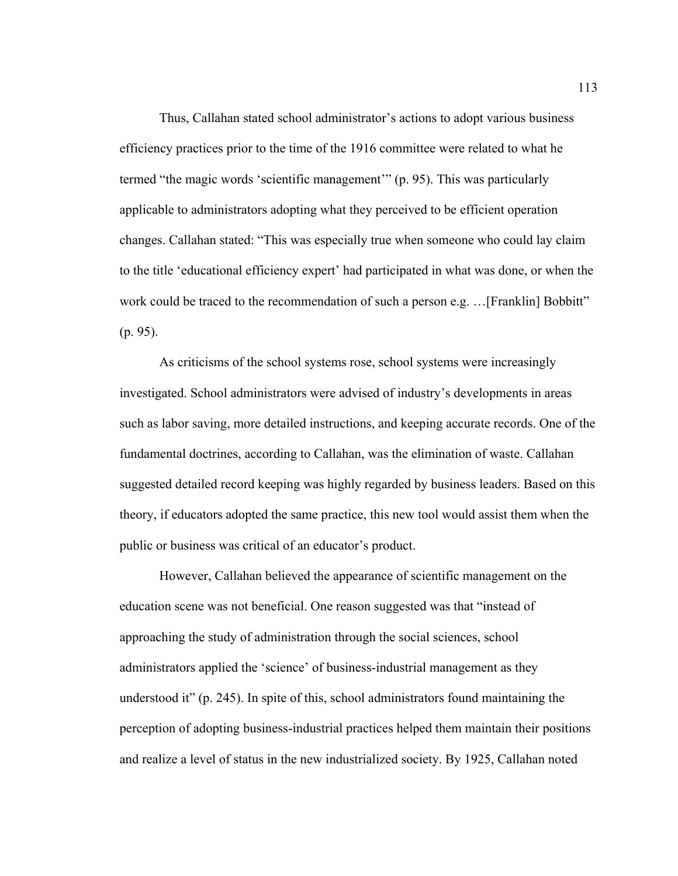Thus, Callahan stated school administrator's actions to adopt various business efficiency practices prior to the time of the 1916 committee were related to what he termed "the magic words 'scientific management'" (p. 95). This was particularly applicable to administrators adopting what they perceived to be efficient operation changes. Callahan stated: "This was especially true when someone who could lay claim to the title 'educational efficiency expert' had participated in what was done, or when the work could be traced to the recommendation of such a person e.g. ... [Franklin] Bobbitt" (p. 95).

As criticisms of the school systems rose, school systems were increasingly investigated. School administrators were advised of industry's developments in areas such as labor saving, more detailed instructions, and keeping accurate records. One of the fundamental doctrines, according to Callahan, was the elimination of waste. Callahan suggested detailed record keeping was highly regarded by business leaders. Based on this theory, if educators adopted the same practice, this new tool would assist them when the public or business was critical of an educator's product.

However, Callahan believed the appearance of scientific management on the education scene was not beneficial. One reason suggested was that "instead of approaching the study of administration through the social sciences, school administrators applied the 'science' of business-industrial management as they understood it" (p. 245). In spite of this, school administrators found maintaining the perception of adopting business-industrial practices helped them maintain their positions and realize a level of status in the new industrialized society. By 1925, Callahan noted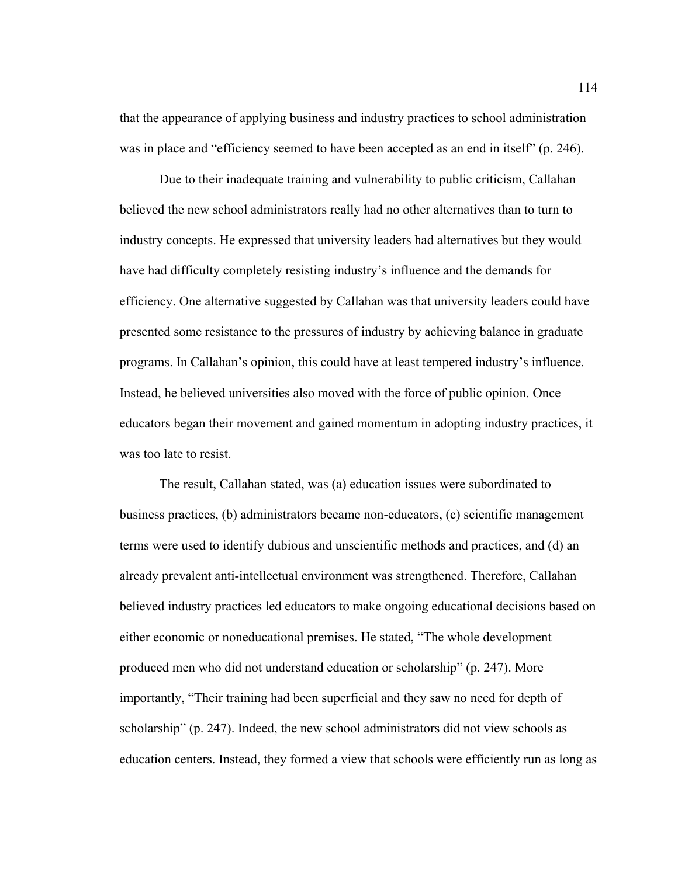that the appearance of applying business and industry practices to school administration was in place and "efficiency seemed to have been accepted as an end in itself" (p. 246).

 Due to their inadequate training and vulnerability to public criticism, Callahan believed the new school administrators really had no other alternatives than to turn to industry concepts. He expressed that university leaders had alternatives but they would have had difficulty completely resisting industry's influence and the demands for efficiency. One alternative suggested by Callahan was that university leaders could have presented some resistance to the pressures of industry by achieving balance in graduate programs. In Callahan's opinion, this could have at least tempered industry's influence. Instead, he believed universities also moved with the force of public opinion. Once educators began their movement and gained momentum in adopting industry practices, it was too late to resist.

 The result, Callahan stated, was (a) education issues were subordinated to business practices, (b) administrators became non-educators, (c) scientific management terms were used to identify dubious and unscientific methods and practices, and (d) an already prevalent anti-intellectual environment was strengthened. Therefore, Callahan believed industry practices led educators to make ongoing educational decisions based on either economic or noneducational premises. He stated, "The whole development produced men who did not understand education or scholarship" (p. 247). More importantly, "Their training had been superficial and they saw no need for depth of scholarship" (p. 247). Indeed, the new school administrators did not view schools as education centers. Instead, they formed a view that schools were efficiently run as long as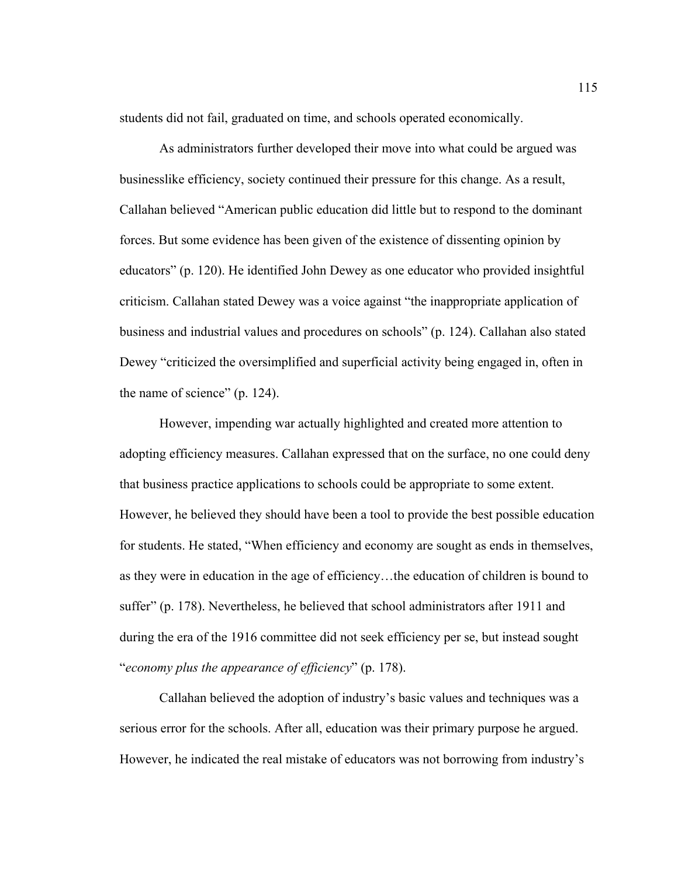students did not fail, graduated on time, and schools operated economically.

As administrators further developed their move into what could be argued was businesslike efficiency, society continued their pressure for this change. As a result, Callahan believed "American public education did little but to respond to the dominant forces. But some evidence has been given of the existence of dissenting opinion by educators" (p. 120). He identified John Dewey as one educator who provided insightful criticism. Callahan stated Dewey was a voice against "the inappropriate application of business and industrial values and procedures on schools" (p. 124). Callahan also stated Dewey "criticized the oversimplified and superficial activity being engaged in, often in the name of science" (p. 124).

However, impending war actually highlighted and created more attention to adopting efficiency measures. Callahan expressed that on the surface, no one could deny that business practice applications to schools could be appropriate to some extent. However, he believed they should have been a tool to provide the best possible education for students. He stated, "When efficiency and economy are sought as ends in themselves, as they were in education in the age of efficiency…the education of children is bound to suffer" (p. 178). Nevertheless, he believed that school administrators after 1911 and during the era of the 1916 committee did not seek efficiency per se, but instead sought "*economy plus the appearance of efficiency*" (p. 178).

 Callahan believed the adoption of industry's basic values and techniques was a serious error for the schools. After all, education was their primary purpose he argued. However, he indicated the real mistake of educators was not borrowing from industry's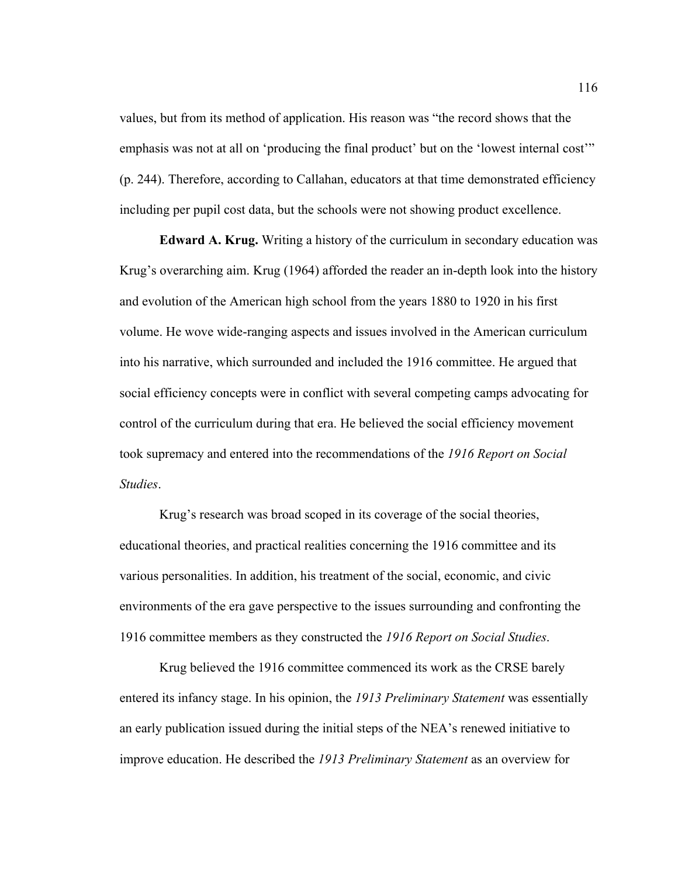values, but from its method of application. His reason was "the record shows that the emphasis was not at all on 'producing the final product' but on the 'lowest internal cost'" (p. 244). Therefore, according to Callahan, educators at that time demonstrated efficiency including per pupil cost data, but the schools were not showing product excellence.

**Edward A. Krug.** Writing a history of the curriculum in secondary education was Krug's overarching aim. Krug (1964) afforded the reader an in-depth look into the history and evolution of the American high school from the years 1880 to 1920 in his first volume. He wove wide-ranging aspects and issues involved in the American curriculum into his narrative, which surrounded and included the 1916 committee. He argued that social efficiency concepts were in conflict with several competing camps advocating for control of the curriculum during that era. He believed the social efficiency movement took supremacy and entered into the recommendations of the *1916 Report on Social Studies*.

Krug's research was broad scoped in its coverage of the social theories, educational theories, and practical realities concerning the 1916 committee and its various personalities. In addition, his treatment of the social, economic, and civic environments of the era gave perspective to the issues surrounding and confronting the 1916 committee members as they constructed the *1916 Report on Social Studies*.

Krug believed the 1916 committee commenced its work as the CRSE barely entered its infancy stage. In his opinion, the *1913 Preliminary Statement* was essentially an early publication issued during the initial steps of the NEA's renewed initiative to improve education. He described the *1913 Preliminary Statement* as an overview for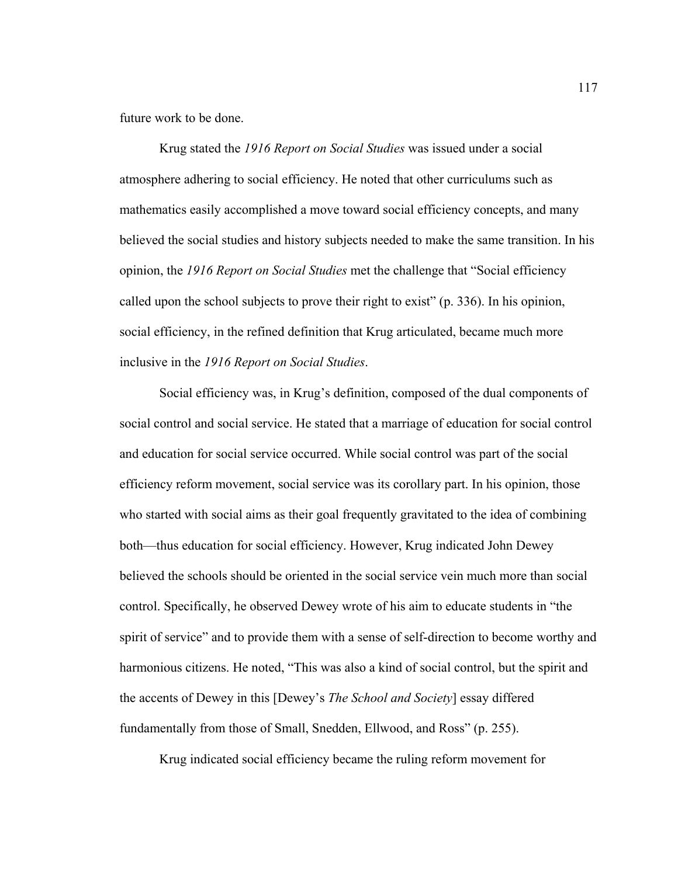future work to be done.

Krug stated the *1916 Report on Social Studies* was issued under a social atmosphere adhering to social efficiency. He noted that other curriculums such as mathematics easily accomplished a move toward social efficiency concepts, and many believed the social studies and history subjects needed to make the same transition. In his opinion, the *1916 Report on Social Studies* met the challenge that "Social efficiency called upon the school subjects to prove their right to exist" (p. 336). In his opinion, social efficiency, in the refined definition that Krug articulated, became much more inclusive in the *1916 Report on Social Studies*.

 Social efficiency was, in Krug's definition, composed of the dual components of social control and social service. He stated that a marriage of education for social control and education for social service occurred. While social control was part of the social efficiency reform movement, social service was its corollary part. In his opinion, those who started with social aims as their goal frequently gravitated to the idea of combining both—thus education for social efficiency. However, Krug indicated John Dewey believed the schools should be oriented in the social service vein much more than social control. Specifically, he observed Dewey wrote of his aim to educate students in "the spirit of service" and to provide them with a sense of self-direction to become worthy and harmonious citizens. He noted, "This was also a kind of social control, but the spirit and the accents of Dewey in this [Dewey's *The School and Society*] essay differed fundamentally from those of Small, Snedden, Ellwood, and Ross" (p. 255).

Krug indicated social efficiency became the ruling reform movement for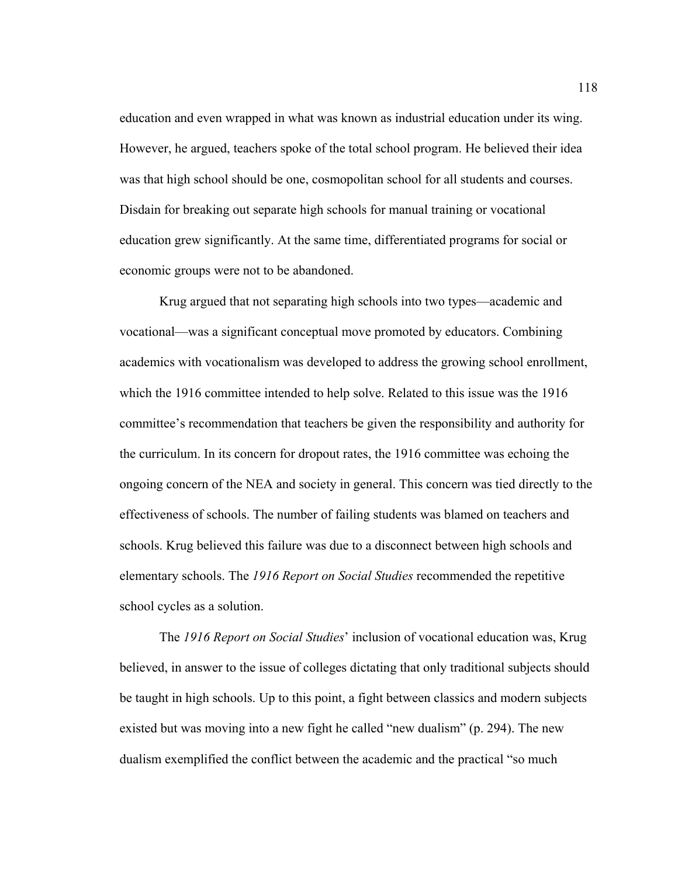education and even wrapped in what was known as industrial education under its wing. However, he argued, teachers spoke of the total school program. He believed their idea was that high school should be one, cosmopolitan school for all students and courses. Disdain for breaking out separate high schools for manual training or vocational education grew significantly. At the same time, differentiated programs for social or economic groups were not to be abandoned.

Krug argued that not separating high schools into two types—academic and vocational—was a significant conceptual move promoted by educators. Combining academics with vocationalism was developed to address the growing school enrollment, which the 1916 committee intended to help solve. Related to this issue was the 1916 committee's recommendation that teachers be given the responsibility and authority for the curriculum. In its concern for dropout rates, the 1916 committee was echoing the ongoing concern of the NEA and society in general. This concern was tied directly to the effectiveness of schools. The number of failing students was blamed on teachers and schools. Krug believed this failure was due to a disconnect between high schools and elementary schools. The *1916 Report on Social Studies* recommended the repetitive school cycles as a solution.

 The *1916 Report on Social Studies*' inclusion of vocational education was, Krug believed, in answer to the issue of colleges dictating that only traditional subjects should be taught in high schools. Up to this point, a fight between classics and modern subjects existed but was moving into a new fight he called "new dualism" (p. 294). The new dualism exemplified the conflict between the academic and the practical "so much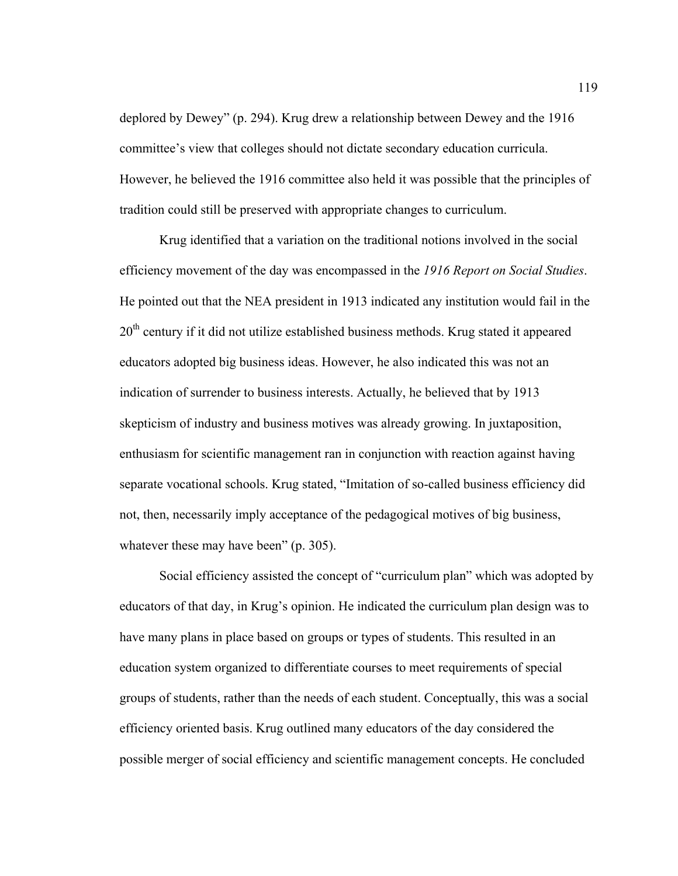deplored by Dewey" (p. 294). Krug drew a relationship between Dewey and the 1916 committee's view that colleges should not dictate secondary education curricula. However, he believed the 1916 committee also held it was possible that the principles of tradition could still be preserved with appropriate changes to curriculum.

Krug identified that a variation on the traditional notions involved in the social efficiency movement of the day was encompassed in the *1916 Report on Social Studies*. He pointed out that the NEA president in 1913 indicated any institution would fail in the 20<sup>th</sup> century if it did not utilize established business methods. Krug stated it appeared educators adopted big business ideas. However, he also indicated this was not an indication of surrender to business interests. Actually, he believed that by 1913 skepticism of industry and business motives was already growing. In juxtaposition, enthusiasm for scientific management ran in conjunction with reaction against having separate vocational schools. Krug stated, "Imitation of so-called business efficiency did not, then, necessarily imply acceptance of the pedagogical motives of big business, whatever these may have been" (p. 305).

 Social efficiency assisted the concept of "curriculum plan" which was adopted by educators of that day, in Krug's opinion. He indicated the curriculum plan design was to have many plans in place based on groups or types of students. This resulted in an education system organized to differentiate courses to meet requirements of special groups of students, rather than the needs of each student. Conceptually, this was a social efficiency oriented basis. Krug outlined many educators of the day considered the possible merger of social efficiency and scientific management concepts. He concluded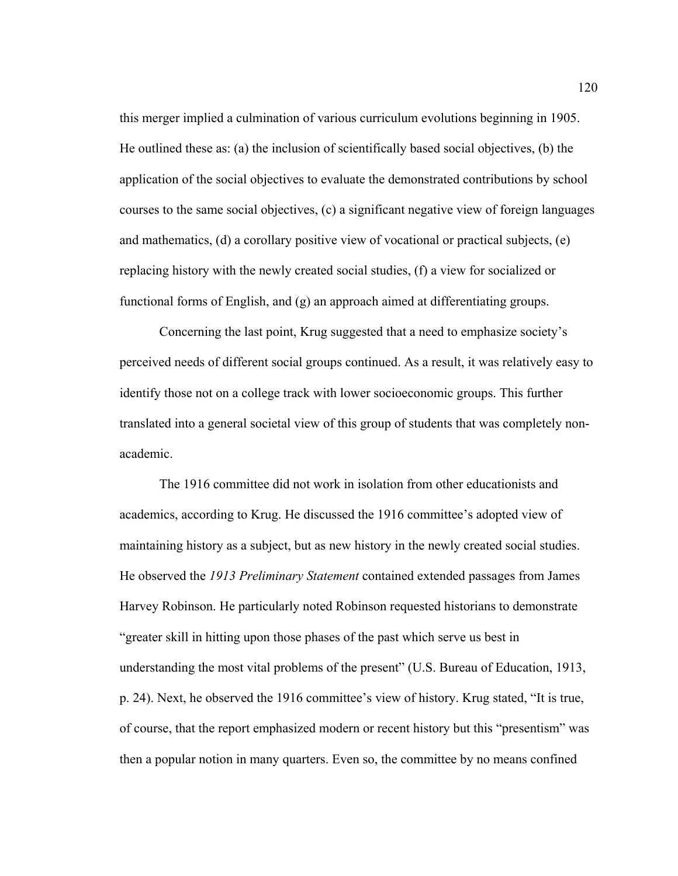this merger implied a culmination of various curriculum evolutions beginning in 1905. He outlined these as: (a) the inclusion of scientifically based social objectives, (b) the application of the social objectives to evaluate the demonstrated contributions by school courses to the same social objectives, (c) a significant negative view of foreign languages and mathematics, (d) a corollary positive view of vocational or practical subjects, (e) replacing history with the newly created social studies, (f) a view for socialized or functional forms of English, and (g) an approach aimed at differentiating groups.

Concerning the last point, Krug suggested that a need to emphasize society's perceived needs of different social groups continued. As a result, it was relatively easy to identify those not on a college track with lower socioeconomic groups. This further translated into a general societal view of this group of students that was completely nonacademic.

The 1916 committee did not work in isolation from other educationists and academics, according to Krug. He discussed the 1916 committee's adopted view of maintaining history as a subject, but as new history in the newly created social studies. He observed the *1913 Preliminary Statement* contained extended passages from James Harvey Robinson. He particularly noted Robinson requested historians to demonstrate "greater skill in hitting upon those phases of the past which serve us best in understanding the most vital problems of the present" (U.S. Bureau of Education, 1913, p. 24). Next, he observed the 1916 committee's view of history. Krug stated, "It is true, of course, that the report emphasized modern or recent history but this "presentism" was then a popular notion in many quarters. Even so, the committee by no means confined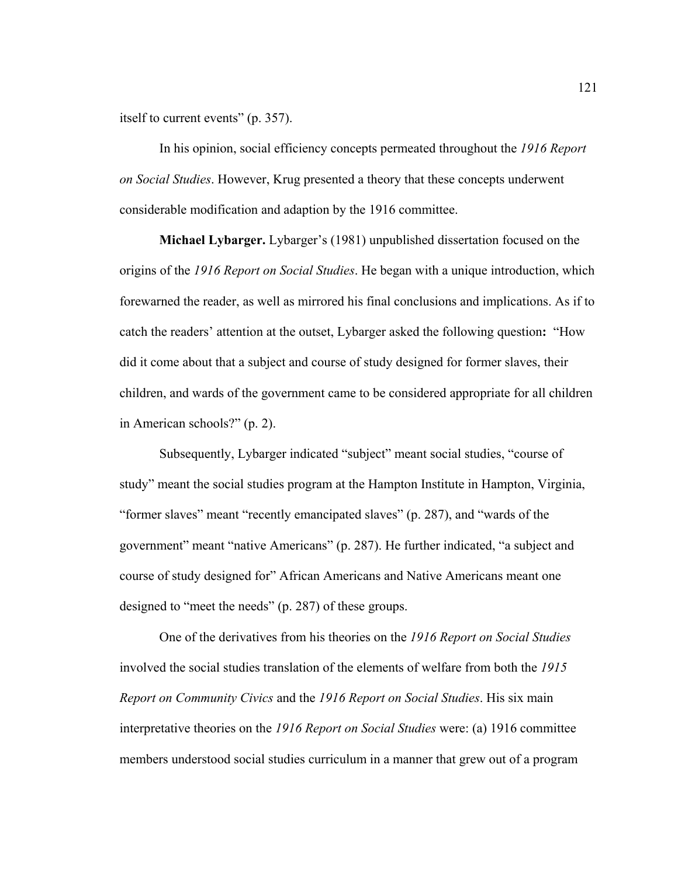itself to current events" (p. 357).

In his opinion, social efficiency concepts permeated throughout the *1916 Report on Social Studies*. However, Krug presented a theory that these concepts underwent considerable modification and adaption by the 1916 committee.

 **Michael Lybarger.** Lybarger's (1981) unpublished dissertation focused on the origins of the *1916 Report on Social Studies*. He began with a unique introduction, which forewarned the reader, as well as mirrored his final conclusions and implications. As if to catch the readers' attention at the outset, Lybarger asked the following question**:** "How did it come about that a subject and course of study designed for former slaves, their children, and wards of the government came to be considered appropriate for all children in American schools?" (p. 2).

Subsequently, Lybarger indicated "subject" meant social studies, "course of study" meant the social studies program at the Hampton Institute in Hampton, Virginia, "former slaves" meant "recently emancipated slaves" (p. 287), and "wards of the government" meant "native Americans" (p. 287). He further indicated, "a subject and course of study designed for" African Americans and Native Americans meant one designed to "meet the needs" (p. 287) of these groups.

One of the derivatives from his theories on the *1916 Report on Social Studies* involved the social studies translation of the elements of welfare from both the *1915 Report on Community Civics* and the *1916 Report on Social Studies*. His six main interpretative theories on the *1916 Report on Social Studies* were: (a) 1916 committee members understood social studies curriculum in a manner that grew out of a program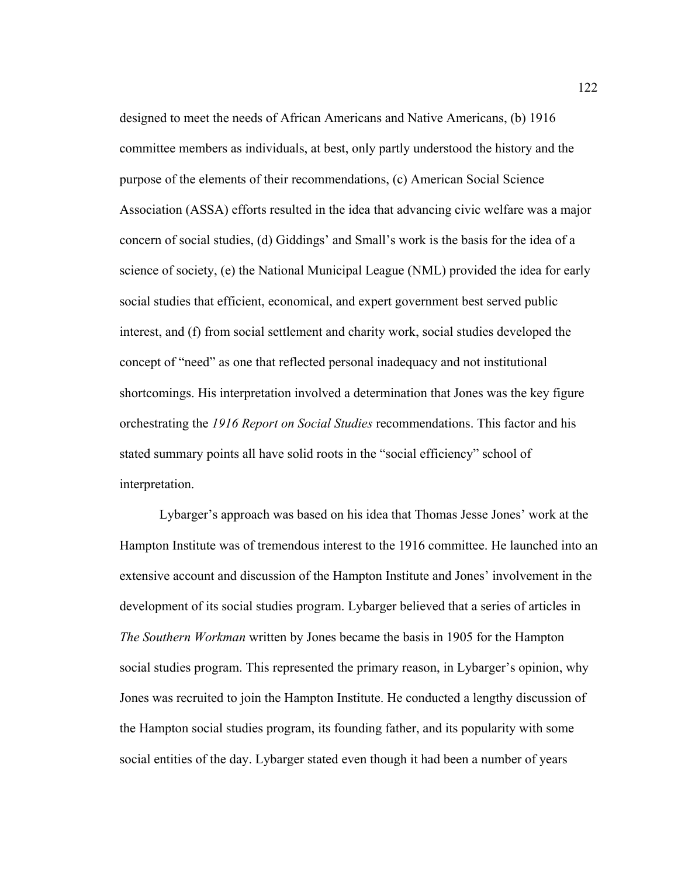designed to meet the needs of African Americans and Native Americans, (b) 1916 committee members as individuals, at best, only partly understood the history and the purpose of the elements of their recommendations, (c) American Social Science Association (ASSA) efforts resulted in the idea that advancing civic welfare was a major concern of social studies, (d) Giddings' and Small's work is the basis for the idea of a science of society, (e) the National Municipal League (NML) provided the idea for early social studies that efficient, economical, and expert government best served public interest, and (f) from social settlement and charity work, social studies developed the concept of "need" as one that reflected personal inadequacy and not institutional shortcomings. His interpretation involved a determination that Jones was the key figure orchestrating the *1916 Report on Social Studies* recommendations. This factor and his stated summary points all have solid roots in the "social efficiency" school of interpretation.

Lybarger's approach was based on his idea that Thomas Jesse Jones' work at the Hampton Institute was of tremendous interest to the 1916 committee. He launched into an extensive account and discussion of the Hampton Institute and Jones' involvement in the development of its social studies program. Lybarger believed that a series of articles in *The Southern Workman* written by Jones became the basis in 1905 for the Hampton social studies program. This represented the primary reason, in Lybarger's opinion, why Jones was recruited to join the Hampton Institute. He conducted a lengthy discussion of the Hampton social studies program, its founding father, and its popularity with some social entities of the day. Lybarger stated even though it had been a number of years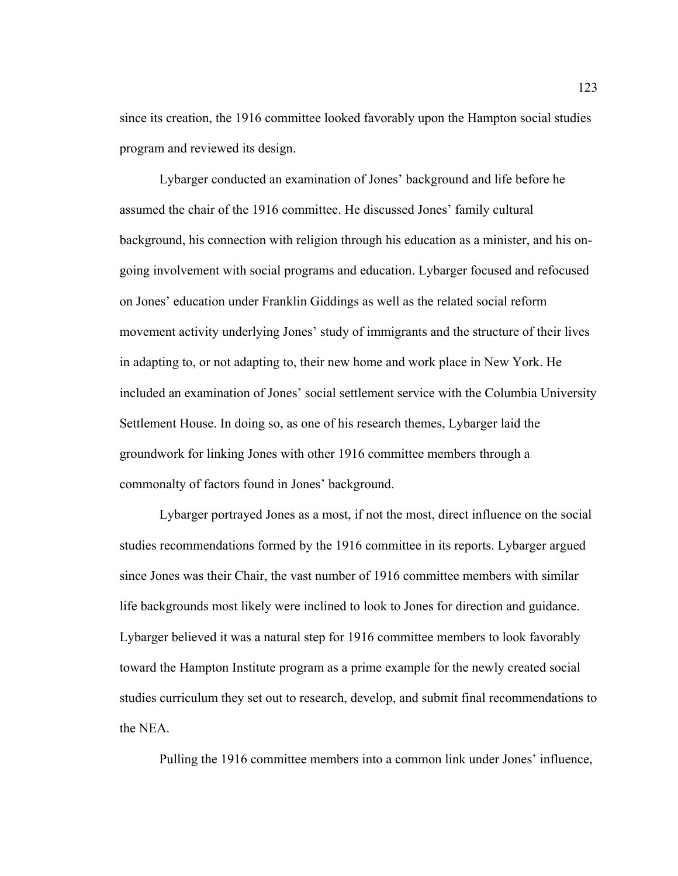since its creation, the 1916 committee looked favorably upon the Hampton social studies program and reviewed its design.

Lybarger conducted an examination of Jones' background and life before he assumed the chair of the 1916 committee. He discussed Jones' family cultural background, his connection with religion through his education as a minister, and his ongoing involvement with social programs and education. Lybarger focused and refocused on Jones' education under Franklin Giddings as well as the related social reform movement activity underlying Jones' study of immigrants and the structure of their lives in adapting to, or not adapting to, their new home and work place in New York. He included an examination of Jones' social settlement service with the Columbia University Settlement House. In doing so, as one of his research themes, Lybarger laid the groundwork for linking Jones with other 1916 committee members through a commonalty of factors found in Jones' background.

Lybarger portrayed Jones as a most, if not the most, direct influence on the social studies recommendations formed by the 1916 committee in its reports. Lybarger argued since Jones was their Chair, the vast number of 1916 committee members with similar life backgrounds most likely were inclined to look to Jones for direction and guidance. Lybarger believed it was a natural step for 1916 committee members to look favorably toward the Hampton Institute program as a prime example for the newly created social studies curriculum they set out to research, develop, and submit final recommendations to the NEA.

Pulling the 1916 committee members into a common link under Jones' influence,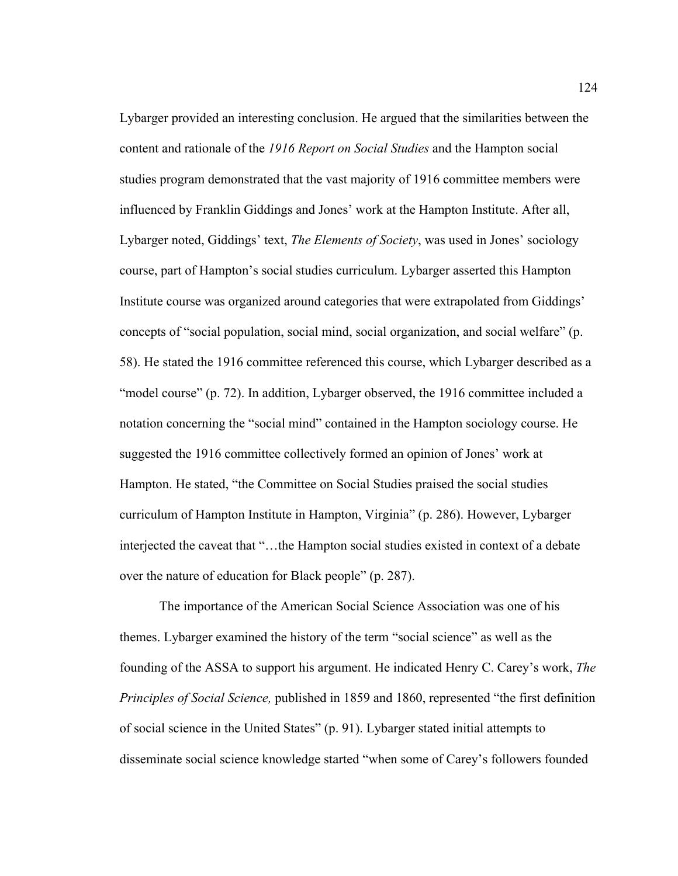Lybarger provided an interesting conclusion. He argued that the similarities between the content and rationale of the *1916 Report on Social Studies* and the Hampton social studies program demonstrated that the vast majority of 1916 committee members were influenced by Franklin Giddings and Jones' work at the Hampton Institute. After all, Lybarger noted, Giddings' text, *The Elements of Society*, was used in Jones' sociology course, part of Hampton's social studies curriculum. Lybarger asserted this Hampton Institute course was organized around categories that were extrapolated from Giddings' concepts of "social population, social mind, social organization, and social welfare" (p. 58). He stated the 1916 committee referenced this course, which Lybarger described as a "model course" (p. 72). In addition, Lybarger observed, the 1916 committee included a notation concerning the "social mind" contained in the Hampton sociology course. He suggested the 1916 committee collectively formed an opinion of Jones' work at Hampton. He stated, "the Committee on Social Studies praised the social studies curriculum of Hampton Institute in Hampton, Virginia" (p. 286). However, Lybarger interjected the caveat that "…the Hampton social studies existed in context of a debate over the nature of education for Black people" (p. 287).

The importance of the American Social Science Association was one of his themes. Lybarger examined the history of the term "social science" as well as the founding of the ASSA to support his argument. He indicated Henry C. Carey's work, *The Principles of Social Science,* published in 1859 and 1860, represented "the first definition of social science in the United States" (p. 91). Lybarger stated initial attempts to disseminate social science knowledge started "when some of Carey's followers founded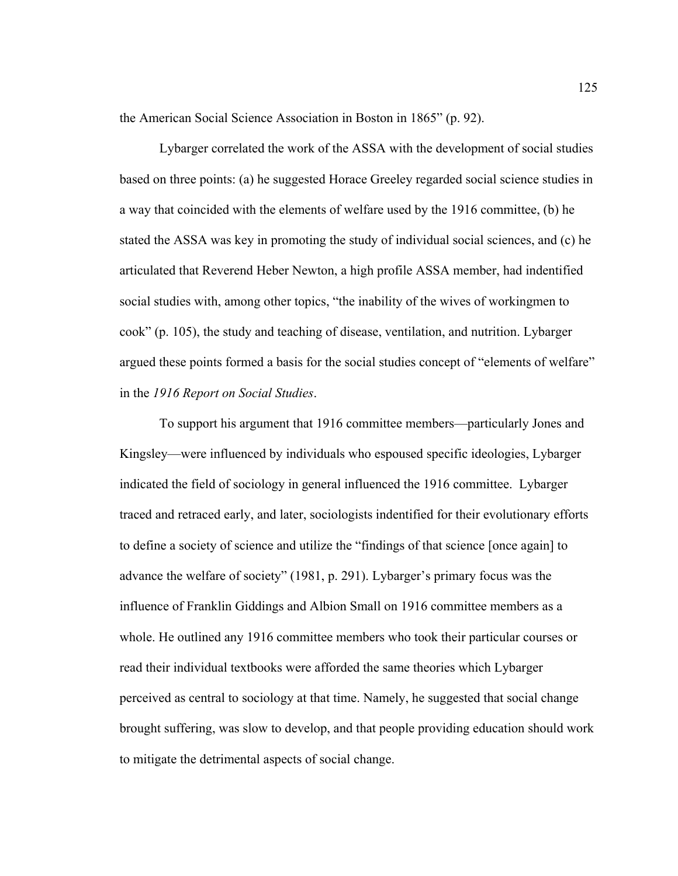the American Social Science Association in Boston in 1865" (p. 92).

Lybarger correlated the work of the ASSA with the development of social studies based on three points: (a) he suggested Horace Greeley regarded social science studies in a way that coincided with the elements of welfare used by the 1916 committee, (b) he stated the ASSA was key in promoting the study of individual social sciences, and (c) he articulated that Reverend Heber Newton, a high profile ASSA member, had indentified social studies with, among other topics, "the inability of the wives of workingmen to cook" (p. 105), the study and teaching of disease, ventilation, and nutrition. Lybarger argued these points formed a basis for the social studies concept of "elements of welfare" in the *1916 Report on Social Studies*.

To support his argument that 1916 committee members—particularly Jones and Kingsley—were influenced by individuals who espoused specific ideologies, Lybarger indicated the field of sociology in general influenced the 1916 committee.Lybarger traced and retraced early, and later, sociologists indentified for their evolutionary efforts to define a society of science and utilize the "findings of that science [once again] to advance the welfare of society" (1981, p. 291). Lybarger's primary focus was the influence of Franklin Giddings and Albion Small on 1916 committee members as a whole. He outlined any 1916 committee members who took their particular courses or read their individual textbooks were afforded the same theories which Lybarger perceived as central to sociology at that time. Namely, he suggested that social change brought suffering, was slow to develop, and that people providing education should work to mitigate the detrimental aspects of social change.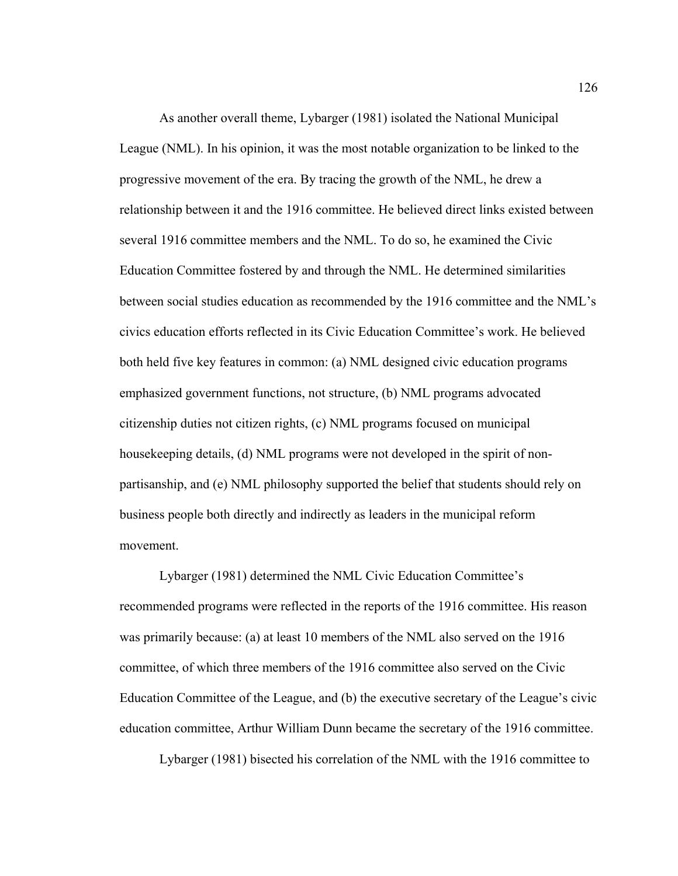As another overall theme, Lybarger (1981) isolated the National Municipal League (NML). In his opinion, it was the most notable organization to be linked to the progressive movement of the era. By tracing the growth of the NML, he drew a relationship between it and the 1916 committee. He believed direct links existed between several 1916 committee members and the NML. To do so, he examined the Civic Education Committee fostered by and through the NML. He determined similarities between social studies education as recommended by the 1916 committee and the NML's civics education efforts reflected in its Civic Education Committee's work. He believed both held five key features in common: (a) NML designed civic education programs emphasized government functions, not structure, (b) NML programs advocated citizenship duties not citizen rights, (c) NML programs focused on municipal housekeeping details, (d) NML programs were not developed in the spirit of nonpartisanship, and (e) NML philosophy supported the belief that students should rely on business people both directly and indirectly as leaders in the municipal reform movement.

Lybarger (1981) determined the NML Civic Education Committee's recommended programs were reflected in the reports of the 1916 committee. His reason was primarily because: (a) at least 10 members of the NML also served on the 1916 committee, of which three members of the 1916 committee also served on the Civic Education Committee of the League, and (b) the executive secretary of the League's civic education committee, Arthur William Dunn became the secretary of the 1916 committee.

Lybarger (1981) bisected his correlation of the NML with the 1916 committee to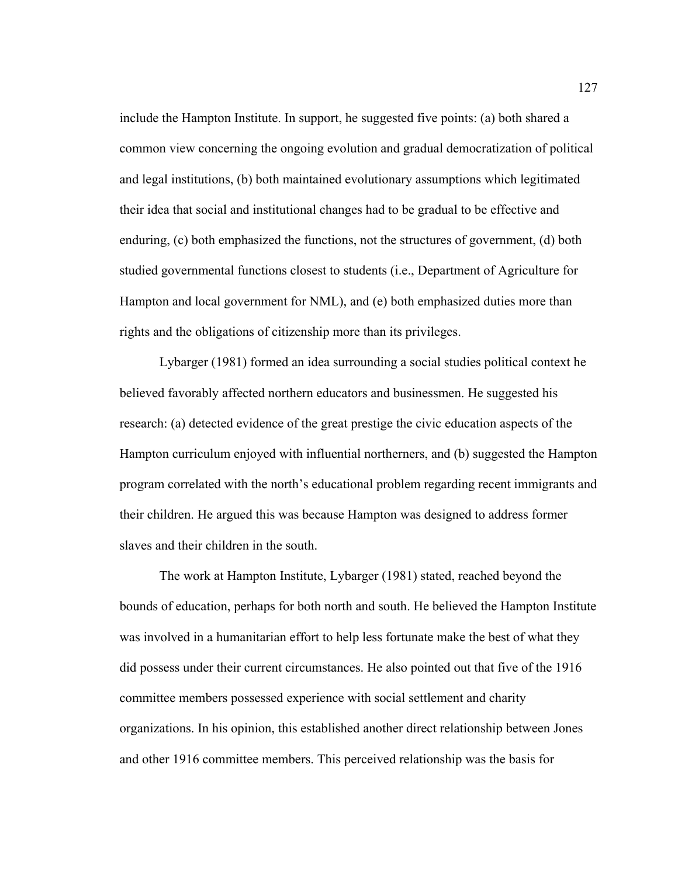include the Hampton Institute. In support, he suggested five points: (a) both shared a common view concerning the ongoing evolution and gradual democratization of political and legal institutions, (b) both maintained evolutionary assumptions which legitimated their idea that social and institutional changes had to be gradual to be effective and enduring, (c) both emphasized the functions, not the structures of government, (d) both studied governmental functions closest to students (i.e., Department of Agriculture for Hampton and local government for NML), and (e) both emphasized duties more than rights and the obligations of citizenship more than its privileges.

Lybarger (1981) formed an idea surrounding a social studies political context he believed favorably affected northern educators and businessmen. He suggested his research: (a) detected evidence of the great prestige the civic education aspects of the Hampton curriculum enjoyed with influential northerners, and (b) suggested the Hampton program correlated with the north's educational problem regarding recent immigrants and their children. He argued this was because Hampton was designed to address former slaves and their children in the south.

The work at Hampton Institute, Lybarger (1981) stated, reached beyond the bounds of education, perhaps for both north and south. He believed the Hampton Institute was involved in a humanitarian effort to help less fortunate make the best of what they did possess under their current circumstances. He also pointed out that five of the 1916 committee members possessed experience with social settlement and charity organizations. In his opinion, this established another direct relationship between Jones and other 1916 committee members. This perceived relationship was the basis for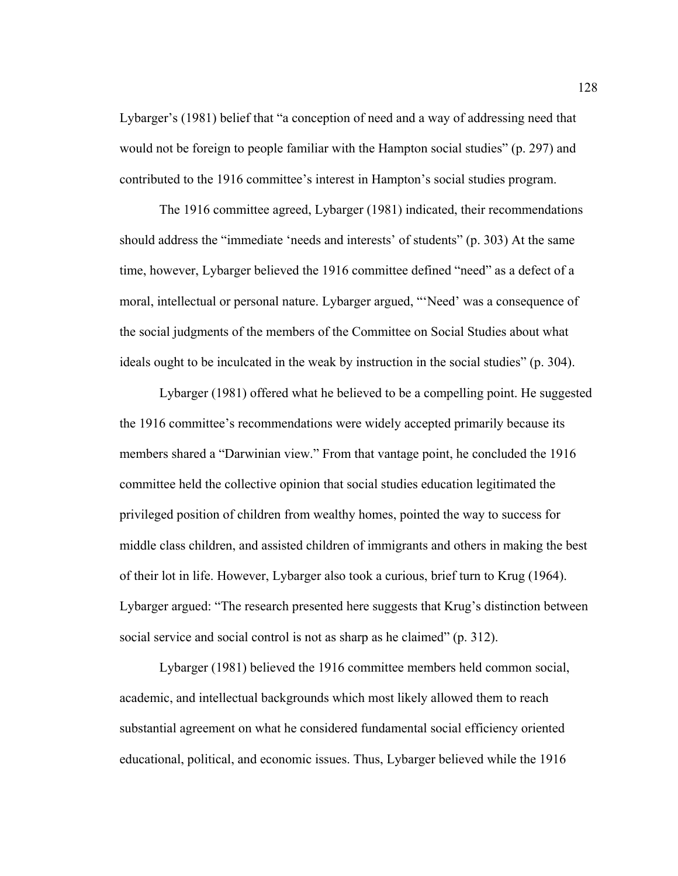Lybarger's (1981) belief that "a conception of need and a way of addressing need that would not be foreign to people familiar with the Hampton social studies" (p. 297) and contributed to the 1916 committee's interest in Hampton's social studies program.

The 1916 committee agreed, Lybarger (1981) indicated, their recommendations should address the "immediate 'needs and interests' of students" (p. 303) At the same time, however, Lybarger believed the 1916 committee defined "need" as a defect of a moral, intellectual or personal nature. Lybarger argued, "'Need' was a consequence of the social judgments of the members of the Committee on Social Studies about what ideals ought to be inculcated in the weak by instruction in the social studies" (p. 304).

Lybarger (1981) offered what he believed to be a compelling point. He suggested the 1916 committee's recommendations were widely accepted primarily because its members shared a "Darwinian view." From that vantage point, he concluded the 1916 committee held the collective opinion that social studies education legitimated the privileged position of children from wealthy homes, pointed the way to success for middle class children, and assisted children of immigrants and others in making the best of their lot in life. However, Lybarger also took a curious, brief turn to Krug (1964). Lybarger argued: "The research presented here suggests that Krug's distinction between social service and social control is not as sharp as he claimed" (p. 312).

Lybarger (1981) believed the 1916 committee members held common social, academic, and intellectual backgrounds which most likely allowed them to reach substantial agreement on what he considered fundamental social efficiency oriented educational, political, and economic issues. Thus, Lybarger believed while the 1916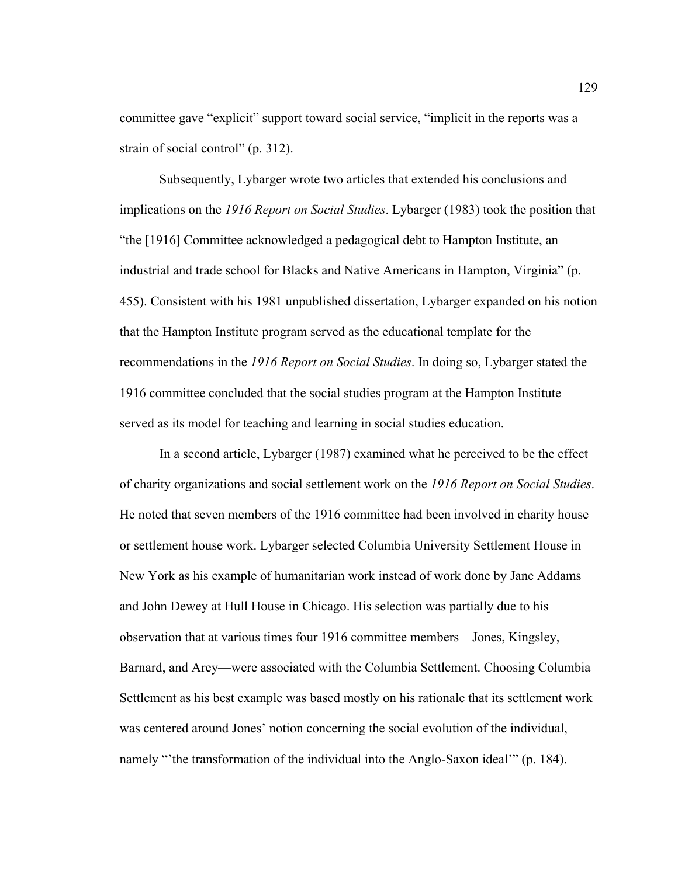committee gave "explicit" support toward social service, "implicit in the reports was a strain of social control" (p. 312).

Subsequently, Lybarger wrote two articles that extended his conclusions and implications on the *1916 Report on Social Studies*. Lybarger (1983) took the position that "the [1916] Committee acknowledged a pedagogical debt to Hampton Institute, an industrial and trade school for Blacks and Native Americans in Hampton, Virginia" (p. 455). Consistent with his 1981 unpublished dissertation, Lybarger expanded on his notion that the Hampton Institute program served as the educational template for the recommendations in the *1916 Report on Social Studies*. In doing so, Lybarger stated the 1916 committee concluded that the social studies program at the Hampton Institute served as its model for teaching and learning in social studies education.

In a second article, Lybarger (1987) examined what he perceived to be the effect of charity organizations and social settlement work on the *1916 Report on Social Studies*. He noted that seven members of the 1916 committee had been involved in charity house or settlement house work. Lybarger selected Columbia University Settlement House in New York as his example of humanitarian work instead of work done by Jane Addams and John Dewey at Hull House in Chicago. His selection was partially due to his observation that at various times four 1916 committee members—Jones, Kingsley, Barnard, and Arey—were associated with the Columbia Settlement. Choosing Columbia Settlement as his best example was based mostly on his rationale that its settlement work was centered around Jones' notion concerning the social evolution of the individual, namely "the transformation of the individual into the Anglo-Saxon ideal'" (p. 184).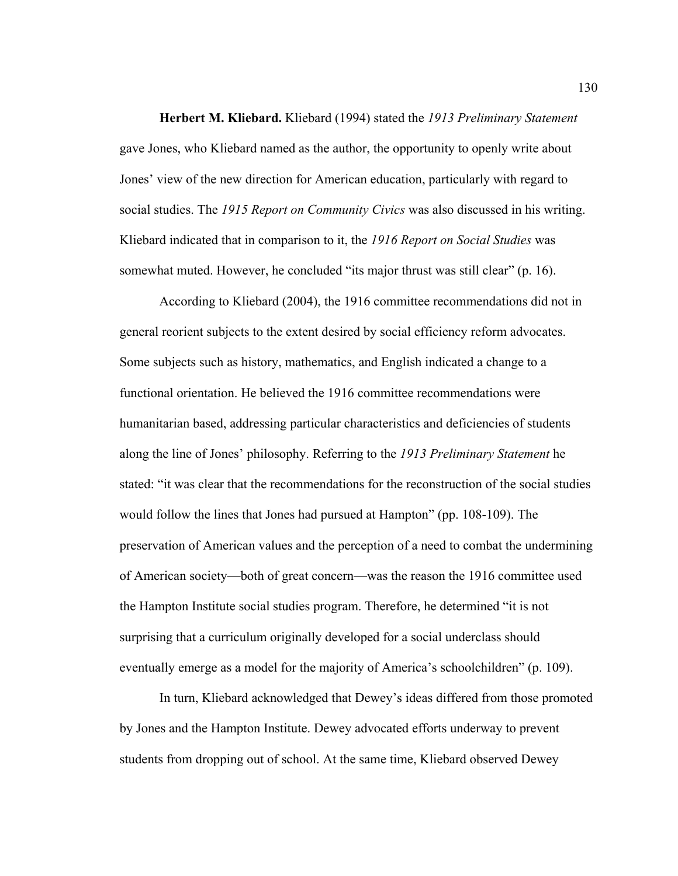**Herbert M. Kliebard.** Kliebard (1994) stated the *1913 Preliminary Statement* gave Jones, who Kliebard named as the author, the opportunity to openly write about Jones' view of the new direction for American education, particularly with regard to social studies. The *1915 Report on Community Civics* was also discussed in his writing. Kliebard indicated that in comparison to it, the *1916 Report on Social Studies* was somewhat muted. However, he concluded "its major thrust was still clear" (p. 16).

 According to Kliebard (2004), the 1916 committee recommendations did not in general reorient subjects to the extent desired by social efficiency reform advocates. Some subjects such as history, mathematics, and English indicated a change to a functional orientation. He believed the 1916 committee recommendations were humanitarian based, addressing particular characteristics and deficiencies of students along the line of Jones' philosophy. Referring to the *1913 Preliminary Statement* he stated: "it was clear that the recommendations for the reconstruction of the social studies would follow the lines that Jones had pursued at Hampton" (pp. 108-109). The preservation of American values and the perception of a need to combat the undermining of American society—both of great concern—was the reason the 1916 committee used the Hampton Institute social studies program. Therefore, he determined "it is not surprising that a curriculum originally developed for a social underclass should eventually emerge as a model for the majority of America's schoolchildren" (p. 109).

 In turn, Kliebard acknowledged that Dewey's ideas differed from those promoted by Jones and the Hampton Institute. Dewey advocated efforts underway to prevent students from dropping out of school. At the same time, Kliebard observed Dewey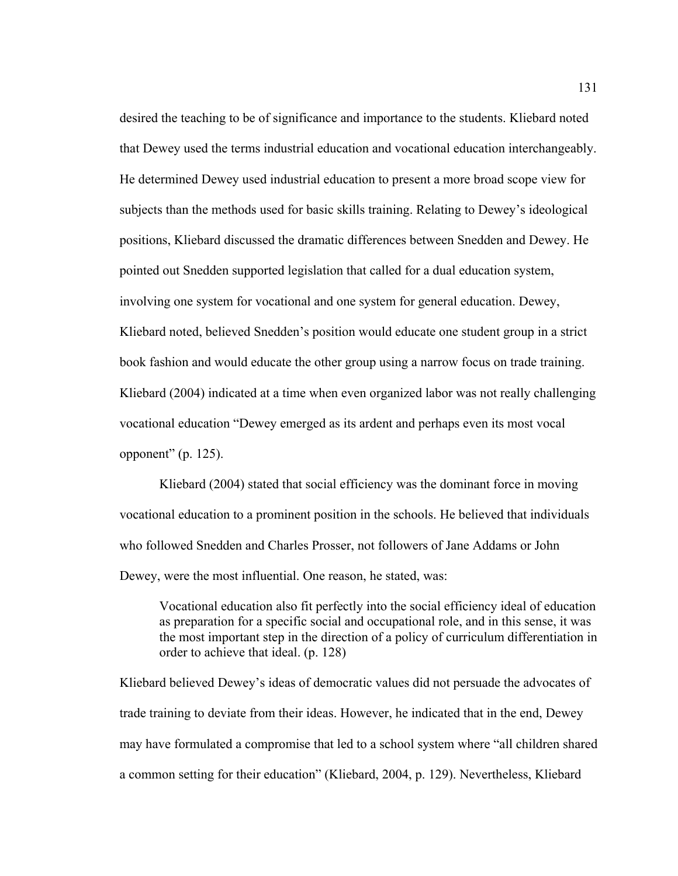desired the teaching to be of significance and importance to the students. Kliebard noted that Dewey used the terms industrial education and vocational education interchangeably. He determined Dewey used industrial education to present a more broad scope view for subjects than the methods used for basic skills training. Relating to Dewey's ideological positions, Kliebard discussed the dramatic differences between Snedden and Dewey. He pointed out Snedden supported legislation that called for a dual education system, involving one system for vocational and one system for general education. Dewey, Kliebard noted, believed Snedden's position would educate one student group in a strict book fashion and would educate the other group using a narrow focus on trade training. Kliebard (2004) indicated at a time when even organized labor was not really challenging vocational education "Dewey emerged as its ardent and perhaps even its most vocal opponent"  $(p. 125)$ .

 Kliebard (2004) stated that social efficiency was the dominant force in moving vocational education to a prominent position in the schools. He believed that individuals who followed Snedden and Charles Prosser, not followers of Jane Addams or John Dewey, were the most influential. One reason, he stated, was:

Vocational education also fit perfectly into the social efficiency ideal of education as preparation for a specific social and occupational role, and in this sense, it was the most important step in the direction of a policy of curriculum differentiation in order to achieve that ideal. (p. 128)

Kliebard believed Dewey's ideas of democratic values did not persuade the advocates of trade training to deviate from their ideas. However, he indicated that in the end, Dewey may have formulated a compromise that led to a school system where "all children shared a common setting for their education" (Kliebard, 2004, p. 129). Nevertheless, Kliebard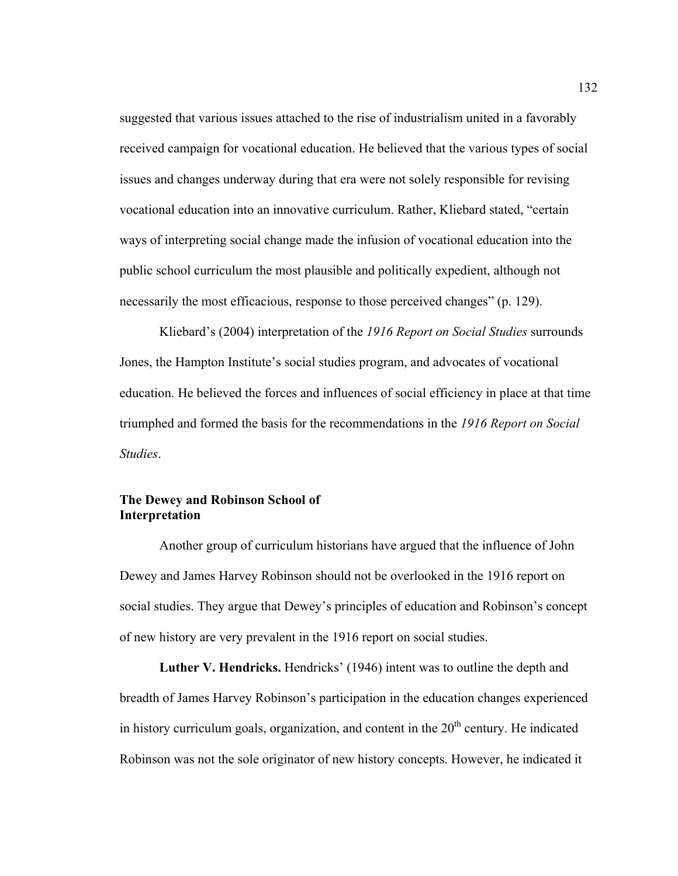suggested that various issues attached to the rise of industrialism united in a favorably received campaign for vocational education. He believed that the various types of social issues and changes underway during that era were not solely responsible for revising vocational education into an innovative curriculum. Rather, Kliebard stated, "certain ways of interpreting social change made the infusion of vocational education into the public school curriculum the most plausible and politically expedient, although not necessarily the most efficacious, response to those perceived changes" (p. 129).

 Kliebard's (2004) interpretation of the *1916 Report on Social Studies* surrounds Jones, the Hampton Institute's social studies program, and advocates of vocational education. He believed the forces and influences of social efficiency in place at that time triumphed and formed the basis for the recommendations in the *1916 Report on Social Studies*.

# **The Dewey and Robinson School of Interpretation**

 Another group of curriculum historians have argued that the influence of John Dewey and James Harvey Robinson should not be overlooked in the 1916 report on social studies. They argue that Dewey's principles of education and Robinson's concept of new history are very prevalent in the 1916 report on social studies.

Luther V. Hendricks. Hendricks' (1946) intent was to outline the depth and breadth of James Harvey Robinson's participation in the education changes experienced in history curriculum goals, organization, and content in the  $20<sup>th</sup>$  century. He indicated Robinson was not the sole originator of new history concepts. However, he indicated it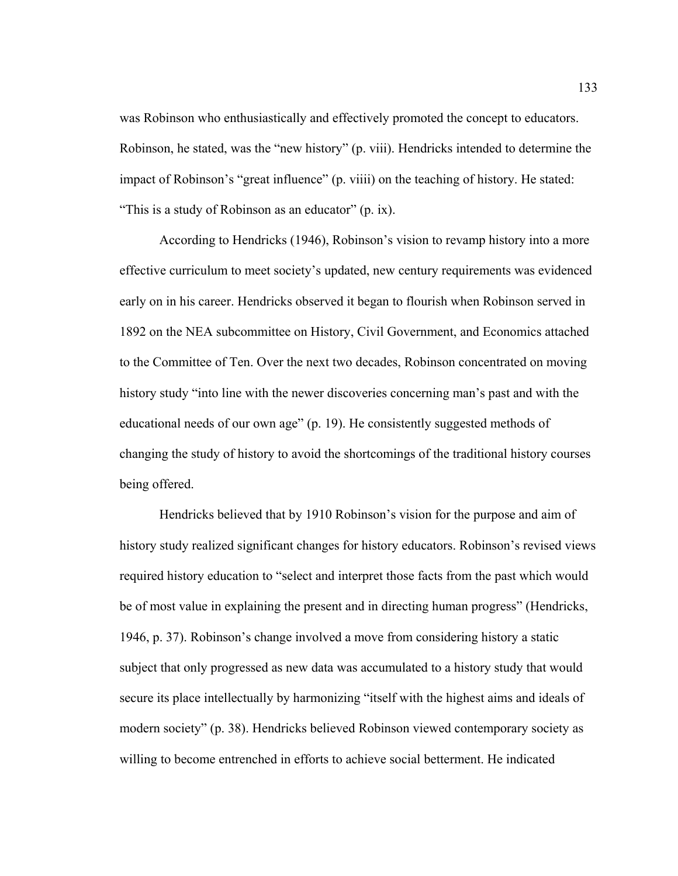was Robinson who enthusiastically and effectively promoted the concept to educators. Robinson, he stated, was the "new history" (p. viii). Hendricks intended to determine the impact of Robinson's "great influence" (p. viiii) on the teaching of history. He stated: "This is a study of Robinson as an educator" (p. ix).

 According to Hendricks (1946), Robinson's vision to revamp history into a more effective curriculum to meet society's updated, new century requirements was evidenced early on in his career. Hendricks observed it began to flourish when Robinson served in 1892 on the NEA subcommittee on History, Civil Government, and Economics attached to the Committee of Ten. Over the next two decades, Robinson concentrated on moving history study "into line with the newer discoveries concerning man's past and with the educational needs of our own age" (p. 19). He consistently suggested methods of changing the study of history to avoid the shortcomings of the traditional history courses being offered.

Hendricks believed that by 1910 Robinson's vision for the purpose and aim of history study realized significant changes for history educators. Robinson's revised views required history education to "select and interpret those facts from the past which would be of most value in explaining the present and in directing human progress" (Hendricks, 1946, p. 37). Robinson's change involved a move from considering history a static subject that only progressed as new data was accumulated to a history study that would secure its place intellectually by harmonizing "itself with the highest aims and ideals of modern society" (p. 38). Hendricks believed Robinson viewed contemporary society as willing to become entrenched in efforts to achieve social betterment. He indicated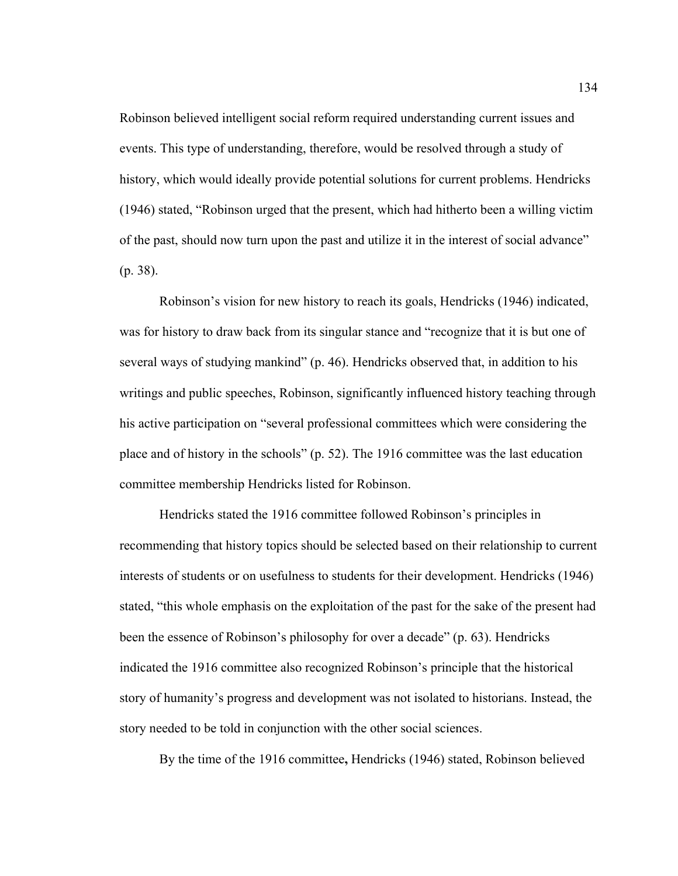Robinson believed intelligent social reform required understanding current issues and events. This type of understanding, therefore, would be resolved through a study of history, which would ideally provide potential solutions for current problems. Hendricks (1946) stated, "Robinson urged that the present, which had hitherto been a willing victim of the past, should now turn upon the past and utilize it in the interest of social advance" (p. 38).

Robinson's vision for new history to reach its goals, Hendricks (1946) indicated, was for history to draw back from its singular stance and "recognize that it is but one of several ways of studying mankind" (p. 46). Hendricks observed that, in addition to his writings and public speeches, Robinson, significantly influenced history teaching through his active participation on "several professional committees which were considering the place and of history in the schools" (p. 52). The 1916 committee was the last education committee membership Hendricks listed for Robinson.

Hendricks stated the 1916 committee followed Robinson's principles in recommending that history topics should be selected based on their relationship to current interests of students or on usefulness to students for their development. Hendricks (1946) stated, "this whole emphasis on the exploitation of the past for the sake of the present had been the essence of Robinson's philosophy for over a decade" (p. 63). Hendricks indicated the 1916 committee also recognized Robinson's principle that the historical story of humanity's progress and development was not isolated to historians. Instead, the story needed to be told in conjunction with the other social sciences.

By the time of the 1916 committee**,** Hendricks (1946) stated, Robinson believed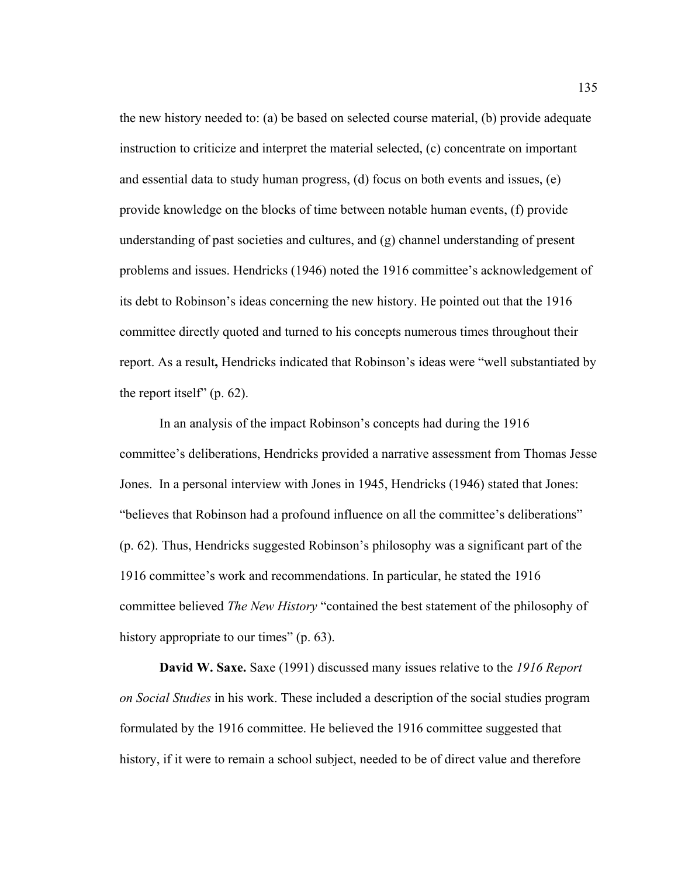the new history needed to: (a) be based on selected course material, (b) provide adequate instruction to criticize and interpret the material selected, (c) concentrate on important and essential data to study human progress, (d) focus on both events and issues, (e) provide knowledge on the blocks of time between notable human events, (f) provide understanding of past societies and cultures, and (g) channel understanding of present problems and issues. Hendricks (1946) noted the 1916 committee's acknowledgement of its debt to Robinson's ideas concerning the new history. He pointed out that the 1916 committee directly quoted and turned to his concepts numerous times throughout their report. As a result**,** Hendricks indicated that Robinson's ideas were "well substantiated by the report itself" (p. 62).

In an analysis of the impact Robinson's concepts had during the 1916 committee's deliberations, Hendricks provided a narrative assessment from Thomas Jesse Jones.In a personal interview with Jones in 1945, Hendricks (1946) stated that Jones: "believes that Robinson had a profound influence on all the committee's deliberations" (p. 62). Thus, Hendricks suggested Robinson's philosophy was a significant part of the 1916 committee's work and recommendations. In particular, he stated the 1916 committee believed *The New History* "contained the best statement of the philosophy of history appropriate to our times" (p. 63).

**David W. Saxe.** Saxe (1991) discussed many issues relative to the *1916 Report on Social Studies* in his work. These included a description of the social studies program formulated by the 1916 committee. He believed the 1916 committee suggested that history, if it were to remain a school subject, needed to be of direct value and therefore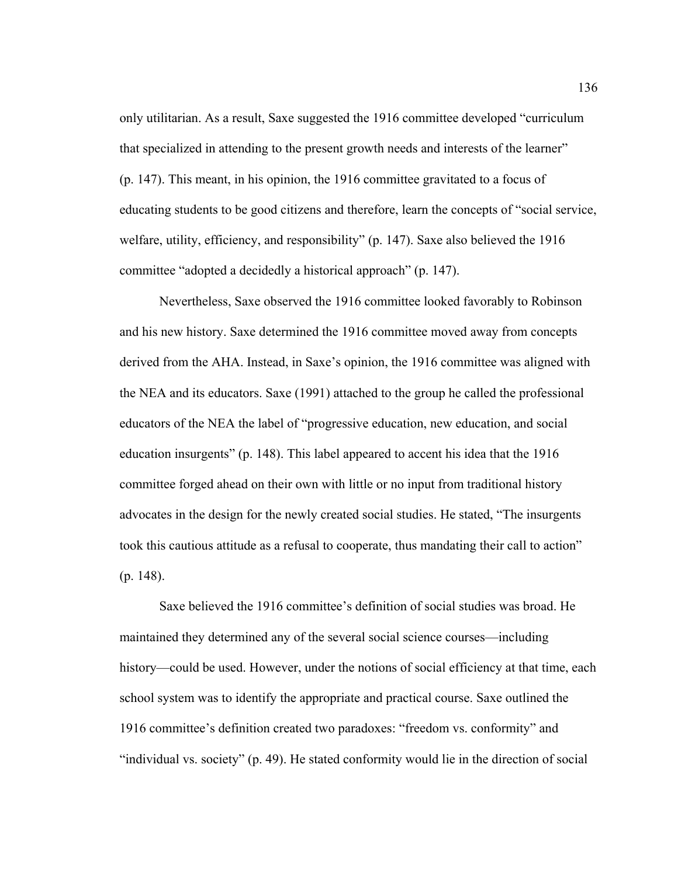only utilitarian. As a result, Saxe suggested the 1916 committee developed "curriculum that specialized in attending to the present growth needs and interests of the learner" (p. 147). This meant, in his opinion, the 1916 committee gravitated to a focus of educating students to be good citizens and therefore, learn the concepts of "social service, welfare, utility, efficiency, and responsibility" (p. 147). Saxe also believed the 1916 committee "adopted a decidedly a historical approach" (p. 147).

Nevertheless, Saxe observed the 1916 committee looked favorably to Robinson and his new history. Saxe determined the 1916 committee moved away from concepts derived from the AHA. Instead, in Saxe's opinion, the 1916 committee was aligned with the NEA and its educators. Saxe (1991) attached to the group he called the professional educators of the NEA the label of "progressive education, new education, and social education insurgents" (p. 148). This label appeared to accent his idea that the 1916 committee forged ahead on their own with little or no input from traditional history advocates in the design for the newly created social studies. He stated, "The insurgents took this cautious attitude as a refusal to cooperate, thus mandating their call to action" (p. 148).

 Saxe believed the 1916 committee's definition of social studies was broad. He maintained they determined any of the several social science courses—including history—could be used. However, under the notions of social efficiency at that time, each school system was to identify the appropriate and practical course. Saxe outlined the 1916 committee's definition created two paradoxes: "freedom vs. conformity" and "individual vs. society" (p. 49). He stated conformity would lie in the direction of social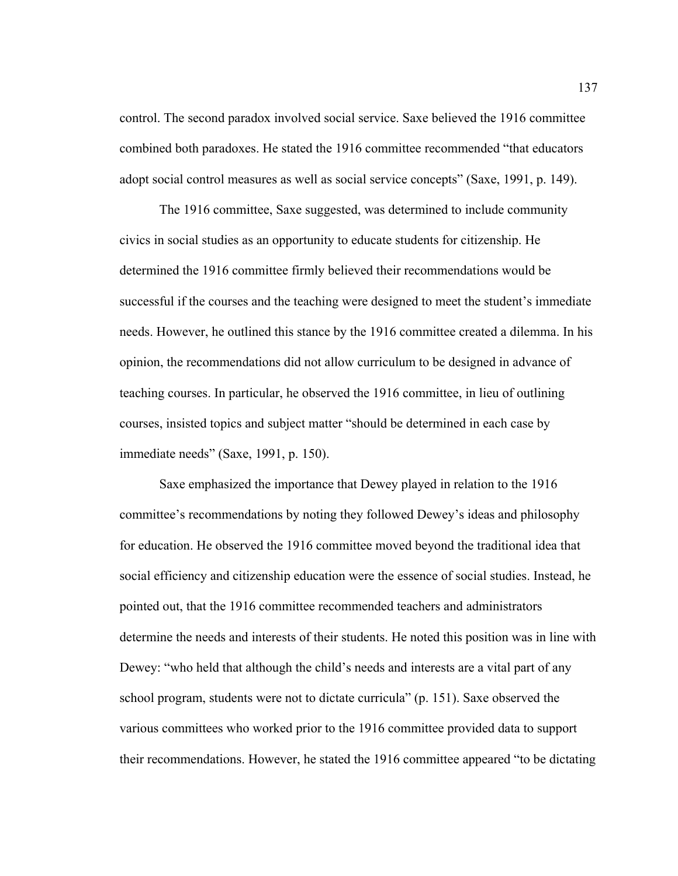control. The second paradox involved social service. Saxe believed the 1916 committee combined both paradoxes. He stated the 1916 committee recommended "that educators adopt social control measures as well as social service concepts" (Saxe, 1991, p. 149).

 The 1916 committee, Saxe suggested, was determined to include community civics in social studies as an opportunity to educate students for citizenship. He determined the 1916 committee firmly believed their recommendations would be successful if the courses and the teaching were designed to meet the student's immediate needs. However, he outlined this stance by the 1916 committee created a dilemma. In his opinion, the recommendations did not allow curriculum to be designed in advance of teaching courses. In particular, he observed the 1916 committee, in lieu of outlining courses, insisted topics and subject matter "should be determined in each case by immediate needs" (Saxe, 1991, p. 150).

 Saxe emphasized the importance that Dewey played in relation to the 1916 committee's recommendations by noting they followed Dewey's ideas and philosophy for education. He observed the 1916 committee moved beyond the traditional idea that social efficiency and citizenship education were the essence of social studies. Instead, he pointed out, that the 1916 committee recommended teachers and administrators determine the needs and interests of their students. He noted this position was in line with Dewey: "who held that although the child's needs and interests are a vital part of any school program, students were not to dictate curricula" (p. 151). Saxe observed the various committees who worked prior to the 1916 committee provided data to support their recommendations. However, he stated the 1916 committee appeared "to be dictating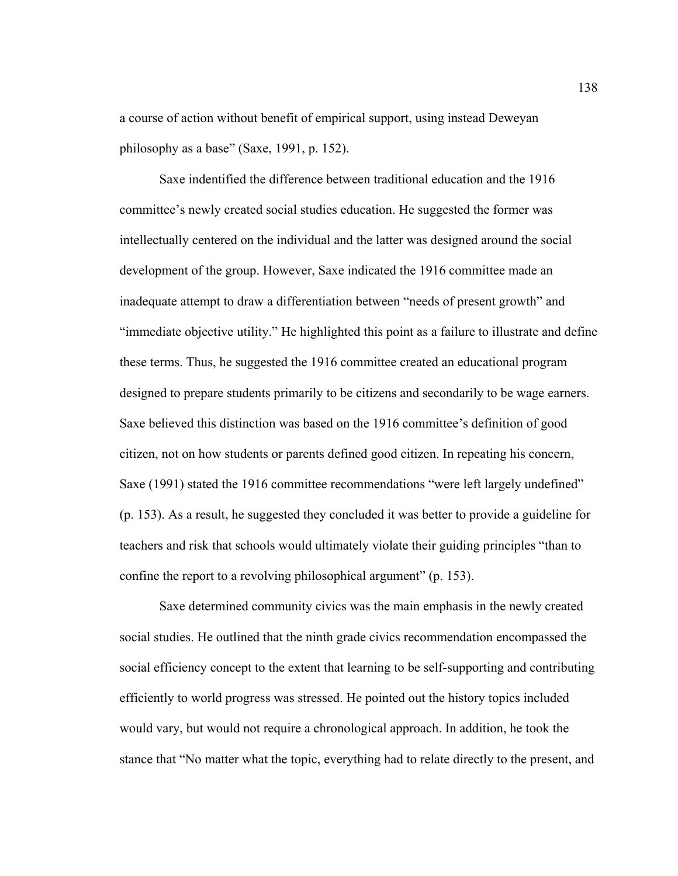a course of action without benefit of empirical support, using instead Deweyan philosophy as a base" (Saxe, 1991, p. 152).

 Saxe indentified the difference between traditional education and the 1916 committee's newly created social studies education. He suggested the former was intellectually centered on the individual and the latter was designed around the social development of the group. However, Saxe indicated the 1916 committee made an inadequate attempt to draw a differentiation between "needs of present growth" and "immediate objective utility." He highlighted this point as a failure to illustrate and define these terms. Thus, he suggested the 1916 committee created an educational program designed to prepare students primarily to be citizens and secondarily to be wage earners. Saxe believed this distinction was based on the 1916 committee's definition of good citizen, not on how students or parents defined good citizen. In repeating his concern, Saxe (1991) stated the 1916 committee recommendations "were left largely undefined" (p. 153). As a result, he suggested they concluded it was better to provide a guideline for teachers and risk that schools would ultimately violate their guiding principles "than to confine the report to a revolving philosophical argument" (p. 153).

 Saxe determined community civics was the main emphasis in the newly created social studies. He outlined that the ninth grade civics recommendation encompassed the social efficiency concept to the extent that learning to be self-supporting and contributing efficiently to world progress was stressed. He pointed out the history topics included would vary, but would not require a chronological approach. In addition, he took the stance that "No matter what the topic, everything had to relate directly to the present, and

138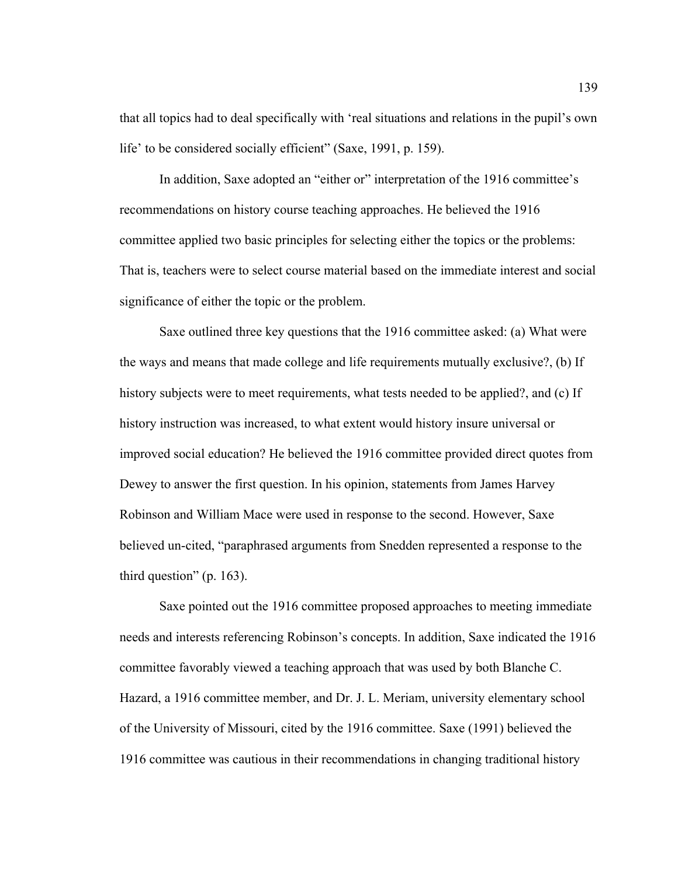that all topics had to deal specifically with 'real situations and relations in the pupil's own life' to be considered socially efficient" (Saxe, 1991, p. 159).

 In addition, Saxe adopted an "either or" interpretation of the 1916 committee's recommendations on history course teaching approaches. He believed the 1916 committee applied two basic principles for selecting either the topics or the problems: That is, teachers were to select course material based on the immediate interest and social significance of either the topic or the problem.

 Saxe outlined three key questions that the 1916 committee asked: (a) What were the ways and means that made college and life requirements mutually exclusive?, (b) If history subjects were to meet requirements, what tests needed to be applied?, and (c) If history instruction was increased, to what extent would history insure universal or improved social education? He believed the 1916 committee provided direct quotes from Dewey to answer the first question. In his opinion, statements from James Harvey Robinson and William Mace were used in response to the second. However, Saxe believed un-cited, "paraphrased arguments from Snedden represented a response to the third question" (p. 163).

 Saxe pointed out the 1916 committee proposed approaches to meeting immediate needs and interests referencing Robinson's concepts. In addition, Saxe indicated the 1916 committee favorably viewed a teaching approach that was used by both Blanche C. Hazard, a 1916 committee member, and Dr. J. L. Meriam, university elementary school of the University of Missouri, cited by the 1916 committee. Saxe (1991) believed the 1916 committee was cautious in their recommendations in changing traditional history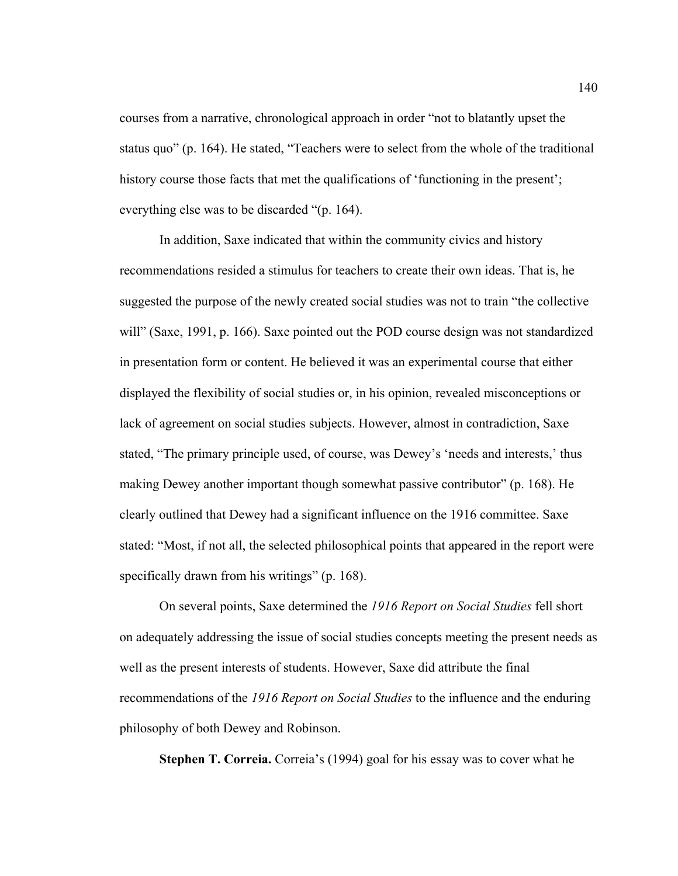courses from a narrative, chronological approach in order "not to blatantly upset the status quo" (p. 164). He stated, "Teachers were to select from the whole of the traditional history course those facts that met the qualifications of 'functioning in the present'; everything else was to be discarded "(p. 164).

 In addition, Saxe indicated that within the community civics and history recommendations resided a stimulus for teachers to create their own ideas. That is, he suggested the purpose of the newly created social studies was not to train "the collective will" (Saxe, 1991, p. 166). Saxe pointed out the POD course design was not standardized in presentation form or content. He believed it was an experimental course that either displayed the flexibility of social studies or, in his opinion, revealed misconceptions or lack of agreement on social studies subjects. However, almost in contradiction, Saxe stated, "The primary principle used, of course, was Dewey's 'needs and interests,' thus making Dewey another important though somewhat passive contributor" (p. 168). He clearly outlined that Dewey had a significant influence on the 1916 committee. Saxe stated: "Most, if not all, the selected philosophical points that appeared in the report were specifically drawn from his writings" (p. 168).

 On several points, Saxe determined the *1916 Report on Social Studies* fell short on adequately addressing the issue of social studies concepts meeting the present needs as well as the present interests of students. However, Saxe did attribute the final recommendations of the *1916 Report on Social Studies* to the influence and the enduring philosophy of both Dewey and Robinson.

**Stephen T. Correia.** Correia's (1994) goal for his essay was to cover what he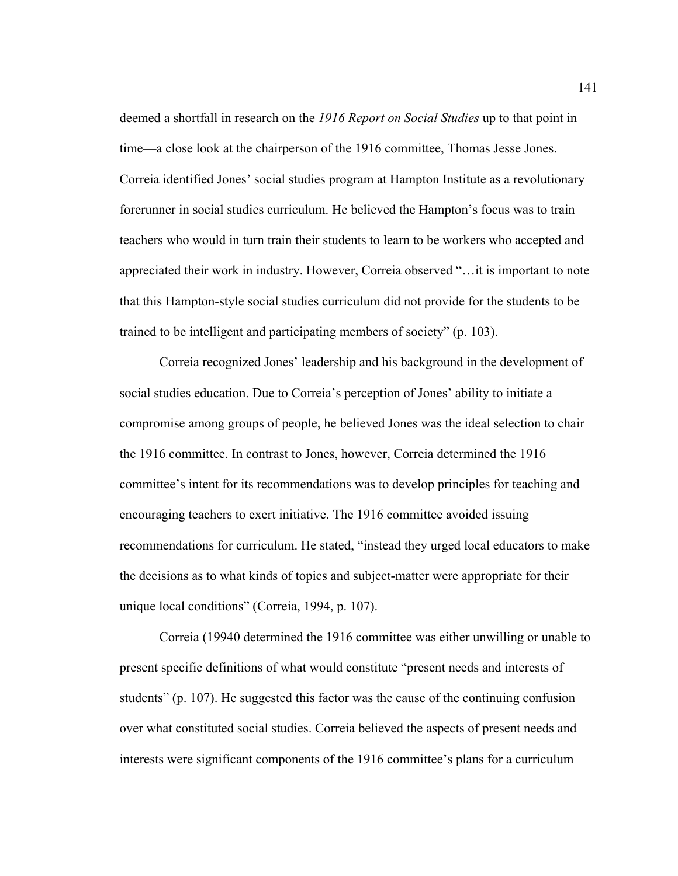deemed a shortfall in research on the *1916 Report on Social Studies* up to that point in time—a close look at the chairperson of the 1916 committee, Thomas Jesse Jones. Correia identified Jones' social studies program at Hampton Institute as a revolutionary forerunner in social studies curriculum. He believed the Hampton's focus was to train teachers who would in turn train their students to learn to be workers who accepted and appreciated their work in industry. However, Correia observed "…it is important to note that this Hampton-style social studies curriculum did not provide for the students to be trained to be intelligent and participating members of society" (p. 103).

 Correia recognized Jones' leadership and his background in the development of social studies education. Due to Correia's perception of Jones' ability to initiate a compromise among groups of people, he believed Jones was the ideal selection to chair the 1916 committee. In contrast to Jones, however, Correia determined the 1916 committee's intent for its recommendations was to develop principles for teaching and encouraging teachers to exert initiative. The 1916 committee avoided issuing recommendations for curriculum. He stated, "instead they urged local educators to make the decisions as to what kinds of topics and subject-matter were appropriate for their unique local conditions" (Correia, 1994, p. 107).

 Correia (19940 determined the 1916 committee was either unwilling or unable to present specific definitions of what would constitute "present needs and interests of students" (p. 107). He suggested this factor was the cause of the continuing confusion over what constituted social studies. Correia believed the aspects of present needs and interests were significant components of the 1916 committee's plans for a curriculum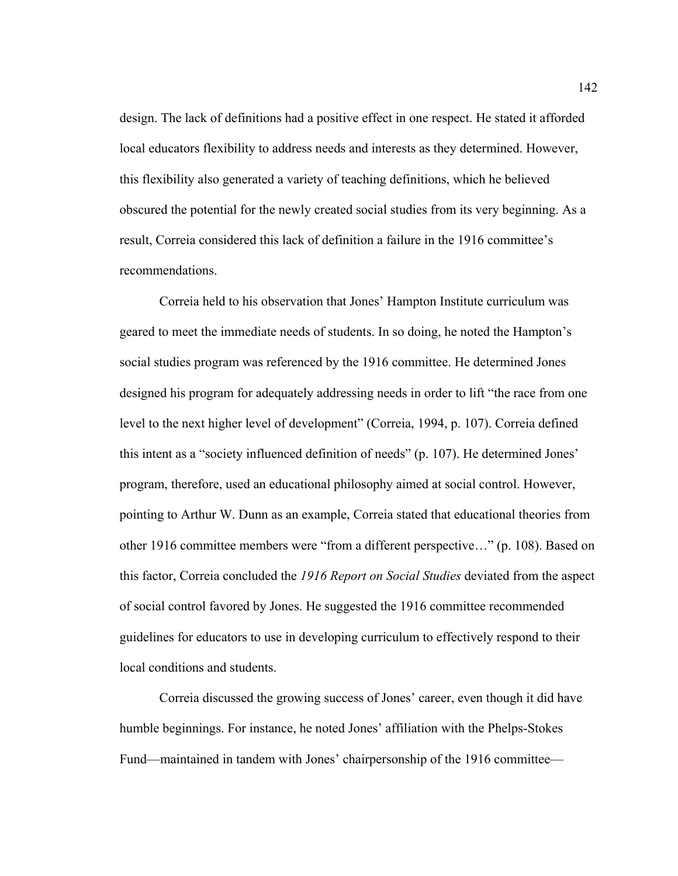design. The lack of definitions had a positive effect in one respect. He stated it afforded local educators flexibility to address needs and interests as they determined. However, this flexibility also generated a variety of teaching definitions, which he believed obscured the potential for the newly created social studies from its very beginning. As a result, Correia considered this lack of definition a failure in the 1916 committee's recommendations.

Correia held to his observation that Jones' Hampton Institute curriculum was geared to meet the immediate needs of students. In so doing, he noted the Hampton's social studies program was referenced by the 1916 committee. He determined Jones designed his program for adequately addressing needs in order to lift "the race from one level to the next higher level of development" (Correia, 1994, p. 107). Correia defined this intent as a "society influenced definition of needs" (p. 107). He determined Jones' program, therefore, used an educational philosophy aimed at social control. However, pointing to Arthur W. Dunn as an example, Correia stated that educational theories from other 1916 committee members were "from a different perspective…" (p. 108). Based on this factor, Correia concluded the *1916 Report on Social Studies* deviated from the aspect of social control favored by Jones. He suggested the 1916 committee recommended guidelines for educators to use in developing curriculum to effectively respond to their local conditions and students.

 Correia discussed the growing success of Jones' career, even though it did have humble beginnings. For instance, he noted Jones' affiliation with the Phelps-Stokes Fund—maintained in tandem with Jones' chairpersonship of the 1916 committee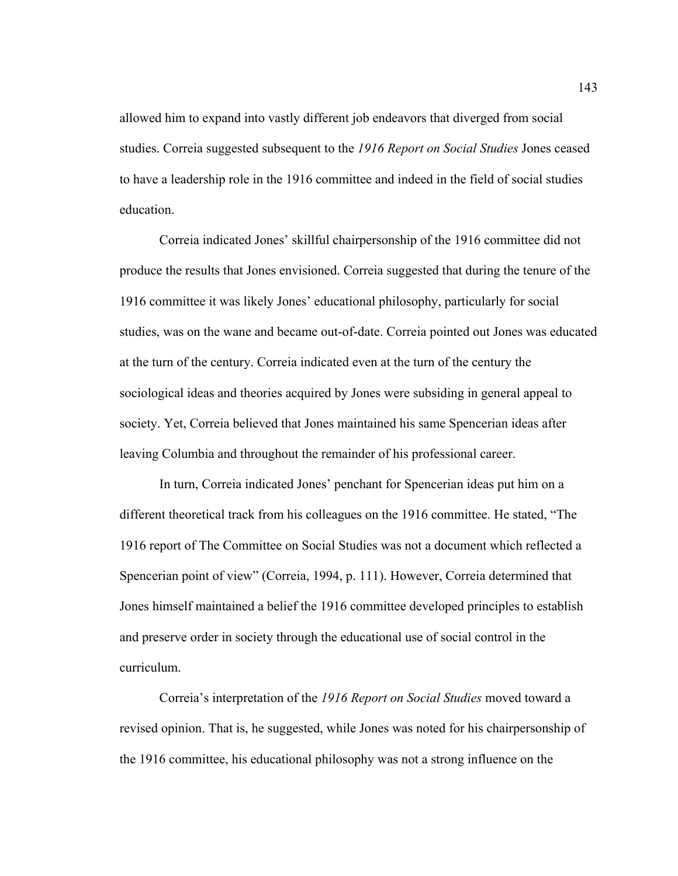allowed him to expand into vastly different job endeavors that diverged from social studies. Correia suggested subsequent to the *1916 Report on Social Studies* Jones ceased to have a leadership role in the 1916 committee and indeed in the field of social studies education.

Correia indicated Jones' skillful chairpersonship of the 1916 committee did not produce the results that Jones envisioned. Correia suggested that during the tenure of the 1916 committee it was likely Jones' educational philosophy, particularly for social studies, was on the wane and became out-of-date. Correia pointed out Jones was educated at the turn of the century. Correia indicated even at the turn of the century the sociological ideas and theories acquired by Jones were subsiding in general appeal to society. Yet, Correia believed that Jones maintained his same Spencerian ideas after leaving Columbia and throughout the remainder of his professional career.

In turn, Correia indicated Jones' penchant for Spencerian ideas put him on a different theoretical track from his colleagues on the 1916 committee. He stated, "The 1916 report of The Committee on Social Studies was not a document which reflected a Spencerian point of view" (Correia, 1994, p. 111). However, Correia determined that Jones himself maintained a belief the 1916 committee developed principles to establish and preserve order in society through the educational use of social control in the curriculum.

Correia's interpretation of the *1916 Report on Social Studies* moved toward a revised opinion. That is, he suggested, while Jones was noted for his chairpersonship of the 1916 committee, his educational philosophy was not a strong influence on the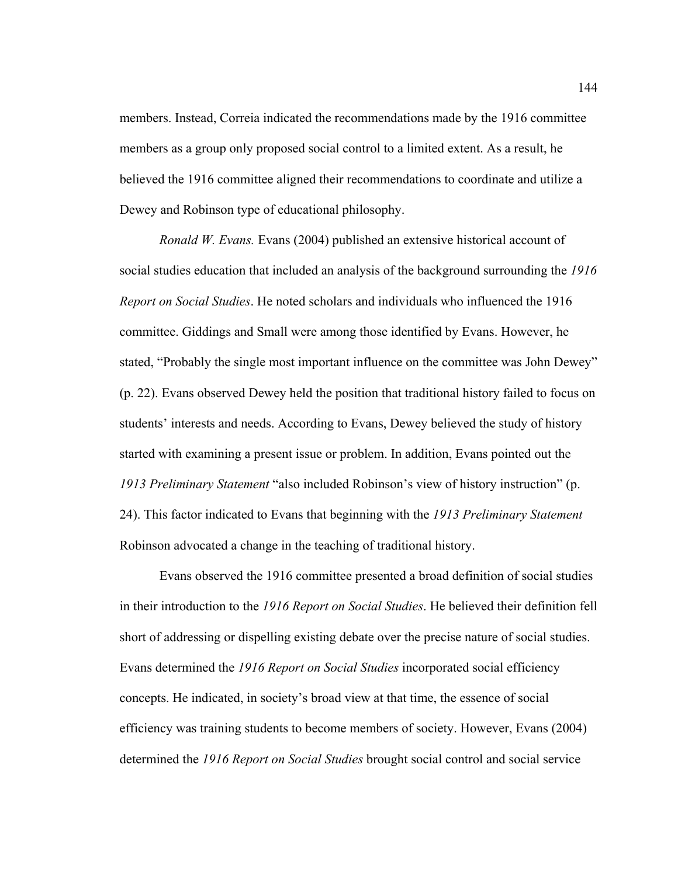members. Instead, Correia indicated the recommendations made by the 1916 committee members as a group only proposed social control to a limited extent. As a result, he believed the 1916 committee aligned their recommendations to coordinate and utilize a Dewey and Robinson type of educational philosophy.

*Ronald W. Evans.* Evans (2004) published an extensive historical account of social studies education that included an analysis of the background surrounding the *1916 Report on Social Studies*. He noted scholars and individuals who influenced the 1916 committee. Giddings and Small were among those identified by Evans. However, he stated, "Probably the single most important influence on the committee was John Dewey" (p. 22). Evans observed Dewey held the position that traditional history failed to focus on students' interests and needs. According to Evans, Dewey believed the study of history started with examining a present issue or problem. In addition, Evans pointed out the *1913 Preliminary Statement* "also included Robinson's view of history instruction" (p. 24). This factor indicated to Evans that beginning with the *1913 Preliminary Statement* Robinson advocated a change in the teaching of traditional history.

 Evans observed the 1916 committee presented a broad definition of social studies in their introduction to the *1916 Report on Social Studies*. He believed their definition fell short of addressing or dispelling existing debate over the precise nature of social studies. Evans determined the *1916 Report on Social Studies* incorporated social efficiency concepts. He indicated, in society's broad view at that time, the essence of social efficiency was training students to become members of society. However, Evans (2004) determined the *1916 Report on Social Studies* brought social control and social service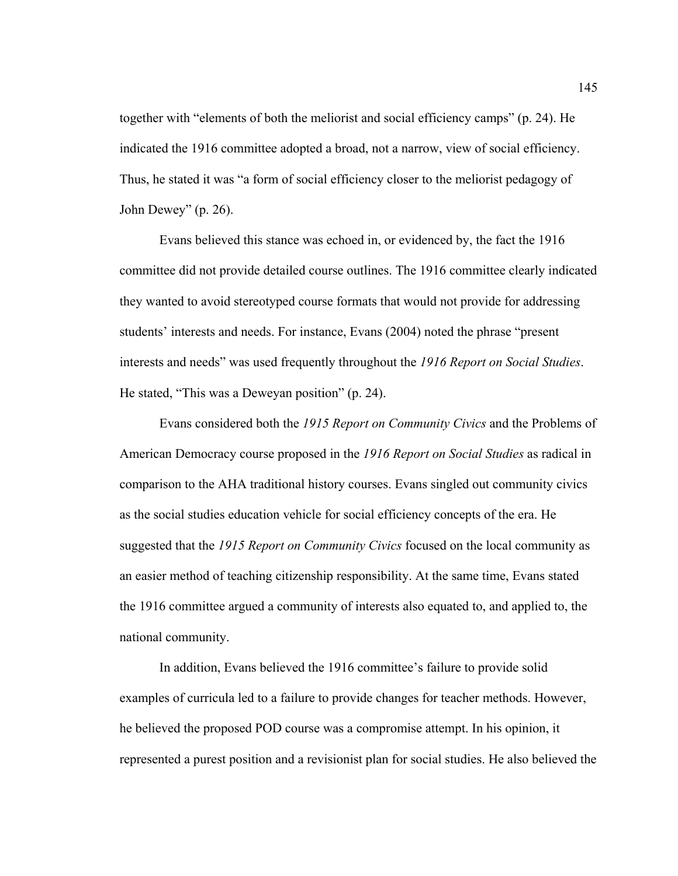together with "elements of both the meliorist and social efficiency camps" (p. 24). He indicated the 1916 committee adopted a broad, not a narrow, view of social efficiency. Thus, he stated it was "a form of social efficiency closer to the meliorist pedagogy of John Dewey" (p. 26).

 Evans believed this stance was echoed in, or evidenced by, the fact the 1916 committee did not provide detailed course outlines. The 1916 committee clearly indicated they wanted to avoid stereotyped course formats that would not provide for addressing students' interests and needs. For instance, Evans (2004) noted the phrase "present interests and needs" was used frequently throughout the *1916 Report on Social Studies*. He stated, "This was a Deweyan position" (p. 24).

 Evans considered both the *1915 Report on Community Civics* and the Problems of American Democracy course proposed in the *1916 Report on Social Studies* as radical in comparison to the AHA traditional history courses. Evans singled out community civics as the social studies education vehicle for social efficiency concepts of the era. He suggested that the *1915 Report on Community Civics* focused on the local community as an easier method of teaching citizenship responsibility. At the same time, Evans stated the 1916 committee argued a community of interests also equated to, and applied to, the national community.

In addition, Evans believed the 1916 committee's failure to provide solid examples of curricula led to a failure to provide changes for teacher methods. However, he believed the proposed POD course was a compromise attempt. In his opinion, it represented a purest position and a revisionist plan for social studies. He also believed the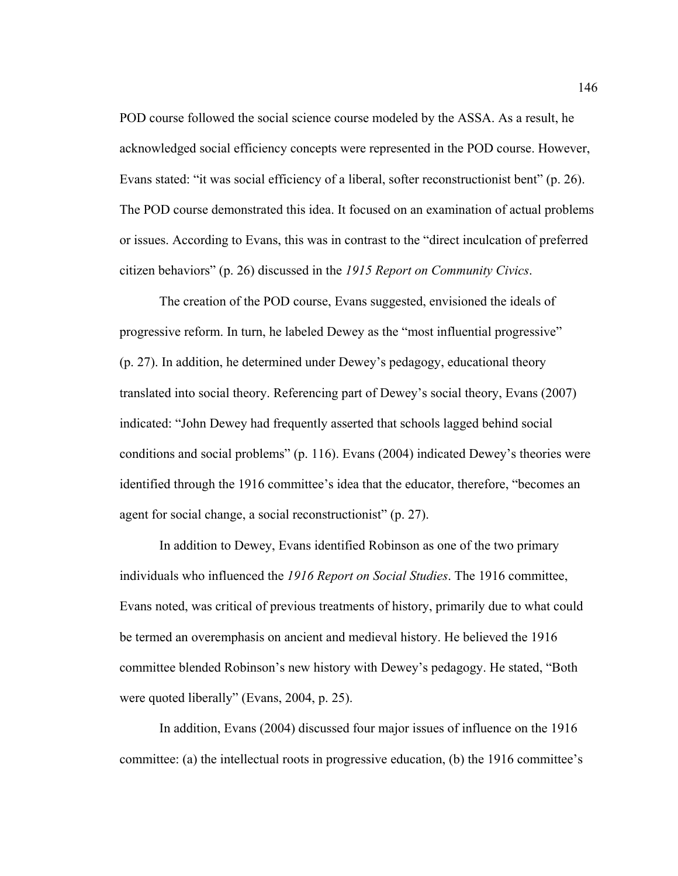POD course followed the social science course modeled by the ASSA. As a result, he acknowledged social efficiency concepts were represented in the POD course. However, Evans stated: "it was social efficiency of a liberal, softer reconstructionist bent" (p. 26). The POD course demonstrated this idea. It focused on an examination of actual problems or issues. According to Evans, this was in contrast to the "direct inculcation of preferred citizen behaviors" (p. 26) discussed in the *1915 Report on Community Civics*.

 The creation of the POD course, Evans suggested, envisioned the ideals of progressive reform. In turn, he labeled Dewey as the "most influential progressive" (p. 27). In addition, he determined under Dewey's pedagogy, educational theory translated into social theory. Referencing part of Dewey's social theory, Evans (2007) indicated: "John Dewey had frequently asserted that schools lagged behind social conditions and social problems" (p. 116). Evans (2004) indicated Dewey's theories were identified through the 1916 committee's idea that the educator, therefore, "becomes an agent for social change, a social reconstructionist" (p. 27).

 In addition to Dewey, Evans identified Robinson as one of the two primary individuals who influenced the *1916 Report on Social Studies*. The 1916 committee, Evans noted, was critical of previous treatments of history, primarily due to what could be termed an overemphasis on ancient and medieval history. He believed the 1916 committee blended Robinson's new history with Dewey's pedagogy. He stated, "Both were quoted liberally" (Evans, 2004, p. 25).

In addition, Evans (2004) discussed four major issues of influence on the 1916 committee: (a) the intellectual roots in progressive education, (b) the 1916 committee's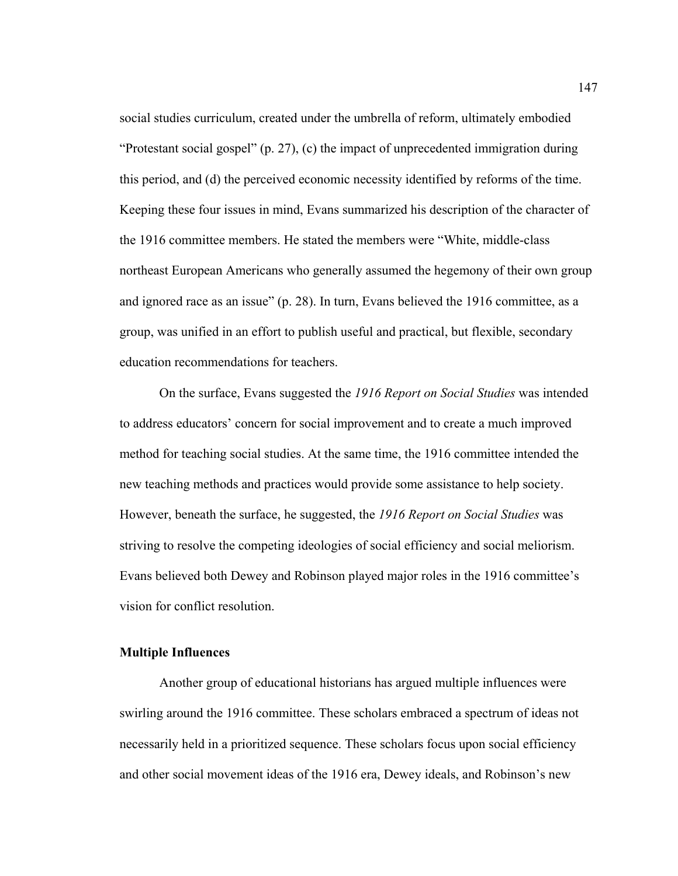social studies curriculum, created under the umbrella of reform, ultimately embodied "Protestant social gospel" (p. 27), (c) the impact of unprecedented immigration during this period, and (d) the perceived economic necessity identified by reforms of the time. Keeping these four issues in mind, Evans summarized his description of the character of the 1916 committee members. He stated the members were "White, middle-class northeast European Americans who generally assumed the hegemony of their own group and ignored race as an issue" (p. 28). In turn, Evans believed the 1916 committee, as a group, was unified in an effort to publish useful and practical, but flexible, secondary education recommendations for teachers.

 On the surface, Evans suggested the *1916 Report on Social Studies* was intended to address educators' concern for social improvement and to create a much improved method for teaching social studies. At the same time, the 1916 committee intended the new teaching methods and practices would provide some assistance to help society. However, beneath the surface, he suggested, the *1916 Report on Social Studies* was striving to resolve the competing ideologies of social efficiency and social meliorism. Evans believed both Dewey and Robinson played major roles in the 1916 committee's vision for conflict resolution.

## **Multiple Influences**

 Another group of educational historians has argued multiple influences were swirling around the 1916 committee. These scholars embraced a spectrum of ideas not necessarily held in a prioritized sequence. These scholars focus upon social efficiency and other social movement ideas of the 1916 era, Dewey ideals, and Robinson's new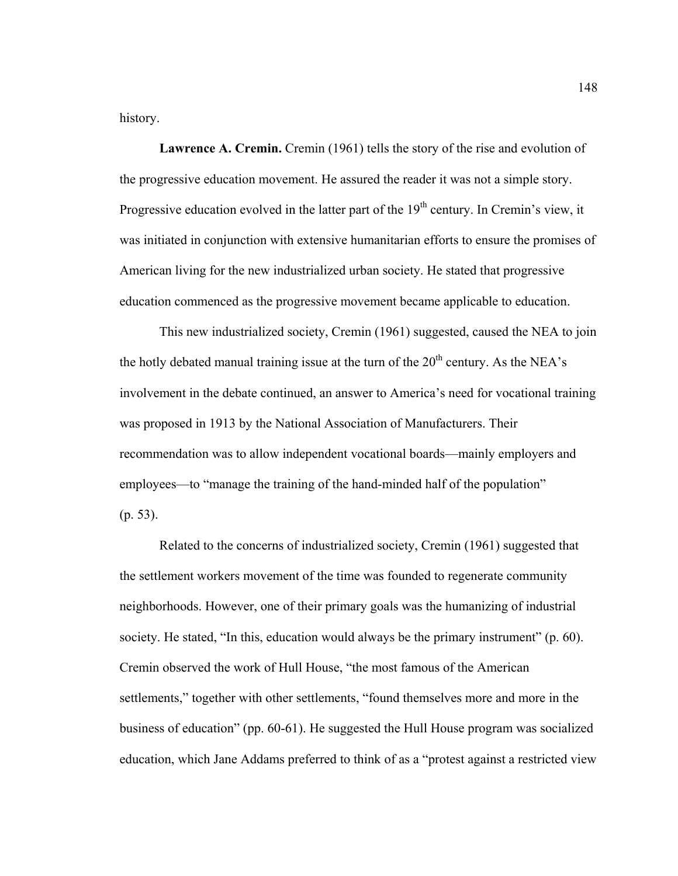history.

**Lawrence A. Cremin.** Cremin (1961) tells the story of the rise and evolution of the progressive education movement. He assured the reader it was not a simple story. Progressive education evolved in the latter part of the  $19<sup>th</sup>$  century. In Cremin's view, it was initiated in conjunction with extensive humanitarian efforts to ensure the promises of American living for the new industrialized urban society. He stated that progressive education commenced as the progressive movement became applicable to education.

 This new industrialized society, Cremin (1961) suggested, caused the NEA to join the hotly debated manual training issue at the turn of the  $20<sup>th</sup>$  century. As the NEA's involvement in the debate continued, an answer to America's need for vocational training was proposed in 1913 by the National Association of Manufacturers. Their recommendation was to allow independent vocational boards—mainly employers and employees—to "manage the training of the hand-minded half of the population" (p. 53).

 Related to the concerns of industrialized society, Cremin (1961) suggested that the settlement workers movement of the time was founded to regenerate community neighborhoods. However, one of their primary goals was the humanizing of industrial society. He stated, "In this, education would always be the primary instrument" (p. 60). Cremin observed the work of Hull House, "the most famous of the American settlements," together with other settlements, "found themselves more and more in the business of education" (pp. 60-61). He suggested the Hull House program was socialized education, which Jane Addams preferred to think of as a "protest against a restricted view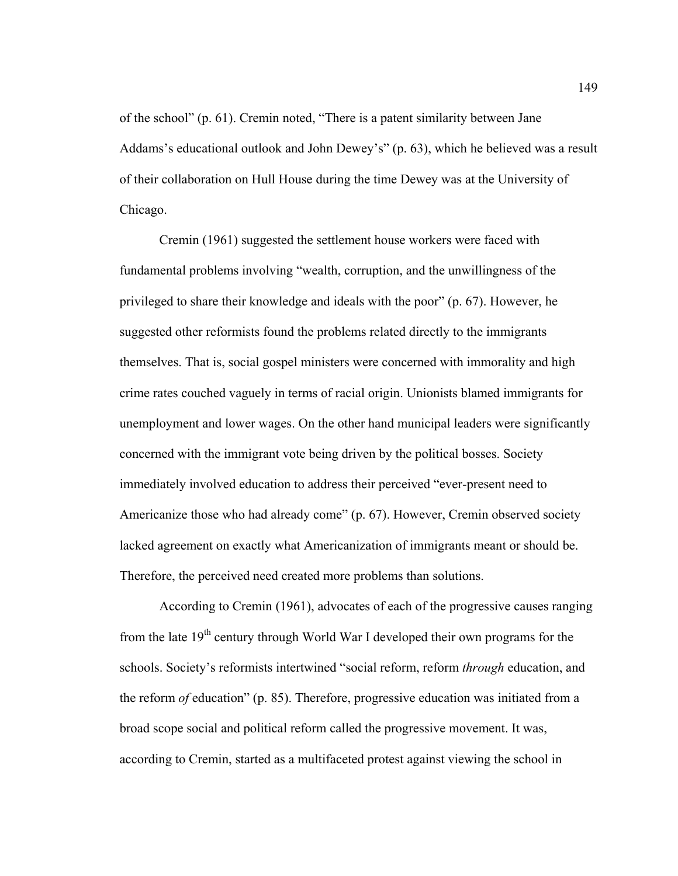of the school" (p. 61). Cremin noted, "There is a patent similarity between Jane Addams's educational outlook and John Dewey's" (p. 63), which he believed was a result of their collaboration on Hull House during the time Dewey was at the University of Chicago.

 Cremin (1961) suggested the settlement house workers were faced with fundamental problems involving "wealth, corruption, and the unwillingness of the privileged to share their knowledge and ideals with the poor" (p. 67). However, he suggested other reformists found the problems related directly to the immigrants themselves. That is, social gospel ministers were concerned with immorality and high crime rates couched vaguely in terms of racial origin. Unionists blamed immigrants for unemployment and lower wages. On the other hand municipal leaders were significantly concerned with the immigrant vote being driven by the political bosses. Society immediately involved education to address their perceived "ever-present need to Americanize those who had already come" (p. 67). However, Cremin observed society lacked agreement on exactly what Americanization of immigrants meant or should be. Therefore, the perceived need created more problems than solutions.

According to Cremin (1961), advocates of each of the progressive causes ranging from the late  $19<sup>th</sup>$  century through World War I developed their own programs for the schools. Society's reformists intertwined "social reform, reform *through* education, and the reform *of* education" (p. 85). Therefore, progressive education was initiated from a broad scope social and political reform called the progressive movement. It was, according to Cremin, started as a multifaceted protest against viewing the school in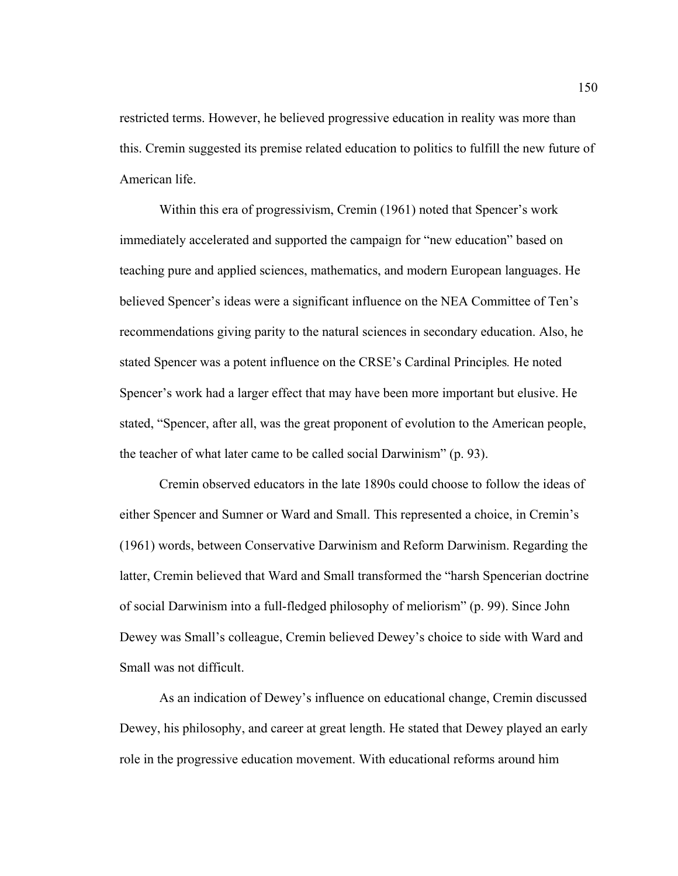restricted terms. However, he believed progressive education in reality was more than this. Cremin suggested its premise related education to politics to fulfill the new future of American life.

 Within this era of progressivism, Cremin (1961) noted that Spencer's work immediately accelerated and supported the campaign for "new education" based on teaching pure and applied sciences, mathematics, and modern European languages. He believed Spencer's ideas were a significant influence on the NEA Committee of Ten's recommendations giving parity to the natural sciences in secondary education. Also, he stated Spencer was a potent influence on the CRSE's Cardinal Principles*.* He noted Spencer's work had a larger effect that may have been more important but elusive. He stated, "Spencer, after all, was the great proponent of evolution to the American people, the teacher of what later came to be called social Darwinism" (p. 93).

 Cremin observed educators in the late 1890s could choose to follow the ideas of either Spencer and Sumner or Ward and Small. This represented a choice, in Cremin's (1961) words, between Conservative Darwinism and Reform Darwinism. Regarding the latter, Cremin believed that Ward and Small transformed the "harsh Spencerian doctrine of social Darwinism into a full-fledged philosophy of meliorism" (p. 99). Since John Dewey was Small's colleague, Cremin believed Dewey's choice to side with Ward and Small was not difficult.

 As an indication of Dewey's influence on educational change, Cremin discussed Dewey, his philosophy, and career at great length. He stated that Dewey played an early role in the progressive education movement. With educational reforms around him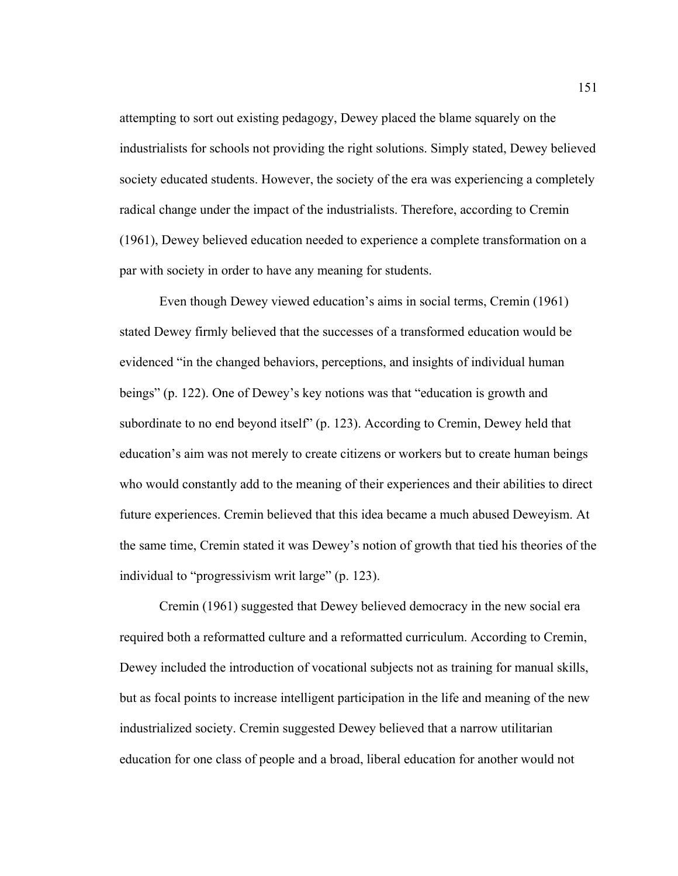attempting to sort out existing pedagogy, Dewey placed the blame squarely on the industrialists for schools not providing the right solutions. Simply stated, Dewey believed society educated students. However, the society of the era was experiencing a completely radical change under the impact of the industrialists. Therefore, according to Cremin (1961), Dewey believed education needed to experience a complete transformation on a par with society in order to have any meaning for students.

Even though Dewey viewed education's aims in social terms, Cremin (1961) stated Dewey firmly believed that the successes of a transformed education would be evidenced "in the changed behaviors, perceptions, and insights of individual human beings" (p. 122). One of Dewey's key notions was that "education is growth and subordinate to no end beyond itself" (p. 123). According to Cremin, Dewey held that education's aim was not merely to create citizens or workers but to create human beings who would constantly add to the meaning of their experiences and their abilities to direct future experiences. Cremin believed that this idea became a much abused Deweyism. At the same time, Cremin stated it was Dewey's notion of growth that tied his theories of the individual to "progressivism writ large" (p. 123).

 Cremin (1961) suggested that Dewey believed democracy in the new social era required both a reformatted culture and a reformatted curriculum. According to Cremin, Dewey included the introduction of vocational subjects not as training for manual skills, but as focal points to increase intelligent participation in the life and meaning of the new industrialized society. Cremin suggested Dewey believed that a narrow utilitarian education for one class of people and a broad, liberal education for another would not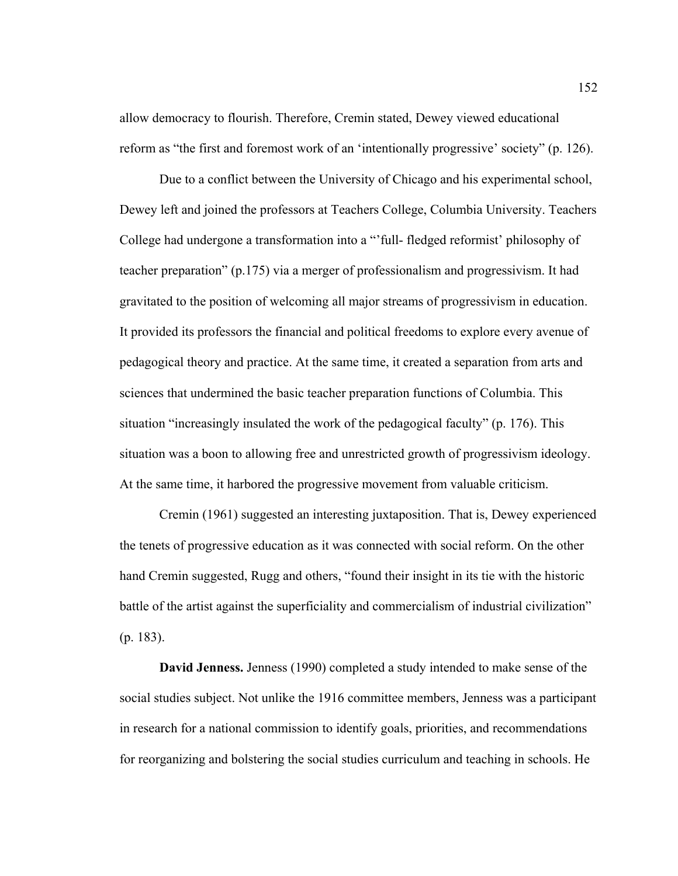allow democracy to flourish. Therefore, Cremin stated, Dewey viewed educational reform as "the first and foremost work of an 'intentionally progressive' society" (p. 126).

 Due to a conflict between the University of Chicago and his experimental school, Dewey left and joined the professors at Teachers College, Columbia University. Teachers College had undergone a transformation into a "'full- fledged reformist' philosophy of teacher preparation" (p.175) via a merger of professionalism and progressivism. It had gravitated to the position of welcoming all major streams of progressivism in education. It provided its professors the financial and political freedoms to explore every avenue of pedagogical theory and practice. At the same time, it created a separation from arts and sciences that undermined the basic teacher preparation functions of Columbia. This situation "increasingly insulated the work of the pedagogical faculty" (p. 176). This situation was a boon to allowing free and unrestricted growth of progressivism ideology. At the same time, it harbored the progressive movement from valuable criticism.

 Cremin (1961) suggested an interesting juxtaposition. That is, Dewey experienced the tenets of progressive education as it was connected with social reform. On the other hand Cremin suggested, Rugg and others, "found their insight in its tie with the historic battle of the artist against the superficiality and commercialism of industrial civilization" (p. 183).

**David Jenness.** Jenness (1990) completed a study intended to make sense of the social studies subject. Not unlike the 1916 committee members, Jenness was a participant in research for a national commission to identify goals, priorities, and recommendations for reorganizing and bolstering the social studies curriculum and teaching in schools. He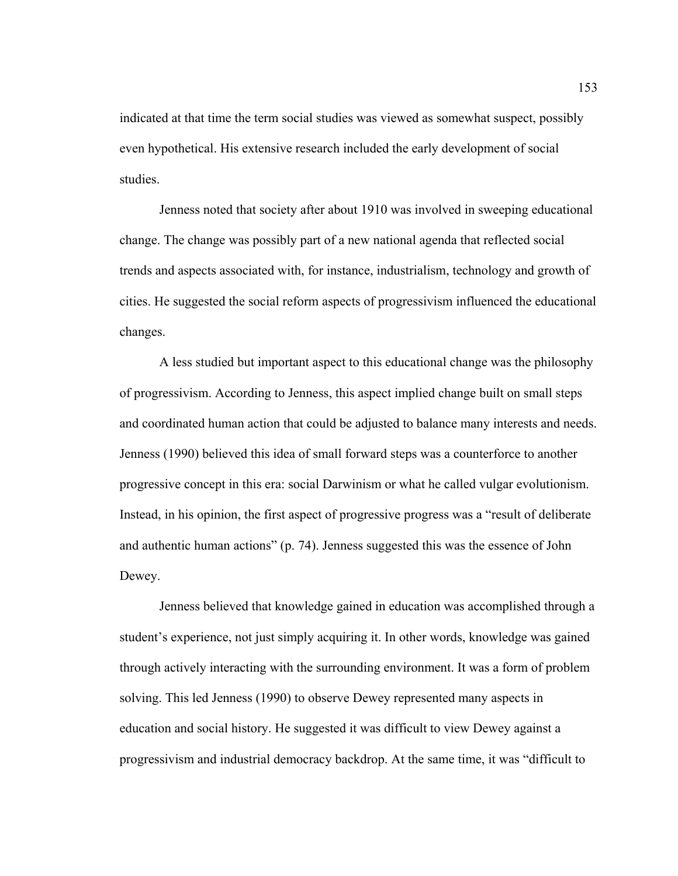indicated at that time the term social studies was viewed as somewhat suspect, possibly even hypothetical. His extensive research included the early development of social studies.

 Jenness noted that society after about 1910 was involved in sweeping educational change. The change was possibly part of a new national agenda that reflected social trends and aspects associated with, for instance, industrialism, technology and growth of cities. He suggested the social reform aspects of progressivism influenced the educational changes.

 A less studied but important aspect to this educational change was the philosophy of progressivism. According to Jenness, this aspect implied change built on small steps and coordinated human action that could be adjusted to balance many interests and needs. Jenness (1990) believed this idea of small forward steps was a counterforce to another progressive concept in this era: social Darwinism or what he called vulgar evolutionism. Instead, in his opinion, the first aspect of progressive progress was a "result of deliberate and authentic human actions" (p. 74). Jenness suggested this was the essence of John Dewey.

 Jenness believed that knowledge gained in education was accomplished through a student's experience, not just simply acquiring it. In other words, knowledge was gained through actively interacting with the surrounding environment. It was a form of problem solving. This led Jenness (1990) to observe Dewey represented many aspects in education and social history. He suggested it was difficult to view Dewey against a progressivism and industrial democracy backdrop. At the same time, it was "difficult to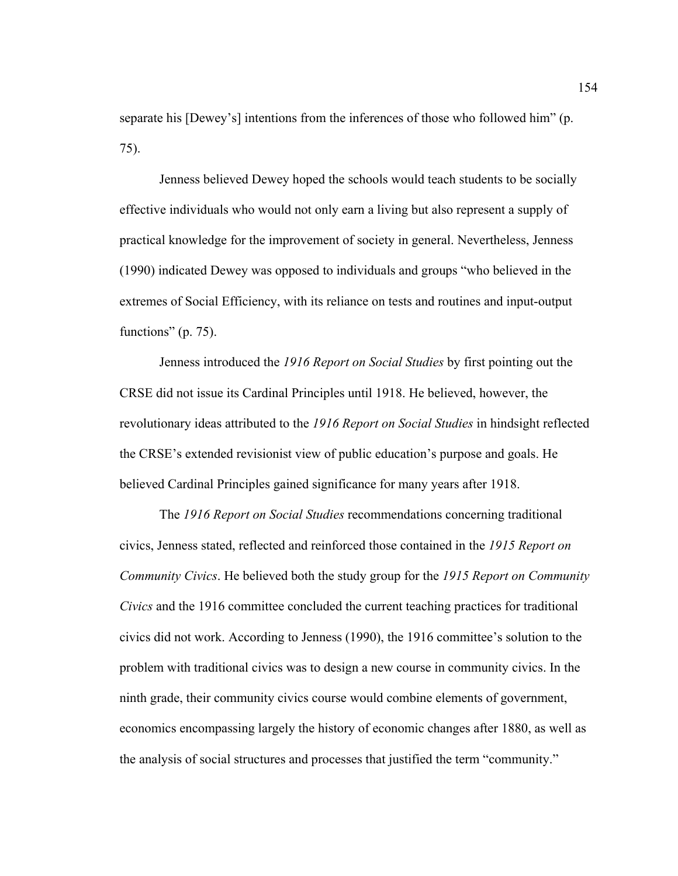separate his [Dewey's] intentions from the inferences of those who followed him" (p. 75).

 Jenness believed Dewey hoped the schools would teach students to be socially effective individuals who would not only earn a living but also represent a supply of practical knowledge for the improvement of society in general. Nevertheless, Jenness (1990) indicated Dewey was opposed to individuals and groups "who believed in the extremes of Social Efficiency, with its reliance on tests and routines and input-output functions" (p. 75).

 Jenness introduced the *1916 Report on Social Studies* by first pointing out the CRSE did not issue its Cardinal Principles until 1918. He believed, however, the revolutionary ideas attributed to the *1916 Report on Social Studies* in hindsight reflected the CRSE's extended revisionist view of public education's purpose and goals. He believed Cardinal Principles gained significance for many years after 1918.

The *1916 Report on Social Studies* recommendations concerning traditional civics, Jenness stated, reflected and reinforced those contained in the *1915 Report on Community Civics*. He believed both the study group for the *1915 Report on Community Civics* and the 1916 committee concluded the current teaching practices for traditional civics did not work. According to Jenness (1990), the 1916 committee's solution to the problem with traditional civics was to design a new course in community civics. In the ninth grade, their community civics course would combine elements of government, economics encompassing largely the history of economic changes after 1880, as well as the analysis of social structures and processes that justified the term "community."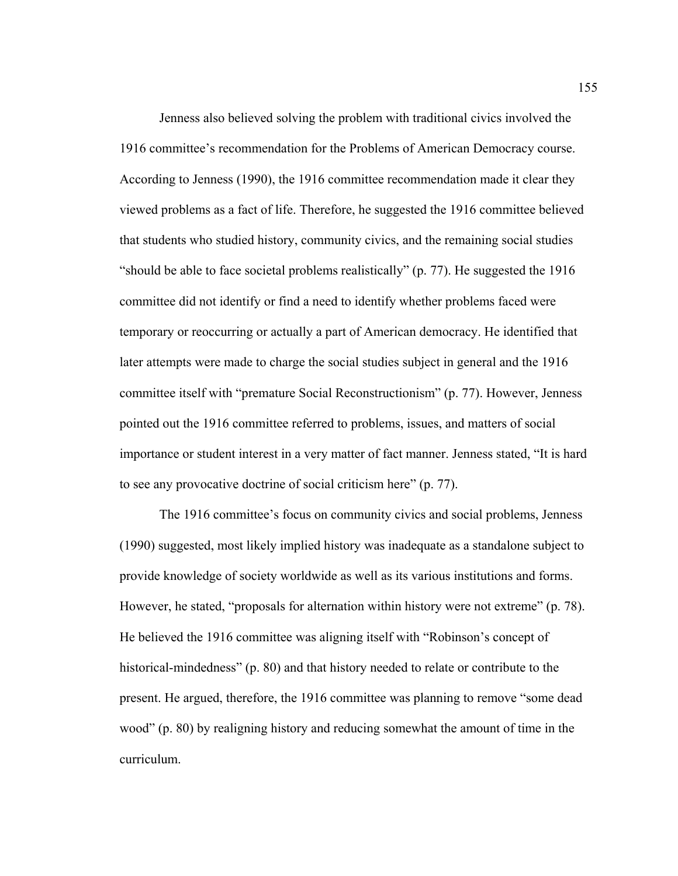Jenness also believed solving the problem with traditional civics involved the 1916 committee's recommendation for the Problems of American Democracy course. According to Jenness (1990), the 1916 committee recommendation made it clear they viewed problems as a fact of life. Therefore, he suggested the 1916 committee believed that students who studied history, community civics, and the remaining social studies "should be able to face societal problems realistically" (p. 77). He suggested the 1916 committee did not identify or find a need to identify whether problems faced were temporary or reoccurring or actually a part of American democracy. He identified that later attempts were made to charge the social studies subject in general and the 1916 committee itself with "premature Social Reconstructionism" (p. 77). However, Jenness pointed out the 1916 committee referred to problems, issues, and matters of social importance or student interest in a very matter of fact manner. Jenness stated, "It is hard to see any provocative doctrine of social criticism here" (p. 77).

 The 1916 committee's focus on community civics and social problems, Jenness (1990) suggested, most likely implied history was inadequate as a standalone subject to provide knowledge of society worldwide as well as its various institutions and forms. However, he stated, "proposals for alternation within history were not extreme" (p. 78). He believed the 1916 committee was aligning itself with "Robinson's concept of historical-mindedness" (p. 80) and that history needed to relate or contribute to the present. He argued, therefore, the 1916 committee was planning to remove "some dead wood" (p. 80) by realigning history and reducing somewhat the amount of time in the curriculum.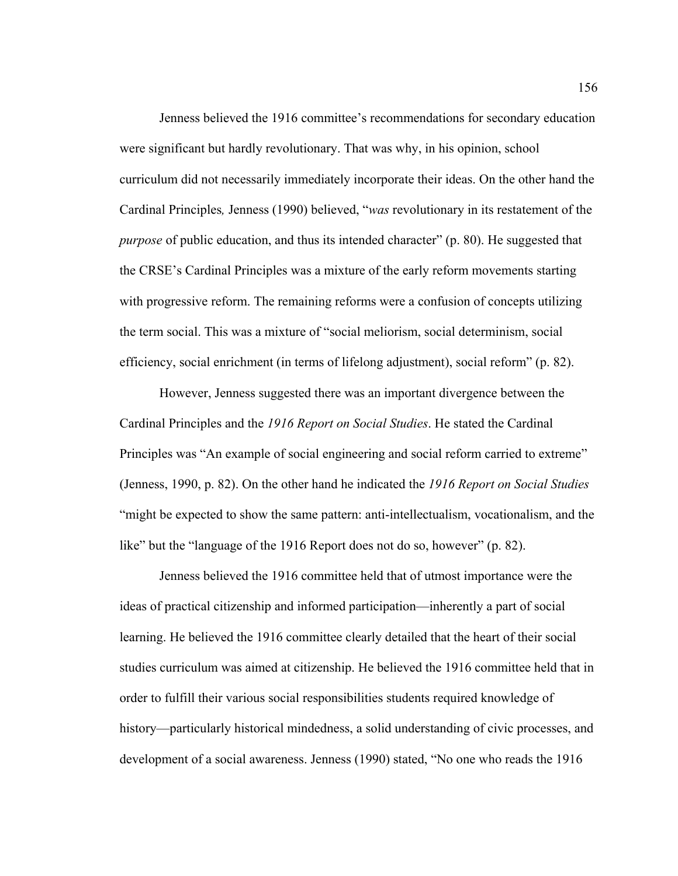Jenness believed the 1916 committee's recommendations for secondary education were significant but hardly revolutionary. That was why, in his opinion, school curriculum did not necessarily immediately incorporate their ideas. On the other hand the Cardinal Principles*,* Jenness (1990) believed, "*was* revolutionary in its restatement of the *purpose* of public education, and thus its intended character" (p. 80). He suggested that the CRSE's Cardinal Principles was a mixture of the early reform movements starting with progressive reform. The remaining reforms were a confusion of concepts utilizing the term social. This was a mixture of "social meliorism, social determinism, social efficiency, social enrichment (in terms of lifelong adjustment), social reform" (p. 82).

 However, Jenness suggested there was an important divergence between the Cardinal Principles and the *1916 Report on Social Studies*. He stated the Cardinal Principles was "An example of social engineering and social reform carried to extreme" (Jenness, 1990, p. 82). On the other hand he indicated the *1916 Report on Social Studies* "might be expected to show the same pattern: anti-intellectualism, vocationalism, and the like" but the "language of the 1916 Report does not do so, however" (p. 82).

Jenness believed the 1916 committee held that of utmost importance were the ideas of practical citizenship and informed participation—inherently a part of social learning. He believed the 1916 committee clearly detailed that the heart of their social studies curriculum was aimed at citizenship. He believed the 1916 committee held that in order to fulfill their various social responsibilities students required knowledge of history—particularly historical mindedness, a solid understanding of civic processes, and development of a social awareness. Jenness (1990) stated, "No one who reads the 1916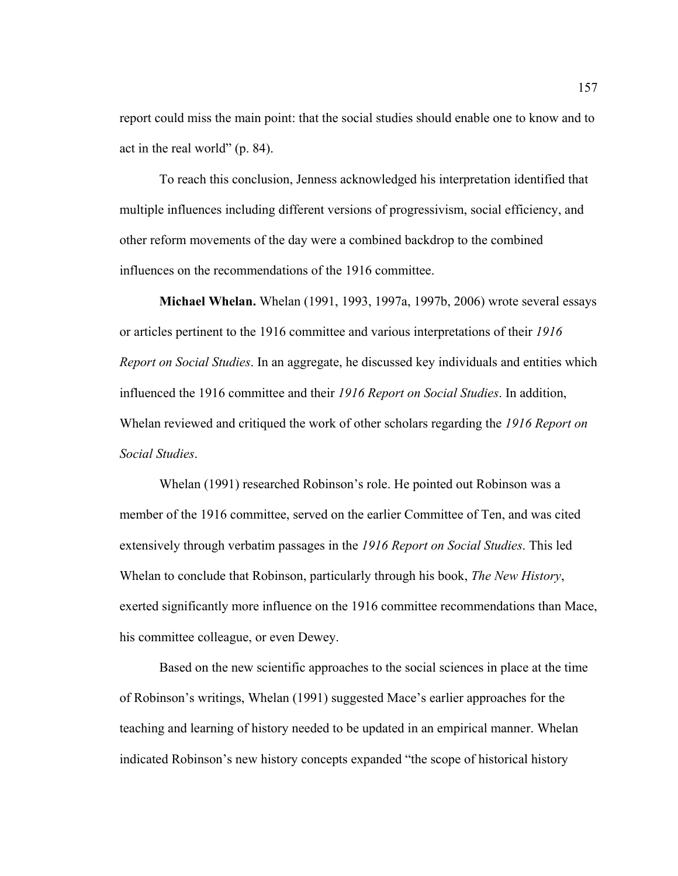report could miss the main point: that the social studies should enable one to know and to act in the real world" (p. 84).

To reach this conclusion, Jenness acknowledged his interpretation identified that multiple influences including different versions of progressivism, social efficiency, and other reform movements of the day were a combined backdrop to the combined influences on the recommendations of the 1916 committee.

**Michael Whelan.** Whelan (1991, 1993, 1997a, 1997b, 2006) wrote several essays or articles pertinent to the 1916 committee and various interpretations of their *1916 Report on Social Studies*. In an aggregate, he discussed key individuals and entities which influenced the 1916 committee and their *1916 Report on Social Studies*. In addition, Whelan reviewed and critiqued the work of other scholars regarding the *1916 Report on Social Studies*.

 Whelan (1991) researched Robinson's role. He pointed out Robinson was a member of the 1916 committee, served on the earlier Committee of Ten, and was cited extensively through verbatim passages in the *1916 Report on Social Studies*. This led Whelan to conclude that Robinson, particularly through his book, *The New History*, exerted significantly more influence on the 1916 committee recommendations than Mace, his committee colleague, or even Dewey.

 Based on the new scientific approaches to the social sciences in place at the time of Robinson's writings, Whelan (1991) suggested Mace's earlier approaches for the teaching and learning of history needed to be updated in an empirical manner. Whelan indicated Robinson's new history concepts expanded "the scope of historical history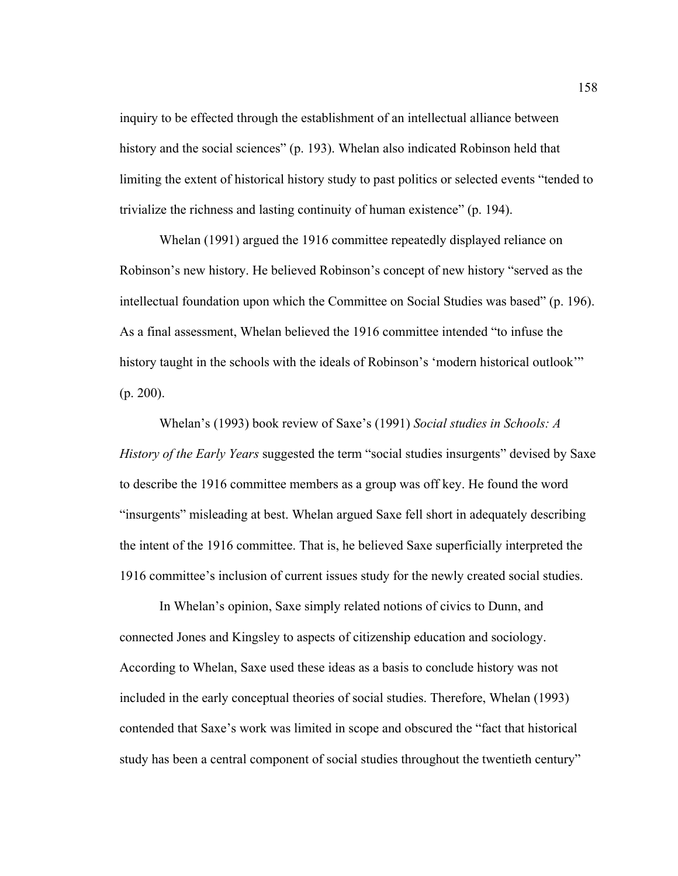inquiry to be effected through the establishment of an intellectual alliance between history and the social sciences" (p. 193). Whelan also indicated Robinson held that limiting the extent of historical history study to past politics or selected events "tended to trivialize the richness and lasting continuity of human existence" (p. 194).

Whelan (1991) argued the 1916 committee repeatedly displayed reliance on Robinson's new history. He believed Robinson's concept of new history "served as the intellectual foundation upon which the Committee on Social Studies was based" (p. 196). As a final assessment, Whelan believed the 1916 committee intended "to infuse the history taught in the schools with the ideals of Robinson's 'modern historical outlook'" (p. 200).

Whelan's (1993) book review of Saxe's (1991) *Social studies in Schools: A History of the Early Years* suggested the term "social studies insurgents" devised by Saxe to describe the 1916 committee members as a group was off key. He found the word "insurgents" misleading at best. Whelan argued Saxe fell short in adequately describing the intent of the 1916 committee. That is, he believed Saxe superficially interpreted the 1916 committee's inclusion of current issues study for the newly created social studies.

 In Whelan's opinion, Saxe simply related notions of civics to Dunn, and connected Jones and Kingsley to aspects of citizenship education and sociology. According to Whelan, Saxe used these ideas as a basis to conclude history was not included in the early conceptual theories of social studies. Therefore, Whelan (1993) contended that Saxe's work was limited in scope and obscured the "fact that historical study has been a central component of social studies throughout the twentieth century"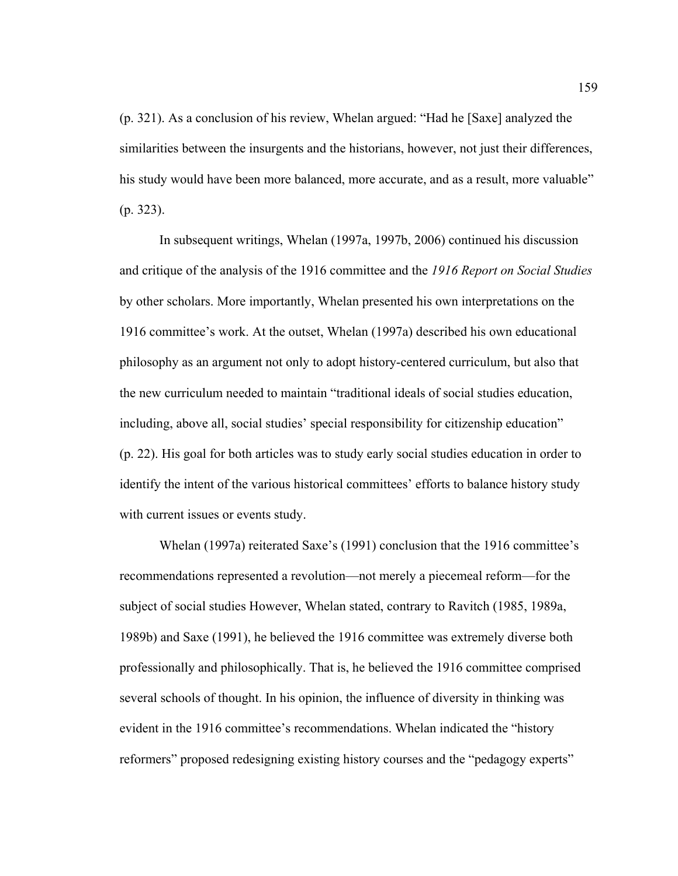(p. 321). As a conclusion of his review, Whelan argued: "Had he [Saxe] analyzed the similarities between the insurgents and the historians, however, not just their differences, his study would have been more balanced, more accurate, and as a result, more valuable" (p. 323).

In subsequent writings, Whelan (1997a, 1997b, 2006) continued his discussion and critique of the analysis of the 1916 committee and the *1916 Report on Social Studies* by other scholars. More importantly, Whelan presented his own interpretations on the 1916 committee's work. At the outset, Whelan (1997a) described his own educational philosophy as an argument not only to adopt history-centered curriculum, but also that the new curriculum needed to maintain "traditional ideals of social studies education, including, above all, social studies' special responsibility for citizenship education" (p. 22). His goal for both articles was to study early social studies education in order to identify the intent of the various historical committees' efforts to balance history study with current issues or events study.

Whelan (1997a) reiterated Saxe's (1991) conclusion that the 1916 committee's recommendations represented a revolution—not merely a piecemeal reform—for the subject of social studies However, Whelan stated, contrary to Ravitch (1985, 1989a, 1989b) and Saxe (1991), he believed the 1916 committee was extremely diverse both professionally and philosophically. That is, he believed the 1916 committee comprised several schools of thought. In his opinion, the influence of diversity in thinking was evident in the 1916 committee's recommendations. Whelan indicated the "history reformers" proposed redesigning existing history courses and the "pedagogy experts"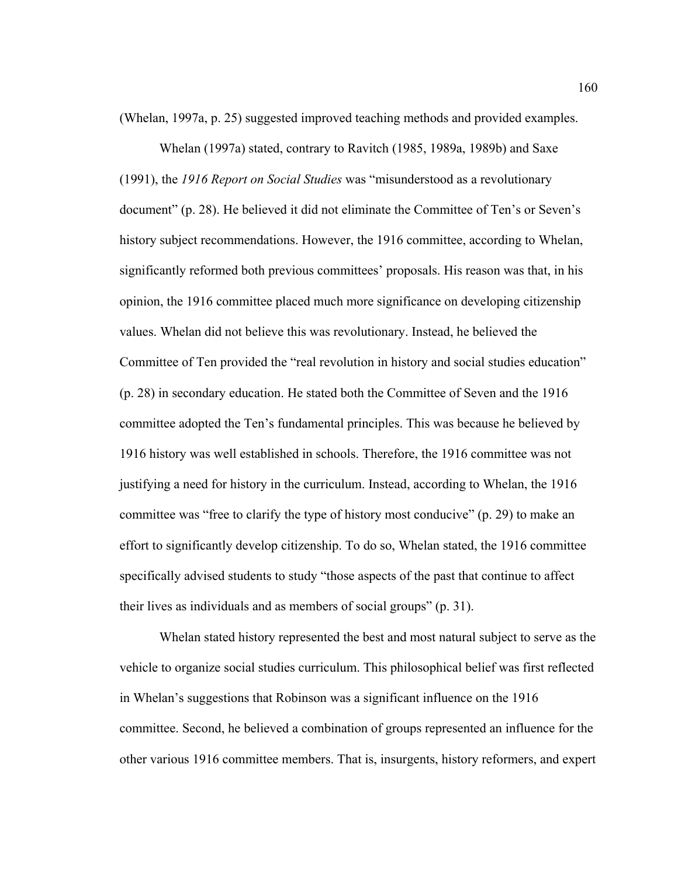(Whelan, 1997a, p. 25) suggested improved teaching methods and provided examples.

Whelan (1997a) stated, contrary to Ravitch (1985, 1989a, 1989b) and Saxe (1991), the *1916 Report on Social Studies* was "misunderstood as a revolutionary document" (p. 28). He believed it did not eliminate the Committee of Ten's or Seven's history subject recommendations. However, the 1916 committee, according to Whelan, significantly reformed both previous committees' proposals. His reason was that, in his opinion, the 1916 committee placed much more significance on developing citizenship values. Whelan did not believe this was revolutionary. Instead, he believed the Committee of Ten provided the "real revolution in history and social studies education" (p. 28) in secondary education. He stated both the Committee of Seven and the 1916 committee adopted the Ten's fundamental principles. This was because he believed by 1916 history was well established in schools. Therefore, the 1916 committee was not justifying a need for history in the curriculum. Instead, according to Whelan, the 1916 committee was "free to clarify the type of history most conducive" (p. 29) to make an effort to significantly develop citizenship. To do so, Whelan stated, the 1916 committee specifically advised students to study "those aspects of the past that continue to affect their lives as individuals and as members of social groups" (p. 31).

Whelan stated history represented the best and most natural subject to serve as the vehicle to organize social studies curriculum. This philosophical belief was first reflected in Whelan's suggestions that Robinson was a significant influence on the 1916 committee. Second, he believed a combination of groups represented an influence for the other various 1916 committee members. That is, insurgents, history reformers, and expert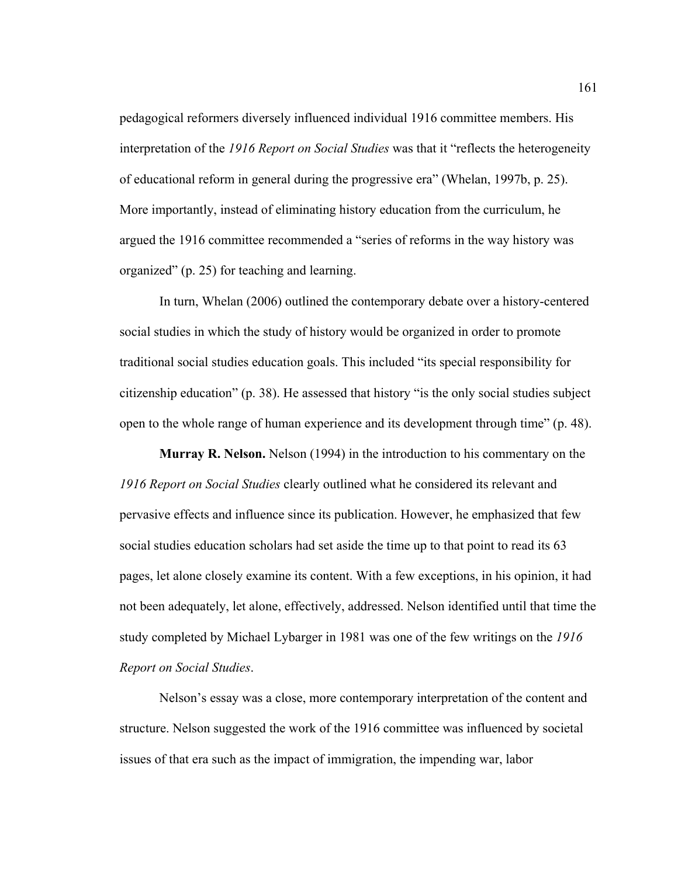pedagogical reformers diversely influenced individual 1916 committee members. His interpretation of the *1916 Report on Social Studies* was that it "reflects the heterogeneity of educational reform in general during the progressive era" (Whelan, 1997b, p. 25). More importantly, instead of eliminating history education from the curriculum, he argued the 1916 committee recommended a "series of reforms in the way history was organized" (p. 25) for teaching and learning.

In turn, Whelan (2006) outlined the contemporary debate over a history-centered social studies in which the study of history would be organized in order to promote traditional social studies education goals. This included "its special responsibility for citizenship education" (p. 38). He assessed that history "is the only social studies subject open to the whole range of human experience and its development through time" (p. 48).

**Murray R. Nelson.** Nelson (1994) in the introduction to his commentary on the *1916 Report on Social Studies* clearly outlined what he considered its relevant and pervasive effects and influence since its publication. However, he emphasized that few social studies education scholars had set aside the time up to that point to read its 63 pages, let alone closely examine its content. With a few exceptions, in his opinion, it had not been adequately, let alone, effectively, addressed. Nelson identified until that time the study completed by Michael Lybarger in 1981 was one of the few writings on the *1916 Report on Social Studies*.

Nelson's essay was a close, more contemporary interpretation of the content and structure. Nelson suggested the work of the 1916 committee was influenced by societal issues of that era such as the impact of immigration, the impending war, labor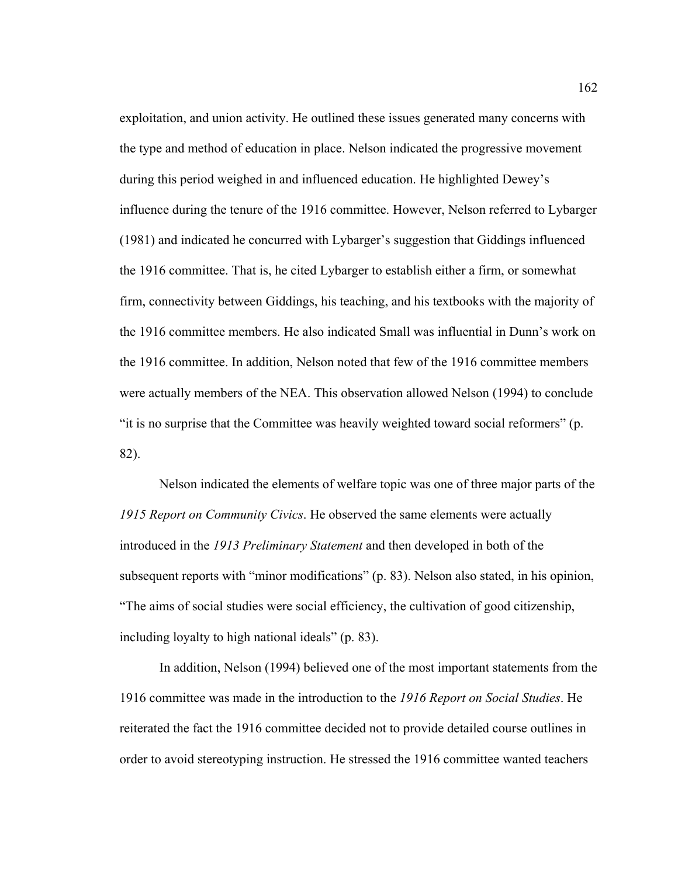exploitation, and union activity. He outlined these issues generated many concerns with the type and method of education in place. Nelson indicated the progressive movement during this period weighed in and influenced education. He highlighted Dewey's influence during the tenure of the 1916 committee. However, Nelson referred to Lybarger (1981) and indicated he concurred with Lybarger's suggestion that Giddings influenced the 1916 committee. That is, he cited Lybarger to establish either a firm, or somewhat firm, connectivity between Giddings, his teaching, and his textbooks with the majority of the 1916 committee members. He also indicated Small was influential in Dunn's work on the 1916 committee. In addition, Nelson noted that few of the 1916 committee members were actually members of the NEA. This observation allowed Nelson (1994) to conclude "it is no surprise that the Committee was heavily weighted toward social reformers" (p. 82).

Nelson indicated the elements of welfare topic was one of three major parts of the *1915 Report on Community Civics*. He observed the same elements were actually introduced in the *1913 Preliminary Statement* and then developed in both of the subsequent reports with "minor modifications" (p. 83). Nelson also stated, in his opinion, "The aims of social studies were social efficiency, the cultivation of good citizenship, including loyalty to high national ideals" (p. 83).

In addition, Nelson (1994) believed one of the most important statements from the 1916 committee was made in the introduction to the *1916 Report on Social Studies*. He reiterated the fact the 1916 committee decided not to provide detailed course outlines in order to avoid stereotyping instruction. He stressed the 1916 committee wanted teachers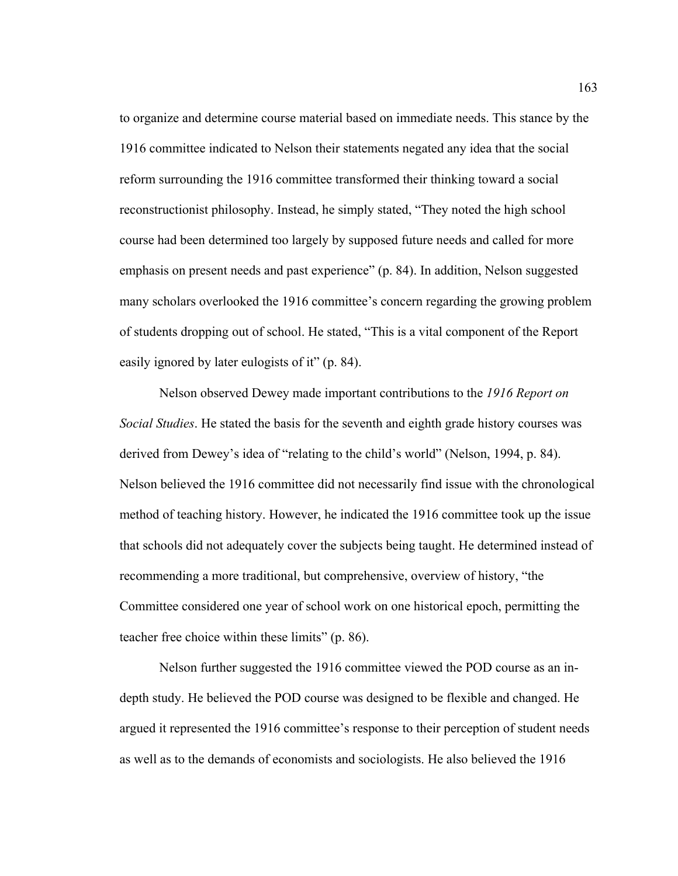to organize and determine course material based on immediate needs. This stance by the 1916 committee indicated to Nelson their statements negated any idea that the social reform surrounding the 1916 committee transformed their thinking toward a social reconstructionist philosophy. Instead, he simply stated, "They noted the high school course had been determined too largely by supposed future needs and called for more emphasis on present needs and past experience" (p. 84). In addition, Nelson suggested many scholars overlooked the 1916 committee's concern regarding the growing problem of students dropping out of school. He stated, "This is a vital component of the Report easily ignored by later eulogists of it" (p. 84).

Nelson observed Dewey made important contributions to the *1916 Report on Social Studies*. He stated the basis for the seventh and eighth grade history courses was derived from Dewey's idea of "relating to the child's world" (Nelson, 1994, p. 84). Nelson believed the 1916 committee did not necessarily find issue with the chronological method of teaching history. However, he indicated the 1916 committee took up the issue that schools did not adequately cover the subjects being taught. He determined instead of recommending a more traditional, but comprehensive, overview of history, "the Committee considered one year of school work on one historical epoch, permitting the teacher free choice within these limits" (p. 86).

Nelson further suggested the 1916 committee viewed the POD course as an indepth study. He believed the POD course was designed to be flexible and changed. He argued it represented the 1916 committee's response to their perception of student needs as well as to the demands of economists and sociologists. He also believed the 1916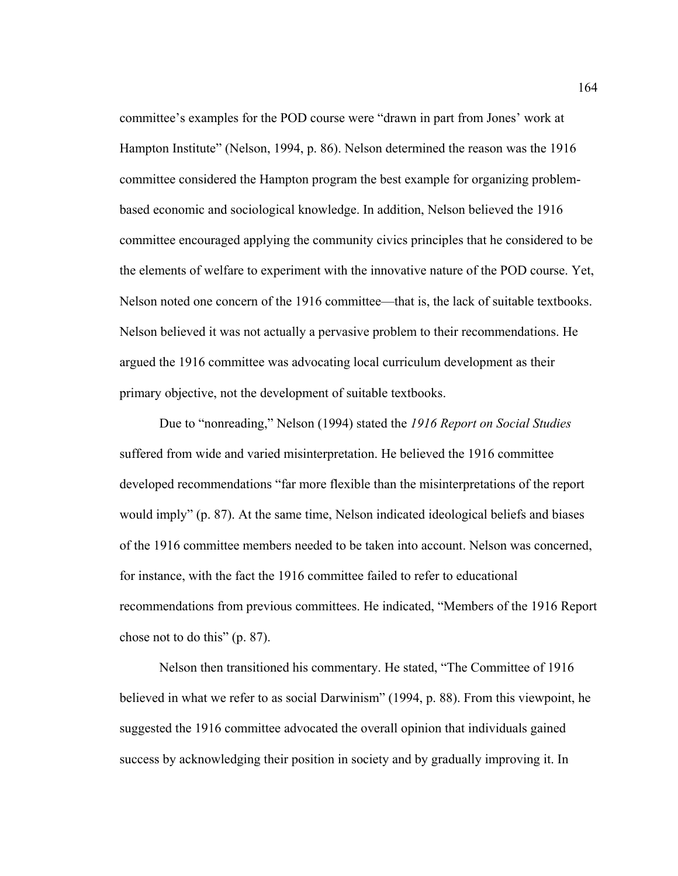committee's examples for the POD course were "drawn in part from Jones' work at Hampton Institute" (Nelson, 1994, p. 86). Nelson determined the reason was the 1916 committee considered the Hampton program the best example for organizing problembased economic and sociological knowledge. In addition, Nelson believed the 1916 committee encouraged applying the community civics principles that he considered to be the elements of welfare to experiment with the innovative nature of the POD course. Yet, Nelson noted one concern of the 1916 committee—that is, the lack of suitable textbooks. Nelson believed it was not actually a pervasive problem to their recommendations. He argued the 1916 committee was advocating local curriculum development as their primary objective, not the development of suitable textbooks.

Due to "nonreading," Nelson (1994) stated the *1916 Report on Social Studies* suffered from wide and varied misinterpretation. He believed the 1916 committee developed recommendations "far more flexible than the misinterpretations of the report would imply" (p. 87). At the same time, Nelson indicated ideological beliefs and biases of the 1916 committee members needed to be taken into account. Nelson was concerned, for instance, with the fact the 1916 committee failed to refer to educational recommendations from previous committees. He indicated, "Members of the 1916 Report chose not to do this" (p. 87).

Nelson then transitioned his commentary. He stated, "The Committee of 1916 believed in what we refer to as social Darwinism" (1994, p. 88). From this viewpoint, he suggested the 1916 committee advocated the overall opinion that individuals gained success by acknowledging their position in society and by gradually improving it. In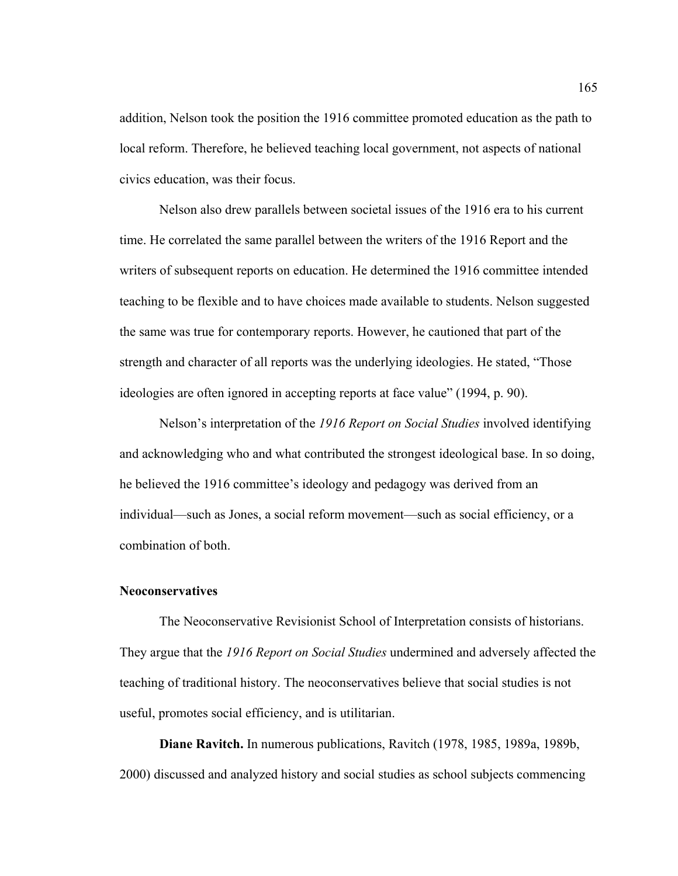addition, Nelson took the position the 1916 committee promoted education as the path to local reform. Therefore, he believed teaching local government, not aspects of national civics education, was their focus.

Nelson also drew parallels between societal issues of the 1916 era to his current time. He correlated the same parallel between the writers of the 1916 Report and the writers of subsequent reports on education. He determined the 1916 committee intended teaching to be flexible and to have choices made available to students. Nelson suggested the same was true for contemporary reports. However, he cautioned that part of the strength and character of all reports was the underlying ideologies. He stated, "Those ideologies are often ignored in accepting reports at face value" (1994, p. 90).

Nelson's interpretation of the *1916 Report on Social Studies* involved identifying and acknowledging who and what contributed the strongest ideological base. In so doing, he believed the 1916 committee's ideology and pedagogy was derived from an individual—such as Jones, a social reform movement—such as social efficiency, or a combination of both.

## **Neoconservatives**

 The Neoconservative Revisionist School of Interpretation consists of historians. They argue that the *1916 Report on Social Studies* undermined and adversely affected the teaching of traditional history. The neoconservatives believe that social studies is not useful, promotes social efficiency, and is utilitarian.

**Diane Ravitch.** In numerous publications, Ravitch (1978, 1985, 1989a, 1989b, 2000) discussed and analyzed history and social studies as school subjects commencing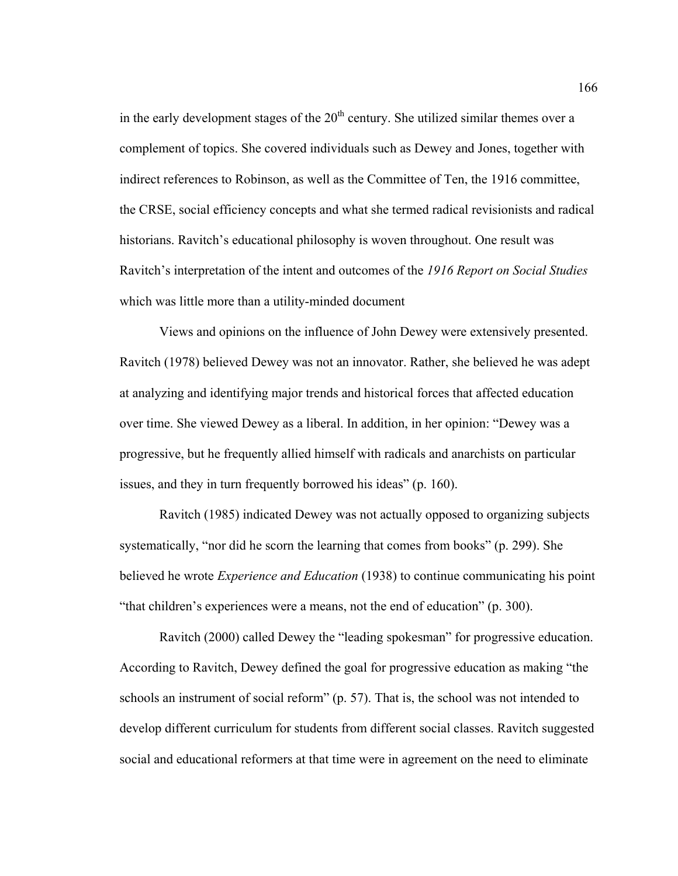in the early development stages of the  $20<sup>th</sup>$  century. She utilized similar themes over a complement of topics. She covered individuals such as Dewey and Jones, together with indirect references to Robinson, as well as the Committee of Ten, the 1916 committee, the CRSE, social efficiency concepts and what she termed radical revisionists and radical historians. Ravitch's educational philosophy is woven throughout. One result was Ravitch's interpretation of the intent and outcomes of the *1916 Report on Social Studies* which was little more than a utility-minded document

 Views and opinions on the influence of John Dewey were extensively presented. Ravitch (1978) believed Dewey was not an innovator. Rather, she believed he was adept at analyzing and identifying major trends and historical forces that affected education over time. She viewed Dewey as a liberal. In addition, in her opinion: "Dewey was a progressive, but he frequently allied himself with radicals and anarchists on particular issues, and they in turn frequently borrowed his ideas" (p. 160).

 Ravitch (1985) indicated Dewey was not actually opposed to organizing subjects systematically, "nor did he scorn the learning that comes from books" (p. 299). She believed he wrote *Experience and Education* (1938) to continue communicating his point "that children's experiences were a means, not the end of education" (p. 300).

 Ravitch (2000) called Dewey the "leading spokesman" for progressive education. According to Ravitch, Dewey defined the goal for progressive education as making "the schools an instrument of social reform" (p. 57). That is, the school was not intended to develop different curriculum for students from different social classes. Ravitch suggested social and educational reformers at that time were in agreement on the need to eliminate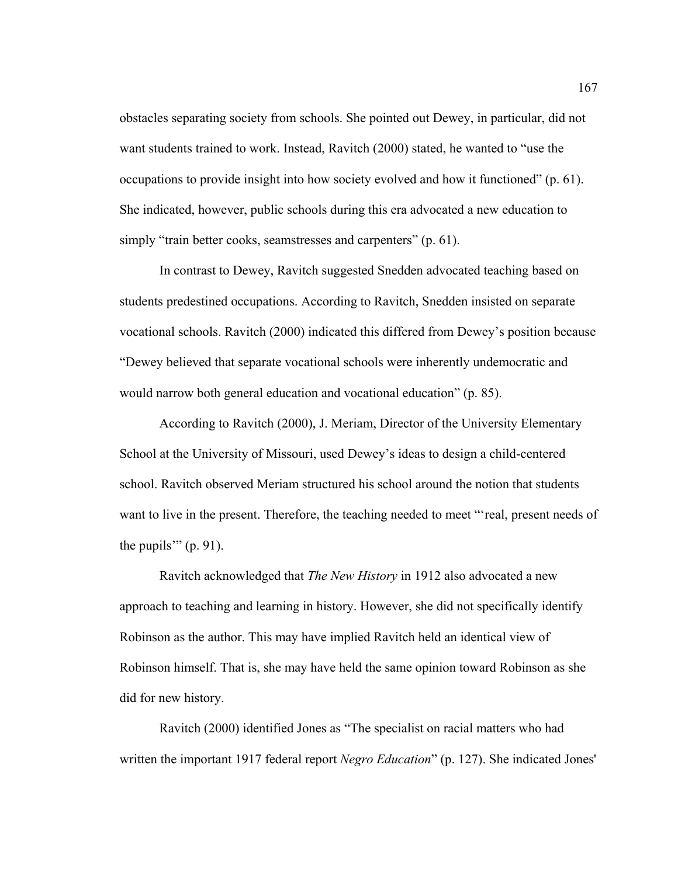obstacles separating society from schools. She pointed out Dewey, in particular, did not want students trained to work. Instead, Ravitch (2000) stated, he wanted to "use the occupations to provide insight into how society evolved and how it functioned" (p. 61). She indicated, however, public schools during this era advocated a new education to simply "train better cooks, seamstresses and carpenters" (p. 61).

 In contrast to Dewey, Ravitch suggested Snedden advocated teaching based on students predestined occupations. According to Ravitch, Snedden insisted on separate vocational schools. Ravitch (2000) indicated this differed from Dewey's position because "Dewey believed that separate vocational schools were inherently undemocratic and would narrow both general education and vocational education" (p. 85).

 According to Ravitch (2000), J. Meriam, Director of the University Elementary School at the University of Missouri, used Dewey's ideas to design a child-centered school. Ravitch observed Meriam structured his school around the notion that students want to live in the present. Therefore, the teaching needed to meet "'real, present needs of the pupils'"  $(p. 91)$ .

 Ravitch acknowledged that *The New History* in 1912 also advocated a new approach to teaching and learning in history. However, she did not specifically identify Robinson as the author. This may have implied Ravitch held an identical view of Robinson himself. That is, she may have held the same opinion toward Robinson as she did for new history.

 Ravitch (2000) identified Jones as "The specialist on racial matters who had written the important 1917 federal report *Negro Education*" (p. 127). She indicated Jones'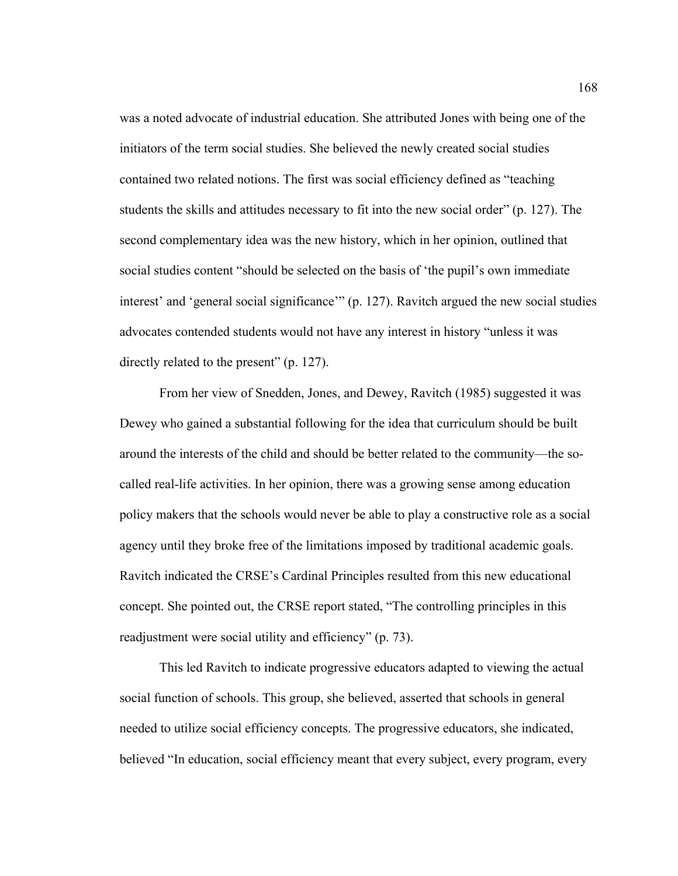was a noted advocate of industrial education. She attributed Jones with being one of the initiators of the term social studies. She believed the newly created social studies contained two related notions. The first was social efficiency defined as "teaching students the skills and attitudes necessary to fit into the new social order" (p. 127). The second complementary idea was the new history, which in her opinion, outlined that social studies content "should be selected on the basis of 'the pupil's own immediate interest' and 'general social significance'" (p. 127). Ravitch argued the new social studies advocates contended students would not have any interest in history "unless it was directly related to the present" (p. 127).

 From her view of Snedden, Jones, and Dewey, Ravitch (1985) suggested it was Dewey who gained a substantial following for the idea that curriculum should be built around the interests of the child and should be better related to the community—the socalled real-life activities. In her opinion, there was a growing sense among education policy makers that the schools would never be able to play a constructive role as a social agency until they broke free of the limitations imposed by traditional academic goals. Ravitch indicated the CRSE's Cardinal Principles resulted from this new educational concept. She pointed out, the CRSE report stated, "The controlling principles in this readjustment were social utility and efficiency" (p. 73).

 This led Ravitch to indicate progressive educators adapted to viewing the actual social function of schools. This group, she believed, asserted that schools in general needed to utilize social efficiency concepts. The progressive educators, she indicated, believed "In education, social efficiency meant that every subject, every program, every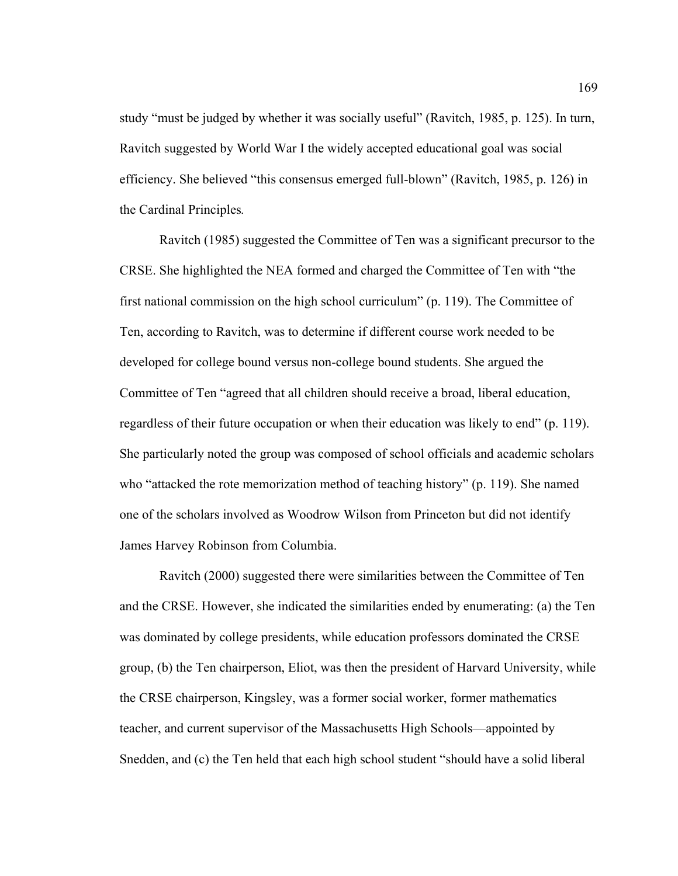study "must be judged by whether it was socially useful" (Ravitch, 1985, p. 125). In turn, Ravitch suggested by World War I the widely accepted educational goal was social efficiency. She believed "this consensus emerged full-blown" (Ravitch, 1985, p. 126) in the Cardinal Principles*.*

 Ravitch (1985) suggested the Committee of Ten was a significant precursor to the CRSE. She highlighted the NEA formed and charged the Committee of Ten with "the first national commission on the high school curriculum" (p. 119). The Committee of Ten, according to Ravitch, was to determine if different course work needed to be developed for college bound versus non-college bound students. She argued the Committee of Ten "agreed that all children should receive a broad, liberal education, regardless of their future occupation or when their education was likely to end" (p. 119). She particularly noted the group was composed of school officials and academic scholars who "attacked the rote memorization method of teaching history" (p. 119). She named one of the scholars involved as Woodrow Wilson from Princeton but did not identify James Harvey Robinson from Columbia.

 Ravitch (2000) suggested there were similarities between the Committee of Ten and the CRSE. However, she indicated the similarities ended by enumerating: (a) the Ten was dominated by college presidents, while education professors dominated the CRSE group, (b) the Ten chairperson, Eliot, was then the president of Harvard University, while the CRSE chairperson, Kingsley, was a former social worker, former mathematics teacher, and current supervisor of the Massachusetts High Schools—appointed by Snedden, and (c) the Ten held that each high school student "should have a solid liberal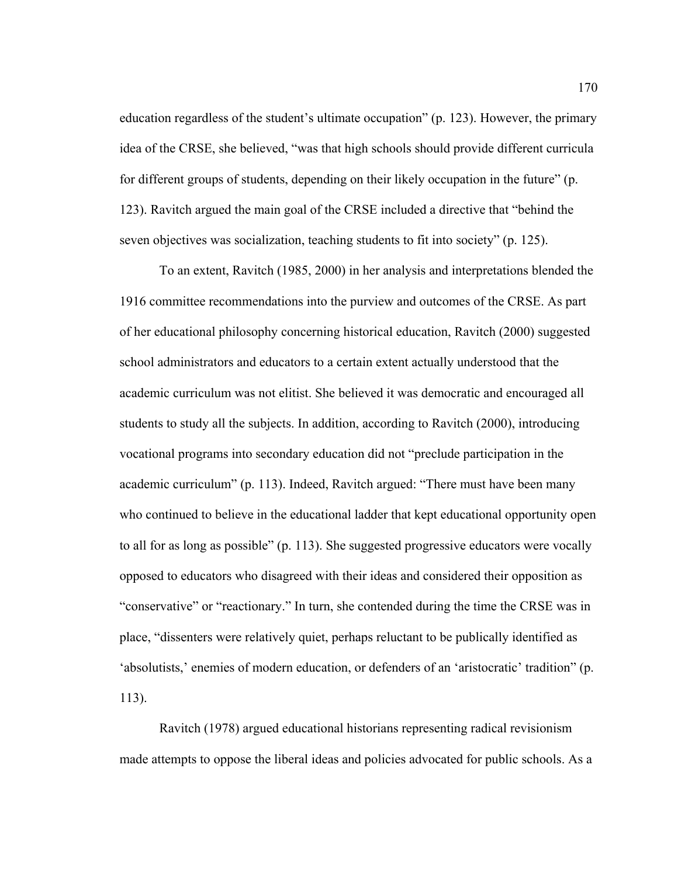education regardless of the student's ultimate occupation" (p. 123). However, the primary idea of the CRSE, she believed, "was that high schools should provide different curricula for different groups of students, depending on their likely occupation in the future" (p. 123). Ravitch argued the main goal of the CRSE included a directive that "behind the seven objectives was socialization, teaching students to fit into society" (p. 125).

 To an extent, Ravitch (1985, 2000) in her analysis and interpretations blended the 1916 committee recommendations into the purview and outcomes of the CRSE. As part of her educational philosophy concerning historical education, Ravitch (2000) suggested school administrators and educators to a certain extent actually understood that the academic curriculum was not elitist. She believed it was democratic and encouraged all students to study all the subjects. In addition, according to Ravitch (2000), introducing vocational programs into secondary education did not "preclude participation in the academic curriculum" (p. 113). Indeed, Ravitch argued: "There must have been many who continued to believe in the educational ladder that kept educational opportunity open to all for as long as possible" (p. 113). She suggested progressive educators were vocally opposed to educators who disagreed with their ideas and considered their opposition as "conservative" or "reactionary." In turn, she contended during the time the CRSE was in place, "dissenters were relatively quiet, perhaps reluctant to be publically identified as 'absolutists,' enemies of modern education, or defenders of an 'aristocratic' tradition" (p. 113).

 Ravitch (1978) argued educational historians representing radical revisionism made attempts to oppose the liberal ideas and policies advocated for public schools. As a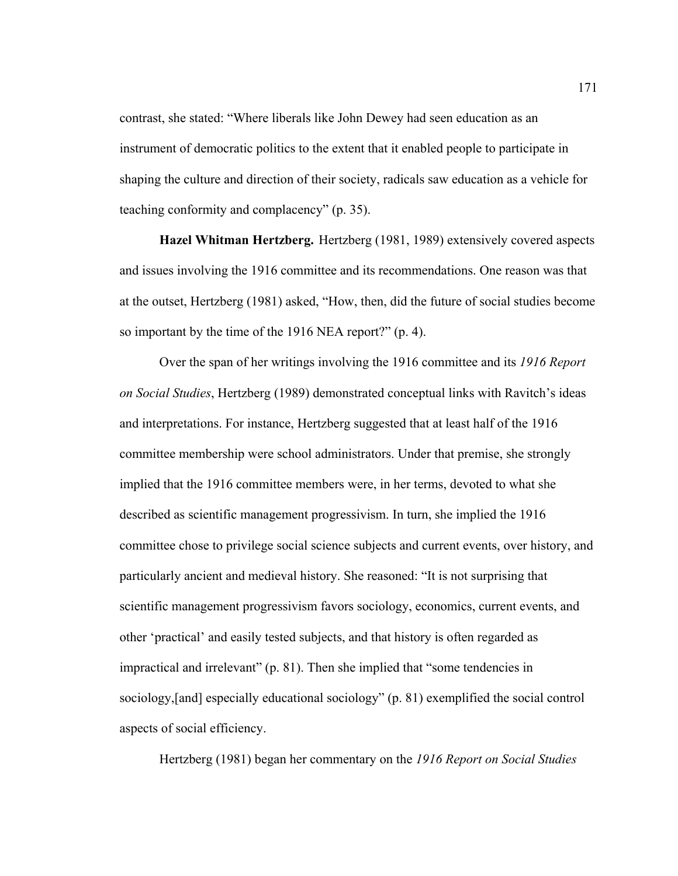contrast, she stated: "Where liberals like John Dewey had seen education as an instrument of democratic politics to the extent that it enabled people to participate in shaping the culture and direction of their society, radicals saw education as a vehicle for teaching conformity and complacency" (p. 35).

**Hazel Whitman Hertzberg.** Hertzberg (1981, 1989) extensively covered aspects and issues involving the 1916 committee and its recommendations. One reason was that at the outset, Hertzberg (1981) asked, "How, then, did the future of social studies become so important by the time of the 1916 NEA report?" (p. 4).

 Over the span of her writings involving the 1916 committee and its *1916 Report on Social Studies*, Hertzberg (1989) demonstrated conceptual links with Ravitch's ideas and interpretations. For instance, Hertzberg suggested that at least half of the 1916 committee membership were school administrators. Under that premise, she strongly implied that the 1916 committee members were, in her terms, devoted to what she described as scientific management progressivism. In turn, she implied the 1916 committee chose to privilege social science subjects and current events, over history, and particularly ancient and medieval history. She reasoned: "It is not surprising that scientific management progressivism favors sociology, economics, current events, and other 'practical' and easily tested subjects, and that history is often regarded as impractical and irrelevant" (p. 81). Then she implied that "some tendencies in sociology,[and] especially educational sociology" (p. 81) exemplified the social control aspects of social efficiency.

Hertzberg (1981) began her commentary on the *1916 Report on Social Studies*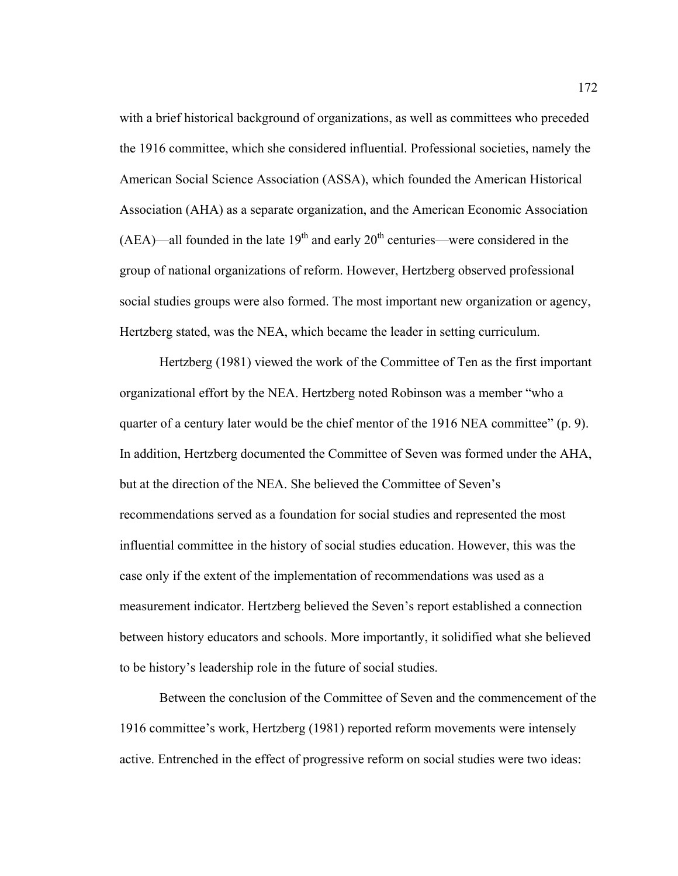with a brief historical background of organizations, as well as committees who preceded the 1916 committee, which she considered influential. Professional societies, namely the American Social Science Association (ASSA), which founded the American Historical Association (AHA) as a separate organization, and the American Economic Association  $(AEA)$ —all founded in the late  $19<sup>th</sup>$  and early  $20<sup>th</sup>$  centuries—were considered in the group of national organizations of reform. However, Hertzberg observed professional social studies groups were also formed. The most important new organization or agency, Hertzberg stated, was the NEA, which became the leader in setting curriculum.

Hertzberg (1981) viewed the work of the Committee of Ten as the first important organizational effort by the NEA. Hertzberg noted Robinson was a member "who a quarter of a century later would be the chief mentor of the 1916 NEA committee" (p. 9). In addition, Hertzberg documented the Committee of Seven was formed under the AHA, but at the direction of the NEA. She believed the Committee of Seven's recommendations served as a foundation for social studies and represented the most influential committee in the history of social studies education. However, this was the case only if the extent of the implementation of recommendations was used as a measurement indicator. Hertzberg believed the Seven's report established a connection between history educators and schools. More importantly, it solidified what she believed to be history's leadership role in the future of social studies.

Between the conclusion of the Committee of Seven and the commencement of the 1916 committee's work, Hertzberg (1981) reported reform movements were intensely active. Entrenched in the effect of progressive reform on social studies were two ideas: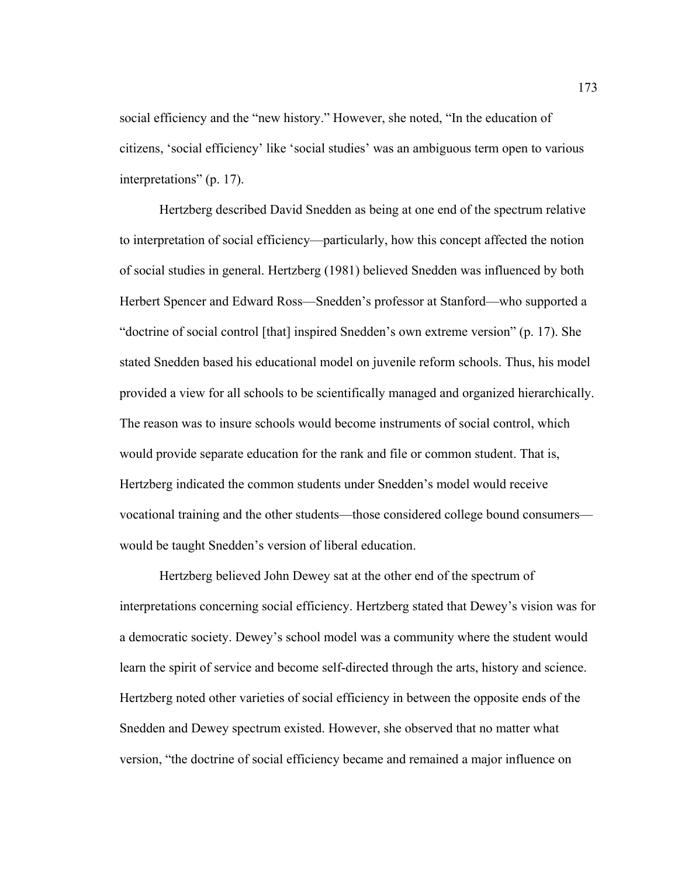social efficiency and the "new history." However, she noted, "In the education of citizens, 'social efficiency' like 'social studies' was an ambiguous term open to various interpretations" (p. 17).

Hertzberg described David Snedden as being at one end of the spectrum relative to interpretation of social efficiency—particularly, how this concept affected the notion of social studies in general. Hertzberg (1981) believed Snedden was influenced by both Herbert Spencer and Edward Ross—Snedden's professor at Stanford—who supported a "doctrine of social control [that] inspired Snedden's own extreme version" (p. 17). She stated Snedden based his educational model on juvenile reform schools. Thus, his model provided a view for all schools to be scientifically managed and organized hierarchically. The reason was to insure schools would become instruments of social control, which would provide separate education for the rank and file or common student. That is, Hertzberg indicated the common students under Snedden's model would receive vocational training and the other students—those considered college bound consumers would be taught Snedden's version of liberal education.

 Hertzberg believed John Dewey sat at the other end of the spectrum of interpretations concerning social efficiency. Hertzberg stated that Dewey's vision was for a democratic society. Dewey's school model was a community where the student would learn the spirit of service and become self-directed through the arts, history and science. Hertzberg noted other varieties of social efficiency in between the opposite ends of the Snedden and Dewey spectrum existed. However, she observed that no matter what version, "the doctrine of social efficiency became and remained a major influence on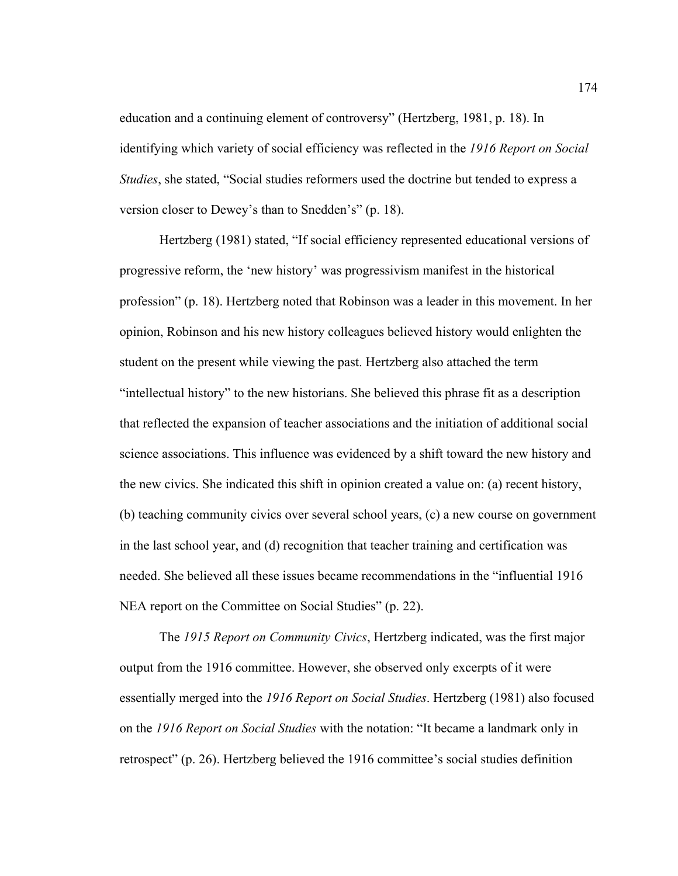education and a continuing element of controversy" (Hertzberg, 1981, p. 18). In identifying which variety of social efficiency was reflected in the *1916 Report on Social Studies*, she stated, "Social studies reformers used the doctrine but tended to express a version closer to Dewey's than to Snedden's" (p. 18).

 Hertzberg (1981) stated, "If social efficiency represented educational versions of progressive reform, the 'new history' was progressivism manifest in the historical profession" (p. 18). Hertzberg noted that Robinson was a leader in this movement. In her opinion, Robinson and his new history colleagues believed history would enlighten the student on the present while viewing the past. Hertzberg also attached the term "intellectual history" to the new historians. She believed this phrase fit as a description that reflected the expansion of teacher associations and the initiation of additional social science associations. This influence was evidenced by a shift toward the new history and the new civics. She indicated this shift in opinion created a value on: (a) recent history, (b) teaching community civics over several school years, (c) a new course on government in the last school year, and (d) recognition that teacher training and certification was needed. She believed all these issues became recommendations in the "influential 1916 NEA report on the Committee on Social Studies" (p. 22).

 The *1915 Report on Community Civics*, Hertzberg indicated, was the first major output from the 1916 committee. However, she observed only excerpts of it were essentially merged into the *1916 Report on Social Studies*. Hertzberg (1981) also focused on the *1916 Report on Social Studies* with the notation: "It became a landmark only in retrospect" (p. 26). Hertzberg believed the 1916 committee's social studies definition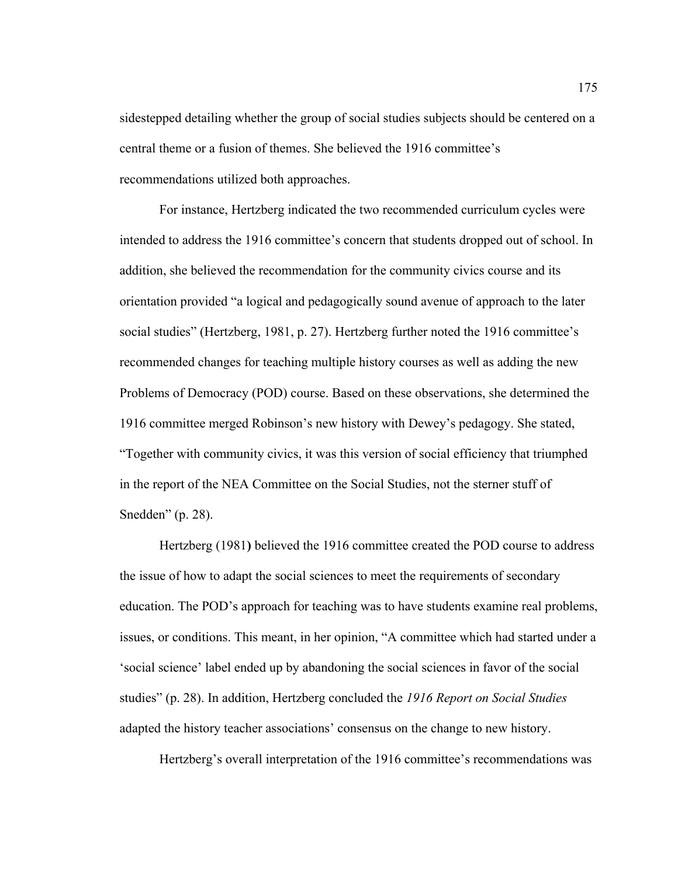sidestepped detailing whether the group of social studies subjects should be centered on a central theme or a fusion of themes. She believed the 1916 committee's recommendations utilized both approaches.

For instance, Hertzberg indicated the two recommended curriculum cycles were intended to address the 1916 committee's concern that students dropped out of school. In addition, she believed the recommendation for the community civics course and its orientation provided "a logical and pedagogically sound avenue of approach to the later social studies" (Hertzberg, 1981, p. 27). Hertzberg further noted the 1916 committee's recommended changes for teaching multiple history courses as well as adding the new Problems of Democracy (POD) course. Based on these observations, she determined the 1916 committee merged Robinson's new history with Dewey's pedagogy. She stated, "Together with community civics, it was this version of social efficiency that triumphed in the report of the NEA Committee on the Social Studies, not the sterner stuff of Snedden" (p. 28).

 Hertzberg (1981**)** believed the 1916 committee created the POD course to address the issue of how to adapt the social sciences to meet the requirements of secondary education. The POD's approach for teaching was to have students examine real problems, issues, or conditions. This meant, in her opinion, "A committee which had started under a 'social science' label ended up by abandoning the social sciences in favor of the social studies" (p. 28). In addition, Hertzberg concluded the *1916 Report on Social Studies* adapted the history teacher associations' consensus on the change to new history.

Hertzberg's overall interpretation of the 1916 committee's recommendations was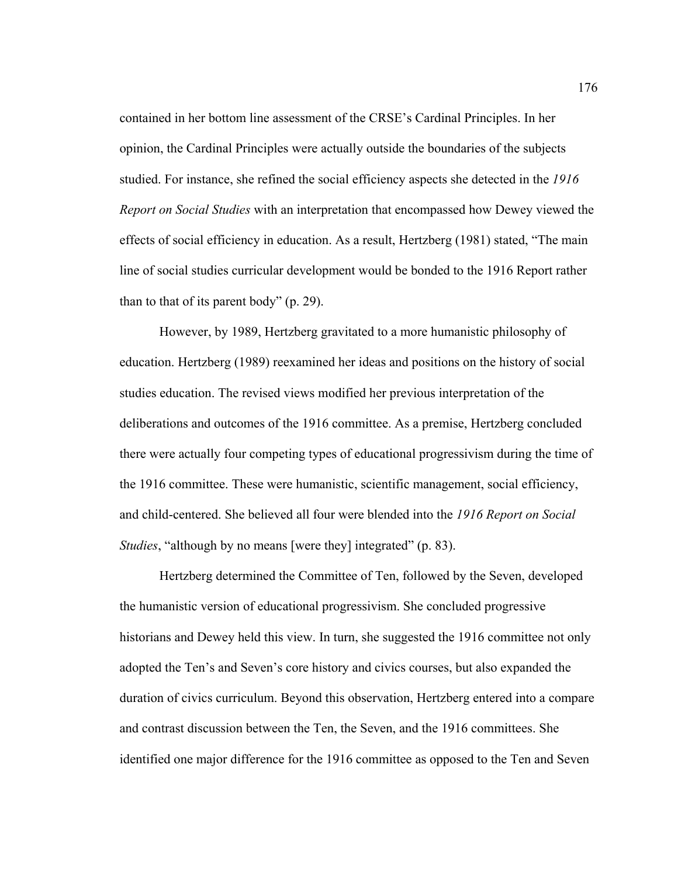contained in her bottom line assessment of the CRSE's Cardinal Principles. In her opinion, the Cardinal Principles were actually outside the boundaries of the subjects studied. For instance, she refined the social efficiency aspects she detected in the *1916 Report on Social Studies* with an interpretation that encompassed how Dewey viewed the effects of social efficiency in education. As a result, Hertzberg (1981) stated, "The main line of social studies curricular development would be bonded to the 1916 Report rather than to that of its parent body" (p. 29).

However, by 1989, Hertzberg gravitated to a more humanistic philosophy of education. Hertzberg (1989) reexamined her ideas and positions on the history of social studies education. The revised views modified her previous interpretation of the deliberations and outcomes of the 1916 committee. As a premise, Hertzberg concluded there were actually four competing types of educational progressivism during the time of the 1916 committee. These were humanistic, scientific management, social efficiency, and child-centered. She believed all four were blended into the *1916 Report on Social Studies*, "although by no means [were they] integrated" (p. 83).

Hertzberg determined the Committee of Ten, followed by the Seven, developed the humanistic version of educational progressivism. She concluded progressive historians and Dewey held this view. In turn, she suggested the 1916 committee not only adopted the Ten's and Seven's core history and civics courses, but also expanded the duration of civics curriculum. Beyond this observation, Hertzberg entered into a compare and contrast discussion between the Ten, the Seven, and the 1916 committees. She identified one major difference for the 1916 committee as opposed to the Ten and Seven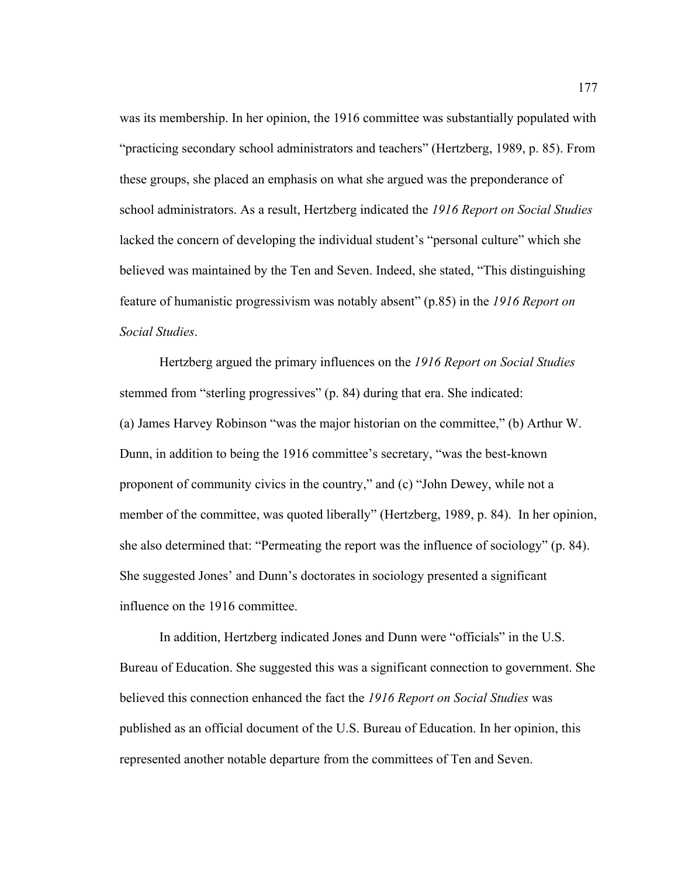was its membership. In her opinion, the 1916 committee was substantially populated with "practicing secondary school administrators and teachers" (Hertzberg, 1989, p. 85). From these groups, she placed an emphasis on what she argued was the preponderance of school administrators. As a result, Hertzberg indicated the *1916 Report on Social Studies* lacked the concern of developing the individual student's "personal culture" which she believed was maintained by the Ten and Seven. Indeed, she stated, "This distinguishing feature of humanistic progressivism was notably absent" (p.85) in the *1916 Report on Social Studies*.

Hertzberg argued the primary influences on the *1916 Report on Social Studies* stemmed from "sterling progressives" (p. 84) during that era. She indicated: (a) James Harvey Robinson "was the major historian on the committee," (b) Arthur W. Dunn, in addition to being the 1916 committee's secretary, "was the best-known proponent of community civics in the country," and (c) "John Dewey, while not a member of the committee, was quoted liberally" (Hertzberg, 1989, p. 84).In her opinion, she also determined that: "Permeating the report was the influence of sociology" (p. 84). She suggested Jones' and Dunn's doctorates in sociology presented a significant influence on the 1916 committee.

In addition, Hertzberg indicated Jones and Dunn were "officials" in the U.S. Bureau of Education. She suggested this was a significant connection to government. She believed this connection enhanced the fact the *1916 Report on Social Studies* was published as an official document of the U.S. Bureau of Education. In her opinion, this represented another notable departure from the committees of Ten and Seven.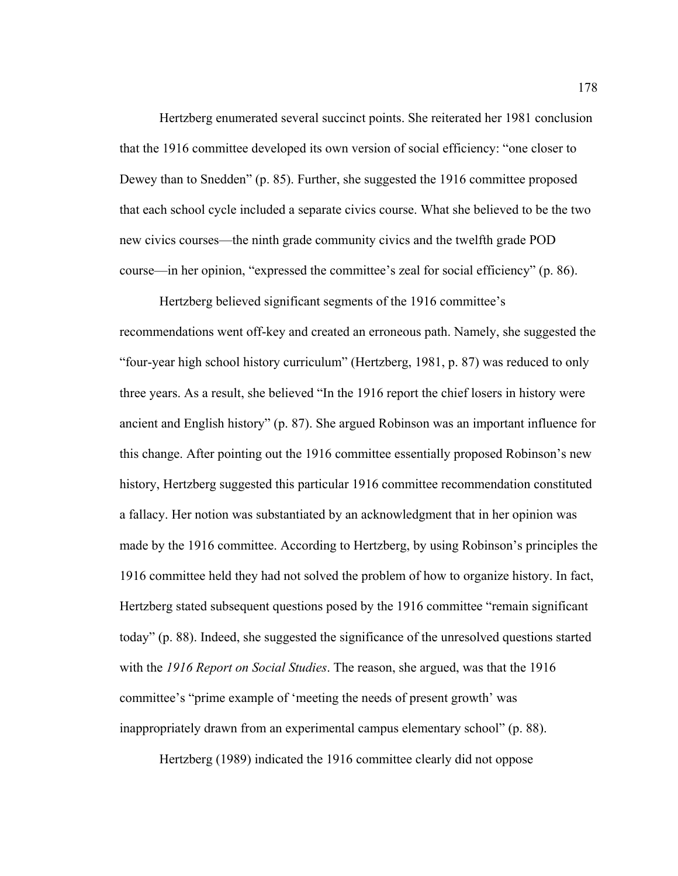Hertzberg enumerated several succinct points. She reiterated her 1981 conclusion that the 1916 committee developed its own version of social efficiency: "one closer to Dewey than to Snedden" (p. 85). Further, she suggested the 1916 committee proposed that each school cycle included a separate civics course. What she believed to be the two new civics courses—the ninth grade community civics and the twelfth grade POD course—in her opinion, "expressed the committee's zeal for social efficiency" (p. 86).

Hertzberg believed significant segments of the 1916 committee's recommendations went off-key and created an erroneous path. Namely, she suggested the "four-year high school history curriculum" (Hertzberg, 1981, p. 87) was reduced to only three years. As a result, she believed "In the 1916 report the chief losers in history were ancient and English history" (p. 87). She argued Robinson was an important influence for this change. After pointing out the 1916 committee essentially proposed Robinson's new history, Hertzberg suggested this particular 1916 committee recommendation constituted a fallacy. Her notion was substantiated by an acknowledgment that in her opinion was made by the 1916 committee. According to Hertzberg, by using Robinson's principles the 1916 committee held they had not solved the problem of how to organize history. In fact, Hertzberg stated subsequent questions posed by the 1916 committee "remain significant today" (p. 88). Indeed, she suggested the significance of the unresolved questions started with the *1916 Report on Social Studies*. The reason, she argued, was that the 1916 committee's "prime example of 'meeting the needs of present growth' was inappropriately drawn from an experimental campus elementary school" (p. 88).

Hertzberg (1989) indicated the 1916 committee clearly did not oppose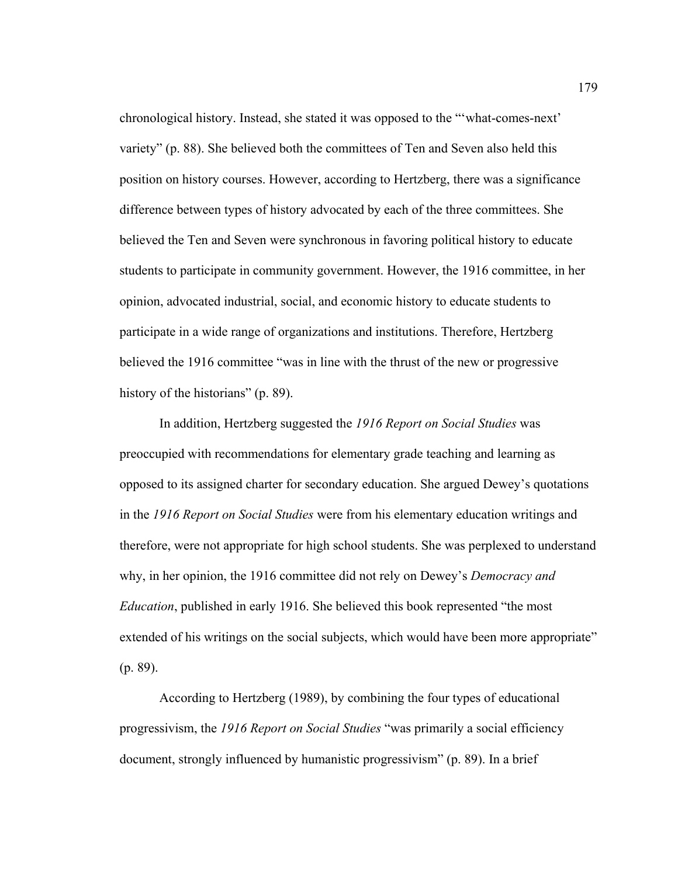chronological history. Instead, she stated it was opposed to the "'what-comes-next' variety" (p. 88). She believed both the committees of Ten and Seven also held this position on history courses. However, according to Hertzberg, there was a significance difference between types of history advocated by each of the three committees. She believed the Ten and Seven were synchronous in favoring political history to educate students to participate in community government. However, the 1916 committee, in her opinion, advocated industrial, social, and economic history to educate students to participate in a wide range of organizations and institutions. Therefore, Hertzberg believed the 1916 committee "was in line with the thrust of the new or progressive history of the historians" (p. 89).

In addition, Hertzberg suggested the *1916 Report on Social Studies* was preoccupied with recommendations for elementary grade teaching and learning as opposed to its assigned charter for secondary education. She argued Dewey's quotations in the *1916 Report on Social Studies* were from his elementary education writings and therefore, were not appropriate for high school students. She was perplexed to understand why, in her opinion, the 1916 committee did not rely on Dewey's *Democracy and Education*, published in early 1916. She believed this book represented "the most extended of his writings on the social subjects, which would have been more appropriate" (p. 89).

According to Hertzberg (1989), by combining the four types of educational progressivism, the *1916 Report on Social Studies* "was primarily a social efficiency document, strongly influenced by humanistic progressivism" (p. 89). In a brief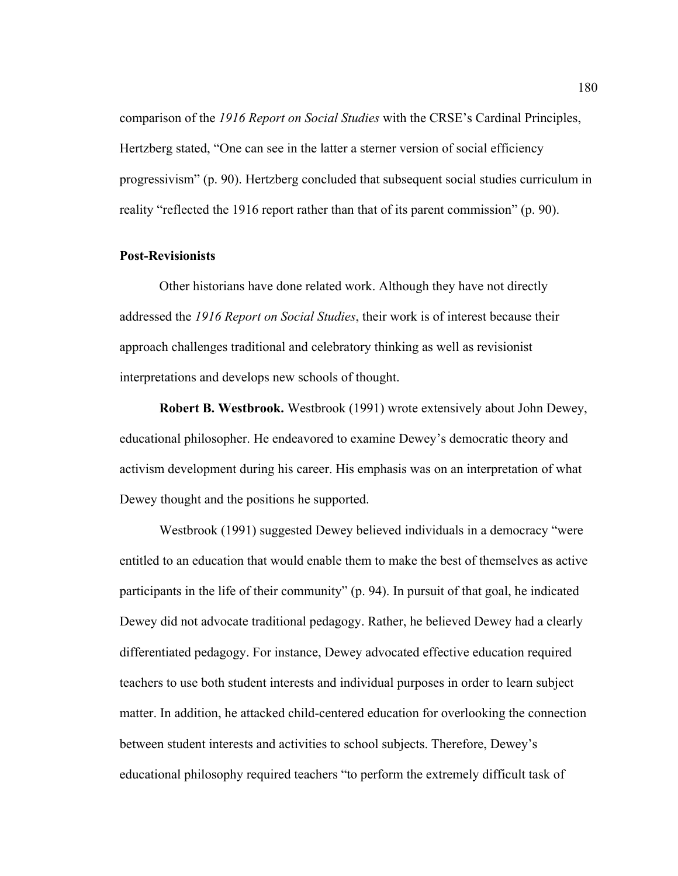comparison of the *1916 Report on Social Studies* with the CRSE's Cardinal Principles, Hertzberg stated, "One can see in the latter a sterner version of social efficiency progressivism" (p. 90). Hertzberg concluded that subsequent social studies curriculum in reality "reflected the 1916 report rather than that of its parent commission" (p. 90).

# **Post-Revisionists**

 Other historians have done related work. Although they have not directly addressed the *1916 Report on Social Studies*, their work is of interest because their approach challenges traditional and celebratory thinking as well as revisionist interpretations and develops new schools of thought.

**Robert B. Westbrook.** Westbrook (1991) wrote extensively about John Dewey, educational philosopher. He endeavored to examine Dewey's democratic theory and activism development during his career. His emphasis was on an interpretation of what Dewey thought and the positions he supported.

 Westbrook (1991) suggested Dewey believed individuals in a democracy "were entitled to an education that would enable them to make the best of themselves as active participants in the life of their community" (p. 94). In pursuit of that goal, he indicated Dewey did not advocate traditional pedagogy. Rather, he believed Dewey had a clearly differentiated pedagogy. For instance, Dewey advocated effective education required teachers to use both student interests and individual purposes in order to learn subject matter. In addition, he attacked child-centered education for overlooking the connection between student interests and activities to school subjects. Therefore, Dewey's educational philosophy required teachers "to perform the extremely difficult task of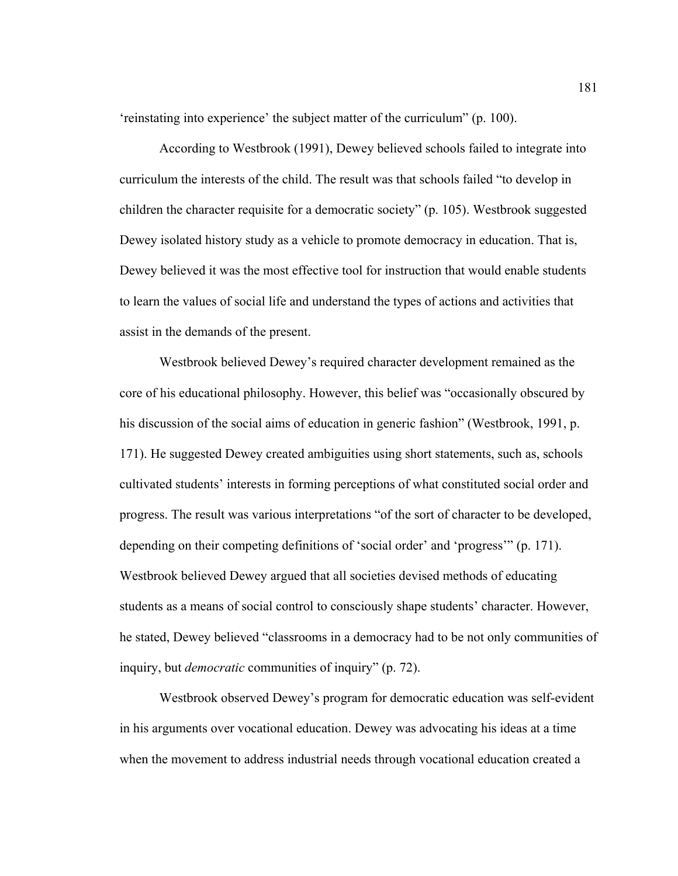'reinstating into experience' the subject matter of the curriculum" (p. 100).

 According to Westbrook (1991), Dewey believed schools failed to integrate into curriculum the interests of the child. The result was that schools failed "to develop in children the character requisite for a democratic society" (p. 105). Westbrook suggested Dewey isolated history study as a vehicle to promote democracy in education. That is, Dewey believed it was the most effective tool for instruction that would enable students to learn the values of social life and understand the types of actions and activities that assist in the demands of the present.

Westbrook believed Dewey's required character development remained as the core of his educational philosophy. However, this belief was "occasionally obscured by his discussion of the social aims of education in generic fashion" (Westbrook, 1991, p. 171). He suggested Dewey created ambiguities using short statements, such as, schools cultivated students' interests in forming perceptions of what constituted social order and progress. The result was various interpretations "of the sort of character to be developed, depending on their competing definitions of 'social order' and 'progress'" (p. 171). Westbrook believed Dewey argued that all societies devised methods of educating students as a means of social control to consciously shape students' character. However, he stated, Dewey believed "classrooms in a democracy had to be not only communities of inquiry, but *democratic* communities of inquiry" (p. 72).

 Westbrook observed Dewey's program for democratic education was self-evident in his arguments over vocational education. Dewey was advocating his ideas at a time when the movement to address industrial needs through vocational education created a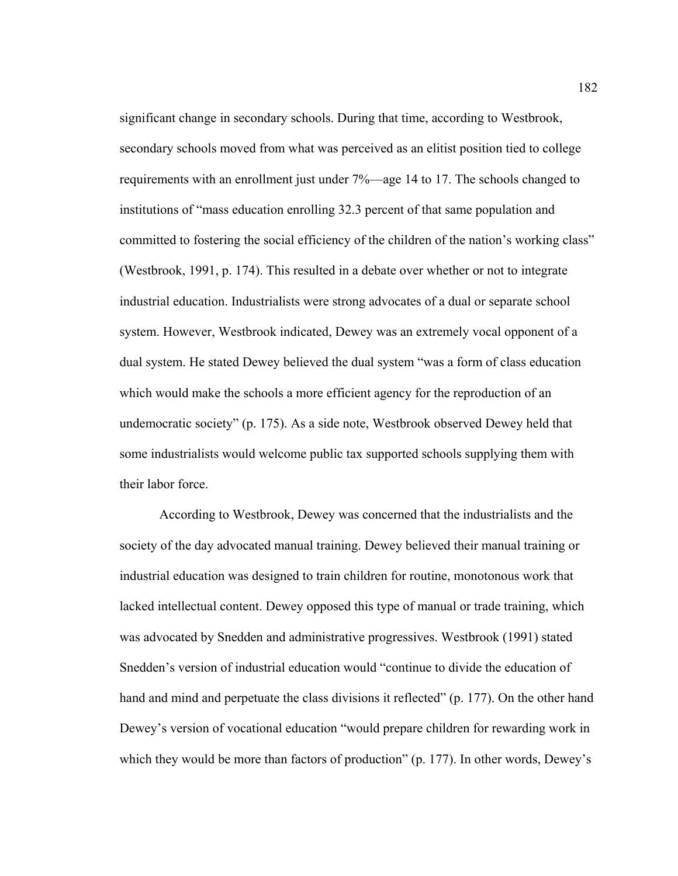significant change in secondary schools. During that time, according to Westbrook, secondary schools moved from what was perceived as an elitist position tied to college requirements with an enrollment just under 7%—age 14 to 17. The schools changed to institutions of "mass education enrolling 32.3 percent of that same population and committed to fostering the social efficiency of the children of the nation's working class" (Westbrook, 1991, p. 174). This resulted in a debate over whether or not to integrate industrial education. Industrialists were strong advocates of a dual or separate school system. However, Westbrook indicated, Dewey was an extremely vocal opponent of a dual system. He stated Dewey believed the dual system "was a form of class education which would make the schools a more efficient agency for the reproduction of an undemocratic society" (p. 175). As a side note, Westbrook observed Dewey held that some industrialists would welcome public tax supported schools supplying them with their labor force.

 According to Westbrook, Dewey was concerned that the industrialists and the society of the day advocated manual training. Dewey believed their manual training or industrial education was designed to train children for routine, monotonous work that lacked intellectual content. Dewey opposed this type of manual or trade training, which was advocated by Snedden and administrative progressives. Westbrook (1991) stated Snedden's version of industrial education would "continue to divide the education of hand and mind and perpetuate the class divisions it reflected" (p. 177). On the other hand Dewey's version of vocational education "would prepare children for rewarding work in which they would be more than factors of production" (p. 177). In other words, Dewey's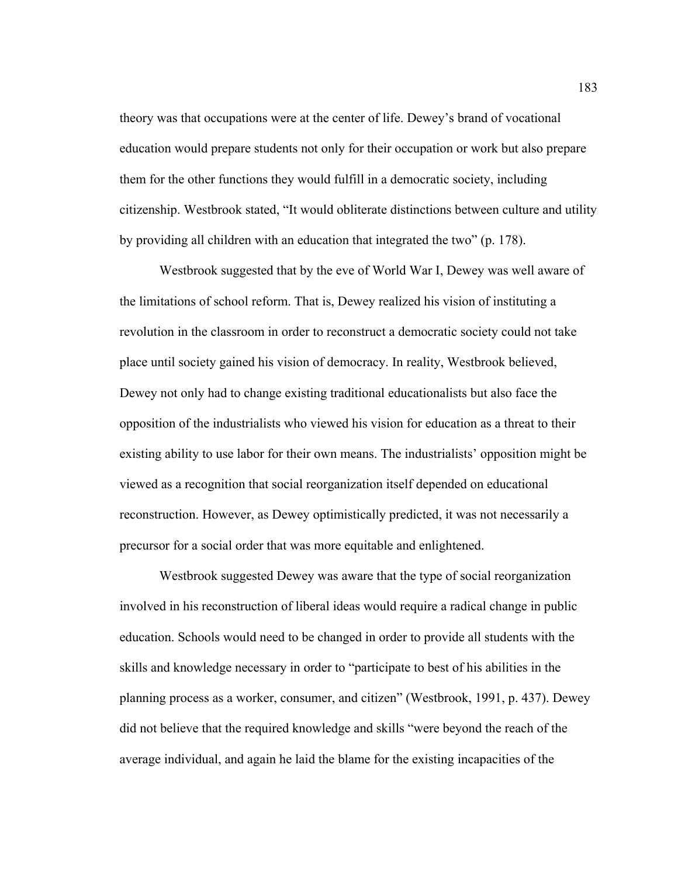theory was that occupations were at the center of life. Dewey's brand of vocational education would prepare students not only for their occupation or work but also prepare them for the other functions they would fulfill in a democratic society, including citizenship. Westbrook stated, "It would obliterate distinctions between culture and utility by providing all children with an education that integrated the two" (p. 178).

 Westbrook suggested that by the eve of World War I, Dewey was well aware of the limitations of school reform. That is, Dewey realized his vision of instituting a revolution in the classroom in order to reconstruct a democratic society could not take place until society gained his vision of democracy. In reality, Westbrook believed, Dewey not only had to change existing traditional educationalists but also face the opposition of the industrialists who viewed his vision for education as a threat to their existing ability to use labor for their own means. The industrialists' opposition might be viewed as a recognition that social reorganization itself depended on educational reconstruction. However, as Dewey optimistically predicted, it was not necessarily a precursor for a social order that was more equitable and enlightened.

 Westbrook suggested Dewey was aware that the type of social reorganization involved in his reconstruction of liberal ideas would require a radical change in public education. Schools would need to be changed in order to provide all students with the skills and knowledge necessary in order to "participate to best of his abilities in the planning process as a worker, consumer, and citizen" (Westbrook, 1991, p. 437). Dewey did not believe that the required knowledge and skills "were beyond the reach of the average individual, and again he laid the blame for the existing incapacities of the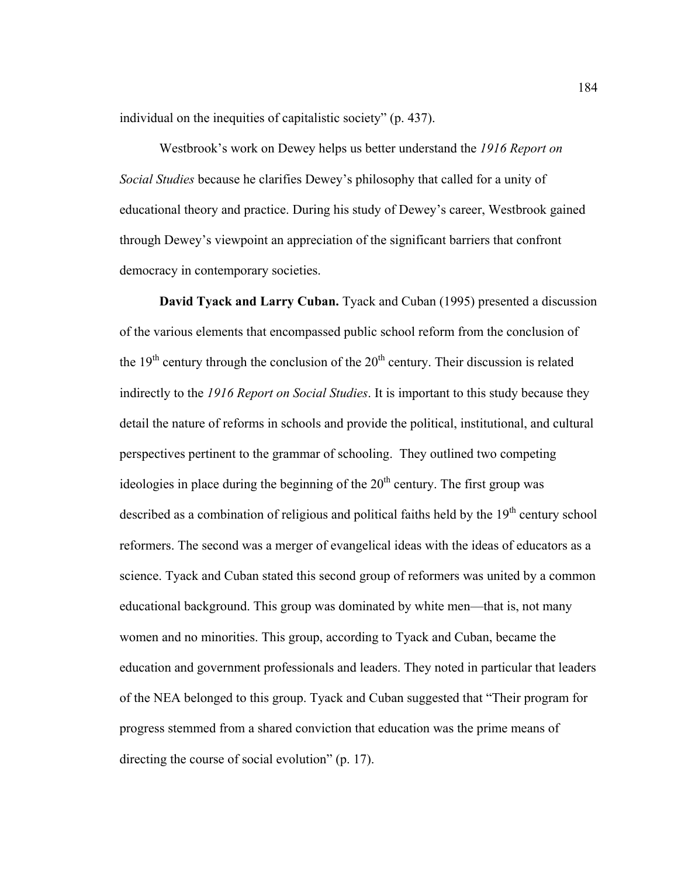individual on the inequities of capitalistic society" (p. 437).

 Westbrook's work on Dewey helps us better understand the *1916 Report on Social Studies* because he clarifies Dewey's philosophy that called for a unity of educational theory and practice. During his study of Dewey's career, Westbrook gained through Dewey's viewpoint an appreciation of the significant barriers that confront democracy in contemporary societies.

**David Tyack and Larry Cuban.** Tyack and Cuban (1995) presented a discussion of the various elements that encompassed public school reform from the conclusion of the  $19<sup>th</sup>$  century through the conclusion of the  $20<sup>th</sup>$  century. Their discussion is related indirectly to the *1916 Report on Social Studies*. It is important to this study because they detail the nature of reforms in schools and provide the political, institutional, and cultural perspectives pertinent to the grammar of schooling.They outlined two competing ideologies in place during the beginning of the  $20<sup>th</sup>$  century. The first group was described as a combination of religious and political faiths held by the 19<sup>th</sup> century school reformers. The second was a merger of evangelical ideas with the ideas of educators as a science. Tyack and Cuban stated this second group of reformers was united by a common educational background. This group was dominated by white men—that is, not many women and no minorities. This group, according to Tyack and Cuban, became the education and government professionals and leaders. They noted in particular that leaders of the NEA belonged to this group. Tyack and Cuban suggested that "Their program for progress stemmed from a shared conviction that education was the prime means of directing the course of social evolution" (p. 17).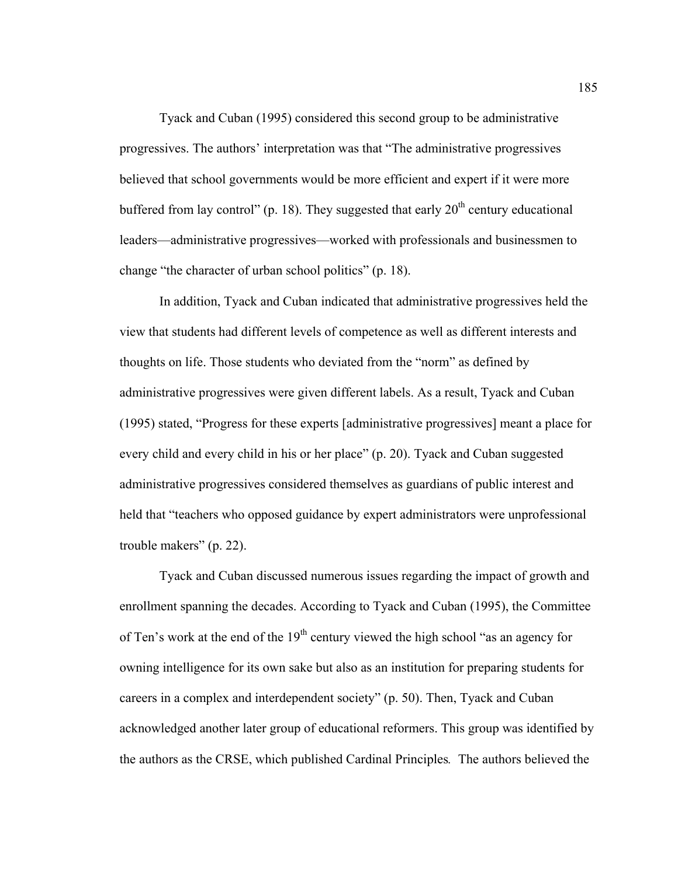Tyack and Cuban (1995) considered this second group to be administrative progressives. The authors' interpretation was that "The administrative progressives believed that school governments would be more efficient and expert if it were more buffered from lay control" (p. 18). They suggested that early  $20<sup>th</sup>$  century educational leaders—administrative progressives—worked with professionals and businessmen to change "the character of urban school politics" (p. 18).

In addition, Tyack and Cuban indicated that administrative progressives held the view that students had different levels of competence as well as different interests and thoughts on life. Those students who deviated from the "norm" as defined by administrative progressives were given different labels. As a result, Tyack and Cuban (1995) stated, "Progress for these experts [administrative progressives] meant a place for every child and every child in his or her place" (p. 20). Tyack and Cuban suggested administrative progressives considered themselves as guardians of public interest and held that "teachers who opposed guidance by expert administrators were unprofessional trouble makers" (p. 22).

 Tyack and Cuban discussed numerous issues regarding the impact of growth and enrollment spanning the decades. According to Tyack and Cuban (1995), the Committee of Ten's work at the end of the  $19<sup>th</sup>$  century viewed the high school "as an agency for owning intelligence for its own sake but also as an institution for preparing students for careers in a complex and interdependent society" (p. 50). Then, Tyack and Cuban acknowledged another later group of educational reformers. This group was identified by the authors as the CRSE, which published Cardinal Principles*.* The authors believed the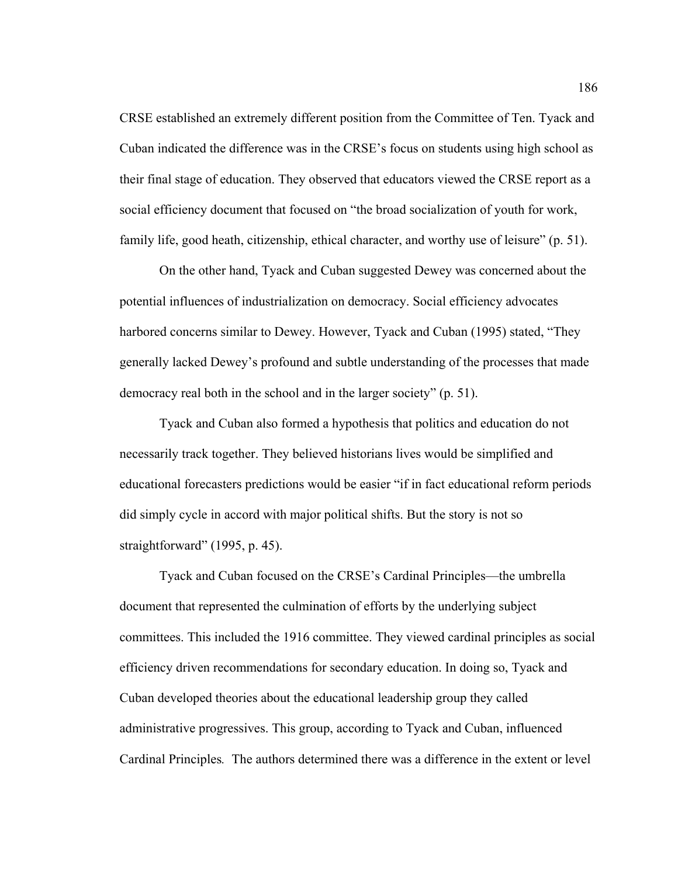CRSE established an extremely different position from the Committee of Ten. Tyack and Cuban indicated the difference was in the CRSE's focus on students using high school as their final stage of education. They observed that educators viewed the CRSE report as a social efficiency document that focused on "the broad socialization of youth for work, family life, good heath, citizenship, ethical character, and worthy use of leisure" (p. 51).

On the other hand, Tyack and Cuban suggested Dewey was concerned about the potential influences of industrialization on democracy. Social efficiency advocates harbored concerns similar to Dewey. However, Tyack and Cuban (1995) stated, "They generally lacked Dewey's profound and subtle understanding of the processes that made democracy real both in the school and in the larger society" (p. 51).

Tyack and Cuban also formed a hypothesis that politics and education do not necessarily track together. They believed historians lives would be simplified and educational forecasters predictions would be easier "if in fact educational reform periods did simply cycle in accord with major political shifts. But the story is not so straightforward" (1995, p. 45).

Tyack and Cuban focused on the CRSE's Cardinal Principles—the umbrella document that represented the culmination of efforts by the underlying subject committees. This included the 1916 committee. They viewed cardinal principles as social efficiency driven recommendations for secondary education. In doing so, Tyack and Cuban developed theories about the educational leadership group they called administrative progressives. This group, according to Tyack and Cuban, influenced Cardinal Principles*.* The authors determined there was a difference in the extent or level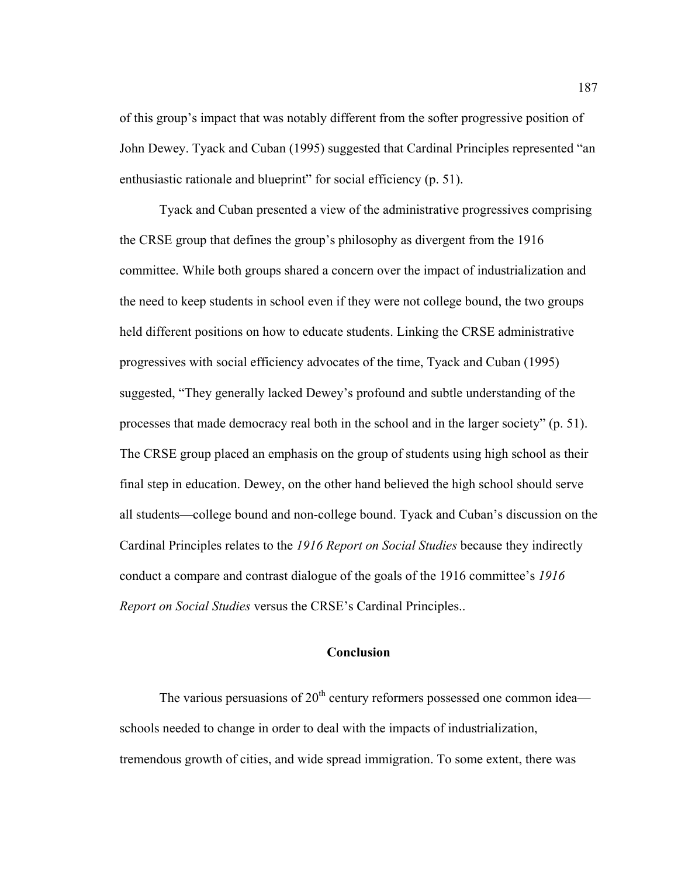of this group's impact that was notably different from the softer progressive position of John Dewey. Tyack and Cuban (1995) suggested that Cardinal Principles represented "an enthusiastic rationale and blueprint" for social efficiency (p. 51).

Tyack and Cuban presented a view of the administrative progressives comprising the CRSE group that defines the group's philosophy as divergent from the 1916 committee. While both groups shared a concern over the impact of industrialization and the need to keep students in school even if they were not college bound, the two groups held different positions on how to educate students. Linking the CRSE administrative progressives with social efficiency advocates of the time, Tyack and Cuban (1995) suggested, "They generally lacked Dewey's profound and subtle understanding of the processes that made democracy real both in the school and in the larger society" (p. 51). The CRSE group placed an emphasis on the group of students using high school as their final step in education. Dewey, on the other hand believed the high school should serve all students—college bound and non-college bound. Tyack and Cuban's discussion on the Cardinal Principles relates to the *1916 Report on Social Studies* because they indirectly conduct a compare and contrast dialogue of the goals of the 1916 committee's *1916 Report on Social Studies* versus the CRSE's Cardinal Principles..

# **Conclusion**

The various persuasions of  $20<sup>th</sup>$  century reformers possessed one common idea schools needed to change in order to deal with the impacts of industrialization, tremendous growth of cities, and wide spread immigration. To some extent, there was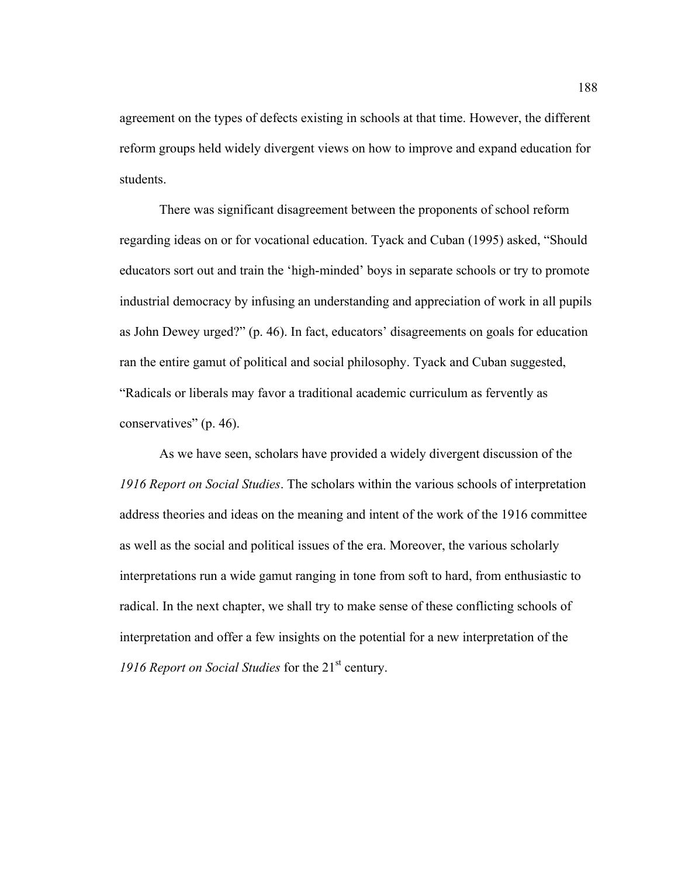agreement on the types of defects existing in schools at that time. However, the different reform groups held widely divergent views on how to improve and expand education for students.

 There was significant disagreement between the proponents of school reform regarding ideas on or for vocational education. Tyack and Cuban (1995) asked, "Should educators sort out and train the 'high-minded' boys in separate schools or try to promote industrial democracy by infusing an understanding and appreciation of work in all pupils as John Dewey urged?" (p. 46). In fact, educators' disagreements on goals for education ran the entire gamut of political and social philosophy. Tyack and Cuban suggested, "Radicals or liberals may favor a traditional academic curriculum as fervently as conservatives" (p. 46).

As we have seen, scholars have provided a widely divergent discussion of the *1916 Report on Social Studies*. The scholars within the various schools of interpretation address theories and ideas on the meaning and intent of the work of the 1916 committee as well as the social and political issues of the era. Moreover, the various scholarly interpretations run a wide gamut ranging in tone from soft to hard, from enthusiastic to radical. In the next chapter, we shall try to make sense of these conflicting schools of interpretation and offer a few insights on the potential for a new interpretation of the *1916 Report on Social Studies* for the 21<sup>st</sup> century.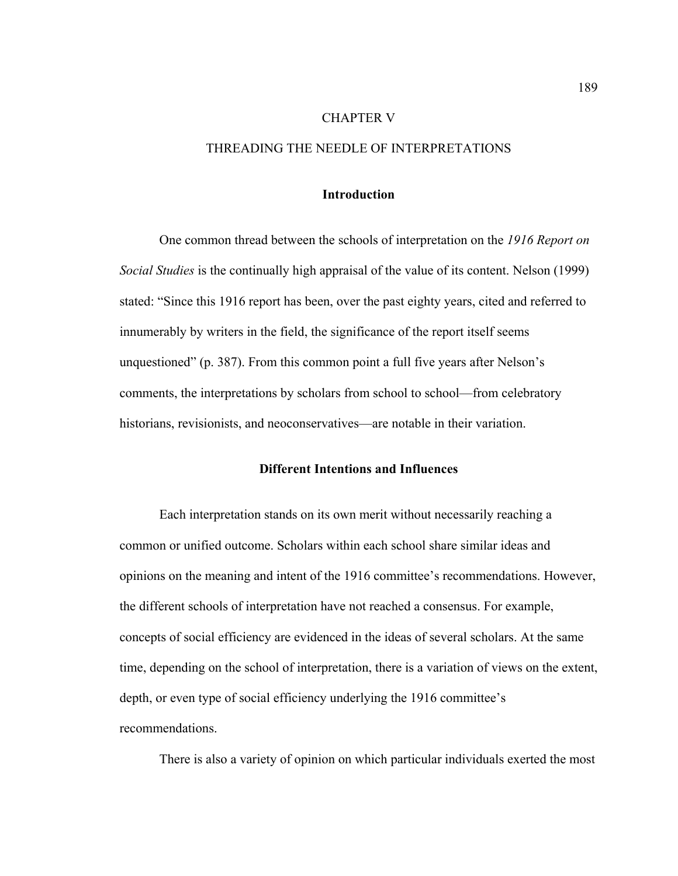## CHAPTER V

# THREADING THE NEEDLE OF INTERPRETATIONS

## **Introduction**

One common thread between the schools of interpretation on the *1916 Report on Social Studies* is the continually high appraisal of the value of its content. Nelson (1999) stated: "Since this 1916 report has been, over the past eighty years, cited and referred to innumerably by writers in the field, the significance of the report itself seems unquestioned" (p. 387). From this common point a full five years after Nelson's comments, the interpretations by scholars from school to school—from celebratory historians, revisionists, and neoconservatives—are notable in their variation.

## **Different Intentions and Influences**

Each interpretation stands on its own merit without necessarily reaching a common or unified outcome. Scholars within each school share similar ideas and opinions on the meaning and intent of the 1916 committee's recommendations. However, the different schools of interpretation have not reached a consensus. For example, concepts of social efficiency are evidenced in the ideas of several scholars. At the same time, depending on the school of interpretation, there is a variation of views on the extent, depth, or even type of social efficiency underlying the 1916 committee's recommendations.

There is also a variety of opinion on which particular individuals exerted the most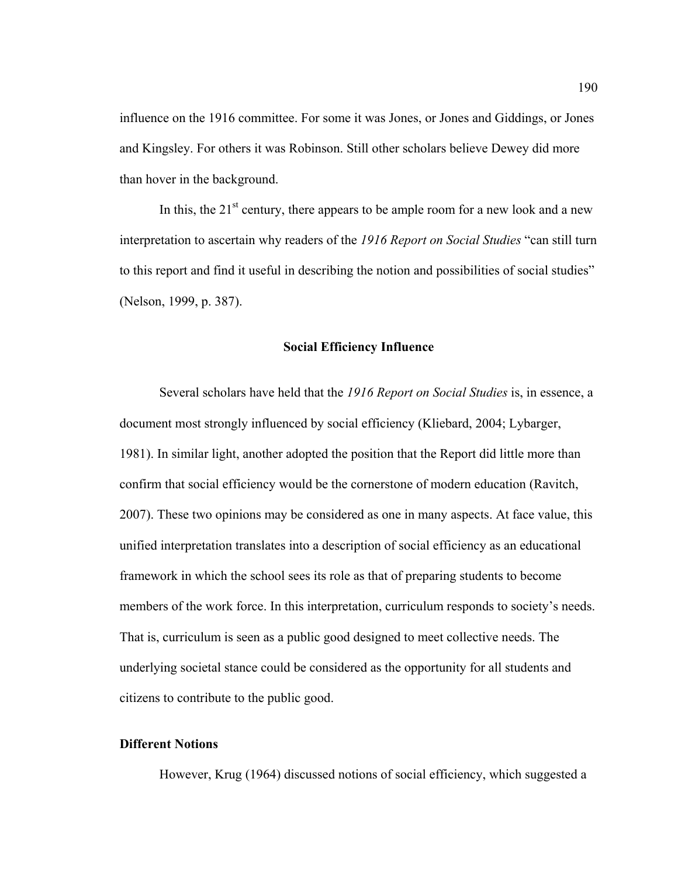influence on the 1916 committee. For some it was Jones, or Jones and Giddings, or Jones and Kingsley. For others it was Robinson. Still other scholars believe Dewey did more than hover in the background.

In this, the  $21<sup>st</sup>$  century, there appears to be ample room for a new look and a new interpretation to ascertain why readers of the *1916 Report on Social Studies* "can still turn to this report and find it useful in describing the notion and possibilities of social studies" (Nelson, 1999, p. 387).

### **Social Efficiency Influence**

Several scholars have held that the *1916 Report on Social Studies* is, in essence, a document most strongly influenced by social efficiency (Kliebard, 2004; Lybarger, 1981). In similar light, another adopted the position that the Report did little more than confirm that social efficiency would be the cornerstone of modern education (Ravitch, 2007). These two opinions may be considered as one in many aspects. At face value, this unified interpretation translates into a description of social efficiency as an educational framework in which the school sees its role as that of preparing students to become members of the work force. In this interpretation, curriculum responds to society's needs. That is, curriculum is seen as a public good designed to meet collective needs. The underlying societal stance could be considered as the opportunity for all students and citizens to contribute to the public good.

# **Different Notions**

However, Krug (1964) discussed notions of social efficiency, which suggested a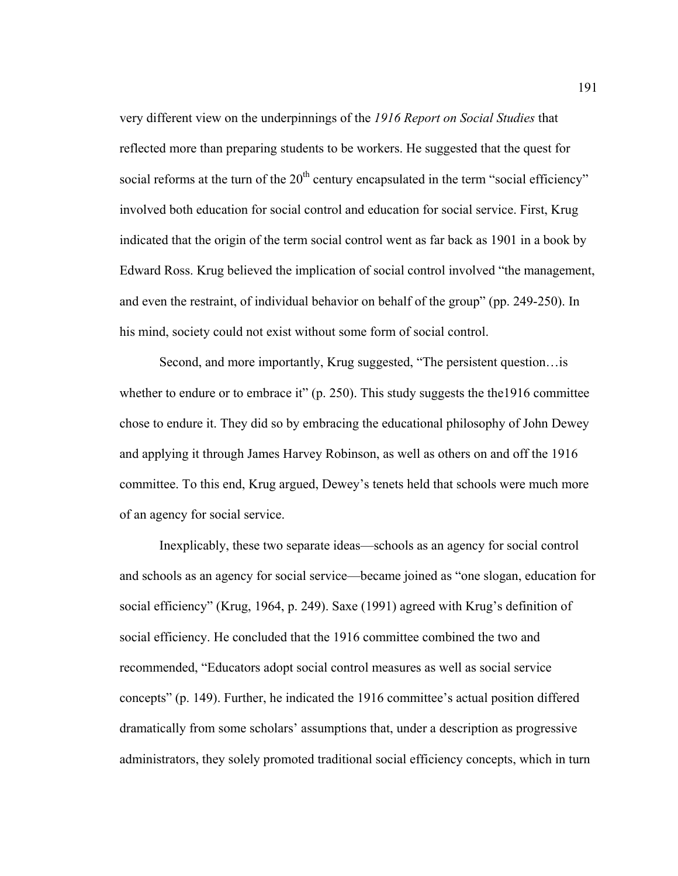very different view on the underpinnings of the *1916 Report on Social Studies* that reflected more than preparing students to be workers. He suggested that the quest for social reforms at the turn of the 20<sup>th</sup> century encapsulated in the term "social efficiency" involved both education for social control and education for social service. First, Krug indicated that the origin of the term social control went as far back as 1901 in a book by Edward Ross. Krug believed the implication of social control involved "the management, and even the restraint, of individual behavior on behalf of the group" (pp. 249-250). In his mind, society could not exist without some form of social control.

Second, and more importantly, Krug suggested, "The persistent question…is whether to endure or to embrace it" (p. 250). This study suggests the the1916 committee chose to endure it. They did so by embracing the educational philosophy of John Dewey and applying it through James Harvey Robinson, as well as others on and off the 1916 committee. To this end, Krug argued, Dewey's tenets held that schools were much more of an agency for social service.

Inexplicably, these two separate ideas—schools as an agency for social control and schools as an agency for social service—became joined as "one slogan, education for social efficiency" (Krug, 1964, p. 249). Saxe (1991) agreed with Krug's definition of social efficiency. He concluded that the 1916 committee combined the two and recommended, "Educators adopt social control measures as well as social service concepts" (p. 149). Further, he indicated the 1916 committee's actual position differed dramatically from some scholars' assumptions that, under a description as progressive administrators, they solely promoted traditional social efficiency concepts, which in turn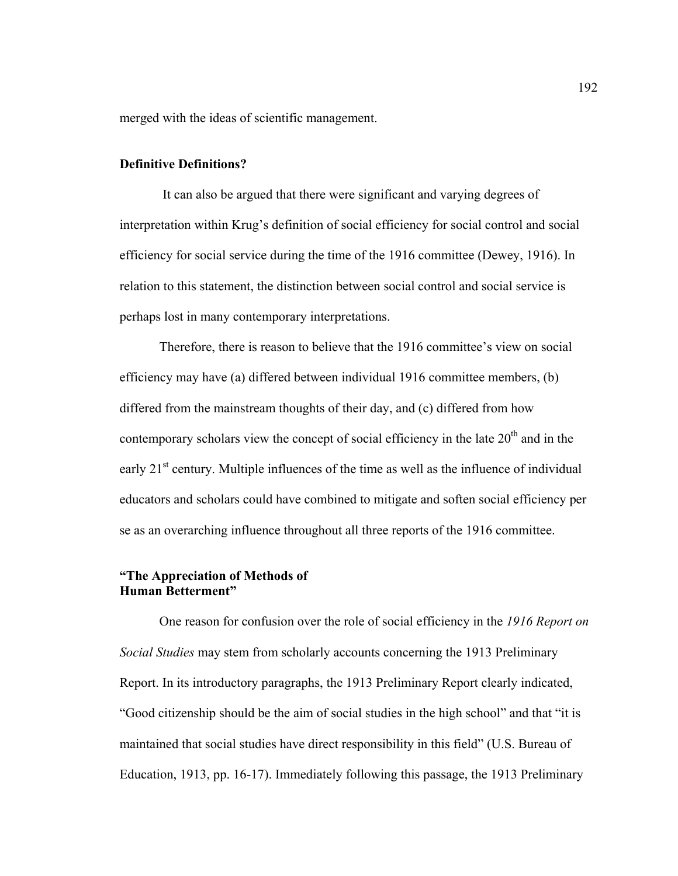merged with the ideas of scientific management.

# **Definitive Definitions?**

 It can also be argued that there were significant and varying degrees of interpretation within Krug's definition of social efficiency for social control and social efficiency for social service during the time of the 1916 committee (Dewey, 1916). In relation to this statement, the distinction between social control and social service is perhaps lost in many contemporary interpretations.

Therefore, there is reason to believe that the 1916 committee's view on social efficiency may have (a) differed between individual 1916 committee members, (b) differed from the mainstream thoughts of their day, and (c) differed from how contemporary scholars view the concept of social efficiency in the late  $20<sup>th</sup>$  and in the early  $21<sup>st</sup>$  century. Multiple influences of the time as well as the influence of individual educators and scholars could have combined to mitigate and soften social efficiency per se as an overarching influence throughout all three reports of the 1916 committee.

### **"The Appreciation of Methods of Human Betterment"**

 One reason for confusion over the role of social efficiency in the *1916 Report on Social Studies* may stem from scholarly accounts concerning the 1913 Preliminary Report. In its introductory paragraphs, the 1913 Preliminary Report clearly indicated, "Good citizenship should be the aim of social studies in the high school" and that "it is maintained that social studies have direct responsibility in this field" (U.S. Bureau of Education, 1913, pp. 16-17). Immediately following this passage, the 1913 Preliminary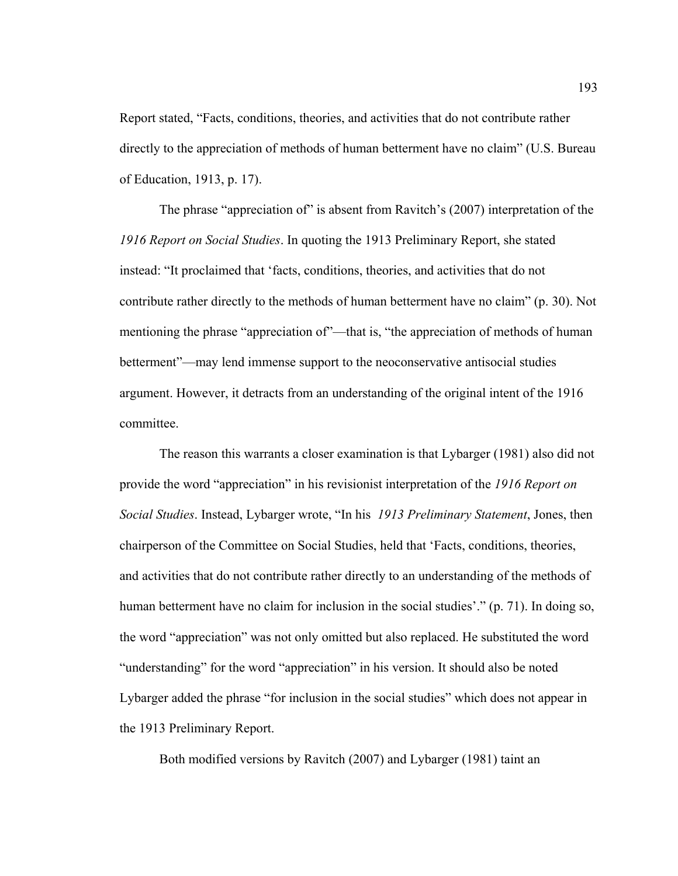Report stated, "Facts, conditions, theories, and activities that do not contribute rather directly to the appreciation of methods of human betterment have no claim" (U.S. Bureau of Education, 1913, p. 17).

The phrase "appreciation of" is absent from Ravitch's (2007) interpretation of the *1916 Report on Social Studies*. In quoting the 1913 Preliminary Report, she stated instead: "It proclaimed that 'facts, conditions, theories, and activities that do not contribute rather directly to the methods of human betterment have no claim" (p. 30). Not mentioning the phrase "appreciation of"—that is, "the appreciation of methods of human betterment"—may lend immense support to the neoconservative antisocial studies argument. However, it detracts from an understanding of the original intent of the 1916 committee.

The reason this warrants a closer examination is that Lybarger (1981) also did not provide the word "appreciation" in his revisionist interpretation of the *1916 Report on Social Studies*. Instead, Lybarger wrote, "In his *1913 Preliminary Statement*, Jones, then chairperson of the Committee on Social Studies, held that 'Facts, conditions, theories, and activities that do not contribute rather directly to an understanding of the methods of human betterment have no claim for inclusion in the social studies'." (p. 71). In doing so, the word "appreciation" was not only omitted but also replaced. He substituted the word "understanding" for the word "appreciation" in his version. It should also be noted Lybarger added the phrase "for inclusion in the social studies" which does not appear in the 1913 Preliminary Report.

Both modified versions by Ravitch (2007) and Lybarger (1981) taint an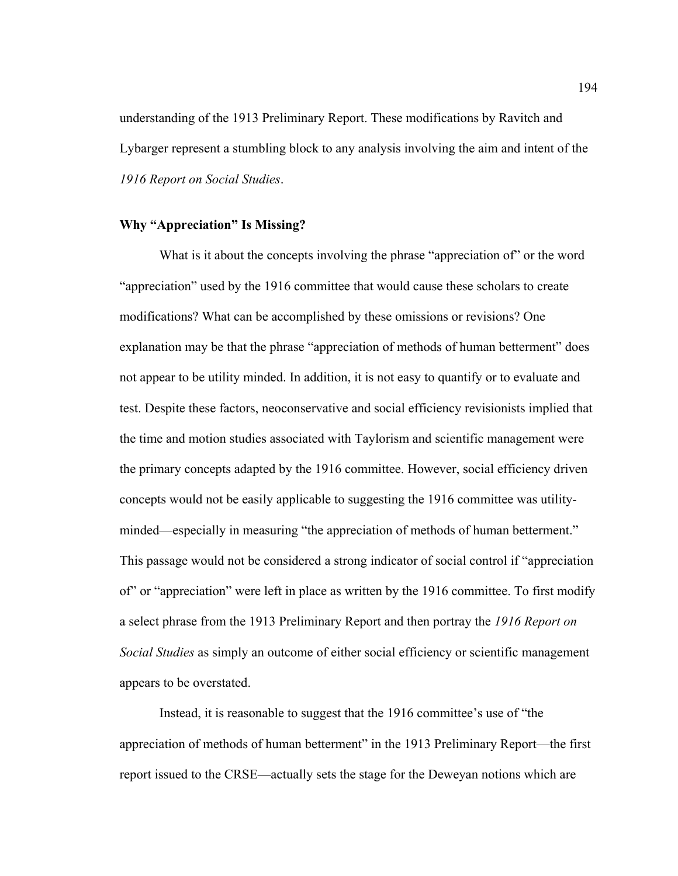understanding of the 1913 Preliminary Report. These modifications by Ravitch and Lybarger represent a stumbling block to any analysis involving the aim and intent of the *1916 Report on Social Studies*.

#### **Why "Appreciation" Is Missing?**

What is it about the concepts involving the phrase "appreciation of" or the word "appreciation" used by the 1916 committee that would cause these scholars to create modifications? What can be accomplished by these omissions or revisions? One explanation may be that the phrase "appreciation of methods of human betterment" does not appear to be utility minded. In addition, it is not easy to quantify or to evaluate and test. Despite these factors, neoconservative and social efficiency revisionists implied that the time and motion studies associated with Taylorism and scientific management were the primary concepts adapted by the 1916 committee. However, social efficiency driven concepts would not be easily applicable to suggesting the 1916 committee was utilityminded—especially in measuring "the appreciation of methods of human betterment." This passage would not be considered a strong indicator of social control if "appreciation of" or "appreciation" were left in place as written by the 1916 committee. To first modify a select phrase from the 1913 Preliminary Report and then portray the *1916 Report on Social Studies* as simply an outcome of either social efficiency or scientific management appears to be overstated.

Instead, it is reasonable to suggest that the 1916 committee's use of "the appreciation of methods of human betterment" in the 1913 Preliminary Report—the first report issued to the CRSE—actually sets the stage for the Deweyan notions which are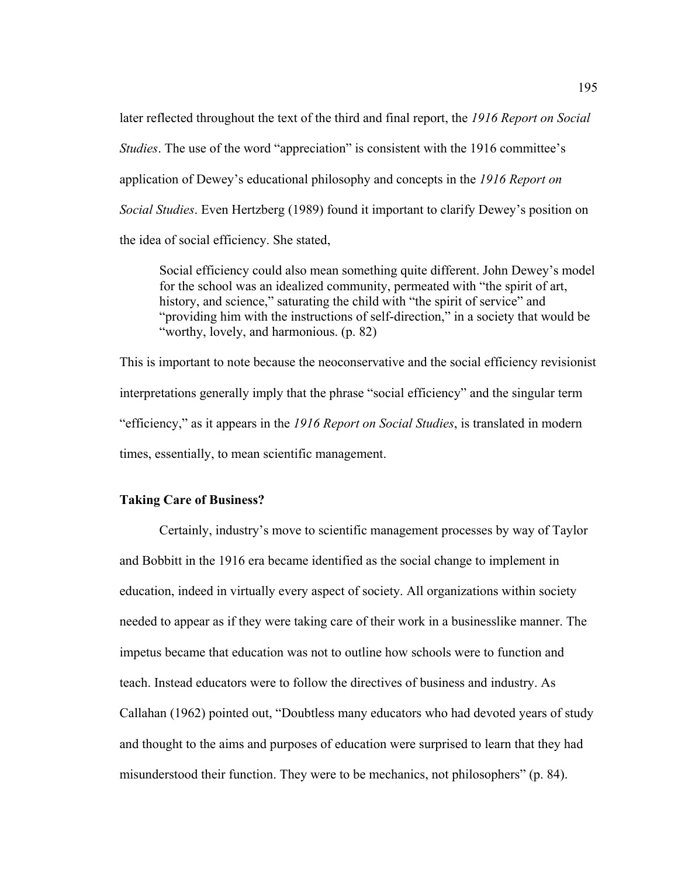later reflected throughout the text of the third and final report, the *1916 Report on Social Studies*. The use of the word "appreciation" is consistent with the 1916 committee's application of Dewey's educational philosophy and concepts in the *1916 Report on Social Studies*. Even Hertzberg (1989) found it important to clarify Dewey's position on the idea of social efficiency. She stated,

Social efficiency could also mean something quite different. John Dewey's model for the school was an idealized community, permeated with "the spirit of art, history, and science," saturating the child with "the spirit of service" and "providing him with the instructions of self-direction," in a society that would be "worthy, lovely, and harmonious. (p. 82)

This is important to note because the neoconservative and the social efficiency revisionist interpretations generally imply that the phrase "social efficiency" and the singular term "efficiency," as it appears in the *1916 Report on Social Studies*, is translated in modern times, essentially, to mean scientific management.

# **Taking Care of Business?**

Certainly, industry's move to scientific management processes by way of Taylor and Bobbitt in the 1916 era became identified as the social change to implement in education, indeed in virtually every aspect of society. All organizations within society needed to appear as if they were taking care of their work in a businesslike manner. The impetus became that education was not to outline how schools were to function and teach. Instead educators were to follow the directives of business and industry. As Callahan (1962) pointed out, "Doubtless many educators who had devoted years of study and thought to the aims and purposes of education were surprised to learn that they had misunderstood their function. They were to be mechanics, not philosophers" (p. 84).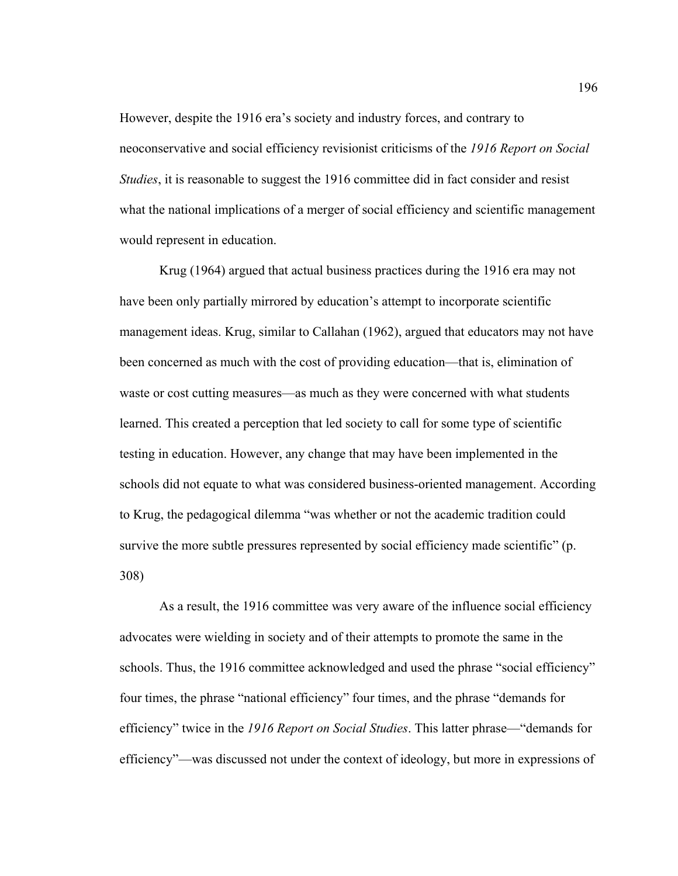However, despite the 1916 era's society and industry forces, and contrary to neoconservative and social efficiency revisionist criticisms of the *1916 Report on Social Studies*, it is reasonable to suggest the 1916 committee did in fact consider and resist what the national implications of a merger of social efficiency and scientific management would represent in education.

Krug (1964) argued that actual business practices during the 1916 era may not have been only partially mirrored by education's attempt to incorporate scientific management ideas. Krug, similar to Callahan (1962), argued that educators may not have been concerned as much with the cost of providing education—that is, elimination of waste or cost cutting measures—as much as they were concerned with what students learned. This created a perception that led society to call for some type of scientific testing in education. However, any change that may have been implemented in the schools did not equate to what was considered business-oriented management. According to Krug, the pedagogical dilemma "was whether or not the academic tradition could survive the more subtle pressures represented by social efficiency made scientific" (p. 308)

 As a result, the 1916 committee was very aware of the influence social efficiency advocates were wielding in society and of their attempts to promote the same in the schools. Thus, the 1916 committee acknowledged and used the phrase "social efficiency" four times, the phrase "national efficiency" four times, and the phrase "demands for efficiency" twice in the *1916 Report on Social Studies*. This latter phrase—"demands for efficiency"—was discussed not under the context of ideology, but more in expressions of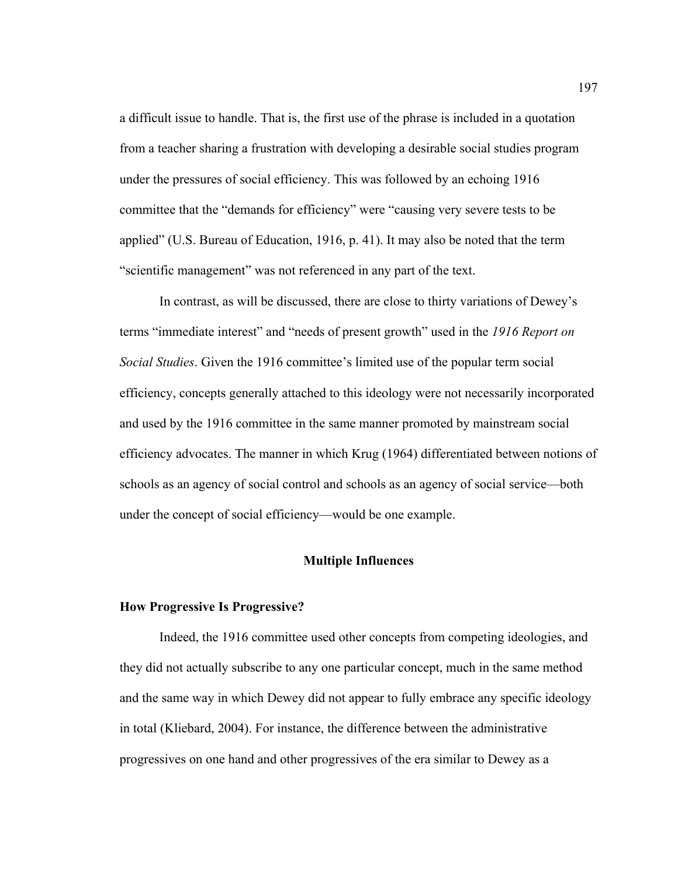a difficult issue to handle. That is, the first use of the phrase is included in a quotation from a teacher sharing a frustration with developing a desirable social studies program under the pressures of social efficiency. This was followed by an echoing 1916 committee that the "demands for efficiency" were "causing very severe tests to be applied" (U.S. Bureau of Education, 1916, p. 41). It may also be noted that the term "scientific management" was not referenced in any part of the text.

In contrast, as will be discussed, there are close to thirty variations of Dewey's terms "immediate interest" and "needs of present growth" used in the *1916 Report on Social Studies*. Given the 1916 committee's limited use of the popular term social efficiency, concepts generally attached to this ideology were not necessarily incorporated and used by the 1916 committee in the same manner promoted by mainstream social efficiency advocates. The manner in which Krug (1964) differentiated between notions of schools as an agency of social control and schools as an agency of social service—both under the concept of social efficiency—would be one example.

### **Multiple Influences**

#### **How Progressive Is Progressive?**

Indeed, the 1916 committee used other concepts from competing ideologies, and they did not actually subscribe to any one particular concept, much in the same method and the same way in which Dewey did not appear to fully embrace any specific ideology in total (Kliebard, 2004). For instance, the difference between the administrative progressives on one hand and other progressives of the era similar to Dewey as a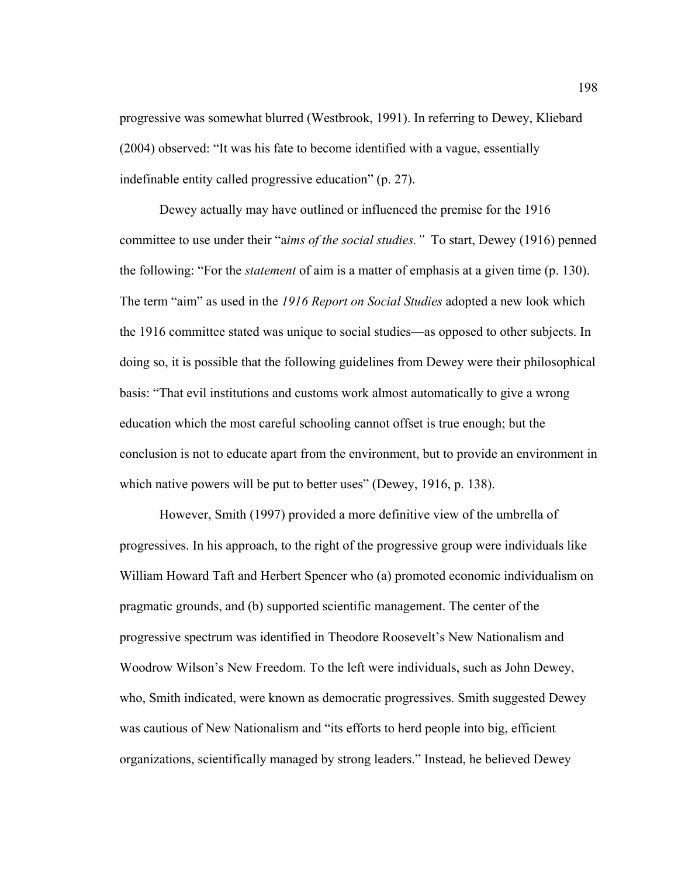progressive was somewhat blurred (Westbrook, 1991). In referring to Dewey, Kliebard (2004) observed: "It was his fate to become identified with a vague, essentially indefinable entity called progressive education" (p. 27).

 Dewey actually may have outlined or influenced the premise for the 1916 committee to use under their "a*ims of the social studies."* To start, Dewey (1916) penned the following: "For the *statement* of aim is a matter of emphasis at a given time (p. 130). The term "aim" as used in the *1916 Report on Social Studies* adopted a new look which the 1916 committee stated was unique to social studies—as opposed to other subjects. In doing so, it is possible that the following guidelines from Dewey were their philosophical basis: "That evil institutions and customs work almost automatically to give a wrong education which the most careful schooling cannot offset is true enough; but the conclusion is not to educate apart from the environment, but to provide an environment in which native powers will be put to better uses" (Dewey, 1916, p. 138).

However, Smith (1997) provided a more definitive view of the umbrella of progressives. In his approach, to the right of the progressive group were individuals like William Howard Taft and Herbert Spencer who (a) promoted economic individualism on pragmatic grounds, and (b) supported scientific management. The center of the progressive spectrum was identified in Theodore Roosevelt's New Nationalism and Woodrow Wilson's New Freedom. To the left were individuals, such as John Dewey, who, Smith indicated, were known as democratic progressives. Smith suggested Dewey was cautious of New Nationalism and "its efforts to herd people into big, efficient organizations, scientifically managed by strong leaders." Instead, he believed Dewey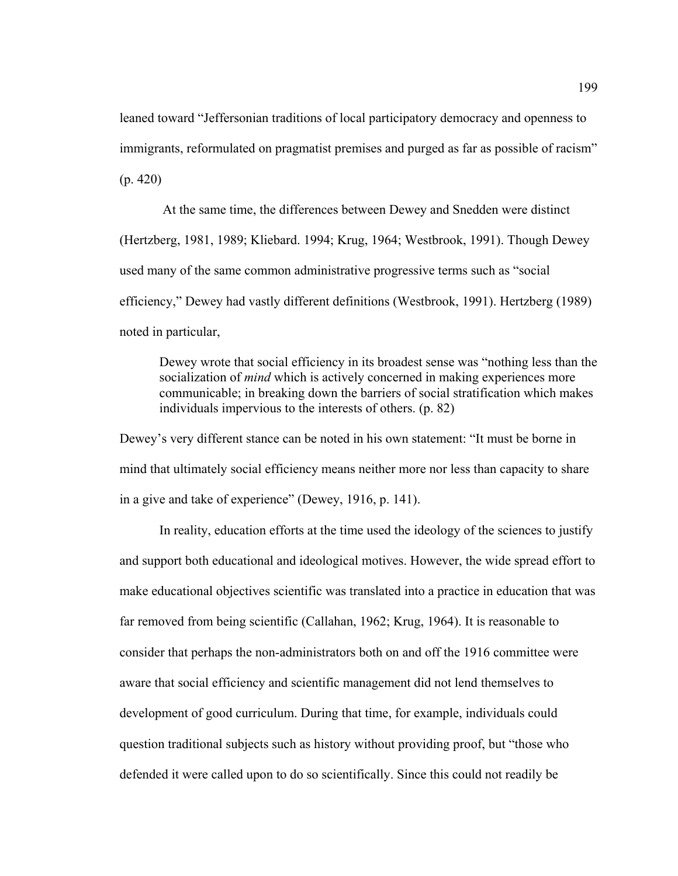leaned toward "Jeffersonian traditions of local participatory democracy and openness to immigrants, reformulated on pragmatist premises and purged as far as possible of racism" (p. 420)

 At the same time, the differences between Dewey and Snedden were distinct (Hertzberg, 1981, 1989; Kliebard. 1994; Krug, 1964; Westbrook, 1991). Though Dewey used many of the same common administrative progressive terms such as "social efficiency," Dewey had vastly different definitions (Westbrook, 1991). Hertzberg (1989) noted in particular,

Dewey wrote that social efficiency in its broadest sense was "nothing less than the socialization of *mind* which is actively concerned in making experiences more communicable; in breaking down the barriers of social stratification which makes individuals impervious to the interests of others. (p. 82)

Dewey's very different stance can be noted in his own statement: "It must be borne in mind that ultimately social efficiency means neither more nor less than capacity to share in a give and take of experience" (Dewey, 1916, p. 141).

In reality, education efforts at the time used the ideology of the sciences to justify and support both educational and ideological motives. However, the wide spread effort to make educational objectives scientific was translated into a practice in education that was far removed from being scientific (Callahan, 1962; Krug, 1964). It is reasonable to consider that perhaps the non-administrators both on and off the 1916 committee were aware that social efficiency and scientific management did not lend themselves to development of good curriculum. During that time, for example, individuals could question traditional subjects such as history without providing proof, but "those who defended it were called upon to do so scientifically. Since this could not readily be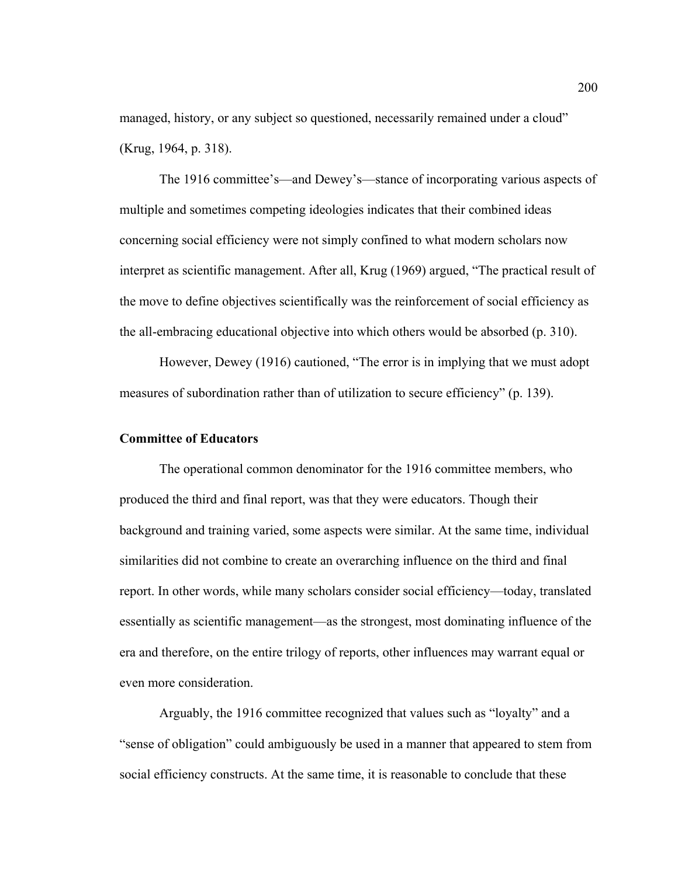managed, history, or any subject so questioned, necessarily remained under a cloud" (Krug, 1964, p. 318).

The 1916 committee's—and Dewey's—stance of incorporating various aspects of multiple and sometimes competing ideologies indicates that their combined ideas concerning social efficiency were not simply confined to what modern scholars now interpret as scientific management. After all, Krug (1969) argued, "The practical result of the move to define objectives scientifically was the reinforcement of social efficiency as the all-embracing educational objective into which others would be absorbed (p. 310).

 However, Dewey (1916) cautioned, "The error is in implying that we must adopt measures of subordination rather than of utilization to secure efficiency" (p. 139).

# **Committee of Educators**

The operational common denominator for the 1916 committee members, who produced the third and final report, was that they were educators. Though their background and training varied, some aspects were similar. At the same time, individual similarities did not combine to create an overarching influence on the third and final report. In other words, while many scholars consider social efficiency—today, translated essentially as scientific management—as the strongest, most dominating influence of the era and therefore, on the entire trilogy of reports, other influences may warrant equal or even more consideration.

Arguably, the 1916 committee recognized that values such as "loyalty" and a "sense of obligation" could ambiguously be used in a manner that appeared to stem from social efficiency constructs. At the same time, it is reasonable to conclude that these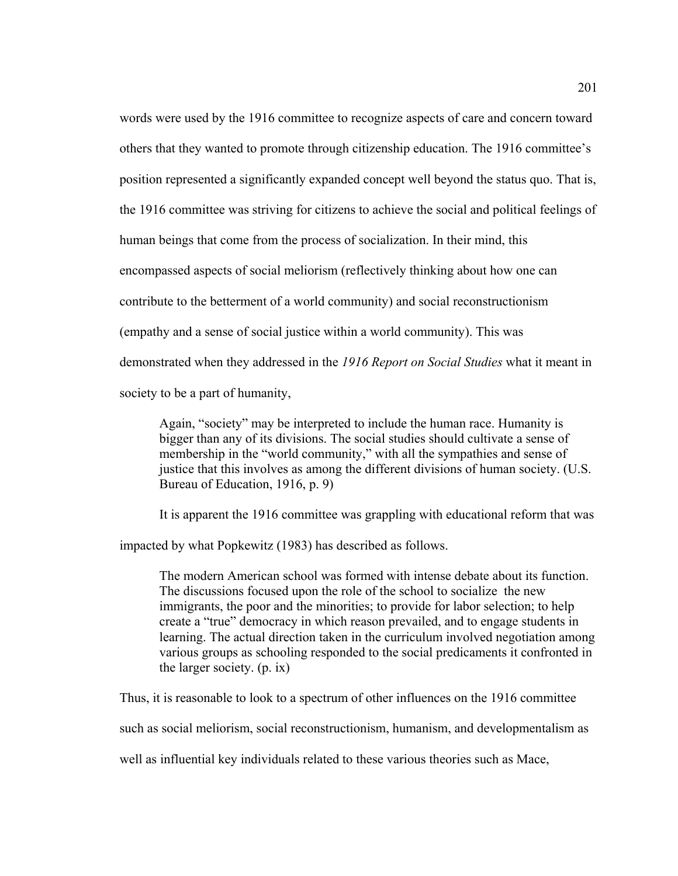words were used by the 1916 committee to recognize aspects of care and concern toward others that they wanted to promote through citizenship education. The 1916 committee's position represented a significantly expanded concept well beyond the status quo. That is, the 1916 committee was striving for citizens to achieve the social and political feelings of human beings that come from the process of socialization. In their mind, this encompassed aspects of social meliorism (reflectively thinking about how one can contribute to the betterment of a world community) and social reconstructionism (empathy and a sense of social justice within a world community). This was demonstrated when they addressed in the *1916 Report on Social Studies* what it meant in society to be a part of humanity,

Again, "society" may be interpreted to include the human race. Humanity is bigger than any of its divisions. The social studies should cultivate a sense of membership in the "world community," with all the sympathies and sense of justice that this involves as among the different divisions of human society. (U.S. Bureau of Education, 1916, p. 9)

It is apparent the 1916 committee was grappling with educational reform that was

impacted by what Popkewitz (1983) has described as follows.

The modern American school was formed with intense debate about its function. The discussions focused upon the role of the school to socialize the new immigrants, the poor and the minorities; to provide for labor selection; to help create a "true" democracy in which reason prevailed, and to engage students in learning. The actual direction taken in the curriculum involved negotiation among various groups as schooling responded to the social predicaments it confronted in the larger society. (p. ix)

Thus, it is reasonable to look to a spectrum of other influences on the 1916 committee

such as social meliorism, social reconstructionism, humanism, and developmentalism as

well as influential key individuals related to these various theories such as Mace,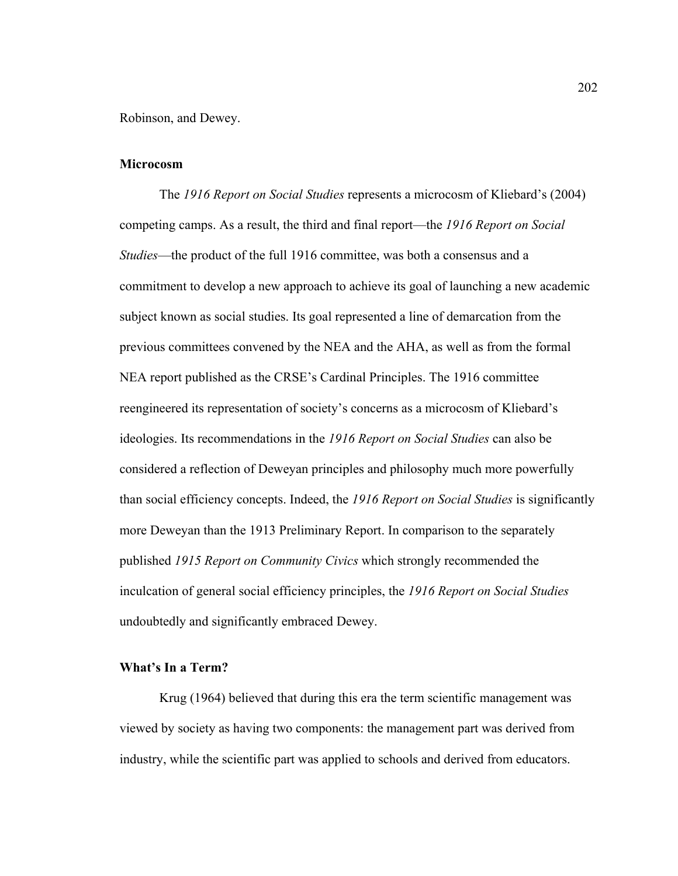Robinson, and Dewey.

### **Microcosm**

The *1916 Report on Social Studies* represents a microcosm of Kliebard's (2004) competing camps. As a result, the third and final report—the *1916 Report on Social Studies*—the product of the full 1916 committee, was both a consensus and a commitment to develop a new approach to achieve its goal of launching a new academic subject known as social studies. Its goal represented a line of demarcation from the previous committees convened by the NEA and the AHA, as well as from the formal NEA report published as the CRSE's Cardinal Principles. The 1916 committee reengineered its representation of society's concerns as a microcosm of Kliebard's ideologies. Its recommendations in the *1916 Report on Social Studies* can also be considered a reflection of Deweyan principles and philosophy much more powerfully than social efficiency concepts. Indeed, the *1916 Report on Social Studies* is significantly more Deweyan than the 1913 Preliminary Report. In comparison to the separately published *1915 Report on Community Civics* which strongly recommended the inculcation of general social efficiency principles, the *1916 Report on Social Studies* undoubtedly and significantly embraced Dewey.

### **What's In a Term?**

Krug (1964) believed that during this era the term scientific management was viewed by society as having two components: the management part was derived from industry, while the scientific part was applied to schools and derived from educators.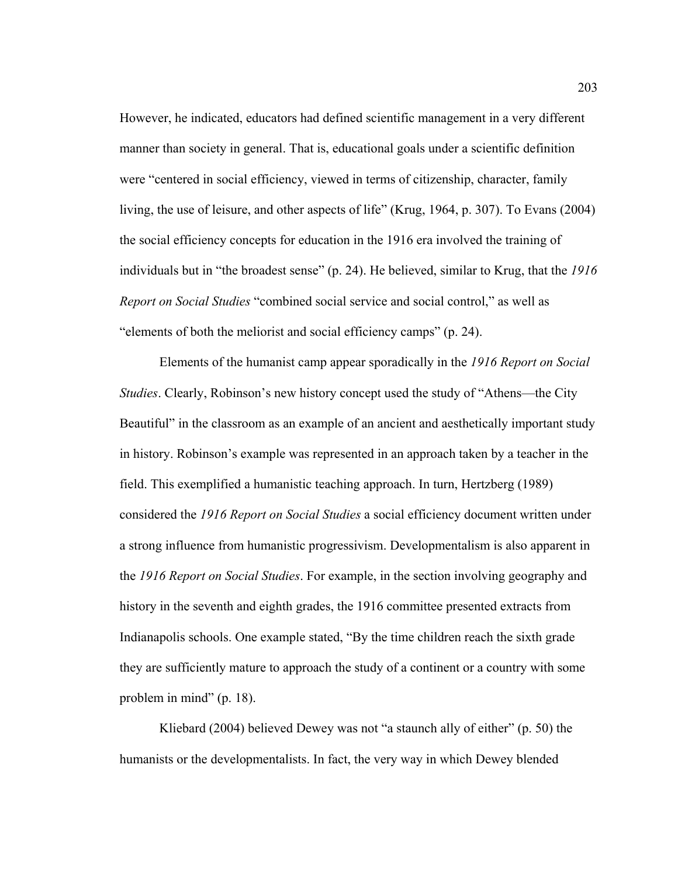However, he indicated, educators had defined scientific management in a very different manner than society in general. That is, educational goals under a scientific definition were "centered in social efficiency, viewed in terms of citizenship, character, family living, the use of leisure, and other aspects of life" (Krug, 1964, p. 307). To Evans (2004) the social efficiency concepts for education in the 1916 era involved the training of individuals but in "the broadest sense" (p. 24). He believed, similar to Krug, that the *1916 Report on Social Studies* "combined social service and social control," as well as "elements of both the meliorist and social efficiency camps" (p. 24).

Elements of the humanist camp appear sporadically in the *1916 Report on Social Studies*. Clearly, Robinson's new history concept used the study of "Athens—the City Beautiful" in the classroom as an example of an ancient and aesthetically important study in history. Robinson's example was represented in an approach taken by a teacher in the field. This exemplified a humanistic teaching approach. In turn, Hertzberg (1989) considered the *1916 Report on Social Studies* a social efficiency document written under a strong influence from humanistic progressivism. Developmentalism is also apparent in the *1916 Report on Social Studies*. For example, in the section involving geography and history in the seventh and eighth grades, the 1916 committee presented extracts from Indianapolis schools. One example stated, "By the time children reach the sixth grade they are sufficiently mature to approach the study of a continent or a country with some problem in mind" (p. 18).

Kliebard (2004) believed Dewey was not "a staunch ally of either" (p. 50) the humanists or the developmentalists. In fact, the very way in which Dewey blended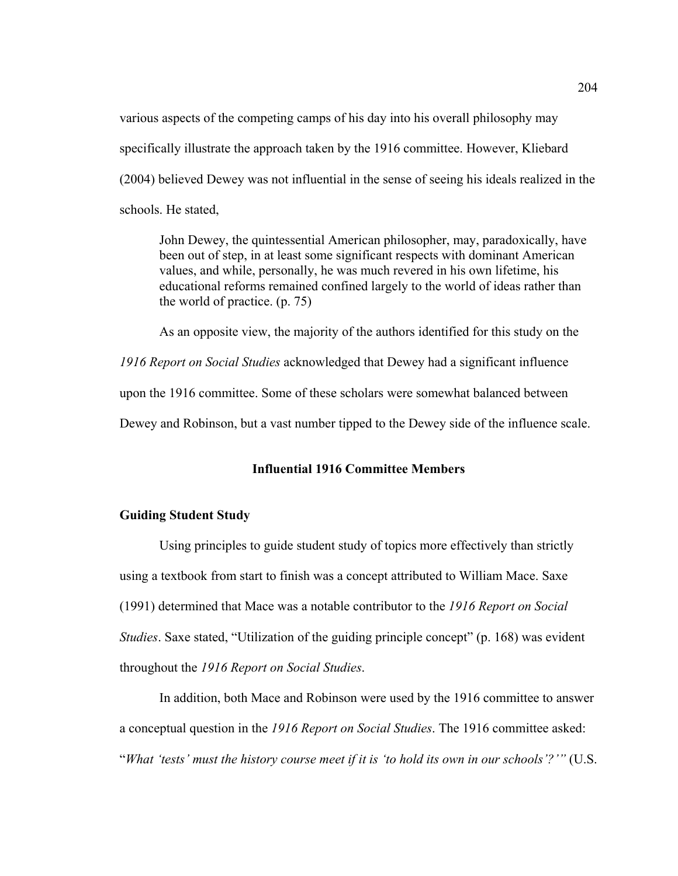various aspects of the competing camps of his day into his overall philosophy may specifically illustrate the approach taken by the 1916 committee. However, Kliebard (2004) believed Dewey was not influential in the sense of seeing his ideals realized in the schools. He stated,

John Dewey, the quintessential American philosopher, may, paradoxically, have been out of step, in at least some significant respects with dominant American values, and while, personally, he was much revered in his own lifetime, his educational reforms remained confined largely to the world of ideas rather than the world of practice. (p. 75)

As an opposite view, the majority of the authors identified for this study on the

*1916 Report on Social Studies* acknowledged that Dewey had a significant influence

upon the 1916 committee. Some of these scholars were somewhat balanced between

Dewey and Robinson, but a vast number tipped to the Dewey side of the influence scale.

# **Influential 1916 Committee Members**

### **Guiding Student Study**

 Using principles to guide student study of topics more effectively than strictly using a textbook from start to finish was a concept attributed to William Mace. Saxe (1991) determined that Mace was a notable contributor to the *1916 Report on Social Studies*. Saxe stated, "Utilization of the guiding principle concept" (p. 168) was evident throughout the *1916 Report on Social Studies*.

In addition, both Mace and Robinson were used by the 1916 committee to answer a conceptual question in the *1916 Report on Social Studies*. The 1916 committee asked: "*What 'tests' must the history course meet if it is 'to hold its own in our schools'?'"* (U.S.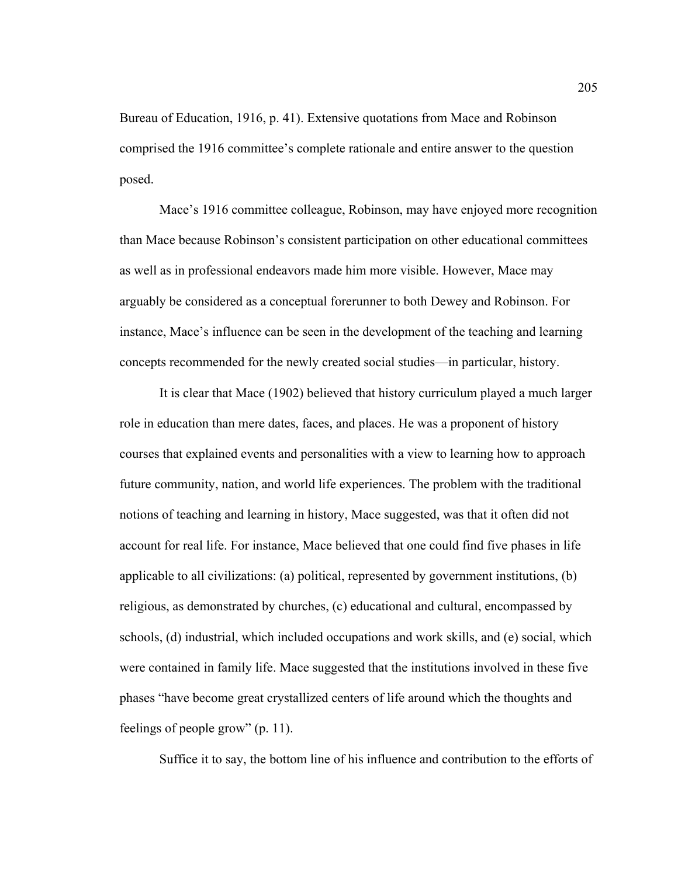Bureau of Education, 1916, p. 41). Extensive quotations from Mace and Robinson comprised the 1916 committee's complete rationale and entire answer to the question posed.

Mace's 1916 committee colleague, Robinson, may have enjoyed more recognition than Mace because Robinson's consistent participation on other educational committees as well as in professional endeavors made him more visible. However, Mace may arguably be considered as a conceptual forerunner to both Dewey and Robinson. For instance, Mace's influence can be seen in the development of the teaching and learning concepts recommended for the newly created social studies—in particular, history.

 It is clear that Mace (1902) believed that history curriculum played a much larger role in education than mere dates, faces, and places. He was a proponent of history courses that explained events and personalities with a view to learning how to approach future community, nation, and world life experiences. The problem with the traditional notions of teaching and learning in history, Mace suggested, was that it often did not account for real life. For instance, Mace believed that one could find five phases in life applicable to all civilizations: (a) political, represented by government institutions, (b) religious, as demonstrated by churches, (c) educational and cultural, encompassed by schools, (d) industrial, which included occupations and work skills, and (e) social, which were contained in family life. Mace suggested that the institutions involved in these five phases "have become great crystallized centers of life around which the thoughts and feelings of people grow" (p. 11).

Suffice it to say, the bottom line of his influence and contribution to the efforts of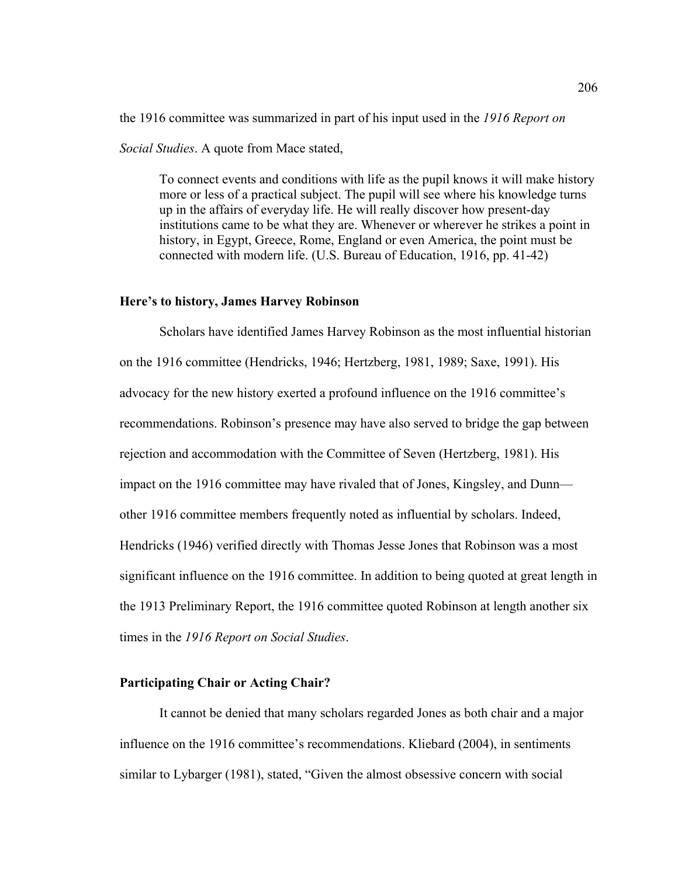the 1916 committee was summarized in part of his input used in the *1916 Report on Social Studies*. A quote from Mace stated,

To connect events and conditions with life as the pupil knows it will make history more or less of a practical subject. The pupil will see where his knowledge turns up in the affairs of everyday life. He will really discover how present-day institutions came to be what they are. Whenever or wherever he strikes a point in history, in Egypt, Greece, Rome, England or even America, the point must be connected with modern life. (U.S. Bureau of Education, 1916, pp. 41-42)

#### **Here's to history, James Harvey Robinson**

 Scholars have identified James Harvey Robinson as the most influential historian on the 1916 committee (Hendricks, 1946; Hertzberg, 1981, 1989; Saxe, 1991). His advocacy for the new history exerted a profound influence on the 1916 committee's recommendations. Robinson's presence may have also served to bridge the gap between rejection and accommodation with the Committee of Seven (Hertzberg, 1981). His impact on the 1916 committee may have rivaled that of Jones, Kingsley, and Dunn other 1916 committee members frequently noted as influential by scholars. Indeed, Hendricks (1946) verified directly with Thomas Jesse Jones that Robinson was a most significant influence on the 1916 committee. In addition to being quoted at great length in the 1913 Preliminary Report, the 1916 committee quoted Robinson at length another six times in the *1916 Report on Social Studies*.

#### **Participating Chair or Acting Chair?**

It cannot be denied that many scholars regarded Jones as both chair and a major influence on the 1916 committee's recommendations. Kliebard (2004), in sentiments similar to Lybarger (1981), stated, "Given the almost obsessive concern with social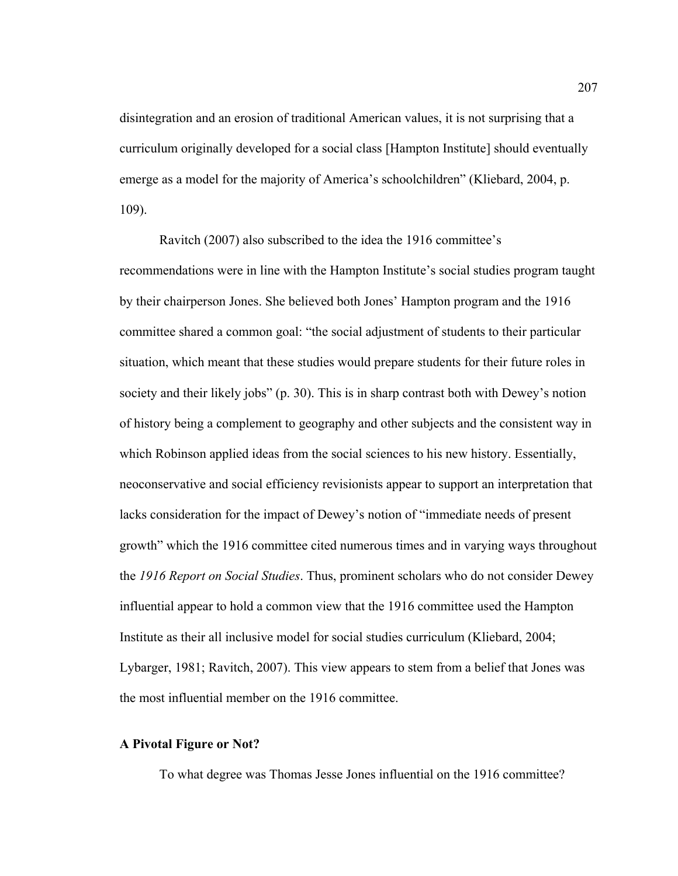disintegration and an erosion of traditional American values, it is not surprising that a curriculum originally developed for a social class [Hampton Institute] should eventually emerge as a model for the majority of America's schoolchildren" (Kliebard, 2004, p. 109).

 Ravitch (2007) also subscribed to the idea the 1916 committee's recommendations were in line with the Hampton Institute's social studies program taught by their chairperson Jones. She believed both Jones' Hampton program and the 1916 committee shared a common goal: "the social adjustment of students to their particular situation, which meant that these studies would prepare students for their future roles in society and their likely jobs" (p. 30). This is in sharp contrast both with Dewey's notion of history being a complement to geography and other subjects and the consistent way in which Robinson applied ideas from the social sciences to his new history. Essentially, neoconservative and social efficiency revisionists appear to support an interpretation that lacks consideration for the impact of Dewey's notion of "immediate needs of present growth" which the 1916 committee cited numerous times and in varying ways throughout the *1916 Report on Social Studies*. Thus, prominent scholars who do not consider Dewey influential appear to hold a common view that the 1916 committee used the Hampton Institute as their all inclusive model for social studies curriculum (Kliebard, 2004; Lybarger, 1981; Ravitch, 2007). This view appears to stem from a belief that Jones was the most influential member on the 1916 committee.

### **A Pivotal Figure or Not?**

To what degree was Thomas Jesse Jones influential on the 1916 committee?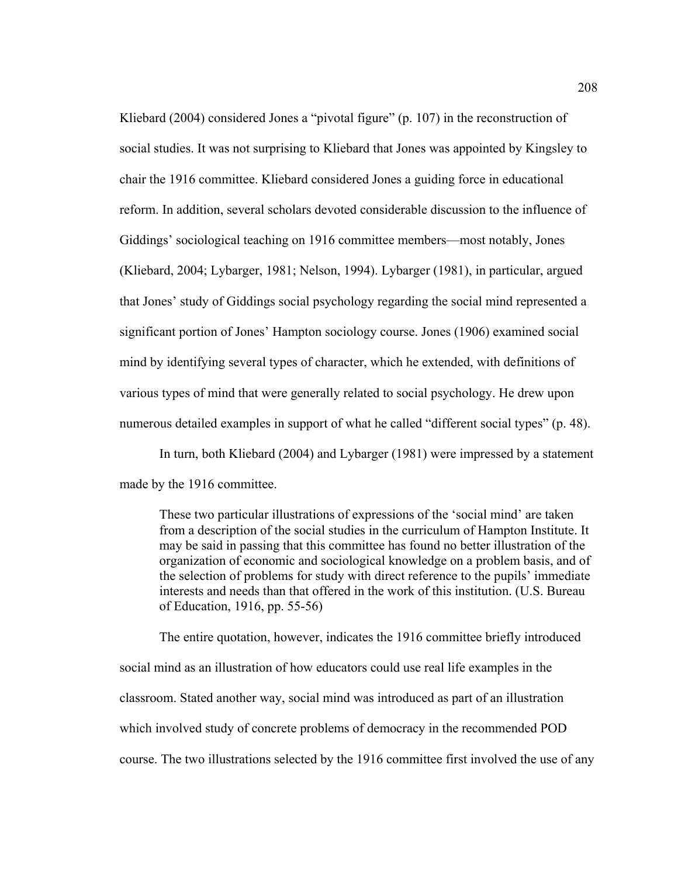Kliebard (2004) considered Jones a "pivotal figure" (p. 107) in the reconstruction of social studies. It was not surprising to Kliebard that Jones was appointed by Kingsley to chair the 1916 committee. Kliebard considered Jones a guiding force in educational reform. In addition, several scholars devoted considerable discussion to the influence of Giddings' sociological teaching on 1916 committee members—most notably, Jones (Kliebard, 2004; Lybarger, 1981; Nelson, 1994). Lybarger (1981), in particular, argued that Jones' study of Giddings social psychology regarding the social mind represented a significant portion of Jones' Hampton sociology course. Jones (1906) examined social mind by identifying several types of character, which he extended, with definitions of various types of mind that were generally related to social psychology. He drew upon numerous detailed examples in support of what he called "different social types" (p. 48).

In turn, both Kliebard (2004) and Lybarger (1981) were impressed by a statement made by the 1916 committee.

These two particular illustrations of expressions of the 'social mind' are taken from a description of the social studies in the curriculum of Hampton Institute. It may be said in passing that this committee has found no better illustration of the organization of economic and sociological knowledge on a problem basis, and of the selection of problems for study with direct reference to the pupils' immediate interests and needs than that offered in the work of this institution. (U.S. Bureau of Education, 1916, pp. 55-56)

The entire quotation, however, indicates the 1916 committee briefly introduced social mind as an illustration of how educators could use real life examples in the classroom. Stated another way, social mind was introduced as part of an illustration which involved study of concrete problems of democracy in the recommended POD course. The two illustrations selected by the 1916 committee first involved the use of any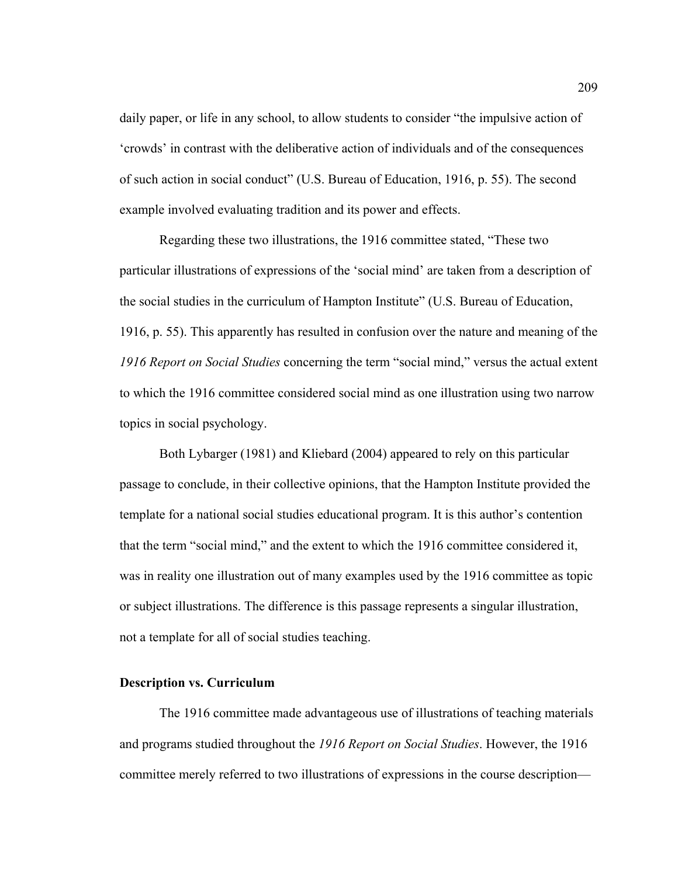daily paper, or life in any school, to allow students to consider "the impulsive action of 'crowds' in contrast with the deliberative action of individuals and of the consequences of such action in social conduct" (U.S. Bureau of Education, 1916, p. 55). The second example involved evaluating tradition and its power and effects.

Regarding these two illustrations, the 1916 committee stated, "These two particular illustrations of expressions of the 'social mind' are taken from a description of the social studies in the curriculum of Hampton Institute" (U.S. Bureau of Education, 1916, p. 55). This apparently has resulted in confusion over the nature and meaning of the *1916 Report on Social Studies* concerning the term "social mind," versus the actual extent to which the 1916 committee considered social mind as one illustration using two narrow topics in social psychology.

Both Lybarger (1981) and Kliebard (2004) appeared to rely on this particular passage to conclude, in their collective opinions, that the Hampton Institute provided the template for a national social studies educational program. It is this author's contention that the term "social mind," and the extent to which the 1916 committee considered it, was in reality one illustration out of many examples used by the 1916 committee as topic or subject illustrations. The difference is this passage represents a singular illustration, not a template for all of social studies teaching.

### **Description vs. Curriculum**

The 1916 committee made advantageous use of illustrations of teaching materials and programs studied throughout the *1916 Report on Social Studies*. However, the 1916 committee merely referred to two illustrations of expressions in the course description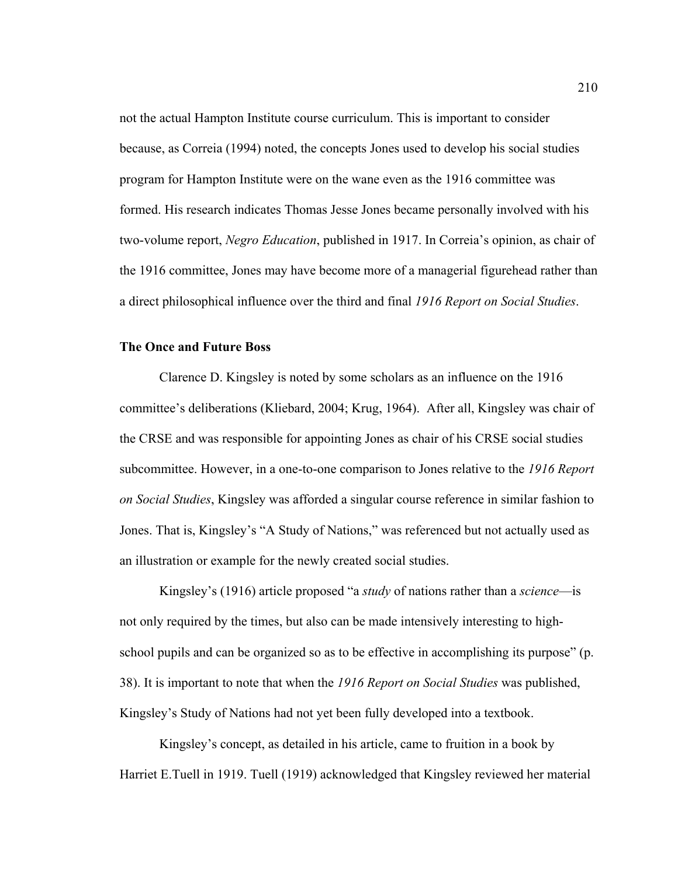not the actual Hampton Institute course curriculum. This is important to consider because, as Correia (1994) noted, the concepts Jones used to develop his social studies program for Hampton Institute were on the wane even as the 1916 committee was formed. His research indicates Thomas Jesse Jones became personally involved with his two-volume report, *Negro Education*, published in 1917. In Correia's opinion, as chair of the 1916 committee, Jones may have become more of a managerial figurehead rather than a direct philosophical influence over the third and final *1916 Report on Social Studies*.

#### **The Once and Future Boss**

Clarence D. Kingsley is noted by some scholars as an influence on the 1916 committee's deliberations (Kliebard, 2004; Krug, 1964).After all, Kingsley was chair of the CRSE and was responsible for appointing Jones as chair of his CRSE social studies subcommittee. However, in a one-to-one comparison to Jones relative to the *1916 Report on Social Studies*, Kingsley was afforded a singular course reference in similar fashion to Jones. That is, Kingsley's "A Study of Nations," was referenced but not actually used as an illustration or example for the newly created social studies.

Kingsley's (1916) article proposed "a *study* of nations rather than a *science*—is not only required by the times, but also can be made intensively interesting to highschool pupils and can be organized so as to be effective in accomplishing its purpose" (p. 38). It is important to note that when the *1916 Report on Social Studies* was published, Kingsley's Study of Nations had not yet been fully developed into a textbook.

Kingsley's concept, as detailed in his article, came to fruition in a book by Harriet E.Tuell in 1919. Tuell (1919) acknowledged that Kingsley reviewed her material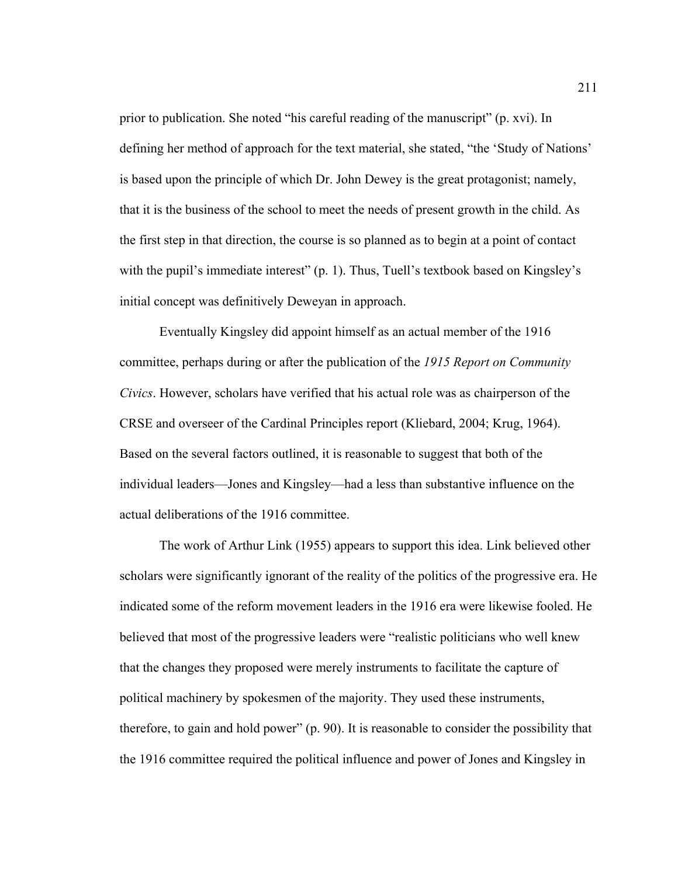prior to publication. She noted "his careful reading of the manuscript" (p. xvi). In defining her method of approach for the text material, she stated, "the 'Study of Nations' is based upon the principle of which Dr. John Dewey is the great protagonist; namely, that it is the business of the school to meet the needs of present growth in the child. As the first step in that direction, the course is so planned as to begin at a point of contact with the pupil's immediate interest" (p. 1). Thus, Tuell's textbook based on Kingsley's initial concept was definitively Deweyan in approach.

Eventually Kingsley did appoint himself as an actual member of the 1916 committee, perhaps during or after the publication of the *1915 Report on Community Civics*. However, scholars have verified that his actual role was as chairperson of the CRSE and overseer of the Cardinal Principles report (Kliebard, 2004; Krug, 1964). Based on the several factors outlined, it is reasonable to suggest that both of the individual leaders—Jones and Kingsley—had a less than substantive influence on the actual deliberations of the 1916 committee.

The work of Arthur Link (1955) appears to support this idea. Link believed other scholars were significantly ignorant of the reality of the politics of the progressive era. He indicated some of the reform movement leaders in the 1916 era were likewise fooled. He believed that most of the progressive leaders were "realistic politicians who well knew that the changes they proposed were merely instruments to facilitate the capture of political machinery by spokesmen of the majority. They used these instruments, therefore, to gain and hold power" (p. 90). It is reasonable to consider the possibility that the 1916 committee required the political influence and power of Jones and Kingsley in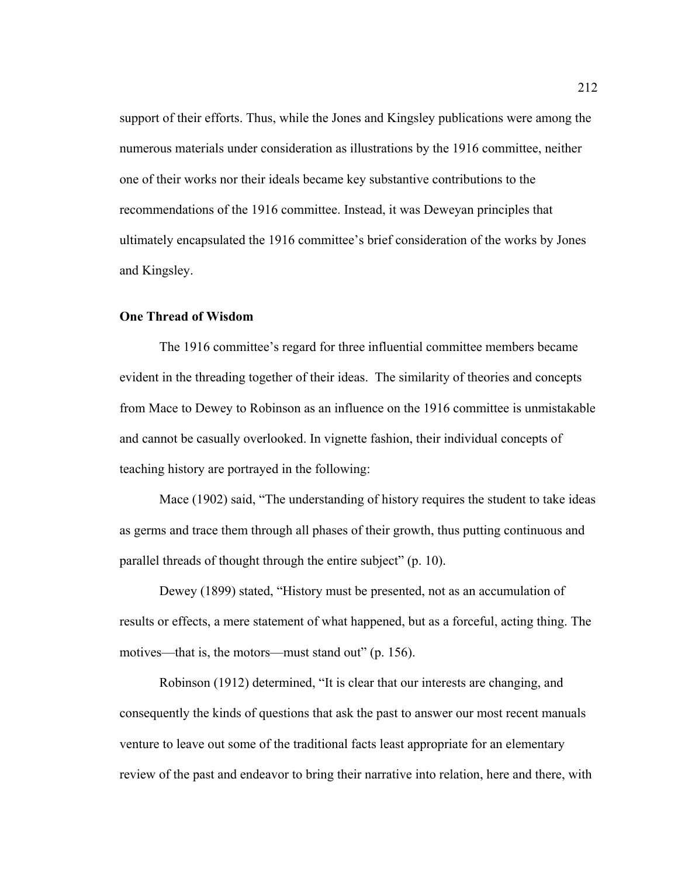support of their efforts. Thus, while the Jones and Kingsley publications were among the numerous materials under consideration as illustrations by the 1916 committee, neither one of their works nor their ideals became key substantive contributions to the recommendations of the 1916 committee. Instead, it was Deweyan principles that ultimately encapsulated the 1916 committee's brief consideration of the works by Jones and Kingsley.

## **One Thread of Wisdom**

 The 1916 committee's regard for three influential committee members became evident in the threading together of their ideas.The similarity of theories and concepts from Mace to Dewey to Robinson as an influence on the 1916 committee is unmistakable and cannot be casually overlooked. In vignette fashion, their individual concepts of teaching history are portrayed in the following:

 Mace (1902) said, "The understanding of history requires the student to take ideas as germs and trace them through all phases of their growth, thus putting continuous and parallel threads of thought through the entire subject" (p. 10).

 Dewey (1899) stated, "History must be presented, not as an accumulation of results or effects, a mere statement of what happened, but as a forceful, acting thing. The motives—that is, the motors—must stand out" (p. 156).

 Robinson (1912) determined, "It is clear that our interests are changing, and consequently the kinds of questions that ask the past to answer our most recent manuals venture to leave out some of the traditional facts least appropriate for an elementary review of the past and endeavor to bring their narrative into relation, here and there, with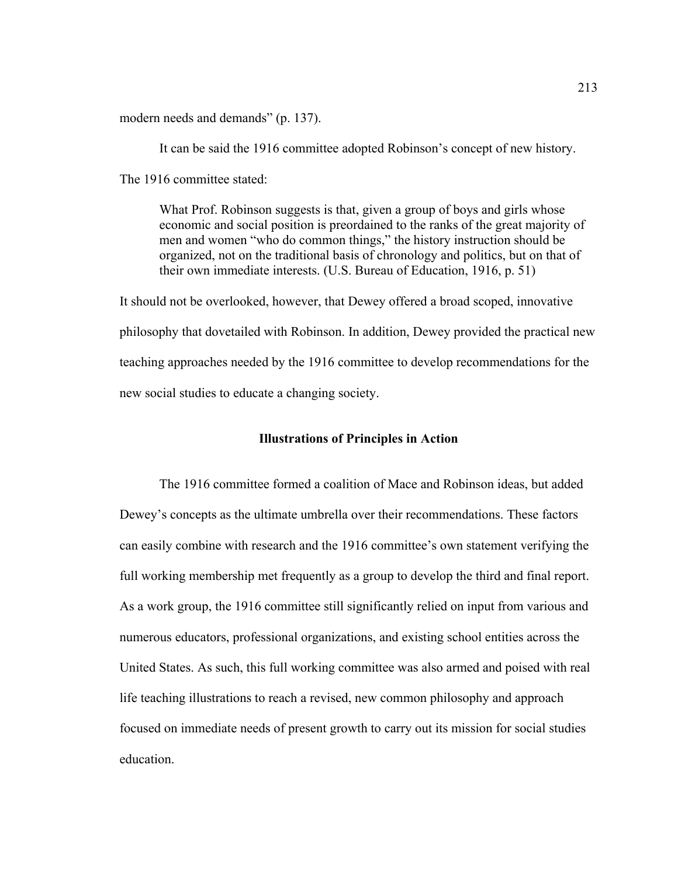modern needs and demands" (p. 137).

It can be said the 1916 committee adopted Robinson's concept of new history. The 1916 committee stated:

What Prof. Robinson suggests is that, given a group of boys and girls whose economic and social position is preordained to the ranks of the great majority of men and women "who do common things," the history instruction should be organized, not on the traditional basis of chronology and politics, but on that of their own immediate interests. (U.S. Bureau of Education, 1916, p. 51)

It should not be overlooked, however, that Dewey offered a broad scoped, innovative philosophy that dovetailed with Robinson. In addition, Dewey provided the practical new teaching approaches needed by the 1916 committee to develop recommendations for the new social studies to educate a changing society.

## **Illustrations of Principles in Action**

The 1916 committee formed a coalition of Mace and Robinson ideas, but added Dewey's concepts as the ultimate umbrella over their recommendations. These factors can easily combine with research and the 1916 committee's own statement verifying the full working membership met frequently as a group to develop the third and final report. As a work group, the 1916 committee still significantly relied on input from various and numerous educators, professional organizations, and existing school entities across the United States. As such, this full working committee was also armed and poised with real life teaching illustrations to reach a revised, new common philosophy and approach focused on immediate needs of present growth to carry out its mission for social studies education.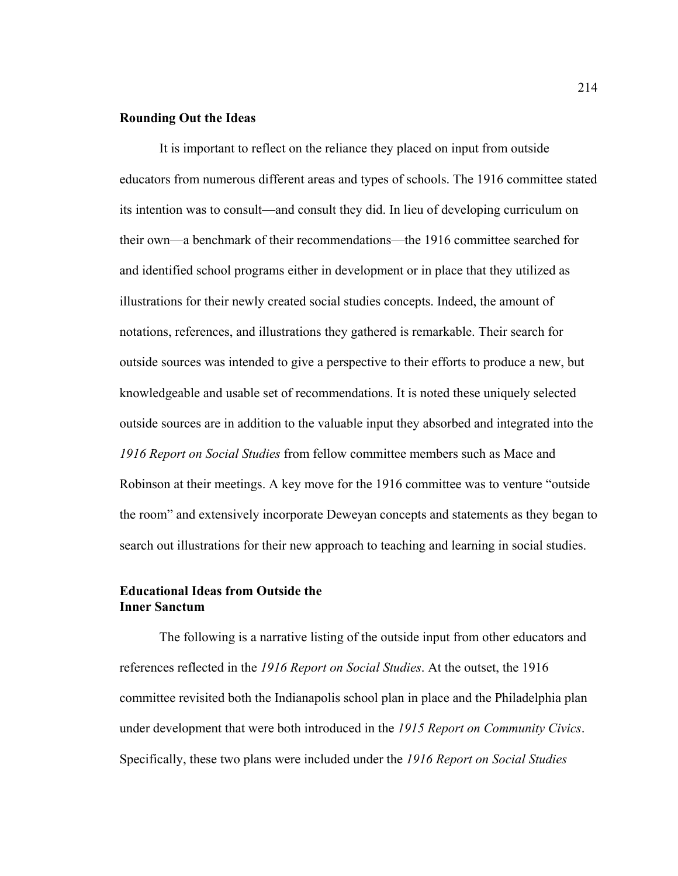## **Rounding Out the Ideas**

It is important to reflect on the reliance they placed on input from outside educators from numerous different areas and types of schools. The 1916 committee stated its intention was to consult—and consult they did. In lieu of developing curriculum on their own—a benchmark of their recommendations—the 1916 committee searched for and identified school programs either in development or in place that they utilized as illustrations for their newly created social studies concepts. Indeed, the amount of notations, references, and illustrations they gathered is remarkable. Their search for outside sources was intended to give a perspective to their efforts to produce a new, but knowledgeable and usable set of recommendations. It is noted these uniquely selected outside sources are in addition to the valuable input they absorbed and integrated into the *1916 Report on Social Studies* from fellow committee members such as Mace and Robinson at their meetings. A key move for the 1916 committee was to venture "outside the room" and extensively incorporate Deweyan concepts and statements as they began to search out illustrations for their new approach to teaching and learning in social studies.

# **Educational Ideas from Outside the Inner Sanctum**

 The following is a narrative listing of the outside input from other educators and references reflected in the *1916 Report on Social Studies*. At the outset, the 1916 committee revisited both the Indianapolis school plan in place and the Philadelphia plan under development that were both introduced in the *1915 Report on Community Civics*. Specifically, these two plans were included under the *1916 Report on Social Studies*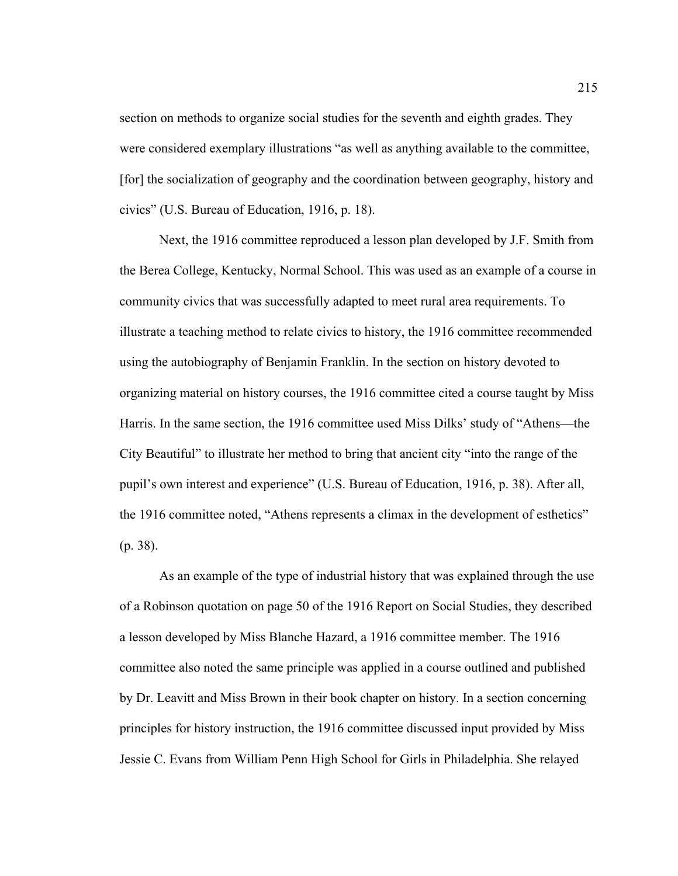section on methods to organize social studies for the seventh and eighth grades. They were considered exemplary illustrations "as well as anything available to the committee, [for] the socialization of geography and the coordination between geography, history and civics" (U.S. Bureau of Education, 1916, p. 18).

Next, the 1916 committee reproduced a lesson plan developed by J.F. Smith from the Berea College, Kentucky, Normal School. This was used as an example of a course in community civics that was successfully adapted to meet rural area requirements. To illustrate a teaching method to relate civics to history, the 1916 committee recommended using the autobiography of Benjamin Franklin. In the section on history devoted to organizing material on history courses, the 1916 committee cited a course taught by Miss Harris. In the same section, the 1916 committee used Miss Dilks' study of "Athens—the City Beautiful" to illustrate her method to bring that ancient city "into the range of the pupil's own interest and experience" (U.S. Bureau of Education, 1916, p. 38). After all, the 1916 committee noted, "Athens represents a climax in the development of esthetics" (p. 38).

As an example of the type of industrial history that was explained through the use of a Robinson quotation on page 50 of the 1916 Report on Social Studies, they described a lesson developed by Miss Blanche Hazard, a 1916 committee member. The 1916 committee also noted the same principle was applied in a course outlined and published by Dr. Leavitt and Miss Brown in their book chapter on history. In a section concerning principles for history instruction, the 1916 committee discussed input provided by Miss Jessie C. Evans from William Penn High School for Girls in Philadelphia. She relayed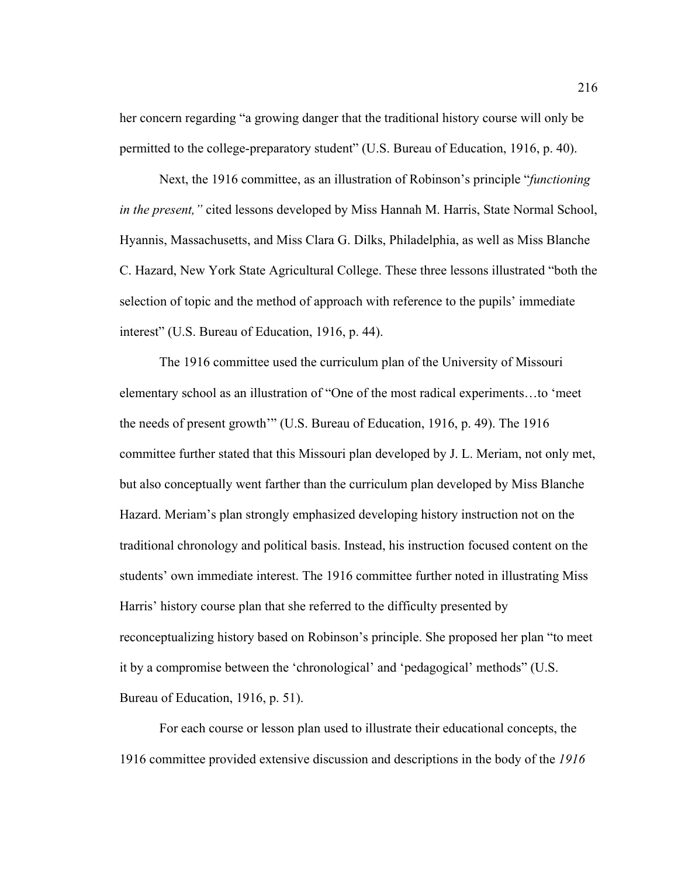her concern regarding "a growing danger that the traditional history course will only be permitted to the college-preparatory student" (U.S. Bureau of Education, 1916, p. 40).

Next, the 1916 committee, as an illustration of Robinson's principle "*functioning in the present,"* cited lessons developed by Miss Hannah M. Harris, State Normal School, Hyannis, Massachusetts, and Miss Clara G. Dilks, Philadelphia, as well as Miss Blanche C. Hazard, New York State Agricultural College. These three lessons illustrated "both the selection of topic and the method of approach with reference to the pupils' immediate interest" (U.S. Bureau of Education, 1916, p. 44).

The 1916 committee used the curriculum plan of the University of Missouri elementary school as an illustration of "One of the most radical experiments…to 'meet the needs of present growth'" (U.S. Bureau of Education, 1916, p. 49). The 1916 committee further stated that this Missouri plan developed by J. L. Meriam, not only met, but also conceptually went farther than the curriculum plan developed by Miss Blanche Hazard. Meriam's plan strongly emphasized developing history instruction not on the traditional chronology and political basis. Instead, his instruction focused content on the students' own immediate interest. The 1916 committee further noted in illustrating Miss Harris' history course plan that she referred to the difficulty presented by reconceptualizing history based on Robinson's principle. She proposed her plan "to meet it by a compromise between the 'chronological' and 'pedagogical' methods" (U.S. Bureau of Education, 1916, p. 51).

For each course or lesson plan used to illustrate their educational concepts, the 1916 committee provided extensive discussion and descriptions in the body of the *1916*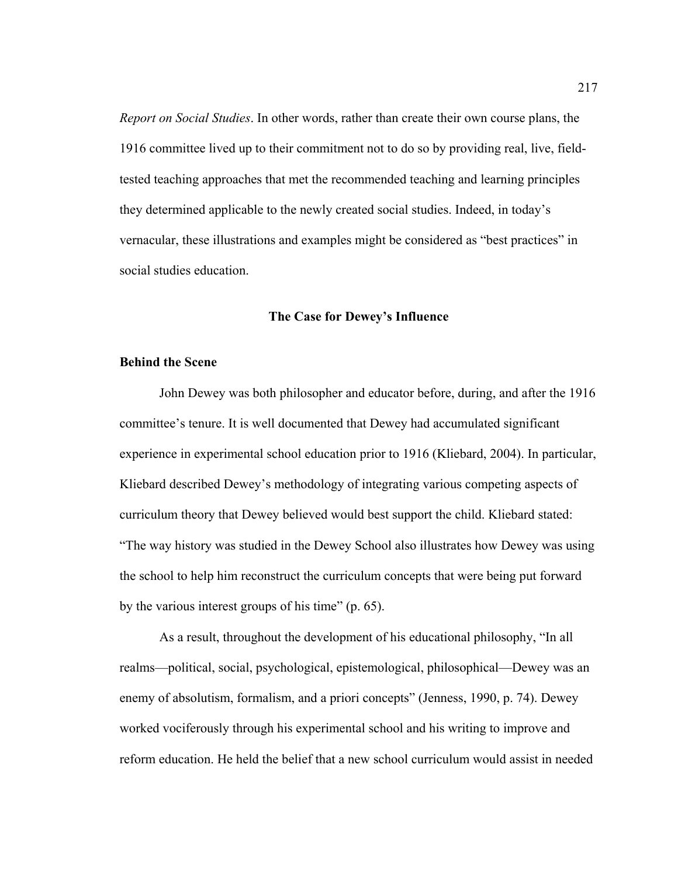*Report on Social Studies*. In other words, rather than create their own course plans, the 1916 committee lived up to their commitment not to do so by providing real, live, fieldtested teaching approaches that met the recommended teaching and learning principles they determined applicable to the newly created social studies. Indeed, in today's vernacular, these illustrations and examples might be considered as "best practices" in social studies education.

## **The Case for Dewey's Influence**

### **Behind the Scene**

 John Dewey was both philosopher and educator before, during, and after the 1916 committee's tenure. It is well documented that Dewey had accumulated significant experience in experimental school education prior to 1916 (Kliebard, 2004). In particular, Kliebard described Dewey's methodology of integrating various competing aspects of curriculum theory that Dewey believed would best support the child. Kliebard stated: "The way history was studied in the Dewey School also illustrates how Dewey was using the school to help him reconstruct the curriculum concepts that were being put forward by the various interest groups of his time" (p. 65).

As a result, throughout the development of his educational philosophy, "In all realms—political, social, psychological, epistemological, philosophical—Dewey was an enemy of absolutism, formalism, and a priori concepts" (Jenness, 1990, p. 74). Dewey worked vociferously through his experimental school and his writing to improve and reform education. He held the belief that a new school curriculum would assist in needed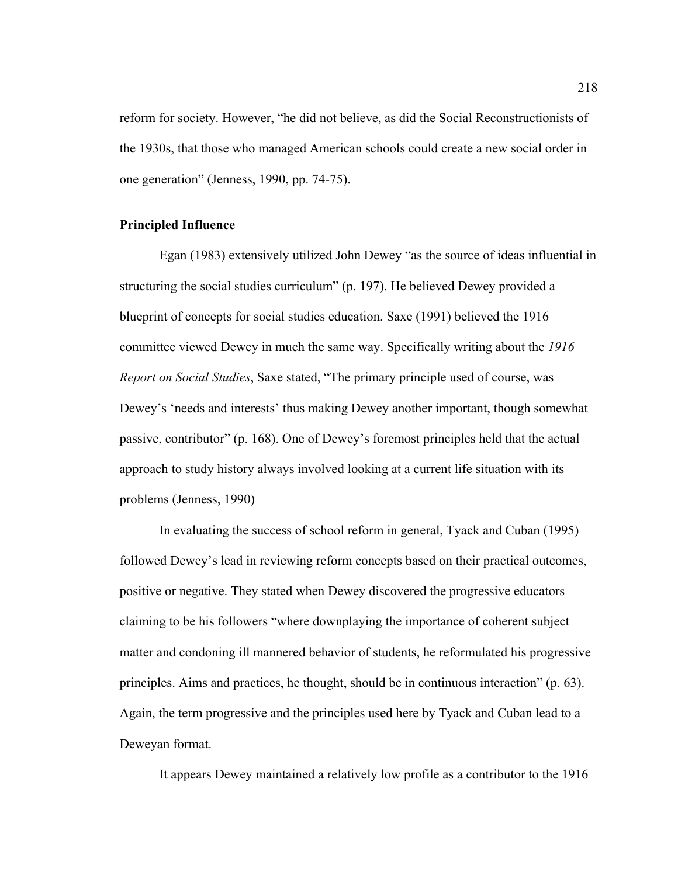reform for society. However, "he did not believe, as did the Social Reconstructionists of the 1930s, that those who managed American schools could create a new social order in one generation" (Jenness, 1990, pp. 74-75).

### **Principled Influence**

Egan (1983) extensively utilized John Dewey "as the source of ideas influential in structuring the social studies curriculum" (p. 197). He believed Dewey provided a blueprint of concepts for social studies education. Saxe (1991) believed the 1916 committee viewed Dewey in much the same way. Specifically writing about the *1916 Report on Social Studies*, Saxe stated, "The primary principle used of course, was Dewey's 'needs and interests' thus making Dewey another important, though somewhat passive, contributor" (p. 168). One of Dewey's foremost principles held that the actual approach to study history always involved looking at a current life situation with its problems (Jenness, 1990)

 In evaluating the success of school reform in general, Tyack and Cuban (1995) followed Dewey's lead in reviewing reform concepts based on their practical outcomes, positive or negative. They stated when Dewey discovered the progressive educators claiming to be his followers "where downplaying the importance of coherent subject matter and condoning ill mannered behavior of students, he reformulated his progressive principles. Aims and practices, he thought, should be in continuous interaction" (p. 63). Again, the term progressive and the principles used here by Tyack and Cuban lead to a Deweyan format.

It appears Dewey maintained a relatively low profile as a contributor to the 1916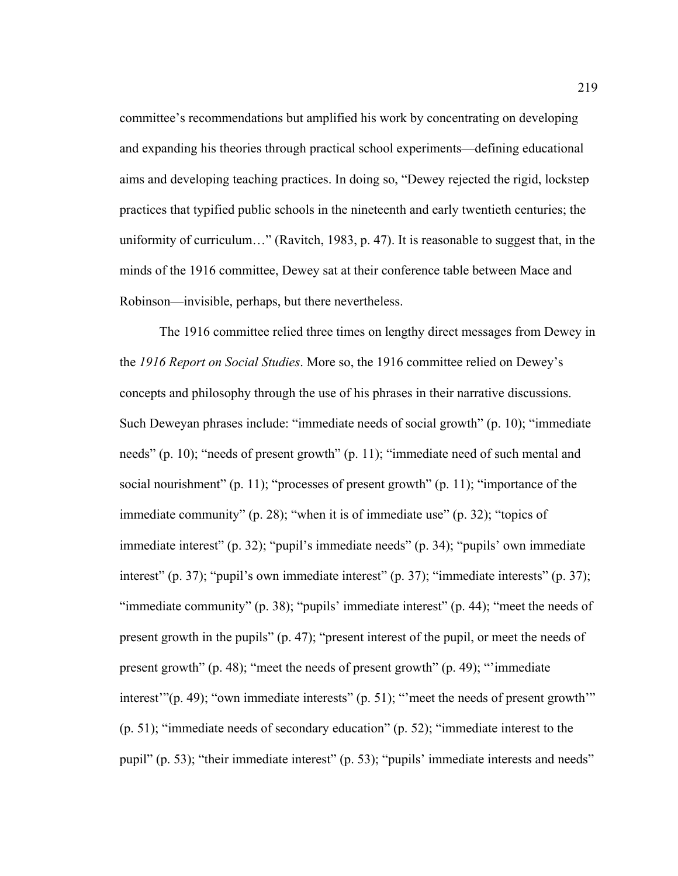committee's recommendations but amplified his work by concentrating on developing and expanding his theories through practical school experiments—defining educational aims and developing teaching practices. In doing so, "Dewey rejected the rigid, lockstep practices that typified public schools in the nineteenth and early twentieth centuries; the uniformity of curriculum…" (Ravitch, 1983, p. 47). It is reasonable to suggest that, in the minds of the 1916 committee, Dewey sat at their conference table between Mace and Robinson—invisible, perhaps, but there nevertheless.

The 1916 committee relied three times on lengthy direct messages from Dewey in the *1916 Report on Social Studies*. More so, the 1916 committee relied on Dewey's concepts and philosophy through the use of his phrases in their narrative discussions. Such Deweyan phrases include: "immediate needs of social growth" (p. 10); "immediate needs" (p. 10); "needs of present growth" (p. 11); "immediate need of such mental and social nourishment" (p. 11); "processes of present growth" (p. 11); "importance of the immediate community" (p. 28); "when it is of immediate use" (p. 32); "topics of immediate interest" (p. 32); "pupil's immediate needs" (p. 34); "pupils' own immediate interest" (p. 37); "pupil's own immediate interest" (p. 37); "immediate interests" (p. 37); "immediate community" (p. 38); "pupils' immediate interest" (p. 44); "meet the needs of present growth in the pupils" (p. 47); "present interest of the pupil, or meet the needs of present growth" (p. 48); "meet the needs of present growth" (p. 49); "'immediate interest'"(p. 49); "own immediate interests" (p. 51); "'meet the needs of present growth'" (p. 51); "immediate needs of secondary education" (p. 52); "immediate interest to the pupil" (p. 53); "their immediate interest" (p. 53); "pupils' immediate interests and needs"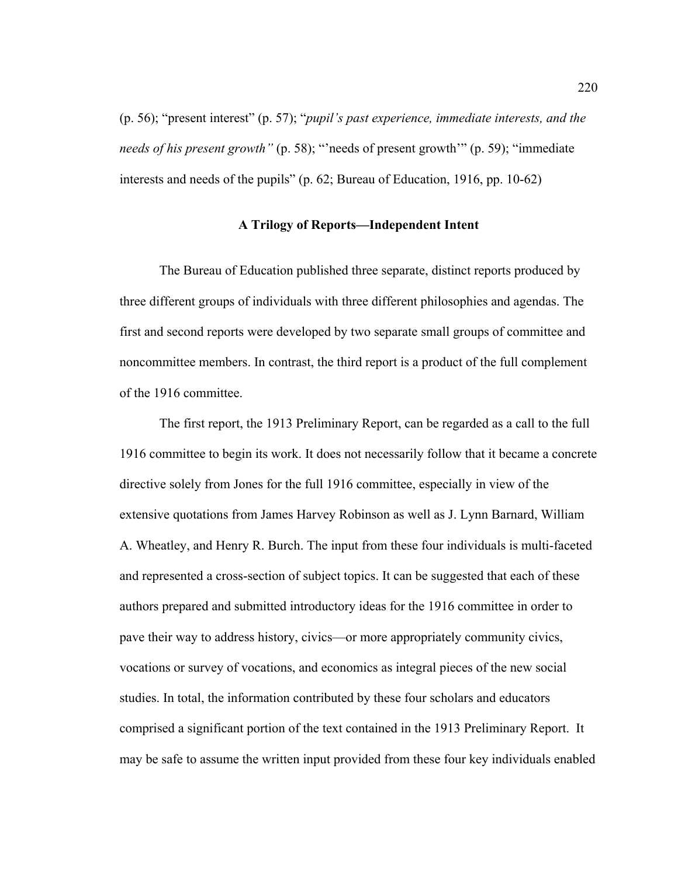(p. 56); "present interest" (p. 57); "*pupil's past experience, immediate interests, and the needs of his present growth"* (p. 58); "'needs of present growth'" (p. 59); "immediate interests and needs of the pupils" (p. 62; Bureau of Education, 1916, pp. 10-62)

## **A Trilogy of Reports—Independent Intent**

The Bureau of Education published three separate, distinct reports produced by three different groups of individuals with three different philosophies and agendas. The first and second reports were developed by two separate small groups of committee and noncommittee members. In contrast, the third report is a product of the full complement of the 1916 committee.

The first report, the 1913 Preliminary Report, can be regarded as a call to the full 1916 committee to begin its work. It does not necessarily follow that it became a concrete directive solely from Jones for the full 1916 committee, especially in view of the extensive quotations from James Harvey Robinson as well as J. Lynn Barnard, William A. Wheatley, and Henry R. Burch. The input from these four individuals is multi-faceted and represented a cross-section of subject topics. It can be suggested that each of these authors prepared and submitted introductory ideas for the 1916 committee in order to pave their way to address history, civics—or more appropriately community civics, vocations or survey of vocations, and economics as integral pieces of the new social studies. In total, the information contributed by these four scholars and educators comprised a significant portion of the text contained in the 1913 Preliminary Report.It may be safe to assume the written input provided from these four key individuals enabled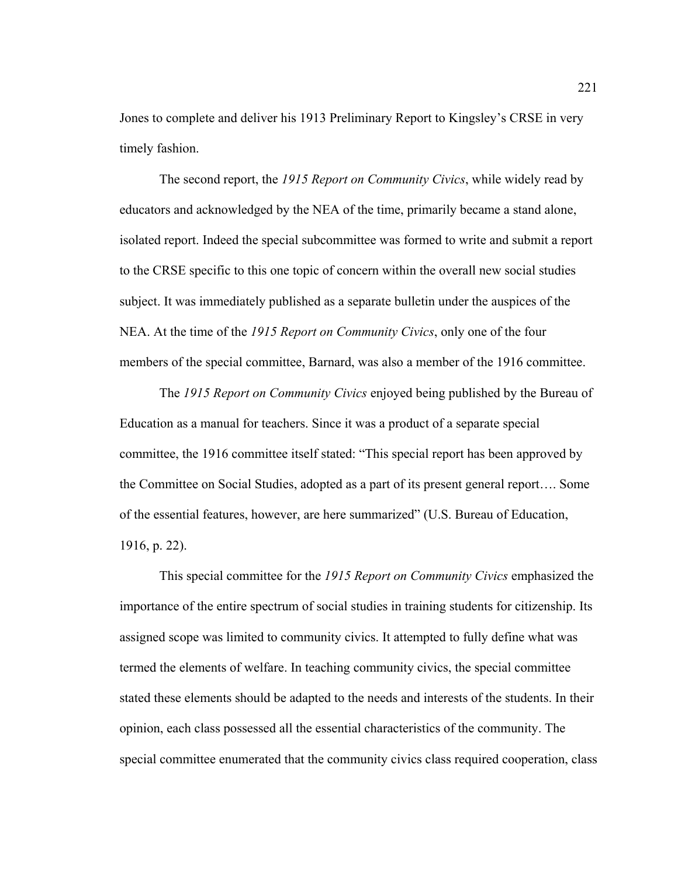Jones to complete and deliver his 1913 Preliminary Report to Kingsley's CRSE in very timely fashion.

The second report, the *1915 Report on Community Civics*, while widely read by educators and acknowledged by the NEA of the time, primarily became a stand alone, isolated report. Indeed the special subcommittee was formed to write and submit a report to the CRSE specific to this one topic of concern within the overall new social studies subject. It was immediately published as a separate bulletin under the auspices of the NEA. At the time of the *1915 Report on Community Civics*, only one of the four members of the special committee, Barnard, was also a member of the 1916 committee.

The *1915 Report on Community Civics* enjoyed being published by the Bureau of Education as a manual for teachers. Since it was a product of a separate special committee, the 1916 committee itself stated: "This special report has been approved by the Committee on Social Studies, adopted as a part of its present general report…. Some of the essential features, however, are here summarized" (U.S. Bureau of Education, 1916, p. 22).

This special committee for the *1915 Report on Community Civics* emphasized the importance of the entire spectrum of social studies in training students for citizenship. Its assigned scope was limited to community civics. It attempted to fully define what was termed the elements of welfare. In teaching community civics, the special committee stated these elements should be adapted to the needs and interests of the students. In their opinion, each class possessed all the essential characteristics of the community. The special committee enumerated that the community civics class required cooperation, class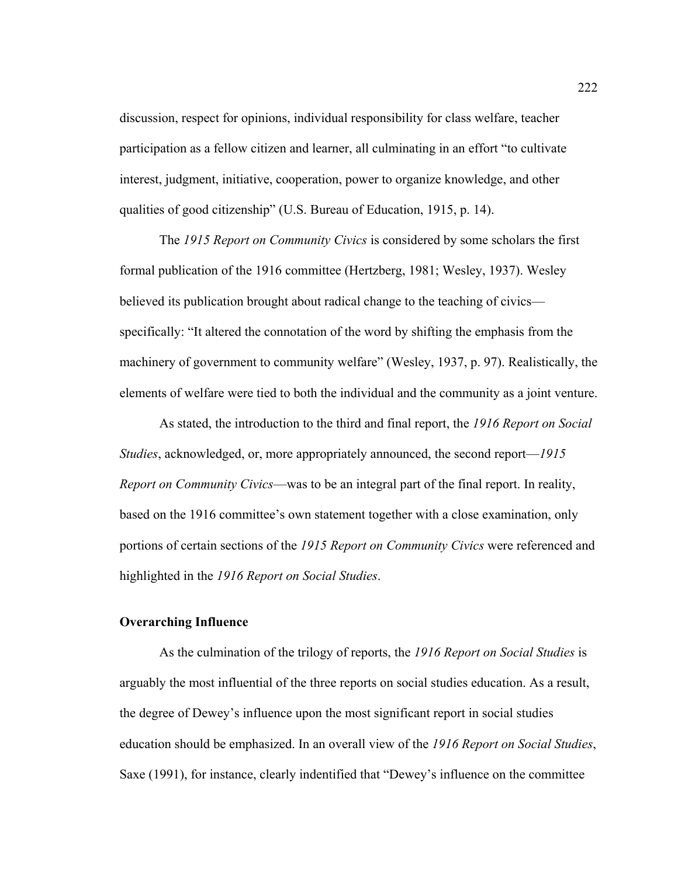discussion, respect for opinions, individual responsibility for class welfare, teacher participation as a fellow citizen and learner, all culminating in an effort "to cultivate interest, judgment, initiative, cooperation, power to organize knowledge, and other qualities of good citizenship" (U.S. Bureau of Education, 1915, p. 14).

The *1915 Report on Community Civics* is considered by some scholars the first formal publication of the 1916 committee (Hertzberg, 1981; Wesley, 1937). Wesley believed its publication brought about radical change to the teaching of civics specifically: "It altered the connotation of the word by shifting the emphasis from the machinery of government to community welfare" (Wesley, 1937, p. 97). Realistically, the elements of welfare were tied to both the individual and the community as a joint venture.

As stated, the introduction to the third and final report, the *1916 Report on Social Studies*, acknowledged, or, more appropriately announced, the second report—*1915 Report on Community Civics*—was to be an integral part of the final report. In reality, based on the 1916 committee's own statement together with a close examination, only portions of certain sections of the *1915 Report on Community Civics* were referenced and highlighted in the *1916 Report on Social Studies*.

#### **Overarching Influence**

As the culmination of the trilogy of reports, the *1916 Report on Social Studies* is arguably the most influential of the three reports on social studies education. As a result, the degree of Dewey's influence upon the most significant report in social studies education should be emphasized. In an overall view of the *1916 Report on Social Studies*, Saxe (1991), for instance, clearly indentified that "Dewey's influence on the committee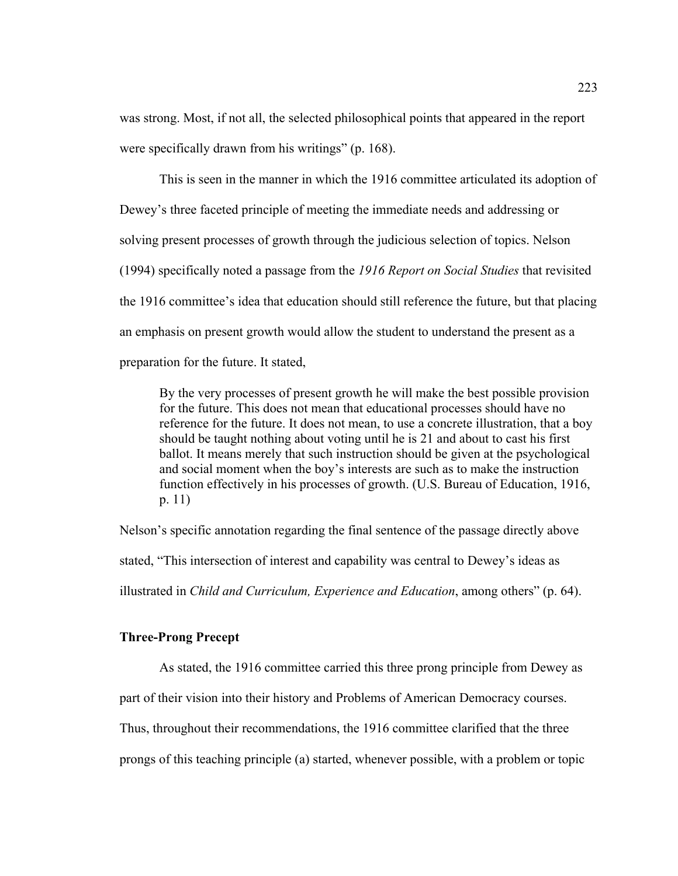was strong. Most, if not all, the selected philosophical points that appeared in the report were specifically drawn from his writings" (p. 168).

This is seen in the manner in which the 1916 committee articulated its adoption of Dewey's three faceted principle of meeting the immediate needs and addressing or solving present processes of growth through the judicious selection of topics. Nelson (1994) specifically noted a passage from the *1916 Report on Social Studies* that revisited the 1916 committee's idea that education should still reference the future, but that placing an emphasis on present growth would allow the student to understand the present as a preparation for the future. It stated,

By the very processes of present growth he will make the best possible provision for the future. This does not mean that educational processes should have no reference for the future. It does not mean, to use a concrete illustration, that a boy should be taught nothing about voting until he is 21 and about to cast his first ballot. It means merely that such instruction should be given at the psychological and social moment when the boy's interests are such as to make the instruction function effectively in his processes of growth. (U.S. Bureau of Education, 1916, p. 11)

Nelson's specific annotation regarding the final sentence of the passage directly above stated, "This intersection of interest and capability was central to Dewey's ideas as illustrated in *Child and Curriculum, Experience and Education*, among others" (p. 64).

# **Three-Prong Precept**

 As stated, the 1916 committee carried this three prong principle from Dewey as part of their vision into their history and Problems of American Democracy courses. Thus, throughout their recommendations, the 1916 committee clarified that the three prongs of this teaching principle (a) started, whenever possible, with a problem or topic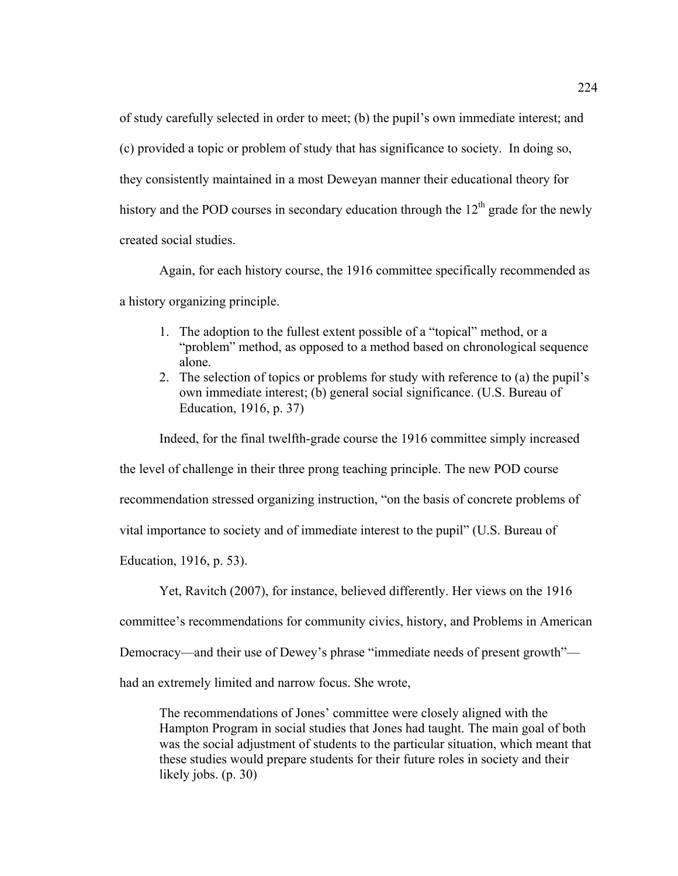of study carefully selected in order to meet; (b) the pupil's own immediate interest; and (c) provided a topic or problem of study that has significance to society.In doing so, they consistently maintained in a most Deweyan manner their educational theory for history and the POD courses in secondary education through the  $12<sup>th</sup>$  grade for the newly created social studies.

Again, for each history course, the 1916 committee specifically recommended as a history organizing principle.

- 1. The adoption to the fullest extent possible of a "topical" method, or a "problem" method, as opposed to a method based on chronological sequence alone.
- 2. The selection of topics or problems for study with reference to (a) the pupil's own immediate interest; (b) general social significance. (U.S. Bureau of Education, 1916, p. 37)

Indeed, for the final twelfth-grade course the 1916 committee simply increased

the level of challenge in their three prong teaching principle. The new POD course

recommendation stressed organizing instruction, "on the basis of concrete problems of

vital importance to society and of immediate interest to the pupil" (U.S. Bureau of

Education, 1916, p. 53).

Yet, Ravitch (2007), for instance, believed differently. Her views on the 1916

committee's recommendations for community civics, history, and Problems in American

Democracy—and their use of Dewey's phrase "immediate needs of present growth"—

had an extremely limited and narrow focus. She wrote,

The recommendations of Jones' committee were closely aligned with the Hampton Program in social studies that Jones had taught. The main goal of both was the social adjustment of students to the particular situation, which meant that these studies would prepare students for their future roles in society and their likely jobs. (p. 30)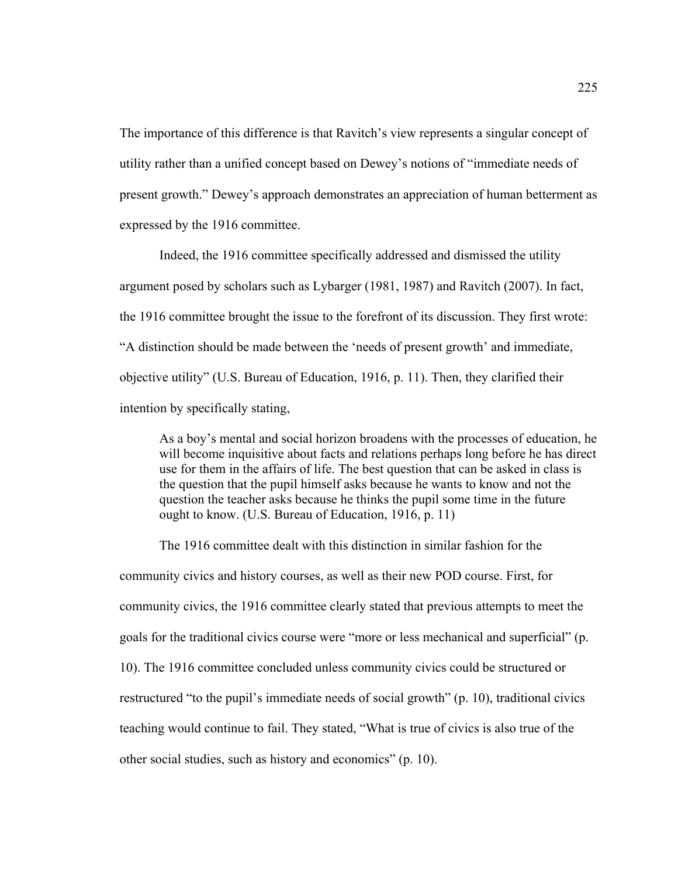The importance of this difference is that Ravitch's view represents a singular concept of utility rather than a unified concept based on Dewey's notions of "immediate needs of present growth." Dewey's approach demonstrates an appreciation of human betterment as expressed by the 1916 committee.

 Indeed, the 1916 committee specifically addressed and dismissed the utility argument posed by scholars such as Lybarger (1981, 1987) and Ravitch (2007). In fact, the 1916 committee brought the issue to the forefront of its discussion. They first wrote: "A distinction should be made between the 'needs of present growth' and immediate, objective utility" (U.S. Bureau of Education, 1916, p. 11). Then, they clarified their intention by specifically stating,

As a boy's mental and social horizon broadens with the processes of education, he will become inquisitive about facts and relations perhaps long before he has direct use for them in the affairs of life. The best question that can be asked in class is the question that the pupil himself asks because he wants to know and not the question the teacher asks because he thinks the pupil some time in the future ought to know. (U.S. Bureau of Education, 1916, p. 11)

The 1916 committee dealt with this distinction in similar fashion for the community civics and history courses, as well as their new POD course. First, for community civics, the 1916 committee clearly stated that previous attempts to meet the goals for the traditional civics course were "more or less mechanical and superficial" (p. 10). The 1916 committee concluded unless community civics could be structured or restructured "to the pupil's immediate needs of social growth" (p. 10), traditional civics teaching would continue to fail. They stated, "What is true of civics is also true of the other social studies, such as history and economics" (p. 10).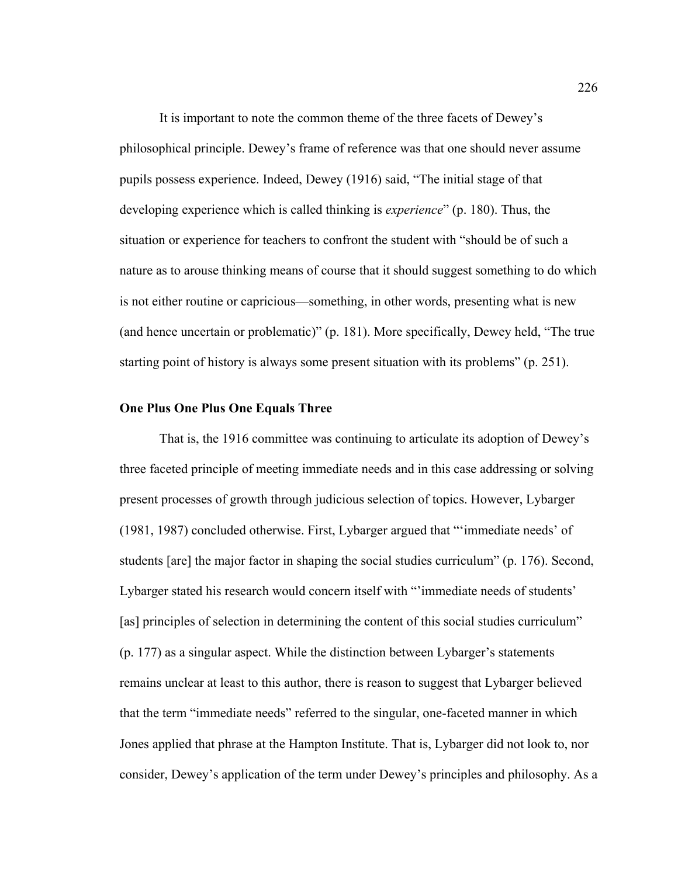It is important to note the common theme of the three facets of Dewey's philosophical principle. Dewey's frame of reference was that one should never assume pupils possess experience. Indeed, Dewey (1916) said, "The initial stage of that developing experience which is called thinking is *experience*" (p. 180). Thus, the situation or experience for teachers to confront the student with "should be of such a nature as to arouse thinking means of course that it should suggest something to do which is not either routine or capricious—something, in other words, presenting what is new (and hence uncertain or problematic)" (p. 181). More specifically, Dewey held, "The true starting point of history is always some present situation with its problems" (p. 251).

## **One Plus One Plus One Equals Three**

 That is, the 1916 committee was continuing to articulate its adoption of Dewey's three faceted principle of meeting immediate needs and in this case addressing or solving present processes of growth through judicious selection of topics. However, Lybarger (1981, 1987) concluded otherwise. First, Lybarger argued that "'immediate needs' of students [are] the major factor in shaping the social studies curriculum" (p. 176). Second, Lybarger stated his research would concern itself with "'immediate needs of students' [as] principles of selection in determining the content of this social studies curriculum" (p. 177) as a singular aspect. While the distinction between Lybarger's statements remains unclear at least to this author, there is reason to suggest that Lybarger believed that the term "immediate needs" referred to the singular, one-faceted manner in which Jones applied that phrase at the Hampton Institute. That is, Lybarger did not look to, nor consider, Dewey's application of the term under Dewey's principles and philosophy. As a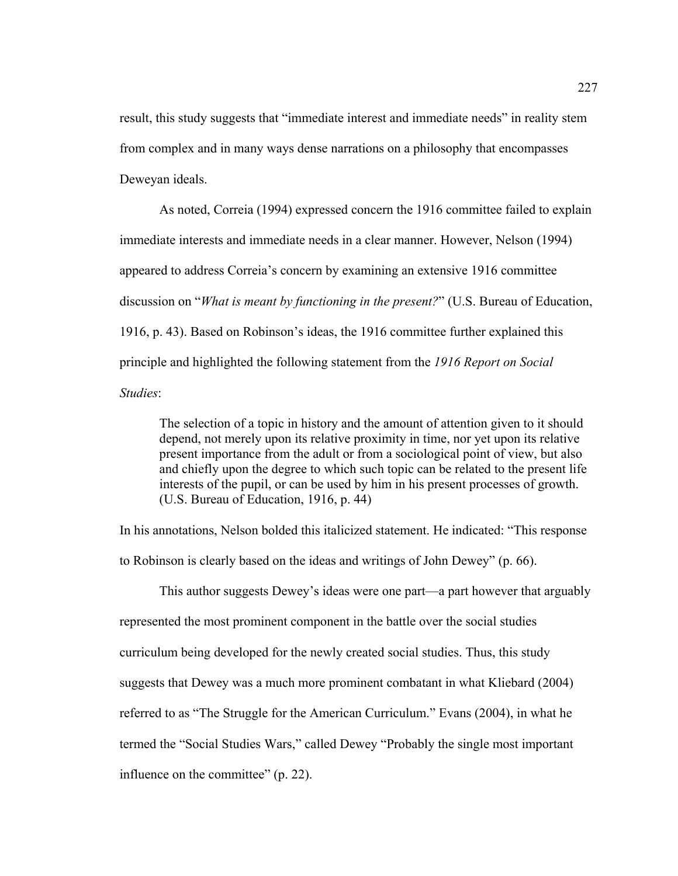result, this study suggests that "immediate interest and immediate needs" in reality stem from complex and in many ways dense narrations on a philosophy that encompasses Deweyan ideals.

As noted, Correia (1994) expressed concern the 1916 committee failed to explain immediate interests and immediate needs in a clear manner. However, Nelson (1994) appeared to address Correia's concern by examining an extensive 1916 committee discussion on "*What is meant by functioning in the present?*" (U.S. Bureau of Education, 1916, p. 43). Based on Robinson's ideas, the 1916 committee further explained this principle and highlighted the following statement from the *1916 Report on Social Studies*:

The selection of a topic in history and the amount of attention given to it should depend, not merely upon its relative proximity in time, nor yet upon its relative present importance from the adult or from a sociological point of view, but also and chiefly upon the degree to which such topic can be related to the present life interests of the pupil, or can be used by him in his present processes of growth. (U.S. Bureau of Education, 1916, p. 44)

In his annotations, Nelson bolded this italicized statement. He indicated: "This response

to Robinson is clearly based on the ideas and writings of John Dewey" (p. 66).

This author suggests Dewey's ideas were one part—a part however that arguably represented the most prominent component in the battle over the social studies curriculum being developed for the newly created social studies. Thus, this study suggests that Dewey was a much more prominent combatant in what Kliebard (2004) referred to as "The Struggle for the American Curriculum." Evans (2004), in what he termed the "Social Studies Wars," called Dewey "Probably the single most important influence on the committee" (p. 22).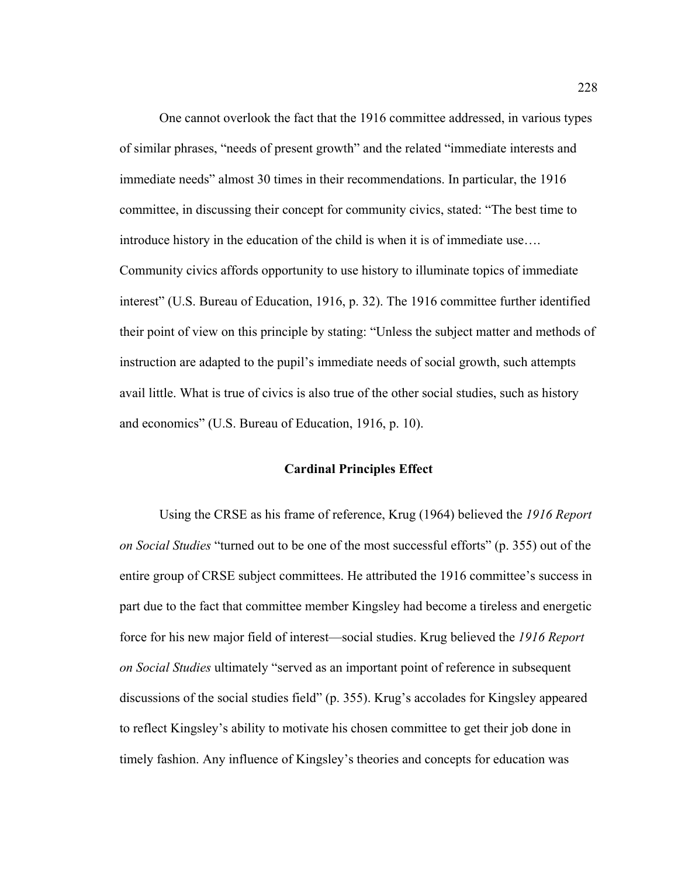One cannot overlook the fact that the 1916 committee addressed, in various types of similar phrases, "needs of present growth" and the related "immediate interests and immediate needs" almost 30 times in their recommendations. In particular, the 1916 committee, in discussing their concept for community civics, stated: "The best time to introduce history in the education of the child is when it is of immediate use…. Community civics affords opportunity to use history to illuminate topics of immediate interest" (U.S. Bureau of Education, 1916, p. 32). The 1916 committee further identified their point of view on this principle by stating: "Unless the subject matter and methods of instruction are adapted to the pupil's immediate needs of social growth, such attempts avail little. What is true of civics is also true of the other social studies, such as history and economics" (U.S. Bureau of Education, 1916, p. 10).

#### **Cardinal Principles Effect**

Using the CRSE as his frame of reference, Krug (1964) believed the *1916 Report on Social Studies* "turned out to be one of the most successful efforts" (p. 355) out of the entire group of CRSE subject committees. He attributed the 1916 committee's success in part due to the fact that committee member Kingsley had become a tireless and energetic force for his new major field of interest—social studies. Krug believed the *1916 Report on Social Studies* ultimately "served as an important point of reference in subsequent discussions of the social studies field" (p. 355). Krug's accolades for Kingsley appeared to reflect Kingsley's ability to motivate his chosen committee to get their job done in timely fashion. Any influence of Kingsley's theories and concepts for education was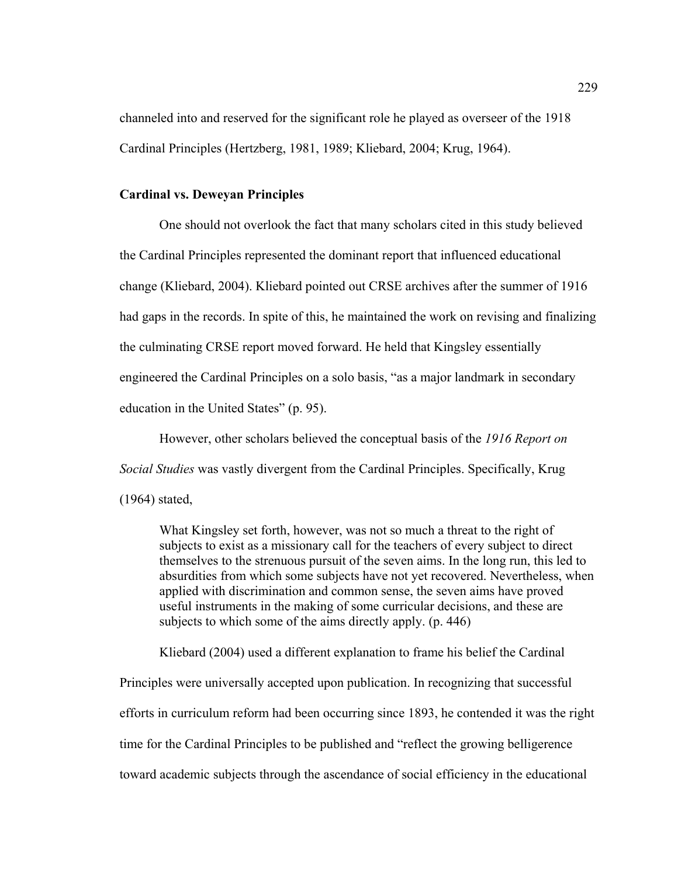channeled into and reserved for the significant role he played as overseer of the 1918 Cardinal Principles (Hertzberg, 1981, 1989; Kliebard, 2004; Krug, 1964).

# **Cardinal vs. Deweyan Principles**

One should not overlook the fact that many scholars cited in this study believed the Cardinal Principles represented the dominant report that influenced educational change (Kliebard, 2004). Kliebard pointed out CRSE archives after the summer of 1916 had gaps in the records. In spite of this, he maintained the work on revising and finalizing the culminating CRSE report moved forward. He held that Kingsley essentially engineered the Cardinal Principles on a solo basis, "as a major landmark in secondary education in the United States" (p. 95).

However, other scholars believed the conceptual basis of the *1916 Report on Social Studies* was vastly divergent from the Cardinal Principles. Specifically, Krug (1964) stated,

What Kingsley set forth, however, was not so much a threat to the right of subjects to exist as a missionary call for the teachers of every subject to direct themselves to the strenuous pursuit of the seven aims. In the long run, this led to absurdities from which some subjects have not yet recovered. Nevertheless, when applied with discrimination and common sense, the seven aims have proved useful instruments in the making of some curricular decisions, and these are subjects to which some of the aims directly apply. (p. 446)

Kliebard (2004) used a different explanation to frame his belief the Cardinal

Principles were universally accepted upon publication. In recognizing that successful efforts in curriculum reform had been occurring since 1893, he contended it was the right time for the Cardinal Principles to be published and "reflect the growing belligerence toward academic subjects through the ascendance of social efficiency in the educational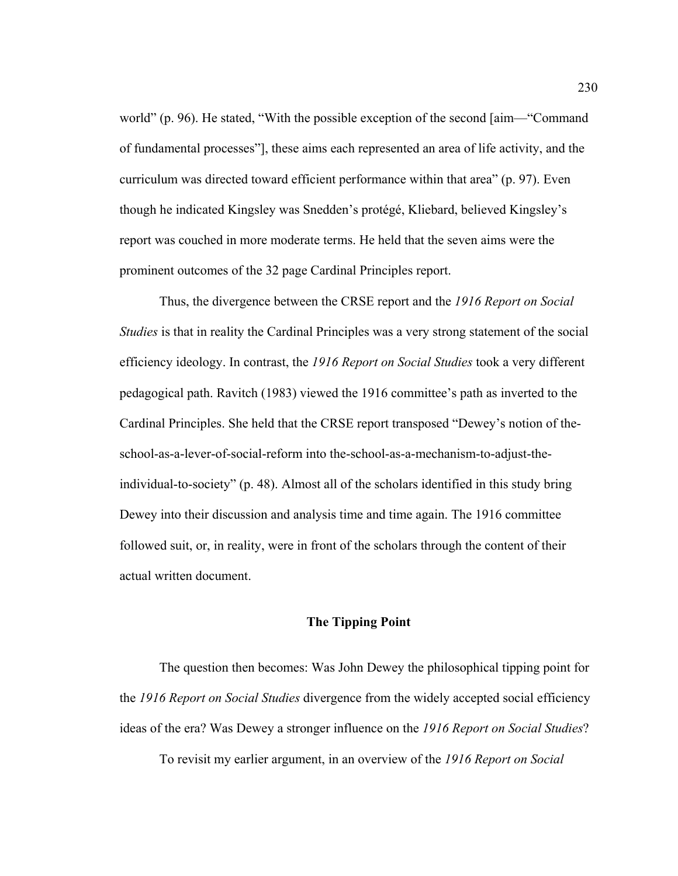world" (p. 96). He stated, "With the possible exception of the second [aim—"Command of fundamental processes"], these aims each represented an area of life activity, and the curriculum was directed toward efficient performance within that area" (p. 97). Even though he indicated Kingsley was Snedden's protégé, Kliebard, believed Kingsley's report was couched in more moderate terms. He held that the seven aims were the prominent outcomes of the 32 page Cardinal Principles report.

Thus, the divergence between the CRSE report and the *1916 Report on Social Studies* is that in reality the Cardinal Principles was a very strong statement of the social efficiency ideology. In contrast, the *1916 Report on Social Studies* took a very different pedagogical path. Ravitch (1983) viewed the 1916 committee's path as inverted to the Cardinal Principles. She held that the CRSE report transposed "Dewey's notion of theschool-as-a-lever-of-social-reform into the-school-as-a-mechanism-to-adjust-theindividual-to-society" (p. 48). Almost all of the scholars identified in this study bring Dewey into their discussion and analysis time and time again. The 1916 committee followed suit, or, in reality, were in front of the scholars through the content of their actual written document.

## **The Tipping Point**

The question then becomes: Was John Dewey the philosophical tipping point for the *1916 Report on Social Studies* divergence from the widely accepted social efficiency ideas of the era? Was Dewey a stronger influence on the *1916 Report on Social Studies*?

To revisit my earlier argument, in an overview of the *1916 Report on Social*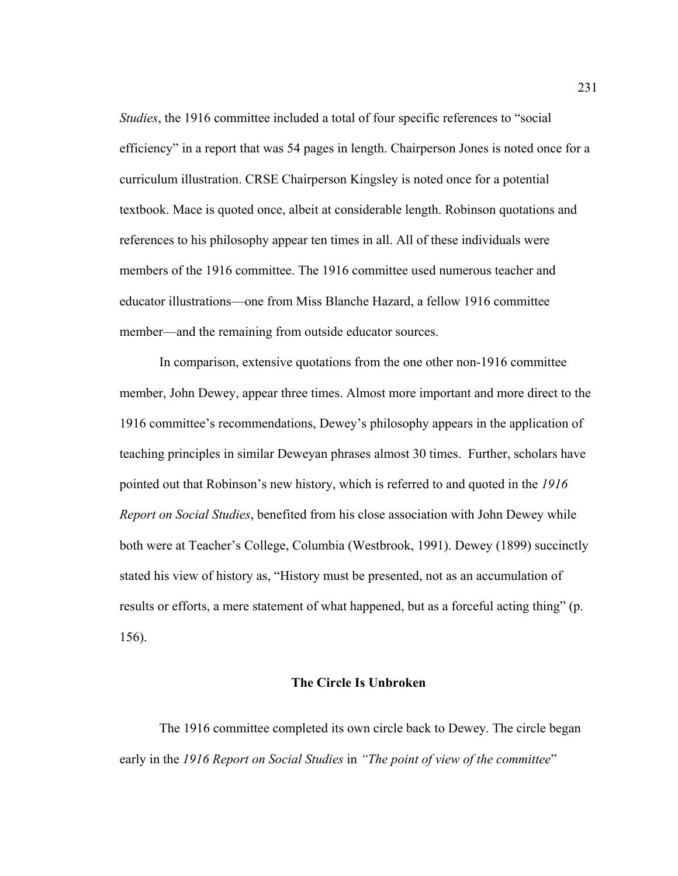*Studies*, the 1916 committee included a total of four specific references to "social efficiency" in a report that was 54 pages in length. Chairperson Jones is noted once for a curriculum illustration. CRSE Chairperson Kingsley is noted once for a potential textbook. Mace is quoted once, albeit at considerable length. Robinson quotations and references to his philosophy appear ten times in all. All of these individuals were members of the 1916 committee. The 1916 committee used numerous teacher and educator illustrations—one from Miss Blanche Hazard, a fellow 1916 committee member—and the remaining from outside educator sources.

In comparison, extensive quotations from the one other non-1916 committee member, John Dewey, appear three times. Almost more important and more direct to the 1916 committee's recommendations, Dewey's philosophy appears in the application of teaching principles in similar Deweyan phrases almost 30 times.Further, scholars have pointed out that Robinson's new history, which is referred to and quoted in the *1916 Report on Social Studies*, benefited from his close association with John Dewey while both were at Teacher's College, Columbia (Westbrook, 1991). Dewey (1899) succinctly stated his view of history as, "History must be presented, not as an accumulation of results or efforts, a mere statement of what happened, but as a forceful acting thing" (p. 156).

## **The Circle Is Unbroken**

The 1916 committee completed its own circle back to Dewey. The circle began early in the *1916 Report on Social Studies* in *"The point of view of the committee*"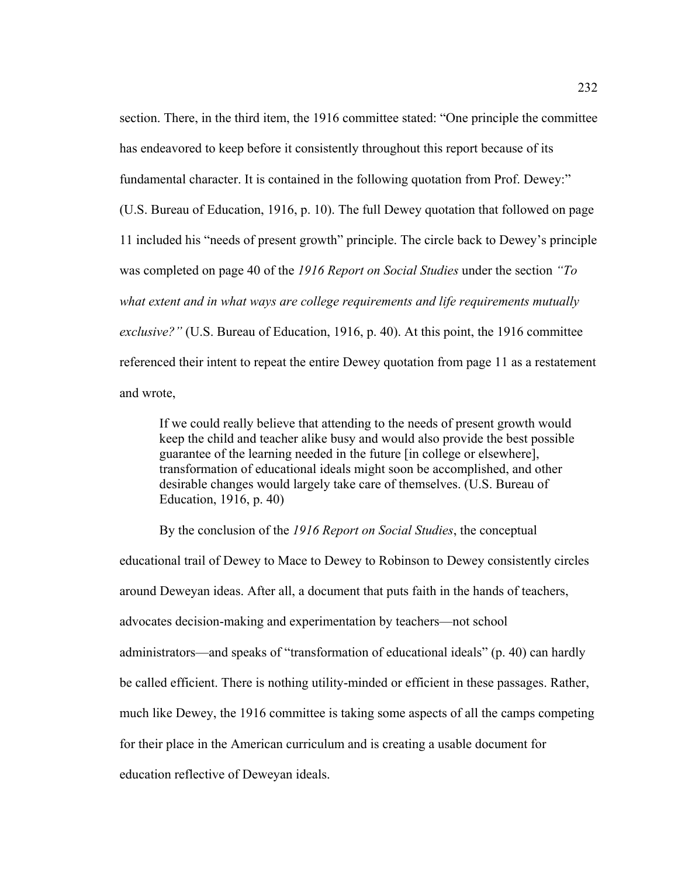section. There, in the third item, the 1916 committee stated: "One principle the committee has endeavored to keep before it consistently throughout this report because of its fundamental character. It is contained in the following quotation from Prof. Dewey:" (U.S. Bureau of Education, 1916, p. 10). The full Dewey quotation that followed on page 11 included his "needs of present growth" principle. The circle back to Dewey's principle was completed on page 40 of the *1916 Report on Social Studies* under the section *"To what extent and in what ways are college requirements and life requirements mutually exclusive?"* (U.S. Bureau of Education, 1916, p. 40). At this point, the 1916 committee referenced their intent to repeat the entire Dewey quotation from page 11 as a restatement and wrote,

If we could really believe that attending to the needs of present growth would keep the child and teacher alike busy and would also provide the best possible guarantee of the learning needed in the future [in college or elsewhere], transformation of educational ideals might soon be accomplished, and other desirable changes would largely take care of themselves. (U.S. Bureau of Education, 1916, p. 40)

By the conclusion of the *1916 Report on Social Studies*, the conceptual

educational trail of Dewey to Mace to Dewey to Robinson to Dewey consistently circles around Deweyan ideas. After all, a document that puts faith in the hands of teachers, advocates decision-making and experimentation by teachers—not school administrators—and speaks of "transformation of educational ideals" (p. 40) can hardly be called efficient. There is nothing utility-minded or efficient in these passages. Rather, much like Dewey, the 1916 committee is taking some aspects of all the camps competing for their place in the American curriculum and is creating a usable document for education reflective of Deweyan ideals.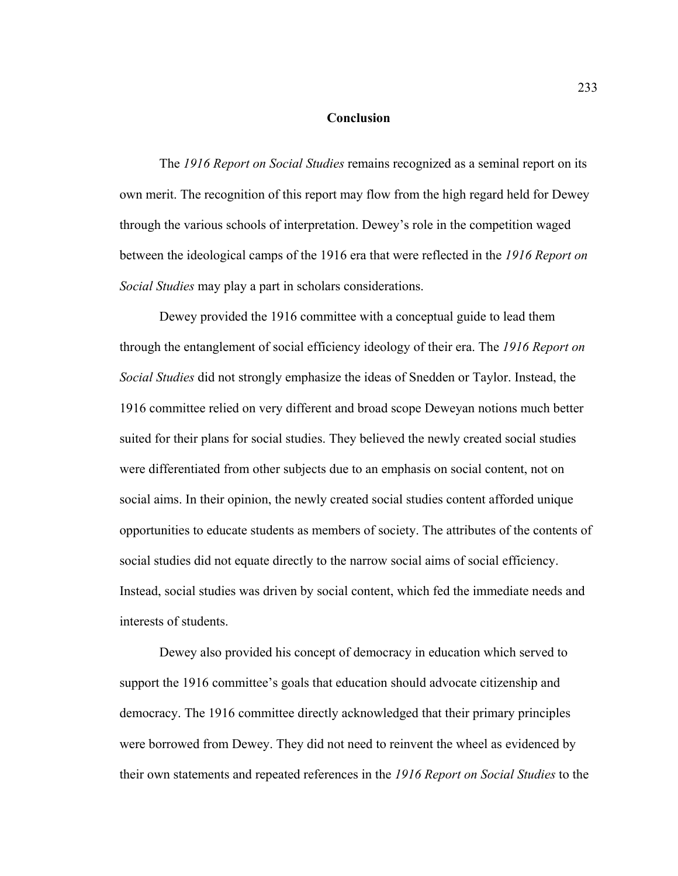#### **Conclusion**

The *1916 Report on Social Studies* remains recognized as a seminal report on its own merit. The recognition of this report may flow from the high regard held for Dewey through the various schools of interpretation. Dewey's role in the competition waged between the ideological camps of the 1916 era that were reflected in the *1916 Report on Social Studies* may play a part in scholars considerations.

Dewey provided the 1916 committee with a conceptual guide to lead them through the entanglement of social efficiency ideology of their era. The *1916 Report on Social Studies* did not strongly emphasize the ideas of Snedden or Taylor. Instead, the 1916 committee relied on very different and broad scope Deweyan notions much better suited for their plans for social studies. They believed the newly created social studies were differentiated from other subjects due to an emphasis on social content, not on social aims. In their opinion, the newly created social studies content afforded unique opportunities to educate students as members of society. The attributes of the contents of social studies did not equate directly to the narrow social aims of social efficiency. Instead, social studies was driven by social content, which fed the immediate needs and interests of students.

Dewey also provided his concept of democracy in education which served to support the 1916 committee's goals that education should advocate citizenship and democracy. The 1916 committee directly acknowledged that their primary principles were borrowed from Dewey. They did not need to reinvent the wheel as evidenced by their own statements and repeated references in the *1916 Report on Social Studies* to the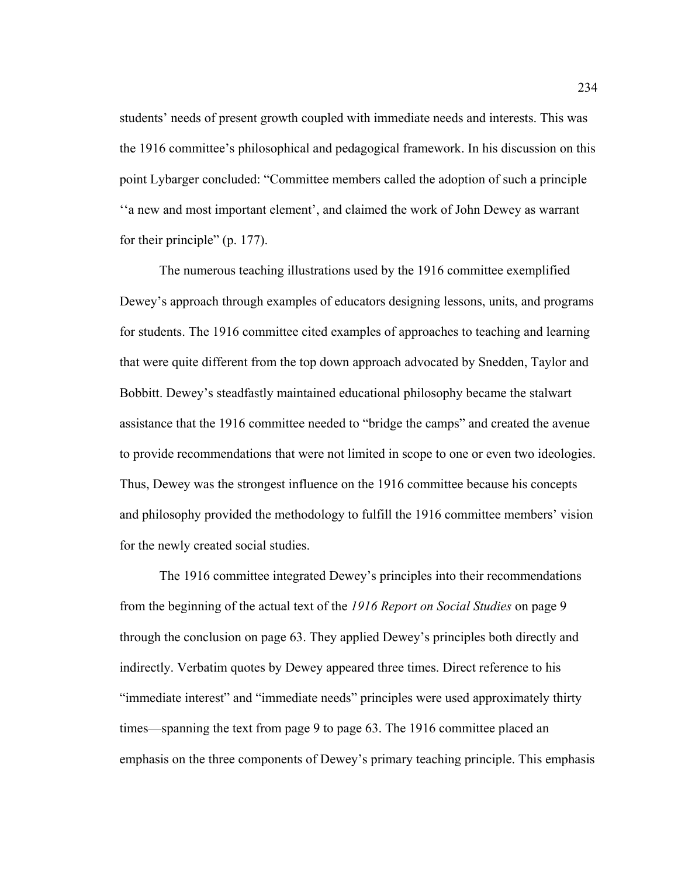students' needs of present growth coupled with immediate needs and interests. This was the 1916 committee's philosophical and pedagogical framework. In his discussion on this point Lybarger concluded: "Committee members called the adoption of such a principle ''a new and most important element', and claimed the work of John Dewey as warrant for their principle" (p. 177).

The numerous teaching illustrations used by the 1916 committee exemplified Dewey's approach through examples of educators designing lessons, units, and programs for students. The 1916 committee cited examples of approaches to teaching and learning that were quite different from the top down approach advocated by Snedden, Taylor and Bobbitt. Dewey's steadfastly maintained educational philosophy became the stalwart assistance that the 1916 committee needed to "bridge the camps" and created the avenue to provide recommendations that were not limited in scope to one or even two ideologies. Thus, Dewey was the strongest influence on the 1916 committee because his concepts and philosophy provided the methodology to fulfill the 1916 committee members' vision for the newly created social studies.

 The 1916 committee integrated Dewey's principles into their recommendations from the beginning of the actual text of the *1916 Report on Social Studies* on page 9 through the conclusion on page 63. They applied Dewey's principles both directly and indirectly. Verbatim quotes by Dewey appeared three times. Direct reference to his "immediate interest" and "immediate needs" principles were used approximately thirty times—spanning the text from page 9 to page 63. The 1916 committee placed an emphasis on the three components of Dewey's primary teaching principle. This emphasis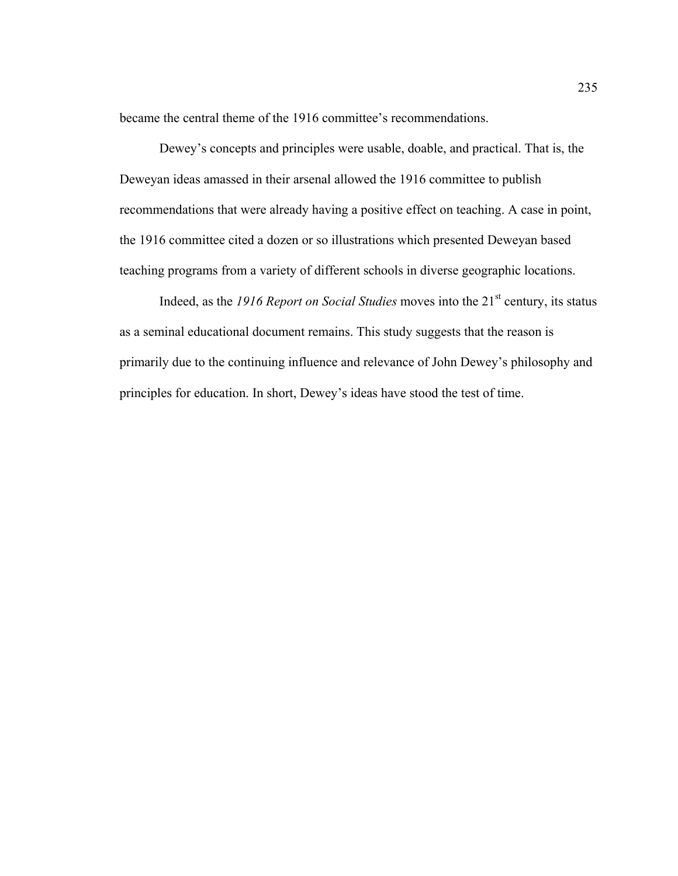became the central theme of the 1916 committee's recommendations.

 Dewey's concepts and principles were usable, doable, and practical. That is, the Deweyan ideas amassed in their arsenal allowed the 1916 committee to publish recommendations that were already having a positive effect on teaching. A case in point, the 1916 committee cited a dozen or so illustrations which presented Deweyan based teaching programs from a variety of different schools in diverse geographic locations.

Indeed, as the *1916 Report on Social Studies* moves into the 21<sup>st</sup> century, its status as a seminal educational document remains. This study suggests that the reason is primarily due to the continuing influence and relevance of John Dewey's philosophy and principles for education. In short, Dewey's ideas have stood the test of time.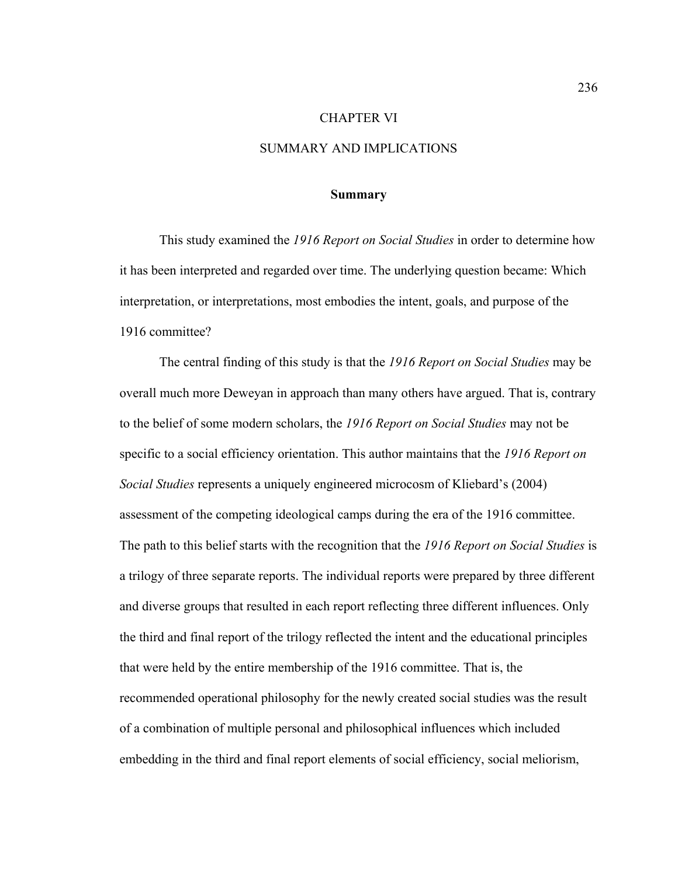#### CHAPTER VI

## SUMMARY AND IMPLICATIONS

#### **Summary**

 This study examined the *1916 Report on Social Studies* in order to determine how it has been interpreted and regarded over time. The underlying question became: Which interpretation, or interpretations, most embodies the intent, goals, and purpose of the 1916 committee?

 The central finding of this study is that the *1916 Report on Social Studies* may be overall much more Deweyan in approach than many others have argued. That is, contrary to the belief of some modern scholars, the *1916 Report on Social Studies* may not be specific to a social efficiency orientation. This author maintains that the *1916 Report on Social Studies* represents a uniquely engineered microcosm of Kliebard's (2004) assessment of the competing ideological camps during the era of the 1916 committee. The path to this belief starts with the recognition that the *1916 Report on Social Studies* is a trilogy of three separate reports. The individual reports were prepared by three different and diverse groups that resulted in each report reflecting three different influences. Only the third and final report of the trilogy reflected the intent and the educational principles that were held by the entire membership of the 1916 committee. That is, the recommended operational philosophy for the newly created social studies was the result of a combination of multiple personal and philosophical influences which included embedding in the third and final report elements of social efficiency, social meliorism,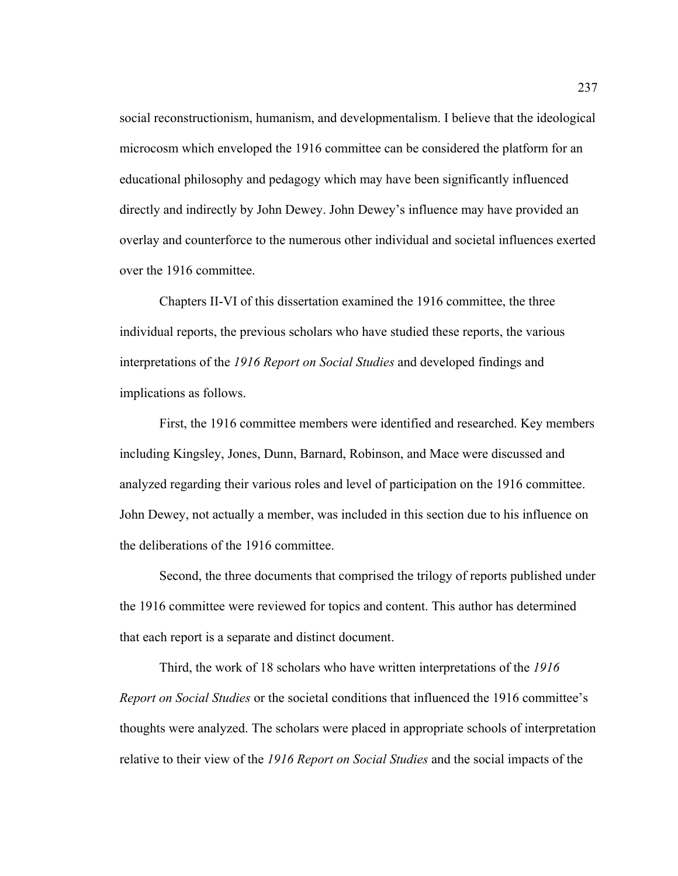social reconstructionism, humanism, and developmentalism. I believe that the ideological microcosm which enveloped the 1916 committee can be considered the platform for an educational philosophy and pedagogy which may have been significantly influenced directly and indirectly by John Dewey. John Dewey's influence may have provided an overlay and counterforce to the numerous other individual and societal influences exerted over the 1916 committee.

 Chapters II-VI of this dissertation examined the 1916 committee, the three individual reports, the previous scholars who have studied these reports, the various interpretations of the *1916 Report on Social Studies* and developed findings and implications as follows.

First, the 1916 committee members were identified and researched. Key members including Kingsley, Jones, Dunn, Barnard, Robinson, and Mace were discussed and analyzed regarding their various roles and level of participation on the 1916 committee. John Dewey, not actually a member, was included in this section due to his influence on the deliberations of the 1916 committee.

 Second, the three documents that comprised the trilogy of reports published under the 1916 committee were reviewed for topics and content. This author has determined that each report is a separate and distinct document.

Third, the work of 18 scholars who have written interpretations of the *1916 Report on Social Studies* or the societal conditions that influenced the 1916 committee's thoughts were analyzed. The scholars were placed in appropriate schools of interpretation relative to their view of the *1916 Report on Social Studies* and the social impacts of the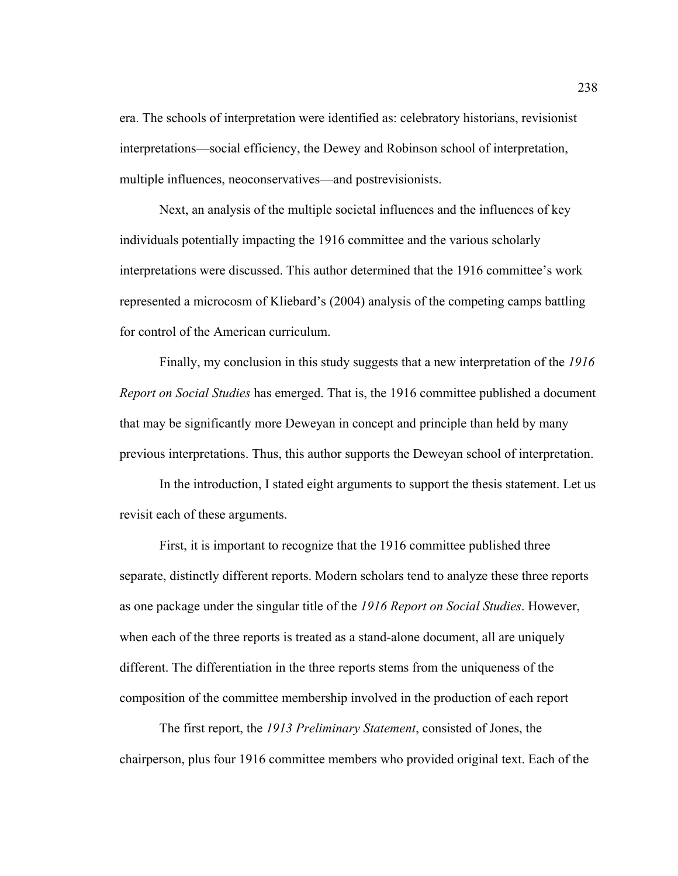era. The schools of interpretation were identified as: celebratory historians, revisionist interpretations—social efficiency, the Dewey and Robinson school of interpretation, multiple influences, neoconservatives—and postrevisionists.

Next, an analysis of the multiple societal influences and the influences of key individuals potentially impacting the 1916 committee and the various scholarly interpretations were discussed. This author determined that the 1916 committee's work represented a microcosm of Kliebard's (2004) analysis of the competing camps battling for control of the American curriculum.

Finally, my conclusion in this study suggests that a new interpretation of the *1916 Report on Social Studies* has emerged. That is, the 1916 committee published a document that may be significantly more Deweyan in concept and principle than held by many previous interpretations. Thus, this author supports the Deweyan school of interpretation.

In the introduction, I stated eight arguments to support the thesis statement. Let us revisit each of these arguments.

First, it is important to recognize that the 1916 committee published three separate, distinctly different reports. Modern scholars tend to analyze these three reports as one package under the singular title of the *1916 Report on Social Studies*. However, when each of the three reports is treated as a stand-alone document, all are uniquely different. The differentiation in the three reports stems from the uniqueness of the composition of the committee membership involved in the production of each report

The first report, the *1913 Preliminary Statement*, consisted of Jones, the chairperson, plus four 1916 committee members who provided original text. Each of the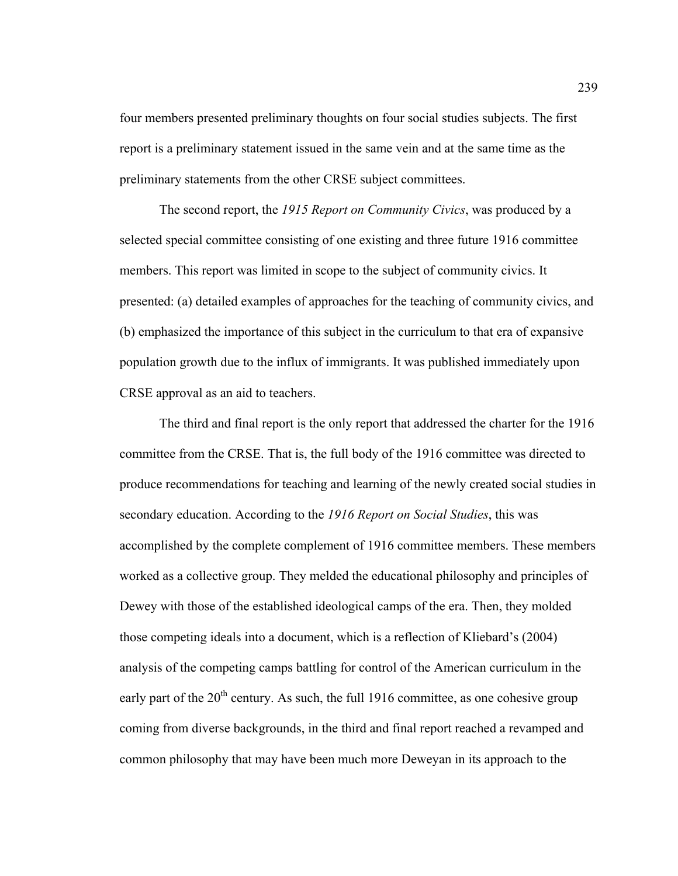four members presented preliminary thoughts on four social studies subjects. The first report is a preliminary statement issued in the same vein and at the same time as the preliminary statements from the other CRSE subject committees.

The second report, the *1915 Report on Community Civics*, was produced by a selected special committee consisting of one existing and three future 1916 committee members. This report was limited in scope to the subject of community civics. It presented: (a) detailed examples of approaches for the teaching of community civics, and (b) emphasized the importance of this subject in the curriculum to that era of expansive population growth due to the influx of immigrants. It was published immediately upon CRSE approval as an aid to teachers.

The third and final report is the only report that addressed the charter for the 1916 committee from the CRSE. That is, the full body of the 1916 committee was directed to produce recommendations for teaching and learning of the newly created social studies in secondary education. According to the *1916 Report on Social Studies*, this was accomplished by the complete complement of 1916 committee members. These members worked as a collective group. They melded the educational philosophy and principles of Dewey with those of the established ideological camps of the era. Then, they molded those competing ideals into a document, which is a reflection of Kliebard's (2004) analysis of the competing camps battling for control of the American curriculum in the early part of the  $20<sup>th</sup>$  century. As such, the full 1916 committee, as one cohesive group coming from diverse backgrounds, in the third and final report reached a revamped and common philosophy that may have been much more Deweyan in its approach to the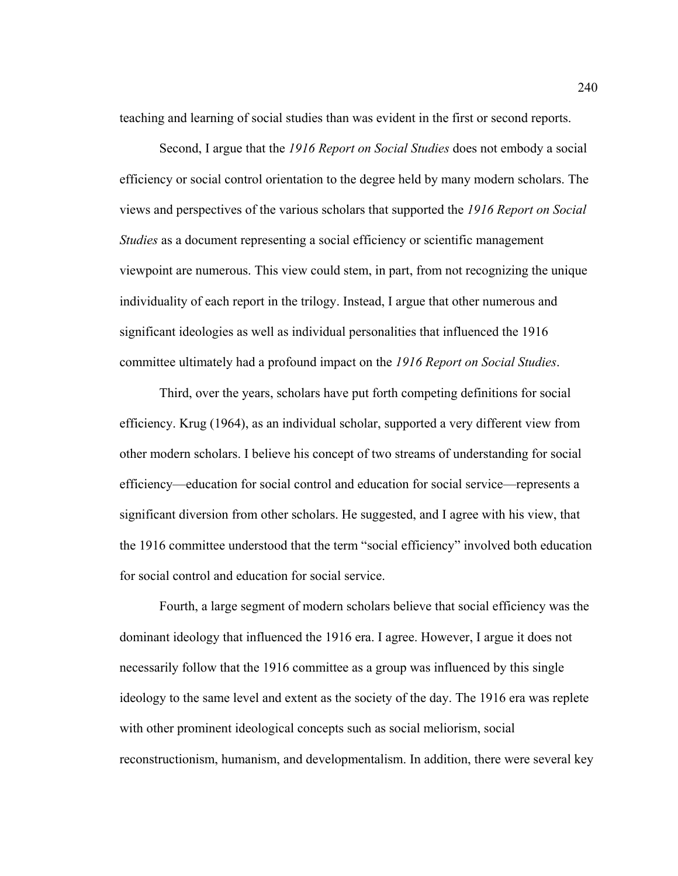teaching and learning of social studies than was evident in the first or second reports.

Second, I argue that the *1916 Report on Social Studies* does not embody a social efficiency or social control orientation to the degree held by many modern scholars. The views and perspectives of the various scholars that supported the *1916 Report on Social Studies* as a document representing a social efficiency or scientific management viewpoint are numerous. This view could stem, in part, from not recognizing the unique individuality of each report in the trilogy. Instead, I argue that other numerous and significant ideologies as well as individual personalities that influenced the 1916 committee ultimately had a profound impact on the *1916 Report on Social Studies*.

Third, over the years, scholars have put forth competing definitions for social efficiency. Krug (1964), as an individual scholar, supported a very different view from other modern scholars. I believe his concept of two streams of understanding for social efficiency—education for social control and education for social service—represents a significant diversion from other scholars. He suggested, and I agree with his view, that the 1916 committee understood that the term "social efficiency" involved both education for social control and education for social service.

Fourth, a large segment of modern scholars believe that social efficiency was the dominant ideology that influenced the 1916 era. I agree. However, I argue it does not necessarily follow that the 1916 committee as a group was influenced by this single ideology to the same level and extent as the society of the day. The 1916 era was replete with other prominent ideological concepts such as social meliorism, social reconstructionism, humanism, and developmentalism. In addition, there were several key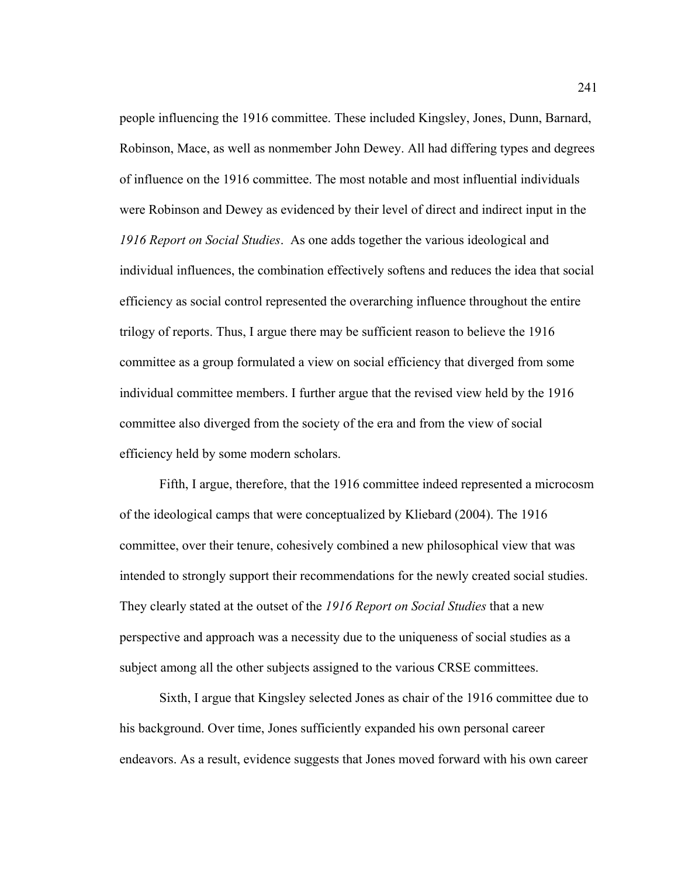people influencing the 1916 committee. These included Kingsley, Jones, Dunn, Barnard, Robinson, Mace, as well as nonmember John Dewey. All had differing types and degrees of influence on the 1916 committee. The most notable and most influential individuals were Robinson and Dewey as evidenced by their level of direct and indirect input in the *1916 Report on Social Studies*. As one adds together the various ideological and individual influences, the combination effectively softens and reduces the idea that social efficiency as social control represented the overarching influence throughout the entire trilogy of reports. Thus, I argue there may be sufficient reason to believe the 1916 committee as a group formulated a view on social efficiency that diverged from some individual committee members. I further argue that the revised view held by the 1916 committee also diverged from the society of the era and from the view of social efficiency held by some modern scholars.

Fifth, I argue, therefore, that the 1916 committee indeed represented a microcosm of the ideological camps that were conceptualized by Kliebard (2004). The 1916 committee, over their tenure, cohesively combined a new philosophical view that was intended to strongly support their recommendations for the newly created social studies. They clearly stated at the outset of the *1916 Report on Social Studies* that a new perspective and approach was a necessity due to the uniqueness of social studies as a subject among all the other subjects assigned to the various CRSE committees.

Sixth, I argue that Kingsley selected Jones as chair of the 1916 committee due to his background. Over time, Jones sufficiently expanded his own personal career endeavors. As a result, evidence suggests that Jones moved forward with his own career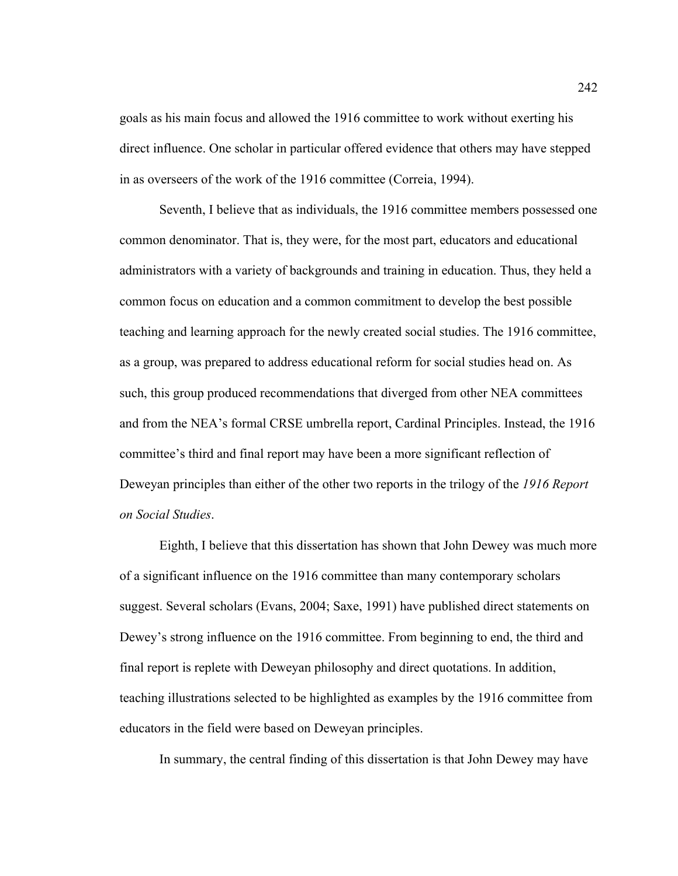goals as his main focus and allowed the 1916 committee to work without exerting his direct influence. One scholar in particular offered evidence that others may have stepped in as overseers of the work of the 1916 committee (Correia, 1994).

Seventh, I believe that as individuals, the 1916 committee members possessed one common denominator. That is, they were, for the most part, educators and educational administrators with a variety of backgrounds and training in education. Thus, they held a common focus on education and a common commitment to develop the best possible teaching and learning approach for the newly created social studies. The 1916 committee, as a group, was prepared to address educational reform for social studies head on. As such, this group produced recommendations that diverged from other NEA committees and from the NEA's formal CRSE umbrella report, Cardinal Principles. Instead, the 1916 committee's third and final report may have been a more significant reflection of Deweyan principles than either of the other two reports in the trilogy of the *1916 Report on Social Studies*.

Eighth, I believe that this dissertation has shown that John Dewey was much more of a significant influence on the 1916 committee than many contemporary scholars suggest. Several scholars (Evans, 2004; Saxe, 1991) have published direct statements on Dewey's strong influence on the 1916 committee. From beginning to end, the third and final report is replete with Deweyan philosophy and direct quotations. In addition, teaching illustrations selected to be highlighted as examples by the 1916 committee from educators in the field were based on Deweyan principles.

In summary, the central finding of this dissertation is that John Dewey may have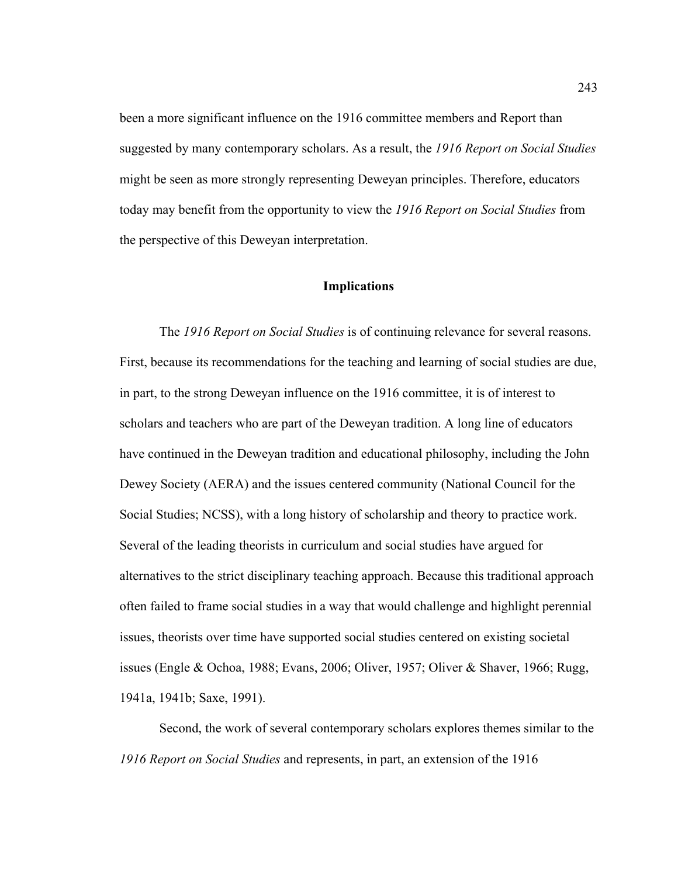been a more significant influence on the 1916 committee members and Report than suggested by many contemporary scholars. As a result, the *1916 Report on Social Studies* might be seen as more strongly representing Deweyan principles. Therefore, educators today may benefit from the opportunity to view the *1916 Report on Social Studies* from the perspective of this Deweyan interpretation.

### **Implications**

The *1916 Report on Social Studies* is of continuing relevance for several reasons. First, because its recommendations for the teaching and learning of social studies are due, in part, to the strong Deweyan influence on the 1916 committee, it is of interest to scholars and teachers who are part of the Deweyan tradition. A long line of educators have continued in the Deweyan tradition and educational philosophy, including the John Dewey Society (AERA) and the issues centered community (National Council for the Social Studies; NCSS), with a long history of scholarship and theory to practice work. Several of the leading theorists in curriculum and social studies have argued for alternatives to the strict disciplinary teaching approach. Because this traditional approach often failed to frame social studies in a way that would challenge and highlight perennial issues, theorists over time have supported social studies centered on existing societal issues (Engle & Ochoa, 1988; Evans, 2006; Oliver, 1957; Oliver & Shaver, 1966; Rugg, 1941a, 1941b; Saxe, 1991).

Second, the work of several contemporary scholars explores themes similar to the *1916 Report on Social Studies* and represents, in part, an extension of the 1916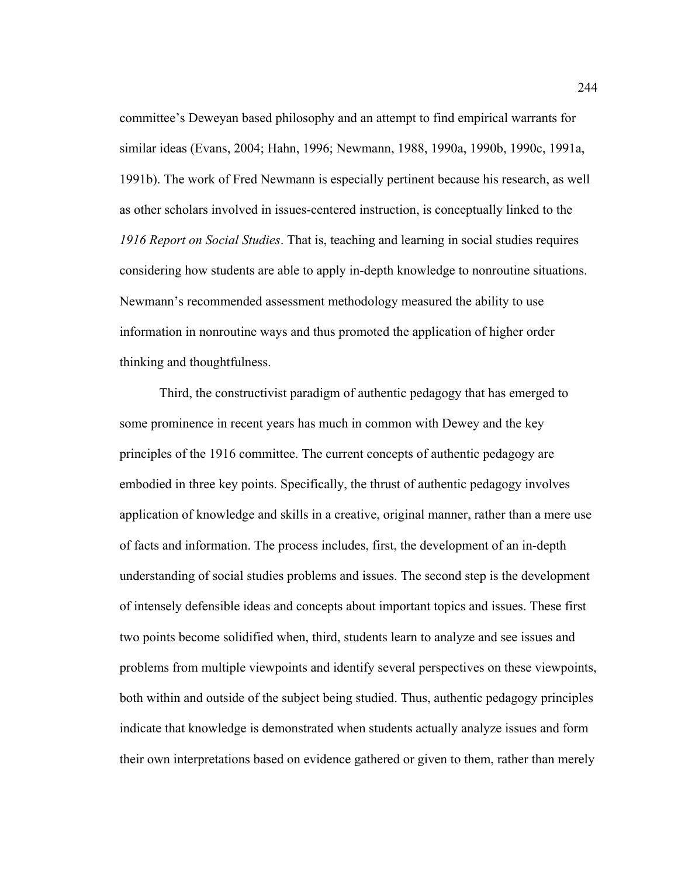committee's Deweyan based philosophy and an attempt to find empirical warrants for similar ideas (Evans, 2004; Hahn, 1996; Newmann, 1988, 1990a, 1990b, 1990c, 1991a, 1991b). The work of Fred Newmann is especially pertinent because his research, as well as other scholars involved in issues-centered instruction, is conceptually linked to the *1916 Report on Social Studies*. That is, teaching and learning in social studies requires considering how students are able to apply in-depth knowledge to nonroutine situations. Newmann's recommended assessment methodology measured the ability to use information in nonroutine ways and thus promoted the application of higher order thinking and thoughtfulness.

Third, the constructivist paradigm of authentic pedagogy that has emerged to some prominence in recent years has much in common with Dewey and the key principles of the 1916 committee. The current concepts of authentic pedagogy are embodied in three key points. Specifically, the thrust of authentic pedagogy involves application of knowledge and skills in a creative, original manner, rather than a mere use of facts and information. The process includes, first, the development of an in-depth understanding of social studies problems and issues. The second step is the development of intensely defensible ideas and concepts about important topics and issues. These first two points become solidified when, third, students learn to analyze and see issues and problems from multiple viewpoints and identify several perspectives on these viewpoints, both within and outside of the subject being studied. Thus, authentic pedagogy principles indicate that knowledge is demonstrated when students actually analyze issues and form their own interpretations based on evidence gathered or given to them, rather than merely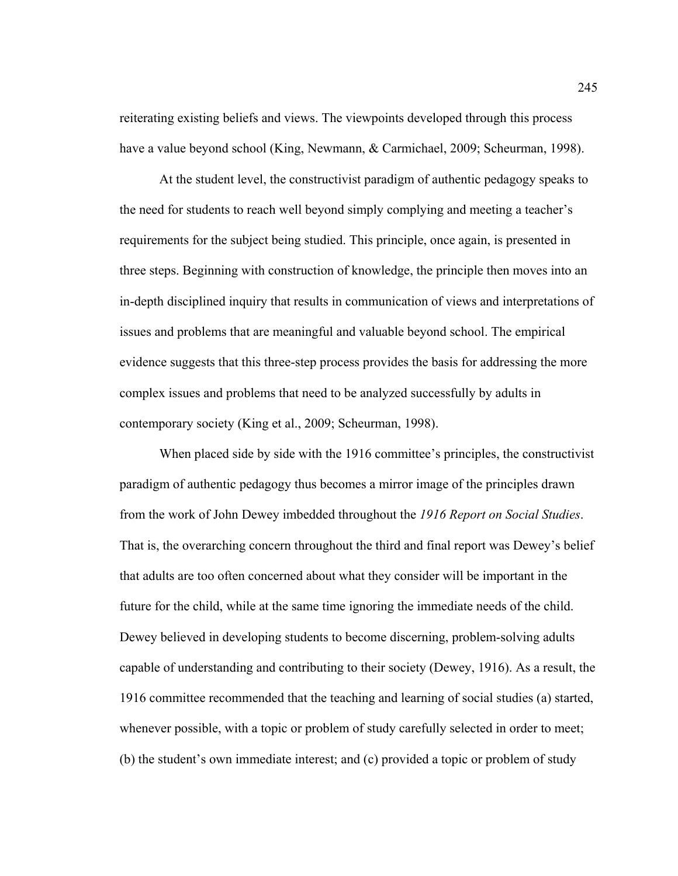reiterating existing beliefs and views. The viewpoints developed through this process have a value beyond school (King, Newmann, & Carmichael, 2009; Scheurman, 1998).

At the student level, the constructivist paradigm of authentic pedagogy speaks to the need for students to reach well beyond simply complying and meeting a teacher's requirements for the subject being studied. This principle, once again, is presented in three steps. Beginning with construction of knowledge, the principle then moves into an in-depth disciplined inquiry that results in communication of views and interpretations of issues and problems that are meaningful and valuable beyond school. The empirical evidence suggests that this three-step process provides the basis for addressing the more complex issues and problems that need to be analyzed successfully by adults in contemporary society (King et al., 2009; Scheurman, 1998).

When placed side by side with the 1916 committee's principles, the constructivist paradigm of authentic pedagogy thus becomes a mirror image of the principles drawn from the work of John Dewey imbedded throughout the *1916 Report on Social Studies*. That is, the overarching concern throughout the third and final report was Dewey's belief that adults are too often concerned about what they consider will be important in the future for the child, while at the same time ignoring the immediate needs of the child. Dewey believed in developing students to become discerning, problem-solving adults capable of understanding and contributing to their society (Dewey, 1916). As a result, the 1916 committee recommended that the teaching and learning of social studies (a) started, whenever possible, with a topic or problem of study carefully selected in order to meet; (b) the student's own immediate interest; and (c) provided a topic or problem of study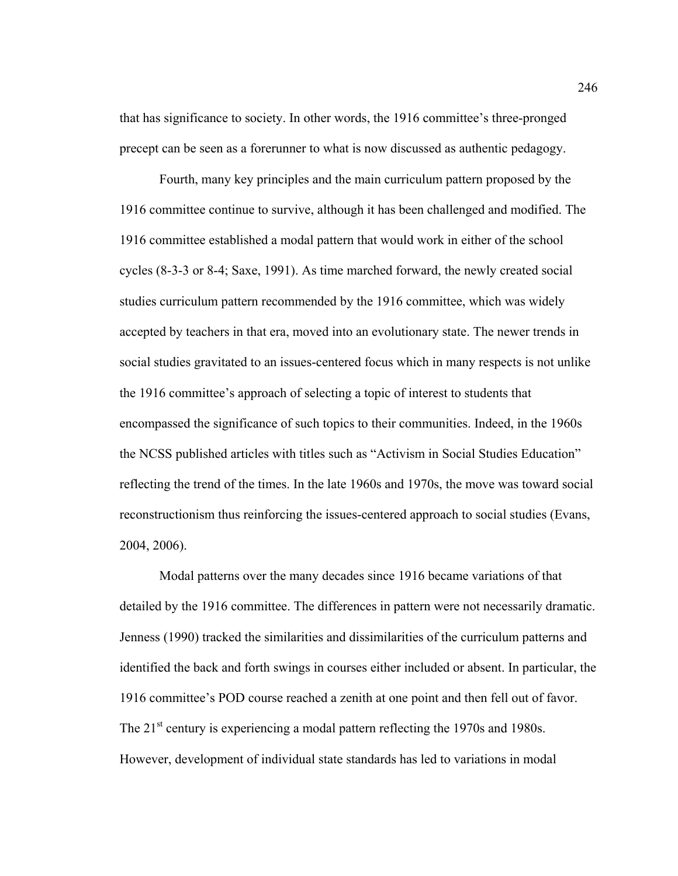that has significance to society. In other words, the 1916 committee's three-pronged precept can be seen as a forerunner to what is now discussed as authentic pedagogy.

Fourth, many key principles and the main curriculum pattern proposed by the 1916 committee continue to survive, although it has been challenged and modified. The 1916 committee established a modal pattern that would work in either of the school cycles (8-3-3 or 8-4; Saxe, 1991). As time marched forward, the newly created social studies curriculum pattern recommended by the 1916 committee, which was widely accepted by teachers in that era, moved into an evolutionary state. The newer trends in social studies gravitated to an issues-centered focus which in many respects is not unlike the 1916 committee's approach of selecting a topic of interest to students that encompassed the significance of such topics to their communities. Indeed, in the 1960s the NCSS published articles with titles such as "Activism in Social Studies Education" reflecting the trend of the times. In the late 1960s and 1970s, the move was toward social reconstructionism thus reinforcing the issues-centered approach to social studies (Evans, 2004, 2006).

Modal patterns over the many decades since 1916 became variations of that detailed by the 1916 committee. The differences in pattern were not necessarily dramatic. Jenness (1990) tracked the similarities and dissimilarities of the curriculum patterns and identified the back and forth swings in courses either included or absent. In particular, the 1916 committee's POD course reached a zenith at one point and then fell out of favor. The 21<sup>st</sup> century is experiencing a modal pattern reflecting the 1970s and 1980s. However, development of individual state standards has led to variations in modal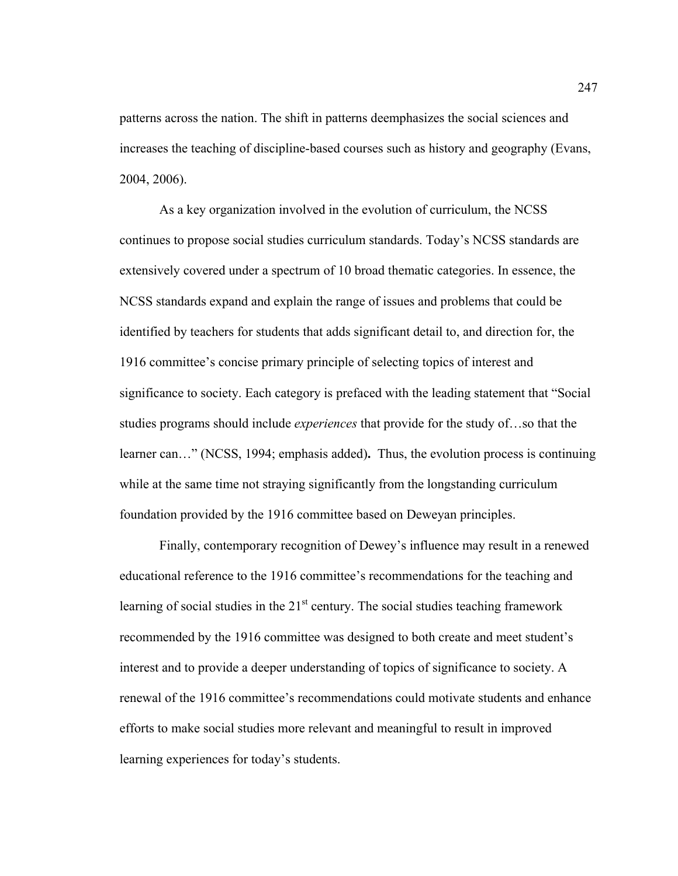patterns across the nation. The shift in patterns deemphasizes the social sciences and increases the teaching of discipline-based courses such as history and geography (Evans, 2004, 2006).

As a key organization involved in the evolution of curriculum, the NCSS continues to propose social studies curriculum standards. Today's NCSS standards are extensively covered under a spectrum of 10 broad thematic categories. In essence, the NCSS standards expand and explain the range of issues and problems that could be identified by teachers for students that adds significant detail to, and direction for, the 1916 committee's concise primary principle of selecting topics of interest and significance to society. Each category is prefaced with the leading statement that "Social studies programs should include *experiences* that provide for the study of…so that the learner can…" (NCSS, 1994; emphasis added)**.** Thus, the evolution process is continuing while at the same time not straying significantly from the longstanding curriculum foundation provided by the 1916 committee based on Deweyan principles.

Finally, contemporary recognition of Dewey's influence may result in a renewed educational reference to the 1916 committee's recommendations for the teaching and learning of social studies in the  $21<sup>st</sup>$  century. The social studies teaching framework recommended by the 1916 committee was designed to both create and meet student's interest and to provide a deeper understanding of topics of significance to society. A renewal of the 1916 committee's recommendations could motivate students and enhance efforts to make social studies more relevant and meaningful to result in improved learning experiences for today's students.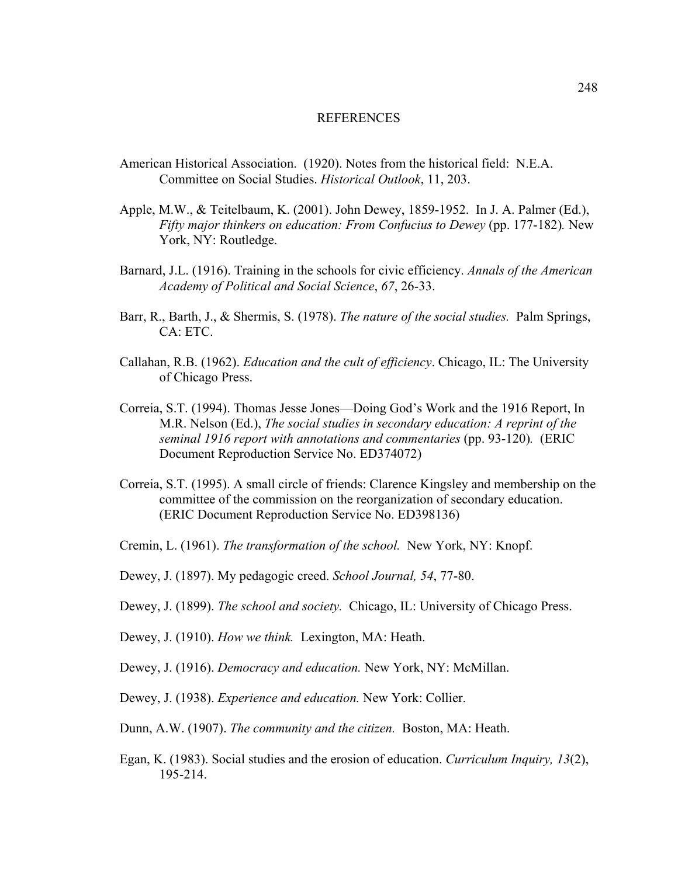## REFERENCES

- American Historical Association. (1920). Notes from the historical field: N.E.A. Committee on Social Studies. *Historical Outlook*, 11, 203.
- Apple, M.W., & Teitelbaum, K. (2001). John Dewey, 1859-1952. In J. A. Palmer (Ed.), *Fifty major thinkers on education: From Confucius to Dewey* (pp. 177-182)*.* New York, NY: Routledge.
- Barnard, J.L. (1916). Training in the schools for civic efficiency. *Annals of the American Academy of Political and Social Science*, *67*, 26-33.
- Barr, R., Barth, J., & Shermis, S. (1978). *The nature of the social studies.* Palm Springs, CA: ETC.
- Callahan, R.B. (1962). *Education and the cult of efficiency*. Chicago, IL: The University of Chicago Press.
- Correia, S.T. (1994). Thomas Jesse Jones—Doing God's Work and the 1916 Report, In M.R. Nelson (Ed.), *The social studies in secondary education: A reprint of the seminal 1916 report with annotations and commentaries* (pp. 93-120)*.* (ERIC Document Reproduction Service No. ED374072)
- Correia, S.T. (1995). A small circle of friends: Clarence Kingsley and membership on the committee of the commission on the reorganization of secondary education. (ERIC Document Reproduction Service No. ED398136)
- Cremin, L. (1961). *The transformation of the school.* New York, NY: Knopf.
- Dewey, J. (1897). My pedagogic creed. *School Journal, 54*, 77-80.
- Dewey, J. (1899). *The school and society.* Chicago, IL: University of Chicago Press.
- Dewey, J. (1910). *How we think.* Lexington, MA: Heath.
- Dewey, J. (1916). *Democracy and education.* New York, NY: McMillan.
- Dewey, J. (1938). *Experience and education.* New York: Collier.
- Dunn, A.W. (1907). *The community and the citizen.* Boston, MA: Heath.
- Egan, K. (1983). Social studies and the erosion of education. *Curriculum Inquiry, 13*(2), 195-214.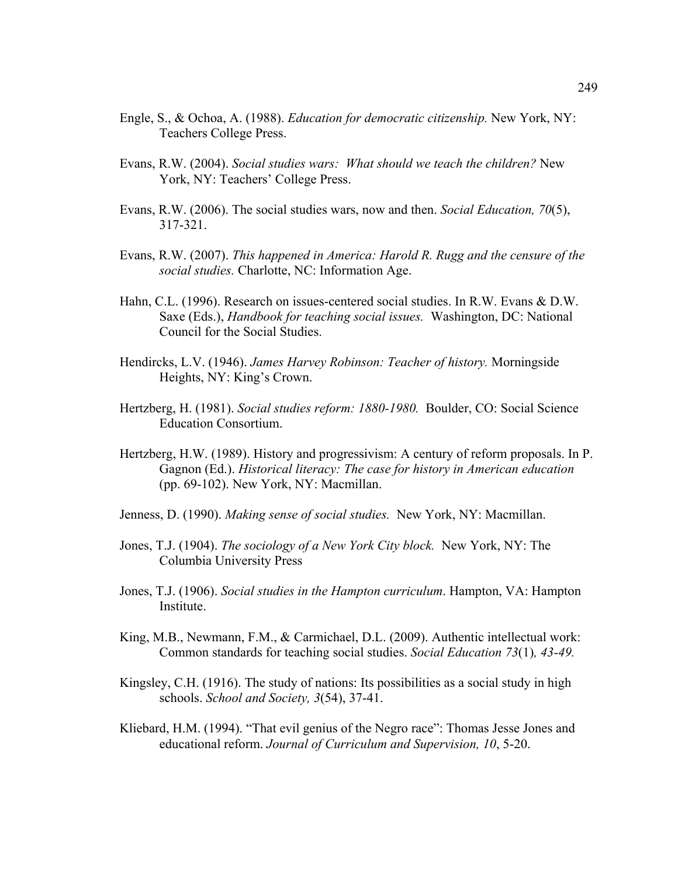- Engle, S., & Ochoa, A. (1988). *Education for democratic citizenship.* New York, NY: Teachers College Press.
- Evans, R.W. (2004). *Social studies wars: What should we teach the children?* New York, NY: Teachers' College Press.
- Evans, R.W. (2006). The social studies wars, now and then. *Social Education, 70*(5), 317-321.
- Evans, R.W. (2007). *This happened in America: Harold R. Rugg and the censure of the social studies.* Charlotte, NC: Information Age.
- Hahn, C.L. (1996). Research on issues-centered social studies. In R.W. Evans & D.W. Saxe (Eds.), *Handbook for teaching social issues.* Washington, DC: National Council for the Social Studies.
- Hendircks, L.V. (1946). *James Harvey Robinson: Teacher of history.* Morningside Heights, NY: King's Crown.
- Hertzberg, H. (1981). *Social studies reform: 1880-1980.* Boulder, CO: Social Science Education Consortium.
- Hertzberg, H.W. (1989). History and progressivism: A century of reform proposals. In P. Gagnon (Ed.). *Historical literacy: The case for history in American education*  (pp. 69-102). New York, NY: Macmillan.
- Jenness, D. (1990). *Making sense of social studies.* New York, NY: Macmillan.
- Jones, T.J. (1904). *The sociology of a New York City block.* New York, NY: The Columbia University Press
- Jones, T.J. (1906). *Social studies in the Hampton curriculum*. Hampton, VA: Hampton Institute.
- King, M.B., Newmann, F.M., & Carmichael, D.L. (2009). Authentic intellectual work: Common standards for teaching social studies. *Social Education 73*(1)*, 43-49.*
- Kingsley, C.H. (1916). The study of nations: Its possibilities as a social study in high schools. *School and Society, 3*(54), 37-41.
- Kliebard, H.M. (1994). "That evil genius of the Negro race": Thomas Jesse Jones and educational reform. *Journal of Curriculum and Supervision, 10*, 5-20.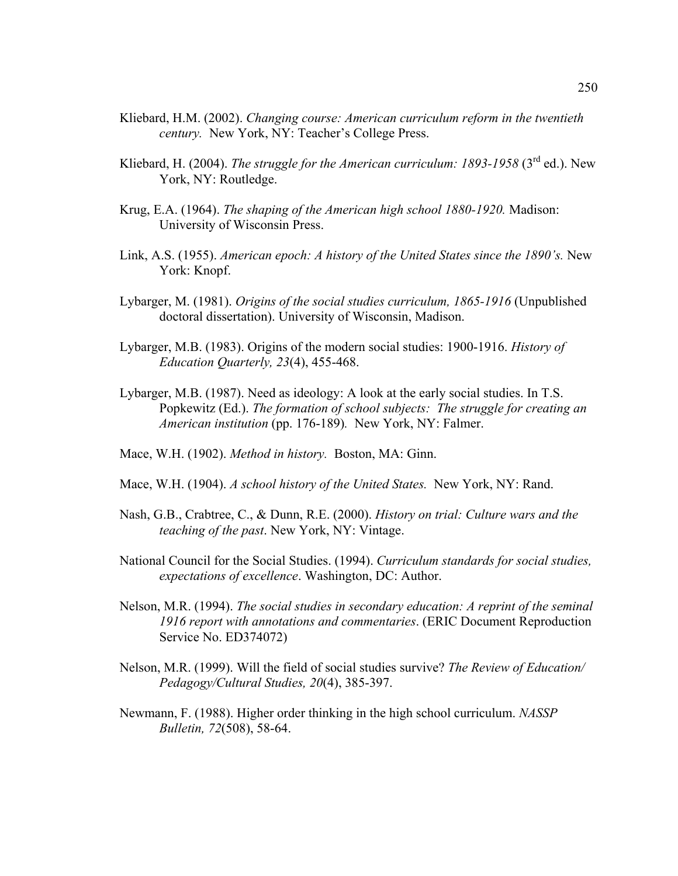- Kliebard, H.M. (2002). *Changing course: American curriculum reform in the twentieth century.* New York, NY: Teacher's College Press.
- Kliebard, H. (2004). *The struggle for the American curriculum: 1893-1958* (3<sup>rd</sup> ed.). New York, NY: Routledge.
- Krug, E.A. (1964). *The shaping of the American high school 1880-1920.* Madison: University of Wisconsin Press.
- Link, A.S. (1955). *American epoch: A history of the United States since the 1890's.* New York: Knopf.
- Lybarger, M. (1981). *Origins of the social studies curriculum, 1865-1916* (Unpublished doctoral dissertation). University of Wisconsin, Madison.
- Lybarger, M.B. (1983). Origins of the modern social studies: 1900-1916. *History of Education Quarterly, 23*(4), 455-468.
- Lybarger, M.B. (1987). Need as ideology: A look at the early social studies. In T.S. Popkewitz (Ed.). *The formation of school subjects: The struggle for creating an American institution* (pp. 176-189)*.* New York, NY: Falmer.
- Mace, W.H. (1902). *Method in history.* Boston, MA: Ginn.
- Mace, W.H. (1904). *A school history of the United States.* New York, NY: Rand.
- Nash, G.B., Crabtree, C., & Dunn, R.E. (2000). *History on trial: Culture wars and the teaching of the past*. New York, NY: Vintage.
- National Council for the Social Studies. (1994). *Curriculum standards for social studies, expectations of excellence*. Washington, DC: Author.
- Nelson, M.R. (1994). *The social studies in secondary education: A reprint of the seminal 1916 report with annotations and commentaries*. (ERIC Document Reproduction Service No. ED374072)
- Nelson, M.R. (1999). Will the field of social studies survive? *The Review of Education/ Pedagogy/Cultural Studies, 20*(4), 385-397.
- Newmann, F. (1988). Higher order thinking in the high school curriculum. *NASSP Bulletin, 72*(508), 58-64.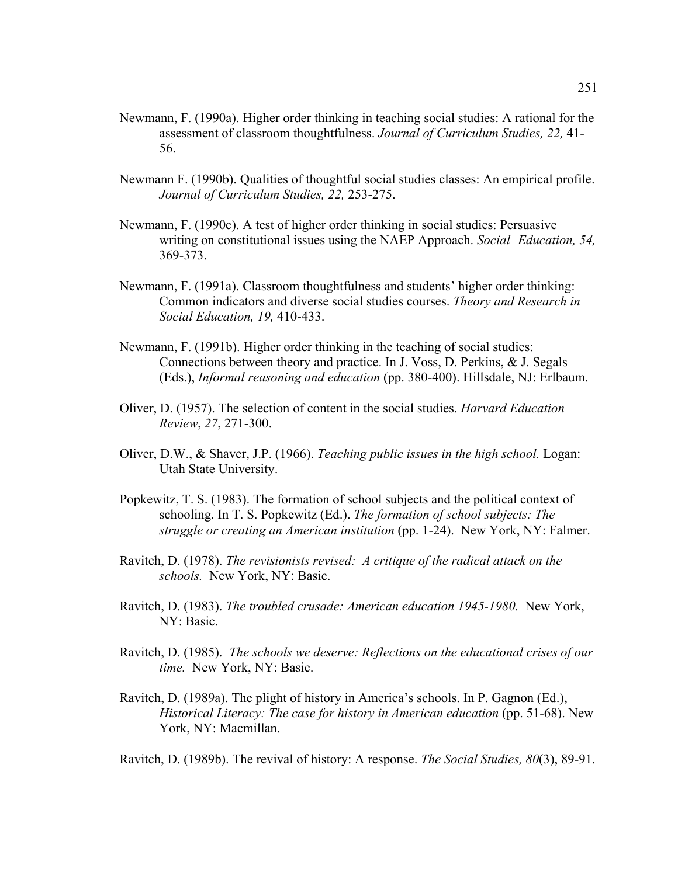- Newmann, F. (1990a). Higher order thinking in teaching social studies: A rational for the assessment of classroom thoughtfulness. *Journal of Curriculum Studies, 22,* 41- 56.
- Newmann F. (1990b). Qualities of thoughtful social studies classes: An empirical profile. *Journal of Curriculum Studies, 22,* 253-275.
- Newmann, F. (1990c). A test of higher order thinking in social studies: Persuasive writing on constitutional issues using the NAEP Approach. *Social Education, 54,*  369-373.
- Newmann, F. (1991a). Classroom thoughtfulness and students' higher order thinking: Common indicators and diverse social studies courses. *Theory and Research in Social Education, 19,* 410-433.
- Newmann, F. (1991b). Higher order thinking in the teaching of social studies: Connections between theory and practice. In J. Voss, D. Perkins, & J. Segals (Eds.), *Informal reasoning and education* (pp. 380-400). Hillsdale, NJ: Erlbaum.
- Oliver, D. (1957). The selection of content in the social studies. *Harvard Education Review*, *27*, 271-300.
- Oliver, D.W., & Shaver, J.P. (1966). *Teaching public issues in the high school.* Logan: Utah State University.
- Popkewitz, T. S. (1983). The formation of school subjects and the political context of schooling. In T. S. Popkewitz (Ed.). *The formation of school subjects: The struggle or creating an American institution* (pp. 1-24).New York, NY: Falmer.
- Ravitch, D. (1978). *The revisionists revised: A critique of the radical attack on the schools.* New York, NY: Basic.
- Ravitch, D. (1983). *The troubled crusade: American education 1945-1980.* New York, NY: Basic.
- Ravitch, D. (1985). *The schools we deserve: Reflections on the educational crises of our time.* New York, NY: Basic.
- Ravitch, D. (1989a). The plight of history in America's schools. In P. Gagnon (Ed.), *Historical Literacy: The case for history in American education* (pp. 51-68). New York, NY: Macmillan.

Ravitch, D. (1989b). The revival of history: A response. *The Social Studies, 80*(3), 89-91.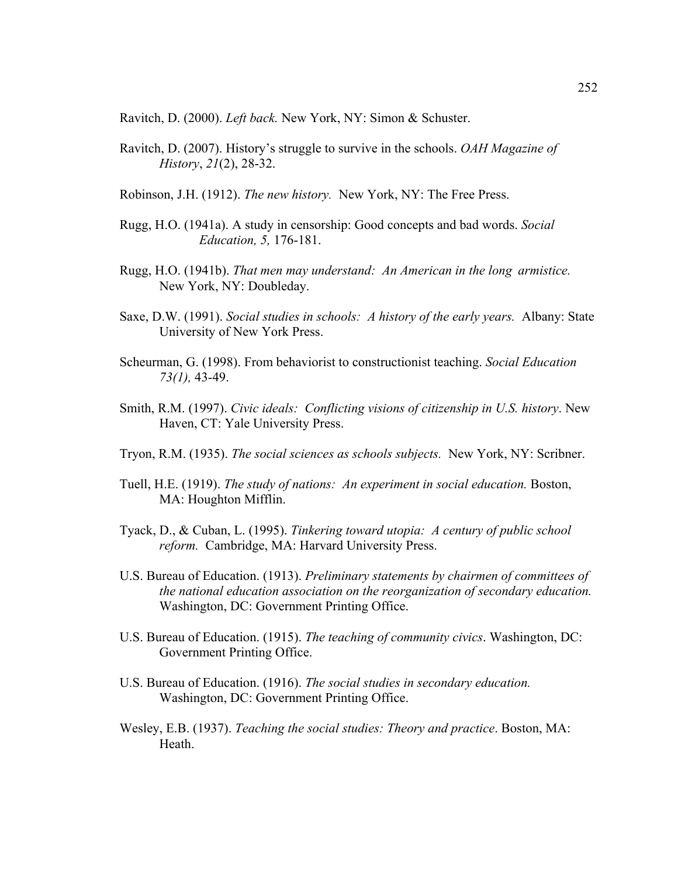Ravitch, D. (2000). *Left back.* New York, NY: Simon & Schuster.

Ravitch, D. (2007). History's struggle to survive in the schools. *OAH Magazine of History*, *21*(2), 28-32.

Robinson, J.H. (1912). *The new history.* New York, NY: The Free Press.

- Rugg, H.O. (1941a). A study in censorship: Good concepts and bad words. *Social Education, 5,* 176-181.
- Rugg, H.O. (1941b). *That men may understand: An American in the long armistice.*  New York, NY: Doubleday.
- Saxe, D.W. (1991). *Social studies in schools: A history of the early years.* Albany: State University of New York Press.
- Scheurman, G. (1998). From behaviorist to constructionist teaching. *Social Education 73(1),* 43-49.
- Smith, R.M. (1997). *Civic ideals: Conflicting visions of citizenship in U.S. history*. New Haven, CT: Yale University Press.
- Tryon, R.M. (1935). *The social sciences as schools subjects.* New York, NY: Scribner.
- Tuell, H.E. (1919). *The study of nations: An experiment in social education.* Boston, MA: Houghton Mifflin.
- Tyack, D., & Cuban, L. (1995). *Tinkering toward utopia: A century of public school reform.* Cambridge, MA: Harvard University Press.
- U.S. Bureau of Education. (1913). *Preliminary statements by chairmen of committees of the national education association on the reorganization of secondary education.* Washington, DC: Government Printing Office.
- U.S. Bureau of Education. (1915). *The teaching of community civics*. Washington, DC: Government Printing Office.
- U.S. Bureau of Education. (1916). *The social studies in secondary education.* Washington, DC: Government Printing Office.
- Wesley, E.B. (1937). *Teaching the social studies: Theory and practice*. Boston, MA: Heath.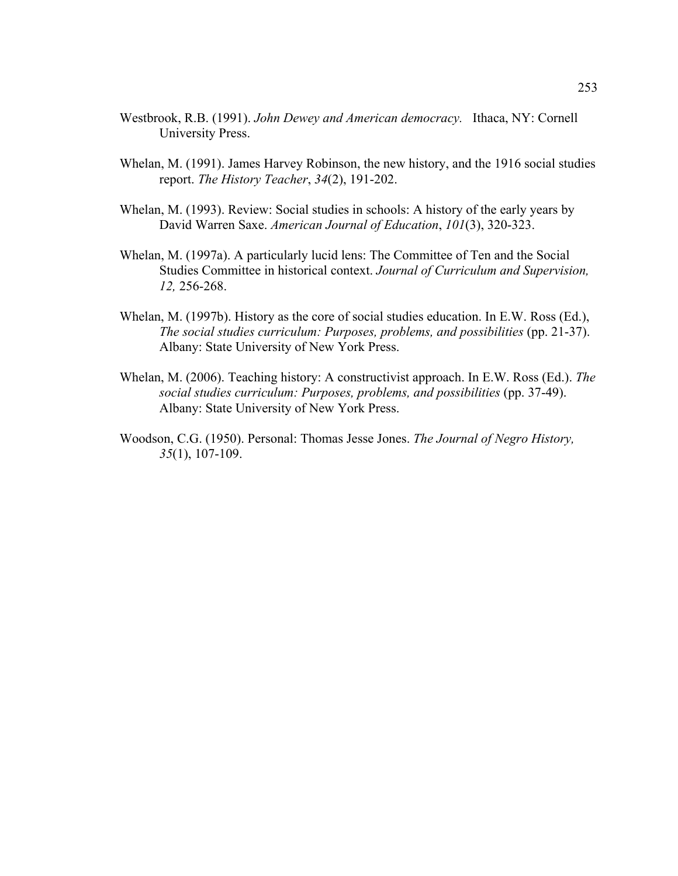- Westbrook, R.B. (1991). *John Dewey and American democracy.* Ithaca, NY: Cornell University Press.
- Whelan, M. (1991). James Harvey Robinson, the new history, and the 1916 social studies report. *The History Teacher*, *34*(2), 191-202.
- Whelan, M. (1993). Review: Social studies in schools: A history of the early years by David Warren Saxe. *American Journal of Education*, *101*(3), 320-323.
- Whelan, M. (1997a). A particularly lucid lens: The Committee of Ten and the Social Studies Committee in historical context. *Journal of Curriculum and Supervision, 12,* 256-268.
- Whelan, M. (1997b). History as the core of social studies education. In E.W. Ross (Ed.), *The social studies curriculum: Purposes, problems, and possibilities (pp. 21-37).* Albany: State University of New York Press.
- Whelan, M. (2006). Teaching history: A constructivist approach. In E.W. Ross (Ed.). *The social studies curriculum: Purposes, problems, and possibilities* (pp. 37-49). Albany: State University of New York Press.
- Woodson, C.G. (1950). Personal: Thomas Jesse Jones. *The Journal of Negro History, 35*(1), 107-109.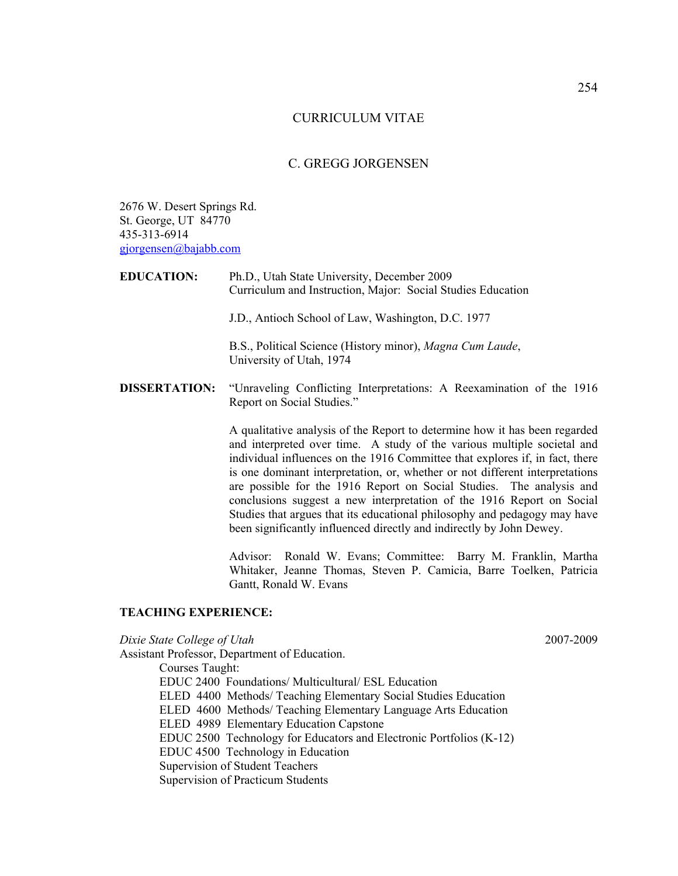## CURRICULUM VITAE

# C. GREGG JORGENSEN

2676 W. Desert Springs Rd. St. George, UT 84770 435-313-6914 [gjorgensen@bajabb.com](mailto:gjorgensen@bajabb.com)

| <b>EDUCATION:</b>    | Ph.D., Utah State University, December 2009<br>Curriculum and Instruction, Major: Social Studies Education                                                                                                                                                                                                                                                                                                                                                                                                                                                                                                                  |
|----------------------|-----------------------------------------------------------------------------------------------------------------------------------------------------------------------------------------------------------------------------------------------------------------------------------------------------------------------------------------------------------------------------------------------------------------------------------------------------------------------------------------------------------------------------------------------------------------------------------------------------------------------------|
|                      | J.D., Antioch School of Law, Washington, D.C. 1977                                                                                                                                                                                                                                                                                                                                                                                                                                                                                                                                                                          |
|                      | B.S., Political Science (History minor), Magna Cum Laude,<br>University of Utah, 1974                                                                                                                                                                                                                                                                                                                                                                                                                                                                                                                                       |
| <b>DISSERTATION:</b> | "Unraveling Conflicting Interpretations: A Reexamination of the 1916<br>Report on Social Studies."                                                                                                                                                                                                                                                                                                                                                                                                                                                                                                                          |
|                      | A qualitative analysis of the Report to determine how it has been regarded<br>and interpreted over time. A study of the various multiple societal and<br>individual influences on the 1916 Committee that explores if, in fact, there<br>is one dominant interpretation, or, whether or not different interpretations<br>are possible for the 1916 Report on Social Studies. The analysis and<br>conclusions suggest a new interpretation of the 1916 Report on Social<br>Studies that argues that its educational philosophy and pedagogy may have<br>been significantly influenced directly and indirectly by John Dewey. |
|                      | Advissor Danald W. Eveney Committee, Domn, M. Engelship Mantha                                                                                                                                                                                                                                                                                                                                                                                                                                                                                                                                                              |

Advisor: Ronald W. Evans; Committee: Barry M. Franklin, Martha Whitaker, Jeanne Thomas, Steven P. Camicia, Barre Toelken, Patricia Gantt, Ronald W. Evans

## **TEACHING EXPERIENCE:**

*Dixie State College of Utah* 2007-2009 Assistant Professor, Department of Education. Courses Taught: EDUC 2400 Foundations/ Multicultural/ ESL Education ELED 4400 Methods/ Teaching Elementary Social Studies Education ELED 4600 Methods/ Teaching Elementary Language Arts Education ELED 4989 Elementary Education Capstone EDUC 2500 Technology for Educators and Electronic Portfolios (K-12) EDUC 4500 Technology in Education Supervision of Student Teachers Supervision of Practicum Students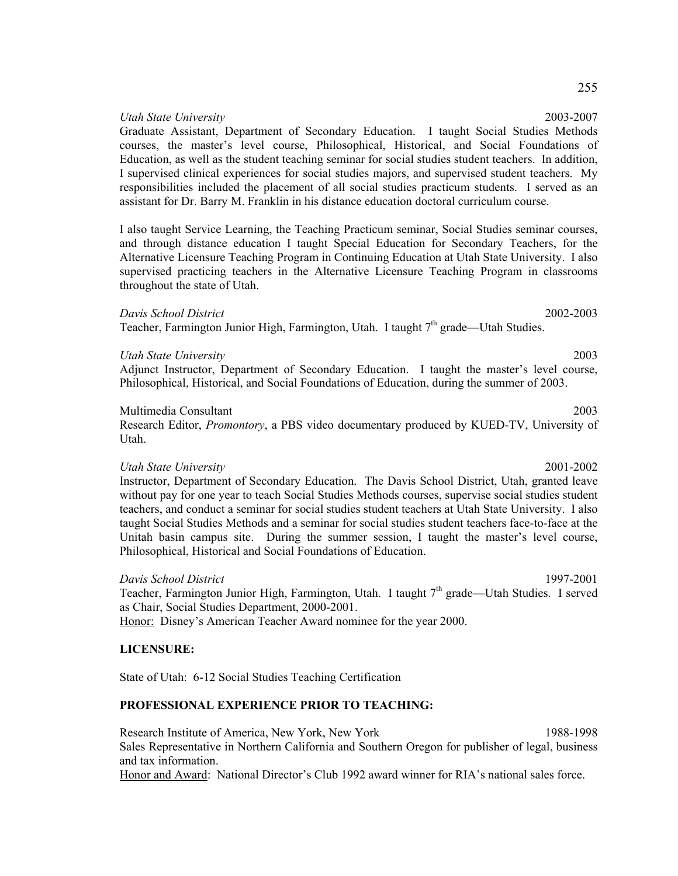*Utah State University* 2003-2007 Graduate Assistant, Department of Secondary Education. I taught Social Studies Methods courses, the master's level course, Philosophical, Historical, and Social Foundations of Education, as well as the student teaching seminar for social studies student teachers. In addition, I supervised clinical experiences for social studies majors, and supervised student teachers. My responsibilities included the placement of all social studies practicum students. I served as an assistant for Dr. Barry M. Franklin in his distance education doctoral curriculum course.

I also taught Service Learning, the Teaching Practicum seminar, Social Studies seminar courses, and through distance education I taught Special Education for Secondary Teachers, for the Alternative Licensure Teaching Program in Continuing Education at Utah State University. I also supervised practicing teachers in the Alternative Licensure Teaching Program in classrooms throughout the state of Utah.

## *Davis School District* 2002-2003

Teacher, Farmington Junior High, Farmington, Utah. I taught 7<sup>th</sup> grade—Utah Studies.

### *Utah State University* 2003

Adjunct Instructor, Department of Secondary Education. I taught the master's level course, Philosophical, Historical, and Social Foundations of Education, during the summer of 2003.

## Multimedia Consultant 2003

Research Editor, *Promontory*, a PBS video documentary produced by KUED-TV, University of Utah.

### *Utah State University* 2001-2002

Instructor, Department of Secondary Education. The Davis School District, Utah, granted leave without pay for one year to teach Social Studies Methods courses, supervise social studies student teachers, and conduct a seminar for social studies student teachers at Utah State University. I also taught Social Studies Methods and a seminar for social studies student teachers face-to-face at the Unitah basin campus site. During the summer session, I taught the master's level course, Philosophical, Historical and Social Foundations of Education.

## *Davis School District* 1997-2001

Teacher, Farmington Junior High, Farmington, Utah. I taught  $7<sup>th</sup>$  grade—Utah Studies. I served as Chair, Social Studies Department, 2000-2001. Honor: Disney's American Teacher Award nominee for the year 2000.

## **LICENSURE:**

State of Utah: 6-12 Social Studies Teaching Certification

## **PROFESSIONAL EXPERIENCE PRIOR TO TEACHING:**

Research Institute of America, New York, New York 1988-1998 Sales Representative in Northern California and Southern Oregon for publisher of legal, business and tax information.

Honor and Award: National Director's Club 1992 award winner for RIA's national sales force.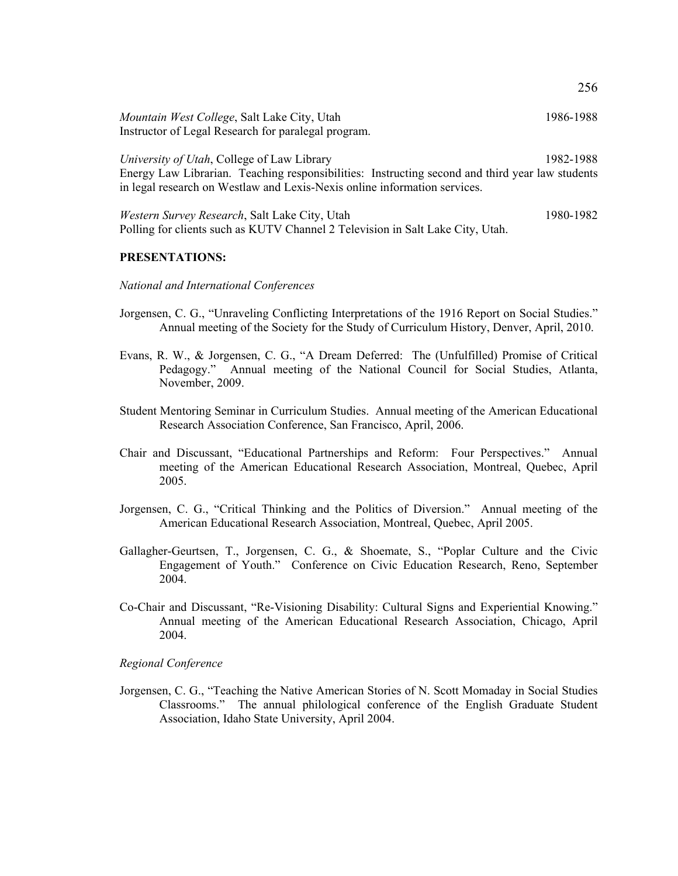| Mountain West College, Salt Lake City, Utah<br>Instructor of Legal Research for paralegal program.                                                                                                                         | 1986-1988 |
|----------------------------------------------------------------------------------------------------------------------------------------------------------------------------------------------------------------------------|-----------|
| University of Utah, College of Law Library<br>Energy Law Librarian. Teaching responsibilities: Instructing second and third year law students<br>in legal research on Westlaw and Lexis-Nexis online information services. | 1982-1988 |
| Western Survey Research, Salt Lake City, Utah                                                                                                                                                                              | 1980-1982 |

Polling for clients such as KUTV Channel 2 Television in Salt Lake City, Utah.

### **PRESENTATIONS:**

### *National and International Conferences*

- Jorgensen, C. G., "Unraveling Conflicting Interpretations of the 1916 Report on Social Studies." Annual meeting of the Society for the Study of Curriculum History, Denver, April, 2010.
- Evans, R. W., & Jorgensen, C. G., "A Dream Deferred: The (Unfulfilled) Promise of Critical Pedagogy." Annual meeting of the National Council for Social Studies, Atlanta, November, 2009.
- Student Mentoring Seminar in Curriculum Studies. Annual meeting of the American Educational Research Association Conference, San Francisco, April, 2006.
- Chair and Discussant, "Educational Partnerships and Reform: Four Perspectives." Annual meeting of the American Educational Research Association, Montreal, Quebec, April 2005.
- Jorgensen, C. G., "Critical Thinking and the Politics of Diversion." Annual meeting of the American Educational Research Association, Montreal, Quebec, April 2005.
- Gallagher-Geurtsen, T., Jorgensen, C. G., & Shoemate, S., "Poplar Culture and the Civic Engagement of Youth." Conference on Civic Education Research, Reno, September 2004.
- Co-Chair and Discussant, "Re-Visioning Disability: Cultural Signs and Experiential Knowing." Annual meeting of the American Educational Research Association, Chicago, April 2004.

### *Regional Conference*

Jorgensen, C. G., "Teaching the Native American Stories of N. Scott Momaday in Social Studies Classrooms." The annual philological conference of the English Graduate Student Association, Idaho State University, April 2004.